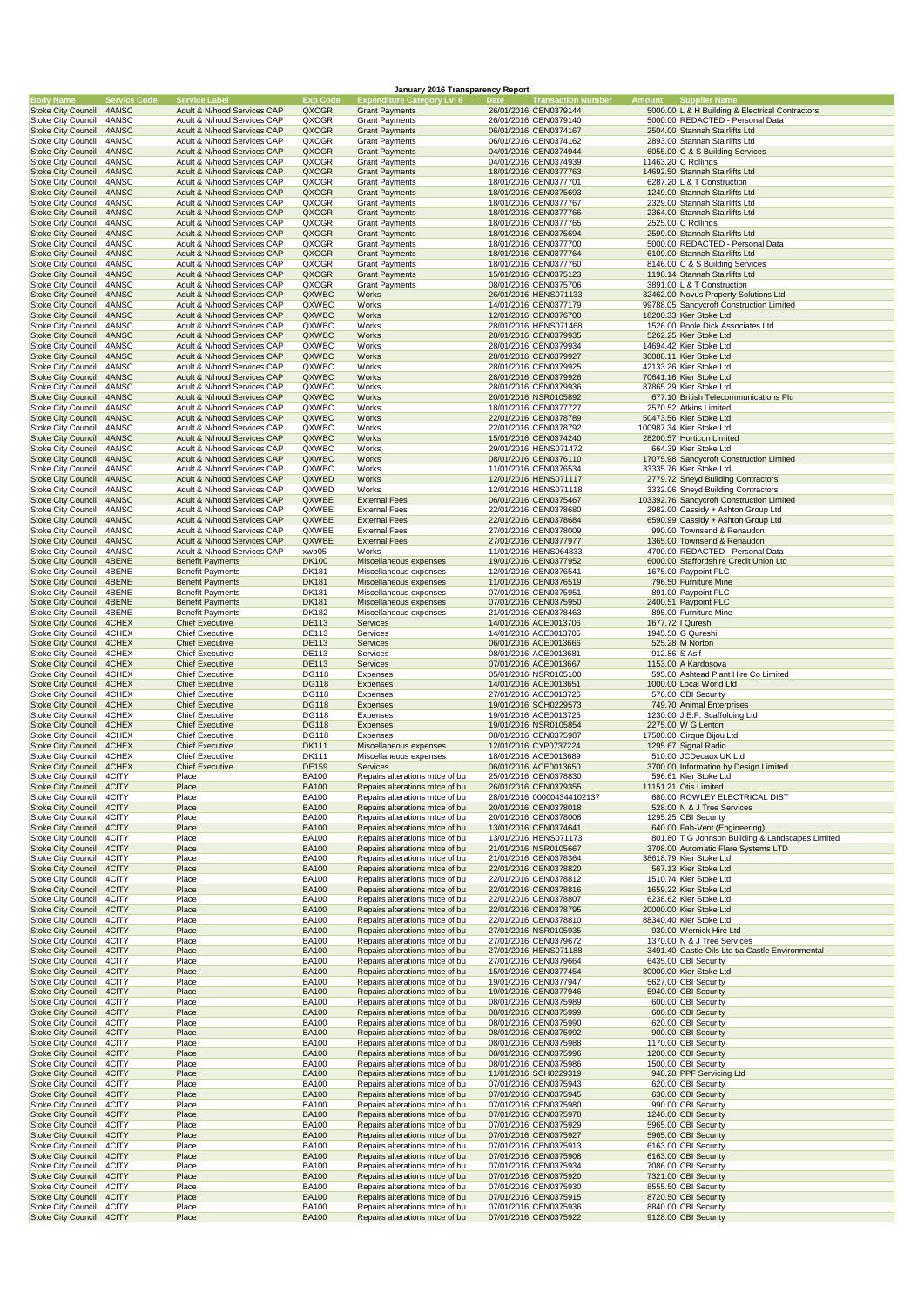|                                                        |                              |                                                            |                              | January 2016 Transparency Report                                 |                                                                                 |               |                                                                                 |
|--------------------------------------------------------|------------------------------|------------------------------------------------------------|------------------------------|------------------------------------------------------------------|---------------------------------------------------------------------------------|---------------|---------------------------------------------------------------------------------|
| <b>Body Name</b><br><b>Stoke City Council</b>          | <b>Service Code</b><br>4ANSC | <b>Service Label</b><br>Adult & N/hood Services CAP        | <b>Exp Code</b><br>QXCGR     | <b>Expenditure Category LvI 6</b><br><b>Grant Payments</b>       | Date<br><b>Transaction Number</b> Amount Supplier Name<br>26/01/2016 CEN0379144 |               | 5000.00 L & H Building & Electrical Contractors                                 |
| Stoke City Council                                     | 4ANSC                        | Adult & N/hood Services CAP                                | QXCGR                        | <b>Grant Payments</b>                                            | 26/01/2016 CEN0379140                                                           |               | 5000.00 REDACTED - Personal Data                                                |
| <b>Stoke City Council</b>                              | 4ANSC                        | Adult & N/hood Services CAP                                | QXCGR                        | <b>Grant Payments</b>                                            | 06/01/2016 CEN0374167                                                           |               | 2504.00 Stannah Stairlifts Ltd                                                  |
| <b>Stoke City Council</b><br><b>Stoke City Council</b> | 4ANSC<br>4ANSC               | Adult & N/hood Services CAP<br>Adult & N/hood Services CAP | QXCGR<br>QXCGR               | <b>Grant Payments</b><br><b>Grant Payments</b>                   | 06/01/2016 CEN0374162<br>04/01/2016 CEN0374944                                  |               | 2893.00 Stannah Stairlifts Ltd<br>6055.00 C & S Building Services               |
| <b>Stoke City Council</b>                              | 4ANSC                        | Adult & N/hood Services CAP                                | QXCGR                        | <b>Grant Payments</b>                                            | 04/01/2016 CEN0374939                                                           |               | 11463.20 C Rollings                                                             |
| <b>Stoke City Council</b>                              | 4ANSC                        | Adult & N/hood Services CAP                                | QXCGR                        | <b>Grant Payments</b>                                            | 18/01/2016 CEN0377763                                                           |               | 14692.50 Stannah Stairlifts Ltd                                                 |
| Stoke City Council<br><b>Stoke City Council</b>        | 4ANSC<br>4ANSC               | Adult & N/hood Services CAP<br>Adult & N/hood Services CAP | QXCGR<br>QXCGR               | <b>Grant Payments</b><br><b>Grant Payments</b>                   | 18/01/2016 CEN0377701<br>18/01/2016 CEN0375693                                  |               | 6287.20 L & T Construction<br>1249.00 Stannah Stairlifts Ltd                    |
| Stoke City Council                                     | 4ANSC                        | Adult & N/hood Services CAP                                | QXCGR                        | <b>Grant Payments</b>                                            | 18/01/2016 CEN0377767                                                           |               | 2329.00 Stannah Stairlifts Ltd                                                  |
| <b>Stoke City Council</b>                              | 4ANSC                        | Adult & N/hood Services CAP                                | QXCGR                        | <b>Grant Payments</b>                                            | 18/01/2016 CEN0377766                                                           |               | 2364.00 Stannah Stairlifts Ltd                                                  |
| <b>Stoke City Council</b>                              | 4ANSC                        | Adult & N/hood Services CAP<br>Adult & N/hood Services CAP | QXCGR                        | <b>Grant Payments</b>                                            | 18/01/2016 CEN0377765                                                           |               | 2525.00 C Rollings                                                              |
| <b>Stoke City Council</b><br><b>Stoke City Council</b> | 4ANSC<br>4ANSC               | Adult & N/hood Services CAP                                | QXCGR<br>QXCGR               | <b>Grant Payments</b><br><b>Grant Payments</b>                   | 18/01/2016 CEN0375694<br>18/01/2016 CEN0377700                                  |               | 2599.00 Stannah Stairlifts Ltd<br>5000.00 REDACTED - Personal Data              |
| <b>Stoke City Council</b>                              | 4ANSC                        | Adult & N/hood Services CAP                                | QXCGR                        | <b>Grant Payments</b>                                            | 18/01/2016 CEN0377764                                                           |               | 6109.00 Stannah Stairlifts Ltd                                                  |
| <b>Stoke City Council</b>                              | 4ANSC                        | Adult & N/hood Services CAP                                | QXCGR                        | <b>Grant Payments</b>                                            | 18/01/2016 CEN0377760                                                           |               | 8146.00 C & S Building Services                                                 |
| <b>Stoke City Council</b><br><b>Stoke City Council</b> | 4ANSC<br>4ANSC               | Adult & N/hood Services CAP<br>Adult & N/hood Services CAP | QXCGR<br>QXCGR               | <b>Grant Payments</b><br><b>Grant Payments</b>                   | 15/01/2016 CEN0375123<br>08/01/2016 CEN0375706                                  |               | 1198.14 Stannah Stairlifts Ltd<br>3891.00 L & T Construction                    |
| <b>Stoke City Council</b>                              | 4ANSC                        | Adult & N/hood Services CAP                                | QXWBC                        | Works                                                            | 26/01/2016 HENS071133                                                           |               | 32462.00 Novus Property Solutions Ltd                                           |
| <b>Stoke City Council</b>                              | 4ANSC                        | Adult & N/hood Services CAP                                | QXWBC                        | Works                                                            | 14/01/2016 CEN0377179                                                           |               | 99788.05 Sandycroft Construction Limited                                        |
| <b>Stoke City Council</b><br><b>Stoke City Council</b> | 4ANSC<br>4ANSC               | Adult & N/hood Services CAP<br>Adult & N/hood Services CAP | QXWBC<br>QXWBC               | Works<br>Works                                                   | 12/01/2016 CEN0376700<br>28/01/2016 HENS071468                                  |               | 18200.33 Kier Stoke Ltd<br>1526.00 Poole Dick Associates Ltd                    |
| <b>Stoke City Council</b>                              | 4ANSC                        | Adult & N/hood Services CAP                                | QXWBC                        | Works                                                            | 28/01/2016 CEN0379935                                                           |               | 5262.25 Kier Stoke Ltd                                                          |
| <b>Stoke City Council</b>                              | 4ANSC                        | Adult & N/hood Services CAP                                | QXWBC                        | Works                                                            | 28/01/2016 CEN0379934                                                           |               | 14694.42 Kier Stoke Ltd                                                         |
| <b>Stoke City Council</b><br><b>Stoke City Council</b> | 4ANSC<br>4ANSC               | Adult & N/hood Services CAP<br>Adult & N/hood Services CAP | QXWBC<br>QXWBC               | Works<br>Works                                                   | 28/01/2016 CEN0379927<br>28/01/2016 CEN0379925                                  |               | 30088.11 Kier Stoke Ltd<br>42133.26 Kier Stoke Ltd                              |
| <b>Stoke City Council</b>                              | 4ANSC                        | Adult & N/hood Services CAP                                | QXWBC                        | Works                                                            | 28/01/2016 CEN0379926                                                           |               | 70641.16 Kier Stoke Ltd                                                         |
| <b>Stoke City Council</b>                              | 4ANSC                        | Adult & N/hood Services CAP                                | QXWBC                        | Works                                                            | 28/01/2016 CEN0379936                                                           |               | 87865.29 Kier Stoke Ltd                                                         |
| <b>Stoke City Council</b><br><b>Stoke City Council</b> | 4ANSC                        | Adult & N/hood Services CAP                                | QXWBC                        | Works                                                            | 20/01/2016 NSR0105892<br>18/01/2016 CEN0377727                                  |               | 677.10 British Telecommunications Plc                                           |
| <b>Stoke City Council</b>                              | 4ANSC<br>4ANSC               | Adult & N/hood Services CAP<br>Adult & N/hood Services CAP | QXWBC<br>QXWBC               | Works<br>Works                                                   | 22/01/2016 CEN0378789                                                           |               | 2570.52 Atkins Limited<br>50473.56 Kier Stoke Ltd                               |
| <b>Stoke City Council</b>                              | 4ANSC                        | Adult & N/hood Services CAP                                | QXWBC                        | Works                                                            | 22/01/2016 CEN0378792                                                           |               | 100987.34 Kier Stoke Ltd                                                        |
| <b>Stoke City Council</b>                              | 4ANSC                        | Adult & N/hood Services CAP                                | QXWBC                        | Works                                                            | 15/01/2016 CEN0374240                                                           |               | 28200.57 Horticon Limited                                                       |
| <b>Stoke City Council</b><br><b>Stoke City Council</b> | 4ANSC<br>4ANSC               | Adult & N/hood Services CAP<br>Adult & N/hood Services CAP | QXWBC<br>QXWBC               | Works<br>Works                                                   | 29/01/2016 HENS071472<br>08/01/2016 CEN0376110                                  |               | 664.39 Kier Stoke Ltd<br>17075.98 Sandycroft Construction Limited               |
| <b>Stoke City Council</b>                              | 4ANSC                        | Adult & N/hood Services CAP                                | QXWBC                        | Works                                                            | 11/01/2016 CEN0376534                                                           |               | 33335.76 Kier Stoke Ltd                                                         |
| <b>Stoke City Council</b>                              | 4ANSC                        | Adult & N/hood Services CAP                                | QXWBD                        | Works                                                            | 12/01/2016 HENS071117                                                           |               | 2779.72 Sneyd Building Contractors                                              |
| <b>Stoke City Council</b><br><b>Stoke City Council</b> | 4ANSC<br>4ANSC               | Adult & N/hood Services CAP<br>Adult & N/hood Services CAP | QXWBD<br>QXWBE               | Works<br><b>External Fees</b>                                    | 12/01/2016 HENS071118<br>06/01/2016 CEN0375467                                  |               | 3332.06 Sneyd Building Contractors<br>103392.76 Sandycroft Construction Limited |
| Stoke City Council                                     | 4ANSC                        | Adult & N/hood Services CAP                                | QXWBE                        | <b>External Fees</b>                                             | 22/01/2016 CEN0378680                                                           |               | 2982.00 Cassidy + Ashton Group Ltd                                              |
| <b>Stoke City Council</b>                              | 4ANSC                        | Adult & N/hood Services CAP                                | QXWBE                        | <b>External Fees</b>                                             | 22/01/2016 CEN0378684                                                           |               | 6590.99 Cassidy + Ashton Group Ltd                                              |
| <b>Stoke City Council</b><br><b>Stoke City Council</b> | 4ANSC<br>4ANSC               | Adult & N/hood Services CAP<br>Adult & N/hood Services CAP | QXWBE<br>QXWBE               | <b>External Fees</b><br><b>External Fees</b>                     | 27/01/2016 CEN0378009<br>27/01/2016 CEN0377977                                  |               | 990.00 Townsend & Renaudon<br>1365.00 Townsend & Renaudon                       |
| <b>Stoke City Council</b>                              | 4ANSC                        | Adult & N/hood Services CAP                                | xwb05                        | Works                                                            | 11/01/2016 HENS064833                                                           |               | 4700.00 REDACTED - Personal Data                                                |
| <b>Stoke City Council</b>                              | 4BENE                        | <b>Benefit Payments</b>                                    | <b>DK100</b>                 | Miscellaneous expenses                                           | 19/01/2016 CEN0377952                                                           |               | 6000.00 Staffordshire Credit Union Ltd                                          |
| <b>Stoke City Council</b>                              | 4BENE                        | <b>Benefit Payments</b>                                    | DK181                        | Miscellaneous expenses                                           | 12/01/2016 CEN0376541                                                           |               | 1675.00 Paypoint PLC                                                            |
| <b>Stoke City Council</b><br>Stoke City Council        | 4BENE<br>4BENE               | <b>Benefit Payments</b><br><b>Benefit Payments</b>         | <b>DK181</b><br>DK181        | Miscellaneous expenses<br>Miscellaneous expenses                 | 11/01/2016 CEN0376519<br>07/01/2016 CEN0375951                                  |               | 796.50 Furniture Mine<br>891.00 Paypoint PLC                                    |
| <b>Stoke City Council</b>                              | 4BENE                        | <b>Benefit Payments</b>                                    | <b>DK181</b>                 | Miscellaneous expenses                                           | 07/01/2016 CEN0375950                                                           |               | 2400.51 Paypoint PLC                                                            |
| <b>Stoke City Council</b>                              | 4BENE                        | <b>Benefit Payments</b>                                    | DK182                        | Miscellaneous expenses                                           | 21/01/2016 CEN0378463                                                           |               | 895.00 Furniture Mine                                                           |
| <b>Stoke City Council</b><br><b>Stoke City Council</b> | 4CHEX<br>4CHEX               | <b>Chief Executive</b><br><b>Chief Executive</b>           | <b>DE113</b><br>DE113        | Services<br>Services                                             | 14/01/2016 ACE0013706<br>14/01/2016 ACE0013705                                  |               | 1677.72   Qureshi<br>1945.50 G Qureshi                                          |
| <b>Stoke City Council</b>                              | 4CHEX                        | <b>Chief Executive</b>                                     | <b>DE113</b>                 | Services                                                         | 06/01/2016 ACE0013666                                                           |               | 525.28 M Norton                                                                 |
| <b>Stoke City Council</b>                              | 4CHEX                        | <b>Chief Executive</b>                                     | DE113                        | Services                                                         | 08/01/2016 ACE0013681                                                           | 912.86 S Asif |                                                                                 |
| <b>Stoke City Council</b><br><b>Stoke City Council</b> | 4CHEX<br>4CHEX               | <b>Chief Executive</b><br><b>Chief Executive</b>           | <b>DE113</b><br>DG118        | Services<br>Expenses                                             | 07/01/2016 ACE0013667<br>05/01/2016 NSR0105100                                  |               | 1153.00 A Kardosova<br>595.00 Ashtead Plant Hire Co Limited                     |
| <b>Stoke City Council</b>                              | 4CHEX                        | <b>Chief Executive</b>                                     | <b>DG118</b>                 | Expenses                                                         | 14/01/2016 ACE0013651                                                           |               | 1000.00 Local World Ltd                                                         |
| Stoke City Council                                     |                              |                                                            |                              |                                                                  |                                                                                 |               |                                                                                 |
|                                                        | 4CHEX                        | <b>Chief Executive</b>                                     | DG118                        | Expenses                                                         | 27/01/2016 ACE0013726                                                           |               | 576.00 CBI Security                                                             |
| <b>Stoke City Council</b>                              | 4CHEX                        | <b>Chief Executive</b>                                     | <b>DG118</b>                 | Expenses                                                         | 19/01/2016 SCH0229573                                                           |               | 749.70 Animal Enterprises                                                       |
| <b>Stoke City Council</b><br><b>Stoke City Council</b> | 4CHEX<br>4CHEX               | <b>Chief Executive</b>                                     | DG118<br><b>DG118</b>        | Expenses<br>Expenses                                             | 19/01/2016 ACE0013725                                                           |               | 1230.00 J.E.F. Scaffolding Ltd<br>2275.00 W G Lenton                            |
| <b>Stoke City Council</b>                              | 4CHEX                        | <b>Chief Executive</b><br><b>Chief Executive</b>           | DG118                        | Expenses                                                         | 19/01/2016 NSR0105854<br>08/01/2016 CEN0375987                                  |               | 17500.00 Cirque Bijou Ltd                                                       |
| Stoke City Council                                     | 4CHEX                        | <b>Chief Executive</b>                                     | <b>DK111</b>                 | Miscellaneous expenses                                           | 12/01/2016 CYP0737224                                                           |               | 1295.67 Signal Radio                                                            |
| <b>Stoke City Council</b>                              | 4CHEX                        | <b>Chief Executive</b>                                     | DK111                        | Miscellaneous expenses                                           | 18/01/2016 ACE0013689                                                           |               | 510.00 JCDecaux UK Ltd                                                          |
| <b>Stoke City Council</b><br>Stoke City Council        | 4CHEX<br>4CITY               | <b>Chief Executive</b><br>Place                            | DE159<br>BA100               | Services<br>Repairs alterations mtce of bu                       | 06/01/2016 ACE0013650<br>25/01/2016 CEN0378830                                  |               | 3700.00 Information by Design Limited<br>596.61 Kier Stoke Ltd                  |
| <b>Stoke City Council</b>                              | 4CITY                        | Place                                                      | <b>BA100</b>                 | Repairs alterations mtce of bu                                   | 26/01/2016 CEN0379355                                                           |               | 11151.21 Otis Limited                                                           |
| Stoke City Council                                     | 4CITY                        | Place                                                      | <b>BA100</b>                 | Repairs alterations mtce of bu                                   | 28/01/2016 000004344102137                                                      |               | 680.00 ROWLEY ELECTRICAL DIST                                                   |
| <b>Stoke City Council</b><br>Stoke City Council        | 4CITY<br>4CITY               | Place<br>Place                                             | <b>BA100</b><br><b>BA100</b> | Repairs alterations mtce of bu<br>Repairs alterations mtce of bu | 20/01/2016 CEN0378018<br>20/01/2016 CEN0378008                                  |               | 528.00 N & J Tree Services<br>1295.25 CBI Security                              |
| <b>Stoke City Council</b>                              | 4CITY                        | Place                                                      | <b>BA100</b>                 | Repairs alterations mtce of bu                                   | 13/01/2016 CEN0374641                                                           |               | 640.00 Fab-Vent (Engineering)                                                   |
| <b>Stoke City Council</b>                              | 4CITY                        | Place                                                      | <b>BA100</b>                 | Repairs alterations mtce of bu                                   | 13/01/2016 HENS071173                                                           |               | 801.80 T G Johnson Building & Landscapes Limited                                |
| <b>Stoke City Council</b><br>Stoke City Council        | 4CITY<br>4CITY               | Place<br>Place                                             | <b>BA100</b><br><b>BA100</b> | Repairs alterations mtce of bu<br>Repairs alterations mtce of bu | 21/01/2016 NSR0105667<br>21/01/2016 CEN0378364                                  |               | 3708.00 Automatic Flare Systems LTD<br>38618.79 Kier Stoke Ltd                  |
| <b>Stoke City Council</b>                              | 4CITY                        | Place                                                      | <b>BA100</b>                 | Repairs alterations mtce of bu                                   | 22/01/2016 CEN0378820                                                           |               | 567.13 Kier Stoke Ltd                                                           |
| <b>Stoke City Council</b>                              | 4CITY                        | Place                                                      | BA100                        | Repairs alterations mtce of bu                                   | 22/01/2016 CEN0378812                                                           |               | 1510.74 Kier Stoke Ltd                                                          |
| <b>Stoke City Council</b><br>Stoke City Council        | 4CITY<br>4CITY               | Place<br>Place                                             | <b>BA100</b><br><b>BA100</b> | Repairs alterations mtce of bu<br>Repairs alterations mtce of bu | 22/01/2016 CEN0378816<br>22/01/2016 CEN0378807                                  |               | 1659.22 Kier Stoke Ltd<br>6238.62 Kier Stoke Ltd                                |
| <b>Stoke City Council</b>                              | 4CITY                        | Place                                                      | <b>BA100</b>                 | Repairs alterations mtce of bu                                   | 22/01/2016 CEN0378795                                                           |               | 20000.00 Kier Stoke Ltd                                                         |
| Stoke City Council                                     | 4CITY                        | Place                                                      | <b>BA100</b>                 | Repairs alterations mtce of bu                                   | 22/01/2016 CEN0378810                                                           |               | 88340.40 Kier Stoke Ltd                                                         |
| <b>Stoke City Council</b>                              | 4CITY                        | Place                                                      | <b>BA100</b>                 | Repairs alterations mtce of bu                                   | 27/01/2016 NSR0105935                                                           |               | 930.00 Wernick Hire Ltd                                                         |
| Stoke City Council<br><b>Stoke City Council</b>        | 4CITY<br>4CITY               | Place<br>Place                                             | <b>BA100</b><br><b>BA100</b> | Repairs alterations mtce of bu<br>Repairs alterations mtce of bu | 27/01/2016 CEN0379672<br>27/01/2016 HENS071188                                  |               | 1370.00 N & J Tree Services<br>3491.40 Castle Oils Ltd t/a Castle Environmental |
| Stoke City Council                                     | 4CITY                        | Place                                                      | <b>BA100</b>                 | Repairs alterations mtce of bu                                   | 27/01/2016 CEN0379664                                                           |               | 6435.00 CBI Security                                                            |
| <b>Stoke City Council</b>                              | 4CITY                        | Place                                                      | <b>BA100</b>                 | Repairs alterations mtce of bu                                   | 15/01/2016 CEN0377454                                                           |               | 80000.00 Kier Stoke Ltd                                                         |
| <b>Stoke City Council</b><br><b>Stoke City Council</b> | 4CITY<br>4CITY               | Place<br>Place                                             | BA100<br><b>BA100</b>        | Repairs alterations mtce of bu<br>Repairs alterations mtce of bu | 19/01/2016 CEN0377947<br>19/01/2016 CEN0377946                                  |               | 5627.00 CBI Security<br>5940.00 CBI Security                                    |
| Stoke City Council                                     | 4CITY                        | Place                                                      | <b>BA100</b>                 | Repairs alterations mtce of bu                                   | 08/01/2016 CEN0375989                                                           |               | 600.00 CBI Security                                                             |
| <b>Stoke City Council</b>                              | 4CITY                        | Place                                                      | <b>BA100</b>                 | Repairs alterations mtce of bu                                   | 08/01/2016 CEN0375999                                                           |               | 600.00 CBI Security                                                             |
| Stoke City Council<br><b>Stoke City Council</b>        | 4CITY<br>4CITY               | Place<br>Place                                             | <b>BA100</b><br><b>BA100</b> | Repairs alterations mtce of bu<br>Repairs alterations mtce of bu | 08/01/2016 CEN0375990<br>08/01/2016 CEN0375992                                  |               | 620.00 CBI Security<br>900.00 CBI Security                                      |
| <b>Stoke City Council</b>                              | 4CITY                        | Place                                                      | <b>BA100</b>                 | Repairs alterations mtce of bu                                   | 08/01/2016 CEN0375988                                                           |               | 1170.00 CBI Security                                                            |
| <b>Stoke City Council</b>                              | 4CITY                        | Place                                                      | <b>BA100</b>                 | Repairs alterations mtce of bu                                   | 08/01/2016 CEN0375996                                                           |               | 1200.00 CBI Security                                                            |
| Stoke City Council<br><b>Stoke City Council</b>        | 4CITY<br>4CITY               | Place<br>Place                                             | <b>BA100</b><br><b>BA100</b> | Repairs alterations mtce of bu<br>Repairs alterations mtce of bu | 08/01/2016 CEN0375986<br>11/01/2016 SCH0229319                                  |               | 1500.00 CBI Security<br>948.28 PPF Servicing Ltd                                |
| Stoke City Council                                     | 4CITY                        | Place                                                      | <b>BA100</b>                 | Repairs alterations mtce of bu                                   | 07/01/2016 CEN0375943                                                           |               | 620.00 CBI Security                                                             |
| <b>Stoke City Council</b>                              | 4CITY                        | Place                                                      | <b>BA100</b>                 | Repairs alterations mtce of bu                                   | 07/01/2016 CEN0375945                                                           |               | 630.00 CBI Security                                                             |
| Stoke City Council<br><b>Stoke City Council</b>        | 4CITY<br>4CITY               | Place<br>Place                                             | <b>BA100</b><br><b>BA100</b> | Repairs alterations mtce of bu<br>Repairs alterations mtce of bu | 07/01/2016 CEN0375980<br>07/01/2016 CEN0375978                                  |               | 990.00 CBI Security<br>1240.00 CBI Security                                     |
| Stoke City Council                                     | 4CITY                        | Place                                                      | <b>BA100</b>                 | Repairs alterations mtce of bu                                   | 07/01/2016 CEN0375929                                                           |               | 5965.00 CBI Security                                                            |
| <b>Stoke City Council</b>                              | 4CITY                        | Place                                                      | <b>BA100</b>                 | Repairs alterations mtce of bu                                   | 07/01/2016 CEN0375927                                                           |               | 5965.00 CBI Security                                                            |
| <b>Stoke City Council</b>                              | 4CITY<br>4CITY               | Place<br>Place                                             | <b>BA100</b>                 | Repairs alterations mtce of bu<br>Repairs alterations mtce of bu | 07/01/2016 CEN0375913                                                           |               | 6163.00 CBI Security                                                            |
| <b>Stoke City Council</b><br>Stoke City Council        | 4CITY                        | Place                                                      | <b>BA100</b><br><b>BA100</b> | Repairs alterations mtce of bu                                   | 07/01/2016 CEN0375908<br>07/01/2016 CEN0375934                                  |               | 6163.00 CBI Security<br>7086.00 CBI Security                                    |
| <b>Stoke City Council</b>                              | 4CITY                        | Place                                                      | <b>BA100</b>                 | Repairs alterations mtce of bu                                   | 07/01/2016 CEN0375920                                                           |               | 7321.00 CBI Security                                                            |
| Stoke City Council                                     | 4CITY                        | Place                                                      | <b>BA100</b>                 | Repairs alterations mtce of bu                                   | 07/01/2016 CEN0375930                                                           |               | 8555.50 CBI Security                                                            |
| <b>Stoke City Council</b><br><b>Stoke City Council</b> | 4CITY<br>4CITY               | Place<br>Place                                             | <b>BA100</b><br><b>BA100</b> | Repairs alterations mtce of bu<br>Repairs alterations mtce of bu | 07/01/2016 CEN0375915<br>07/01/2016 CEN0375936                                  |               | 8720.50 CBI Security<br>8840.00 CBI Security                                    |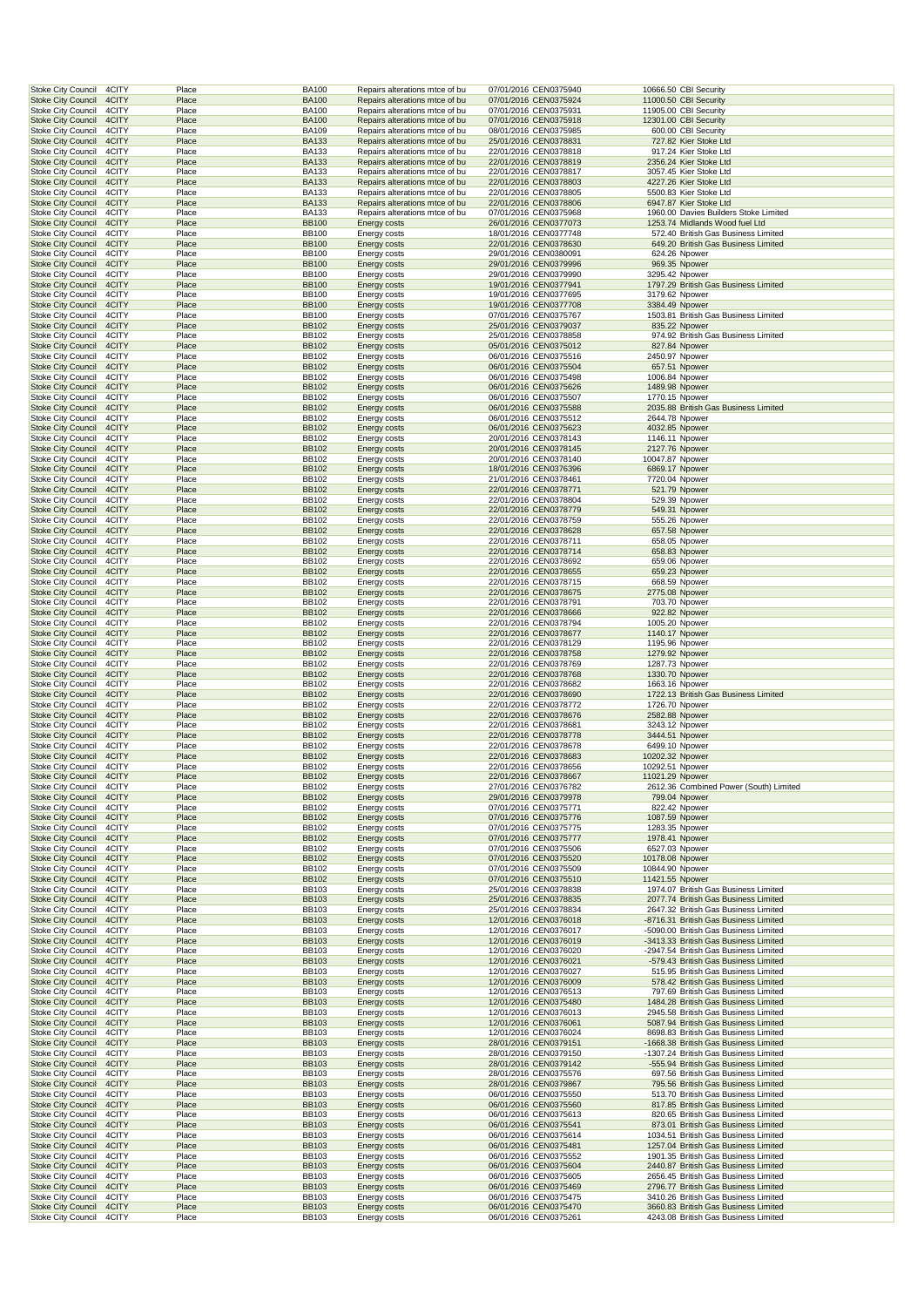|                                                        | 4CITY          | Place          | <b>BA100</b>                 | Repairs alterations mtce of bu                                   | 07/01/2016 CEN0375940                          |                                   | 10666.50 CBI Security                                                         |
|--------------------------------------------------------|----------------|----------------|------------------------------|------------------------------------------------------------------|------------------------------------------------|-----------------------------------|-------------------------------------------------------------------------------|
| <b>Stoke City Council</b>                              | 4CITY          | Place          | <b>BA100</b>                 | Repairs alterations mtce of bu                                   | 07/01/2016 CEN0375924                          |                                   | 11000.50 CBI Security                                                         |
| <b>Stoke City Council</b>                              | 4CITY          | Place          | <b>BA100</b>                 | Repairs alterations mtce of bu                                   | 07/01/2016 CEN0375931                          |                                   | 11905.00 CBI Security                                                         |
| <b>Stoke City Council</b><br><b>Stoke City Council</b> | 4CITY<br>4CITY | Place<br>Place | <b>BA100</b><br><b>BA109</b> | Repairs alterations mtce of bu<br>Repairs alterations mtce of bu | 07/01/2016 CEN0375918<br>08/01/2016 CEN0375985 |                                   | 12301.00 CBI Security<br>600.00 CBI Security                                  |
| <b>Stoke City Council</b>                              | 4CITY          | Place          | <b>BA133</b>                 | Repairs alterations mtce of bu                                   | 25/01/2016 CEN0378831                          |                                   | 727.82 Kier Stoke Ltd                                                         |
| <b>Stoke City Council</b>                              | 4CITY          | Place          | <b>BA133</b>                 | Repairs alterations mtce of bu                                   | 22/01/2016 CEN0378818                          |                                   | 917.24 Kier Stoke Ltd                                                         |
| <b>Stoke City Council</b>                              | 4CITY          | Place          | <b>BA133</b>                 | Repairs alterations mtce of bu                                   | 22/01/2016 CEN0378819                          |                                   | 2356.24 Kier Stoke Ltd                                                        |
| <b>Stoke City Council</b>                              | 4CITY          | Place          | <b>BA133</b>                 | Repairs alterations mtce of bu                                   | 22/01/2016 CEN0378817                          |                                   | 3057.45 Kier Stoke Ltd                                                        |
| <b>Stoke City Council</b>                              | 4CITY          | Place          | <b>BA133</b>                 | Repairs alterations mtce of bu                                   | 22/01/2016 CEN0378803                          |                                   | 4227.26 Kier Stoke Ltd                                                        |
| <b>Stoke City Council</b><br><b>Stoke City Council</b> | 4CITY<br>4CITY | Place<br>Place | <b>BA133</b><br><b>BA133</b> | Repairs alterations mtce of bu<br>Repairs alterations mtce of bu | 22/01/2016 CEN0378805<br>22/01/2016 CEN0378806 |                                   | 5500.83 Kier Stoke Ltd<br>6947.87 Kier Stoke Ltd                              |
| <b>Stoke City Council</b>                              | 4CITY          | Place          | <b>BA133</b>                 | Repairs alterations mtce of bu                                   | 07/01/2016 CEN0375968                          |                                   | 1960.00 Davies Builders Stoke Limited                                         |
| <b>Stoke City Council</b>                              | 4CITY          | Place          | <b>BB100</b>                 | <b>Energy costs</b>                                              | 26/01/2016 CEN0377073                          |                                   | 1253.74 Midlands Wood fuel Ltd                                                |
| <b>Stoke City Council</b>                              | 4CITY          | Place          | <b>BB100</b>                 | <b>Energy costs</b>                                              | 18/01/2016 CEN0377748                          |                                   | 572.40 British Gas Business Limited                                           |
| <b>Stoke City Council</b>                              | 4CITY          | Place          | <b>BB100</b>                 | <b>Energy costs</b>                                              | 22/01/2016 CEN0378630                          |                                   | 649.20 British Gas Business Limited                                           |
| <b>Stoke City Council</b>                              | 4CITY          | Place          | <b>BB100</b>                 | Energy costs                                                     | 29/01/2016 CEN0380091                          | 624.26 Npower                     |                                                                               |
| <b>Stoke City Council</b><br><b>Stoke City Council</b> | 4CITY<br>4CITY | Place<br>Place | <b>BB100</b><br><b>BB100</b> | <b>Energy costs</b><br>Energy costs                              | 29/01/2016 CEN0379996<br>29/01/2016 CEN0379990 | 969.35 Npower<br>3295.42 Npower   |                                                                               |
| <b>Stoke City Council</b>                              | 4CITY          | Place          | <b>BB100</b>                 | <b>Energy costs</b>                                              | 19/01/2016 CEN0377941                          |                                   | 1797.29 British Gas Business Limited                                          |
| <b>Stoke City Council</b>                              | 4CITY          | Place          | <b>BB100</b>                 | <b>Energy costs</b>                                              | 19/01/2016 CEN0377695                          | 3179.62 Npower                    |                                                                               |
| <b>Stoke City Council</b>                              | 4CITY          | Place          | <b>BB100</b>                 | Energy costs                                                     | 19/01/2016 CEN0377708                          | 3384.49 Npower                    |                                                                               |
| <b>Stoke City Council</b>                              | 4CITY          | Place          | <b>BB100</b>                 | <b>Energy costs</b>                                              | 07/01/2016 CEN0375767                          |                                   | 1503.81 British Gas Business Limited                                          |
| <b>Stoke City Council</b>                              | 4CITY          | Place          | <b>BB102</b>                 | <b>Energy costs</b>                                              | 25/01/2016 CEN0379037                          | 835.22 Npower                     |                                                                               |
| <b>Stoke City Council</b><br><b>Stoke City Council</b> | 4CITY<br>4CITY | Place<br>Place | <b>BB102</b><br><b>BB102</b> | <b>Energy costs</b><br><b>Energy costs</b>                       | 25/01/2016 CEN0378858<br>05/01/2016 CEN0375012 | 827.84 Npower                     | 974.92 British Gas Business Limited                                           |
| <b>Stoke City Council</b>                              | 4CITY          | Place          | <b>BB102</b>                 | Energy costs                                                     | 06/01/2016 CEN0375516                          | 2450.97 Npower                    |                                                                               |
| <b>Stoke City Council</b>                              | 4CITY          | Place          | <b>BB102</b>                 | <b>Energy costs</b>                                              | 06/01/2016 CEN0375504                          | 657.51 Npower                     |                                                                               |
| <b>Stoke City Council</b>                              | 4CITY          | Place          | BB102                        | Energy costs                                                     | 06/01/2016 CEN0375498                          | 1006.84 Npower                    |                                                                               |
| <b>Stoke City Council</b>                              | 4CITY          | Place          | <b>BB102</b>                 | <b>Energy costs</b>                                              | 06/01/2016 CEN0375626                          | 1489.98 Npower                    |                                                                               |
| <b>Stoke City Council</b>                              | 4CITY          | Place          | BB102                        | <b>Energy costs</b>                                              | 06/01/2016 CEN0375507                          | 1770.15 Npower                    |                                                                               |
| <b>Stoke City Council</b><br><b>Stoke City Council</b> | 4CITY<br>4CITY | Place<br>Place | <b>BB102</b><br><b>BB102</b> | <b>Energy costs</b><br><b>Energy costs</b>                       | 06/01/2016 CEN0375588<br>06/01/2016 CEN0375512 | 2644.78 Npower                    | 2035.88 British Gas Business Limited                                          |
| <b>Stoke City Council</b>                              | 4CITY          | Place          | <b>BB102</b>                 | <b>Energy costs</b>                                              | 06/01/2016 CEN0375623                          | 4032.85 Npower                    |                                                                               |
| <b>Stoke City Council</b>                              | 4CITY          | Place          | <b>BB102</b>                 | <b>Energy costs</b>                                              | 20/01/2016 CEN0378143                          | 1146.11 Npower                    |                                                                               |
| <b>Stoke City Council</b>                              | 4CITY          | Place          | <b>BB102</b>                 | <b>Energy costs</b>                                              | 20/01/2016 CEN0378145                          | 2127.76 Npower                    |                                                                               |
| <b>Stoke City Council</b>                              | 4CITY          | Place          | BB102                        | Energy costs                                                     | 20/01/2016 CEN0378140                          | 10047.87 Npower                   |                                                                               |
| <b>Stoke City Council</b><br><b>Stoke City Council</b> | 4CITY<br>4CITY | Place<br>Place | <b>BB102</b><br>BB102        | <b>Energy costs</b><br>Energy costs                              | 18/01/2016 CEN0376396<br>21/01/2016 CEN0378461 | 6869.17 Npower<br>7720.04 Npower  |                                                                               |
| <b>Stoke City Council</b>                              | 4CITY          | Place          | <b>BB102</b>                 | <b>Energy costs</b>                                              | 22/01/2016 CEN0378771                          | 521.79 Npower                     |                                                                               |
| <b>Stoke City Council</b>                              | 4CITY          | Place          | BB102                        | <b>Energy costs</b>                                              | 22/01/2016 CEN0378804                          | 529.39 Npower                     |                                                                               |
| <b>Stoke City Council</b>                              | 4CITY          | Place          | <b>BB102</b>                 | <b>Energy costs</b>                                              | 22/01/2016 CEN0378779                          | 549.31 Npower                     |                                                                               |
| <b>Stoke City Council</b>                              | 4CITY          | Place          | <b>BB102</b>                 | <b>Energy costs</b>                                              | 22/01/2016 CEN0378759                          | 555.26 Npower                     |                                                                               |
| <b>Stoke City Council</b><br><b>Stoke City Council</b> | 4CITY<br>4CITY | Place<br>Place | <b>BB102</b><br><b>BB102</b> | <b>Energy costs</b>                                              | 22/01/2016 CEN0378628                          | 657.58 Npower<br>658.05 Npower    |                                                                               |
| <b>Stoke City Council</b>                              | 4CITY          | Place          | <b>BB102</b>                 | <b>Energy costs</b><br><b>Energy costs</b>                       | 22/01/2016 CEN0378711<br>22/01/2016 CEN0378714 | 658.83 Npower                     |                                                                               |
| <b>Stoke City Council</b>                              | 4CITY          | Place          | <b>BB102</b>                 | Energy costs                                                     | 22/01/2016 CEN0378692                          | 659.06 Npower                     |                                                                               |
| <b>Stoke City Council</b>                              | 4CITY          | Place          | <b>BB102</b>                 | <b>Energy costs</b>                                              | 22/01/2016 CEN0378655                          | 659.23 Npower                     |                                                                               |
| <b>Stoke City Council</b>                              | 4CITY          | Place          | BB102                        | Energy costs                                                     | 22/01/2016 CEN0378715                          | 668.59 Npower                     |                                                                               |
| <b>Stoke City Council</b>                              | 4CITY          | Place          | <b>BB102</b>                 | <b>Energy costs</b>                                              | 22/01/2016 CEN0378675                          | 2775.08 Npower                    |                                                                               |
| Stoke City Council<br><b>Stoke City Council</b>        | 4CITY<br>4CITY | Place<br>Place | BB102<br><b>BB102</b>        | <b>Energy costs</b><br><b>Energy costs</b>                       | 22/01/2016 CEN0378791<br>22/01/2016 CEN0378666 | 703.70 Npower<br>922.82 Npower    |                                                                               |
| <b>Stoke City Council</b>                              | 4CITY          | Place          | <b>BB102</b>                 | <b>Energy costs</b>                                              | 22/01/2016 CEN0378794                          | 1005.20 Npower                    |                                                                               |
| <b>Stoke City Council</b>                              | 4CITY          | Place          | <b>BB102</b>                 | <b>Energy costs</b>                                              | 22/01/2016 CEN0378677                          | 1140.17 Npower                    |                                                                               |
| Stoke City Council                                     | 4CITY          | Place          | <b>BB102</b>                 | Energy costs                                                     | 22/01/2016 CEN0378129                          | 1195.96 Npower                    |                                                                               |
| <b>Stoke City Council</b><br><b>Stoke City Council</b> | 4CITY<br>4CITY | Place<br>Place | <b>BB102</b><br><b>BB102</b> | <b>Energy costs</b><br>Energy costs                              | 22/01/2016 CEN0378758<br>22/01/2016 CEN0378769 | 1279.92 Npower<br>1287.73 Npower  |                                                                               |
| <b>Stoke City Council</b>                              | 4CITY          | Place          | <b>BB102</b>                 | <b>Energy costs</b>                                              | 22/01/2016 CEN0378768                          |                                   |                                                                               |
|                                                        |                |                |                              |                                                                  |                                                |                                   |                                                                               |
| <b>Stoke City Council</b>                              | 4CITY          | Place          | BB102                        | Energy costs                                                     | 22/01/2016 CEN0378682                          | 1330.70 Npower<br>1663.16 Npower  |                                                                               |
| <b>Stoke City Council</b>                              | 4CITY          | Place          | <b>BB102</b>                 | <b>Energy costs</b>                                              | 22/01/2016 CEN0378690                          |                                   | 1722.13 British Gas Business Limited                                          |
| <b>Stoke City Council</b>                              | 4CITY          | Place          | BB102                        | <b>Energy costs</b>                                              | 22/01/2016 CEN0378772                          | 1726.70 Npower                    |                                                                               |
| <b>Stoke City Council</b>                              | 4CITY          | Place          | <b>BB102</b>                 | <b>Energy costs</b>                                              | 22/01/2016 CEN0378676                          | 2582.88 Npower                    |                                                                               |
| <b>Stoke City Council</b><br><b>Stoke City Council</b> | 4CITY<br>4CITY | Place<br>Place | <b>BB102</b><br><b>BB102</b> | <b>Energy costs</b><br><b>Energy costs</b>                       | 22/01/2016 CEN0378681<br>22/01/2016 CEN0378778 | 3243.12 Npower<br>3444.51 Npower  |                                                                               |
| <b>Stoke City Council</b>                              | 4CITY          | Place          | <b>BB102</b>                 | Energy costs                                                     | 22/01/2016 CEN0378678                          | 6499.10 Npower                    |                                                                               |
| <b>Stoke City Council</b>                              | 4CITY          | Place          | <b>BB102</b>                 | <b>Energy costs</b>                                              | 22/01/2016 CEN0378683                          | 10202.32 Npower                   |                                                                               |
| <b>Stoke City Council</b>                              | 4CITY          | Place          | <b>BB102</b>                 | Energy costs                                                     | 22/01/2016 CEN0378656                          | 10292.51 Npower                   |                                                                               |
| <b>Stoke City Council</b><br>Stoke City Council        | 4CITY<br>4CITY | Place<br>Place | <b>BB102</b><br><b>BB102</b> | <b>Energy costs</b><br><b>Energy costs</b>                       | 22/01/2016 CEN0378667<br>27/01/2016 CEN0376782 | 11021.29 Npower                   | 2612.36 Combined Power (South) Limited                                        |
| <b>Stoke City Council</b>                              | 4CITY          | Place          | <b>BB102</b>                 | <b>Energy costs</b>                                              | 29/01/2016 CEN0379978                          | 799.04 Npower                     |                                                                               |
| <b>Stoke City Council</b>                              | 4CITY          | Place          | <b>BB102</b>                 | <b>Energy costs</b>                                              | 07/01/2016 CEN0375771                          | 822.42 Npower                     |                                                                               |
| <b>Stoke City Council</b>                              | 4CITY          | Place          | <b>BB102</b>                 | Energy costs                                                     | 07/01/2016 CEN0375776                          | 1087.59 Npower                    |                                                                               |
| <b>Stoke City Council</b>                              | 4CITY          | Place          | <b>BB102</b>                 | <b>Energy costs</b>                                              | 07/01/2016 CEN0375775                          | 1283.35 Npower                    |                                                                               |
| <b>Stoke City Council</b>                              | 4CITY          | Place<br>Place | <b>BB102</b>                 | Energy costs                                                     | 07/01/2016 CEN0375777                          | 1978.41 Npower                    |                                                                               |
| Stoke City Council<br><b>Stoke City Council</b>        | 4CITY<br>4CITY | Place          | <b>BB102</b><br><b>BB102</b> | Energy costs<br><b>Energy costs</b>                              | 07/01/2016 CEN0375506<br>07/01/2016 CEN0375520 | 6527.03 Npower<br>10178.08 Npower |                                                                               |
| <b>Stoke City Council</b>                              | 4CITY          | Place          | BB102                        | Energy costs                                                     | 07/01/2016 CEN0375509                          | 10844.90 Npower                   |                                                                               |
| <b>Stoke City Council</b>                              | 4CITY          | Place          | <b>BB102</b>                 | <b>Energy costs</b>                                              | 07/01/2016 CEN0375510                          | 11421.55 Npower                   |                                                                               |
| Stoke City Council                                     | 4CITY          | Place          | <b>BB103</b>                 | Energy costs                                                     | 25/01/2016 CEN0378838                          |                                   | 1974.07 British Gas Business Limited                                          |
| <b>Stoke City Council</b><br><b>Stoke City Council</b> | 4CITY<br>4CITY | Place<br>Place | <b>BB103</b><br><b>BB103</b> | <b>Energy costs</b>                                              | 25/01/2016 CEN0378835<br>25/01/2016 CEN0378834 |                                   | 2077.74 British Gas Business Limited<br>2647.32 British Gas Business Limited  |
| <b>Stoke City Council</b>                              | 4CITY          | Place          | <b>BB103</b>                 | <b>Energy costs</b><br><b>Energy costs</b>                       | 12/01/2016 CEN0376018                          |                                   | -8716.31 British Gas Business Limited                                         |
| <b>Stoke City Council</b>                              | 4CITY          | Place          | <b>BB103</b>                 | <b>Energy costs</b>                                              | 12/01/2016 CEN0376017                          |                                   | -5090.00 British Gas Business Limited                                         |
| <b>Stoke City Council</b>                              | 4CITY          | Place          | <b>BB103</b>                 | <b>Energy costs</b>                                              | 12/01/2016 CEN0376019                          |                                   | -3413.33 British Gas Business Limited                                         |
| Stoke City Council                                     | 4CITY          | Place          | <b>BB103</b>                 | Energy costs                                                     | 12/01/2016 CEN0376020                          |                                   | -2947.54 British Gas Business Limited                                         |
| <b>Stoke City Council</b>                              | 4CITY          | Place          | <b>BB103</b>                 | <b>Energy costs</b>                                              | 12/01/2016 CEN0376021                          |                                   | -579.43 British Gas Business Limited                                          |
| <b>Stoke City Council</b><br><b>Stoke City Council</b> | 4CITY<br>4CITY | Place<br>Place | <b>BB103</b><br><b>BB103</b> | Energy costs<br><b>Energy costs</b>                              | 12/01/2016 CEN0376027<br>12/01/2016 CEN0376009 |                                   | 515.95 British Gas Business Limited<br>578.42 British Gas Business Limited    |
| <b>Stoke City Council</b>                              | 4CITY          | Place          | <b>BB103</b>                 | Energy costs                                                     | 12/01/2016 CEN0376513                          |                                   | 797.69 British Gas Business Limited                                           |
| <b>Stoke City Council</b>                              | 4CITY          | Place          | <b>BB103</b>                 | <b>Energy costs</b>                                              | 12/01/2016 CEN0375480                          |                                   | 1484.28 British Gas Business Limited                                          |
| <b>Stoke City Council</b>                              | 4CITY          | Place          | BB103                        | Energy costs                                                     | 12/01/2016 CEN0376013                          |                                   | 2945.58 British Gas Business Limited                                          |
| <b>Stoke City Council</b>                              | 4CITY          | Place          | <b>BB103</b>                 | <b>Energy costs</b>                                              | 12/01/2016 CEN0376061                          |                                   | 5087.94 British Gas Business Limited                                          |
| Stoke City Council<br><b>Stoke City Council</b>        | 4CITY<br>4CITY | Place<br>Place | <b>BB103</b><br><b>BB103</b> | Energy costs<br>Energy costs                                     | 12/01/2016 CEN0376024<br>28/01/2016 CEN0379151 |                                   | 8698.83 British Gas Business Limited<br>-1668.38 British Gas Business Limited |
| Stoke City Council                                     | 4CITY          | Place          | <b>BB103</b>                 | <b>Energy costs</b>                                              | 28/01/2016 CEN0379150                          |                                   | -1307.24 British Gas Business Limited                                         |
| <b>Stoke City Council</b>                              | 4CITY          | Place          | <b>BB103</b>                 | <b>Energy costs</b>                                              | 28/01/2016 CEN0379142                          |                                   | -555.94 British Gas Business Limited                                          |
| <b>Stoke City Council</b>                              | 4CITY          | Place          | <b>BB103</b>                 | Energy costs                                                     | 28/01/2016 CEN0375576                          |                                   | 697.56 British Gas Business Limited                                           |
| <b>Stoke City Council</b>                              | 4CITY          | Place          | <b>BB103</b>                 | Energy costs                                                     | 28/01/2016 CEN0379867                          |                                   | 795.56 British Gas Business Limited                                           |
| <b>Stoke City Council</b><br><b>Stoke City Council</b> | 4CITY<br>4CITY | Place<br>Place | <b>BB103</b><br><b>BB103</b> | Energy costs<br><b>Energy costs</b>                              | 06/01/2016 CEN0375550<br>06/01/2016 CEN0375560 |                                   | 513.70 British Gas Business Limited<br>817.85 British Gas Business Limited    |
| <b>Stoke City Council</b>                              | 4CITY          | Place          | BB103                        | Energy costs                                                     | 06/01/2016 CEN0375613                          |                                   | 820.65 British Gas Business Limited                                           |
| <b>Stoke City Council</b>                              | 4CITY          | Place          | <b>BB103</b>                 | <b>Energy costs</b>                                              | 06/01/2016 CEN0375541                          |                                   | 873.01 British Gas Business Limited                                           |
| Stoke City Council                                     | 4CITY          | Place          | <b>BB103</b>                 | Energy costs                                                     | 06/01/2016 CEN0375614                          |                                   | 1034.51 British Gas Business Limited                                          |
| <b>Stoke City Council</b>                              | 4CITY          | Place          | <b>BB103</b>                 | <b>Energy costs</b>                                              | 06/01/2016 CEN0375481                          |                                   | 1257.04 British Gas Business Limited<br>1901.35 British Gas Business Limited  |
| Stoke City Council<br><b>Stoke City Council</b>        | 4CITY<br>4CITY | Place<br>Place | <b>BB103</b><br><b>BB103</b> | <b>Energy costs</b><br><b>Energy costs</b>                       | 06/01/2016 CEN0375552<br>06/01/2016 CEN0375604 |                                   | 2440.87 British Gas Business Limited                                          |
| <b>Stoke City Council</b>                              | 4CITY          | Place          | <b>BB103</b>                 | Energy costs                                                     | 06/01/2016 CEN0375605                          |                                   | 2656.45 British Gas Business Limited                                          |
| <b>Stoke City Council</b>                              | 4CITY          | Place          | <b>BB103</b>                 | Energy costs                                                     | 06/01/2016 CEN0375469                          |                                   | 2796.77 British Gas Business Limited                                          |
| <b>Stoke City Council</b><br><b>Stoke City Council</b> | 4CITY<br>4CITY | Place<br>Place | <b>BB103</b><br><b>BB103</b> | Energy costs<br><b>Energy costs</b>                              | 06/01/2016 CEN0375475<br>06/01/2016 CEN0375470 |                                   | 3410.26 British Gas Business Limited<br>3660.83 British Gas Business Limited  |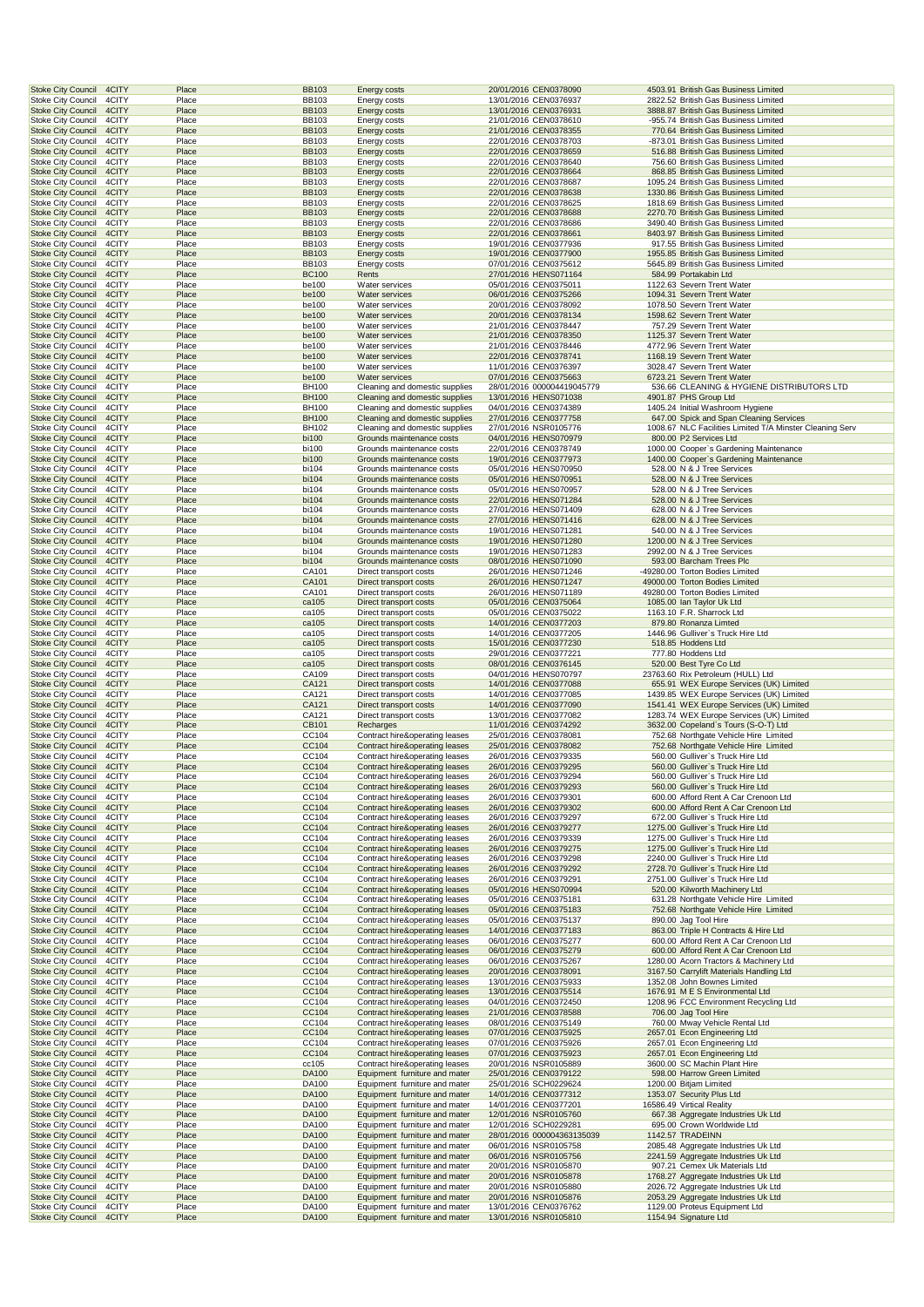|                                                                                                       | Place                   | <b>BB103</b>                 | <b>Energy costs</b>                                                                             | 20/01/2016 CEN0378090                                                   | 4503.91 British Gas Business Limited                                                          |
|-------------------------------------------------------------------------------------------------------|-------------------------|------------------------------|-------------------------------------------------------------------------------------------------|-------------------------------------------------------------------------|-----------------------------------------------------------------------------------------------|
| <b>Stoke City Council</b><br>4CITY                                                                    | Place                   | <b>BB103</b>                 | Energy costs                                                                                    | 13/01/2016 CEN0376937                                                   | 2822.52 British Gas Business Limited                                                          |
| <b>Stoke City Council</b><br>4CITY                                                                    | Place                   | <b>BB103</b>                 | <b>Energy costs</b>                                                                             | 13/01/2016 CEN0376931                                                   | 3888.87 British Gas Business Limited                                                          |
| 4CITY<br><b>Stoke City Council</b><br><b>Stoke City Council</b><br>4CITY                              | Place<br>Place          | <b>BB103</b><br><b>BB103</b> | Energy costs<br><b>Energy costs</b>                                                             | 21/01/2016 CEN0378610<br>21/01/2016 CEN0378355                          | -955.74 British Gas Business Limited<br>770.64 British Gas Business Limited                   |
| <b>Stoke City Council</b><br>4CITY                                                                    | Place                   | <b>BB103</b>                 | Energy costs                                                                                    | 22/01/2016 CEN0378703                                                   | -873.01 British Gas Business Limited                                                          |
| <b>Stoke City Council</b><br>4CITY                                                                    | Place                   | <b>BB103</b>                 | Energy costs                                                                                    | 22/01/2016 CEN0378659                                                   | 516.88 British Gas Business Limited                                                           |
| <b>Stoke City Council</b><br>4CITY                                                                    | Place                   | <b>BB103</b>                 | <b>Energy costs</b>                                                                             | 22/01/2016 CEN0378640                                                   | 756.60 British Gas Business Limited                                                           |
| <b>Stoke City Council</b><br>4CITY                                                                    | Place                   | <b>BB103</b>                 | <b>Energy costs</b>                                                                             | 22/01/2016 CEN0378664                                                   | 868.85 British Gas Business Limited                                                           |
| <b>Stoke City Council</b><br>4CITY                                                                    | Place                   | <b>BB103</b>                 | <b>Energy costs</b>                                                                             | 22/01/2016 CEN0378687                                                   | 1095.24 British Gas Business Limited                                                          |
| <b>Stoke City Council</b><br>4CITY<br><b>Stoke City Council</b><br>4CITY                              | Place<br>Place          | <b>BB103</b><br><b>BB103</b> | <b>Energy costs</b><br>Energy costs                                                             | 22/01/2016 CEN0378638<br>22/01/2016 CEN0378625                          | 1330.86 British Gas Business Limited<br>1818.69 British Gas Business Limited                  |
| <b>Stoke City Council</b><br>4CITY                                                                    | Place                   | <b>BB103</b>                 | <b>Energy costs</b>                                                                             | 22/01/2016 CEN0378688                                                   | 2270.70 British Gas Business Limited                                                          |
| <b>Stoke City Council</b><br>4CITY                                                                    | Place                   | <b>BB103</b>                 | Energy costs                                                                                    | 22/01/2016 CEN0378686                                                   | 3490.40 British Gas Business Limited                                                          |
| <b>Stoke City Council</b><br>4CITY                                                                    | Place                   | <b>BB103</b>                 | <b>Energy costs</b>                                                                             | 22/01/2016 CEN0378661                                                   | 8403.97 British Gas Business Limited                                                          |
| <b>Stoke City Council</b><br>4CITY                                                                    | Place                   | <b>BB103</b>                 | Energy costs                                                                                    | 19/01/2016 CEN0377936                                                   | 917.55 British Gas Business Limited                                                           |
| <b>Stoke City Council</b><br>4CITY<br>Stoke City Council<br>4CITY                                     | Place<br>Place          | <b>BB103</b><br><b>BB103</b> | Energy costs                                                                                    | 19/01/2016 CEN0377900<br>07/01/2016 CEN0375612                          | 1955.85 British Gas Business Limited<br>5645.89 British Gas Business Limited                  |
| <b>Stoke City Council</b><br>4CITY                                                                    | Place                   | <b>BC100</b>                 | <b>Energy costs</b><br>Rents                                                                    | 27/01/2016 HENS071164                                                   | 584.99 Portakabin Ltd                                                                         |
| <b>Stoke City Council</b><br>4CITY                                                                    | Place                   | be100                        | Water services                                                                                  | 05/01/2016 CEN0375011                                                   | 1122.63 Severn Trent Water                                                                    |
| <b>Stoke City Council</b><br>4CITY                                                                    | Place                   | be100                        | Water services                                                                                  | 06/01/2016 CEN0375266                                                   | 1094.31 Severn Trent Water                                                                    |
| <b>Stoke City Council</b><br>4CITY                                                                    | Place                   | be100                        | Water services                                                                                  | 20/01/2016 CEN0378092                                                   | 1078.50 Severn Trent Water                                                                    |
| <b>Stoke City Council</b><br>4CITY                                                                    | Place                   | be100                        | Water services                                                                                  | 20/01/2016 CEN0378134                                                   | 1598.62 Severn Trent Water                                                                    |
| <b>Stoke City Council</b><br>4CITY<br><b>Stoke City Council</b><br>4CITY                              | Place<br>Place          | be100<br>be100               | Water services<br><b>Water services</b>                                                         | 21/01/2016 CEN0378447<br>21/01/2016 CEN0378350                          | 757.29 Severn Trent Water<br>1125.37 Severn Trent Water                                       |
| <b>Stoke City Council</b><br>4CITY                                                                    | Place                   | be100                        | Water services                                                                                  | 21/01/2016 CEN0378446                                                   | 4772.96 Severn Trent Water                                                                    |
| <b>Stoke City Council</b><br>4CITY                                                                    | Place                   | be100                        | Water services                                                                                  | 22/01/2016 CEN0378741                                                   | 1168.19 Severn Trent Water                                                                    |
| <b>Stoke City Council</b><br>4CITY                                                                    | Place                   | be100                        | Water services                                                                                  | 11/01/2016 CEN0376397                                                   | 3028.47 Severn Trent Water                                                                    |
| <b>Stoke City Council</b><br>4CITY                                                                    | Place                   | be100                        | Water services                                                                                  | 07/01/2016 CEN0375663                                                   | 6723.21 Severn Trent Water                                                                    |
| <b>Stoke City Council</b><br>4CITY<br><b>Stoke City Council</b><br>4CITY                              | Place<br>Place          | <b>BH100</b><br><b>BH100</b> | Cleaning and domestic supplies<br>Cleaning and domestic supplies                                | 28/01/2016 000004419045779<br>13/01/2016 HENS071038                     | 536.66 CLEANING & HYGIENE DISTRIBUTORS LTD<br>4901.87 PHS Group Ltd                           |
| <b>Stoke City Council</b><br>4CITY                                                                    | Place                   | <b>BH100</b>                 | Cleaning and domestic supplies                                                                  | 04/01/2016 CEN0374389                                                   | 1405.24 Initial Washroom Hygiene                                                              |
| <b>Stoke City Council</b><br>4CITY                                                                    | Place                   | <b>BH100</b>                 | Cleaning and domestic supplies                                                                  | 27/01/2016 CEN0377758                                                   | 647.00 Spick and Span Cleaning Services                                                       |
| <b>Stoke City Council</b><br>4CITY                                                                    | Place                   | BH102                        | Cleaning and domestic supplies                                                                  | 27/01/2016 NSR0105776                                                   | 1008.67 NLC Facilities Limited T/A Minster Cleaning Serv                                      |
| <b>Stoke City Council</b><br>4CITY                                                                    | Place                   | bi100                        | Grounds maintenance costs                                                                       | 04/01/2016 HENS070979                                                   | 800.00 P2 Services Ltd                                                                        |
| <b>Stoke City Council</b><br>4CITY<br><b>Stoke City Council</b><br>4CITY                              | Place<br>Place          | bi100<br>bi100               | Grounds maintenance costs<br>Grounds maintenance costs                                          | 22/01/2016 CEN0378749<br>19/01/2016 CEN0377973                          | 1000.00 Cooper's Gardening Maintenance<br>1400.00 Cooper's Gardening Maintenance              |
| <b>Stoke City Council</b><br>4CITY                                                                    | Place                   | bi104                        | Grounds maintenance costs                                                                       | 05/01/2016 HENS070950                                                   | 528.00 N & J Tree Services                                                                    |
| <b>Stoke City Council</b><br>4CITY                                                                    | Place                   | bi104                        | Grounds maintenance costs                                                                       | 05/01/2016 HENS070951                                                   | 528.00 N & J Tree Services                                                                    |
| <b>Stoke City Council</b><br>4CITY                                                                    | Place                   | bi104                        | Grounds maintenance costs                                                                       | 05/01/2016 HENS070957                                                   | 528.00 N & J Tree Services                                                                    |
| <b>Stoke City Council</b><br>4CITY                                                                    | Place                   | bi104                        | Grounds maintenance costs                                                                       | 22/01/2016 HENS071284                                                   | 528.00 N & J Tree Services                                                                    |
| <b>Stoke City Council</b><br>4CITY                                                                    | Place                   | bi104                        | Grounds maintenance costs                                                                       | 27/01/2016 HENS071409                                                   | 628.00 N & J Tree Services                                                                    |
| <b>Stoke City Council</b><br>4CITY<br><b>Stoke City Council</b><br>4CITY                              | Place<br>Place          | bi104                        | Grounds maintenance costs                                                                       | 27/01/2016 HENS071416<br>19/01/2016 HENS071281                          | 628.00 N & J Tree Services                                                                    |
| <b>Stoke City Council</b><br>4CITY                                                                    | Place                   | bi104<br>bi104               | Grounds maintenance costs<br>Grounds maintenance costs                                          | 19/01/2016 HENS071280                                                   | 540.00 N & J Tree Services<br>1200.00 N & J Tree Services                                     |
| <b>Stoke City Council</b><br>4CITY                                                                    | Place                   | bi104                        | Grounds maintenance costs                                                                       | 19/01/2016 HENS071283                                                   | 2992.00 N & J Tree Services                                                                   |
| <b>Stoke City Council</b><br>4CITY                                                                    | Place                   | bi104                        | Grounds maintenance costs                                                                       | 08/01/2016 HENS071090                                                   | 593.00 Barcham Trees Plc                                                                      |
| <b>Stoke City Council</b><br>4CITY                                                                    | Place                   | CA101                        | Direct transport costs                                                                          | 26/01/2016 HENS071246                                                   | -49280.00 Torton Bodies Limited                                                               |
| <b>Stoke City Council</b><br>4CITY                                                                    | Place<br>Place          | CA101                        | Direct transport costs                                                                          | 26/01/2016 HENS071247                                                   | 49000.00 Torton Bodies Limited                                                                |
| Stoke City Council<br>4CITY<br>4CITY<br><b>Stoke City Council</b>                                     | Place                   | CA101<br>ca105               | Direct transport costs<br>Direct transport costs                                                | 26/01/2016 HENS071189<br>05/01/2016 CEN0375064                          | 49280.00 Torton Bodies Limited<br>1085.00 Ian Taylor Uk Ltd                                   |
| <b>Stoke City Council</b><br>4CITY                                                                    | Place                   | ca105                        | Direct transport costs                                                                          | 05/01/2016 CEN0375022                                                   | 1163.10 F.R. Sharrock Ltd                                                                     |
| <b>Stoke City Council</b><br>4CITY                                                                    | Place                   | ca105                        | Direct transport costs                                                                          | 14/01/2016 CEN0377203                                                   | 879.80 Ronanza Limted                                                                         |
| <b>Stoke City Council</b><br>4CITY                                                                    | Place                   | ca105                        | Direct transport costs                                                                          | 14/01/2016 CEN0377205                                                   | 1446.96 Gulliver's Truck Hire Ltd                                                             |
| <b>Stoke City Council</b><br>4CITY<br><b>Stoke City Council</b><br>4CITY                              | Place<br>Place          | ca105                        | Direct transport costs                                                                          | 15/01/2016 CEN0377230                                                   | 518.85 Hoddens Ltd                                                                            |
| <b>Stoke City Council</b><br>4CITY                                                                    | Place                   | ca105<br>ca105               | Direct transport costs<br>Direct transport costs                                                | 29/01/2016 CEN0377221<br>08/01/2016 CEN0376145                          | 777.80 Hoddens Ltd<br>520.00 Best Tyre Co Ltd                                                 |
| <b>Stoke City Council</b><br>4CITY                                                                    | Place                   | CA109                        | Direct transport costs                                                                          | 04/01/2016 HENS070797                                                   | 23763.60 Rix Petroleum (HULL) Ltd                                                             |
| <b>Stoke City Council</b><br>4CITY                                                                    | Place                   | CA121                        | Direct transport costs                                                                          | 14/01/2016 CEN0377088                                                   | 655.91 WEX Europe Services (UK) Limited                                                       |
| <b>Stoke City Council</b><br>4CITY                                                                    | Place                   | CA121                        | Direct transport costs                                                                          | 14/01/2016 CEN0377085                                                   | 1439.85 WEX Europe Services (UK) Limited<br>1541.41 WEX Europe Services (UK) Limited          |
| 4CITY<br><b>Stoke City Council</b><br><b>Stoke City Council</b><br>4CITY                              | Place<br>Place          | CA121<br>CA121               | Direct transport costs<br>Direct transport costs                                                | 14/01/2016 CEN0377090<br>13/01/2016 CEN0377082                          | 1283.74 WEX Europe Services (UK) Limited                                                      |
| 4CITY<br><b>Stoke City Council</b>                                                                    | Place                   | CB101                        | Recharges                                                                                       | 11/01/2016 CEN0374292                                                   | 3632.00 Copeland's Tours (S-O-T) Ltd                                                          |
| <b>Stoke City Council</b><br>4CITY                                                                    | Place                   | CC104                        | Contract hire&operating leases                                                                  | 25/01/2016 CEN0378081                                                   | 752.68 Northgate Vehicle Hire Limited                                                         |
| <b>Stoke City Council</b><br>4CITY<br>4CITY<br>Stoke City Council                                     | Place                   | CC104                        | Contract hire&operating leases                                                                  | 25/01/2016 CEN0378082                                                   | 752.68 Northgate Vehicle Hire Limited                                                         |
|                                                                                                       |                         |                              |                                                                                                 |                                                                         |                                                                                               |
|                                                                                                       | Place                   | CC104                        | Contract hire&operating leases                                                                  | 26/01/2016 CEN0379335                                                   | 560.00 Gulliver's Truck Hire Ltd                                                              |
| <b>Stoke City Council</b><br>4CITY<br>Stoke City Council<br>4CITY                                     | Place<br>Place          | CC104<br>CC104               | Contract hire&operating leases<br>Contract hire&operating leases                                | 26/01/2016 CEN0379295<br>26/01/2016 CEN0379294                          | 560.00 Gulliver's Truck Hire Ltd<br>560.00 Gulliver's Truck Hire Ltd                          |
| <b>Stoke City Council</b><br>4CITY                                                                    | Place                   | CC104                        | Contract hire&operating leases                                                                  | 26/01/2016 CEN0379293                                                   | 560.00 Gulliver's Truck Hire Ltd                                                              |
| Stoke City Council<br>4CITY                                                                           | Place                   | CC104                        | Contract hire&operating leases                                                                  | 26/01/2016 CEN0379301                                                   | 600.00 Afford Rent A Car Crenoon Ltd                                                          |
| <b>Stoke City Council</b><br>4CITY                                                                    | Place                   | CC104                        | Contract hire&operating leases                                                                  | 26/01/2016 CEN0379302                                                   | 600.00 Afford Rent A Car Crenoon Ltd                                                          |
| <b>Stoke City Council</b><br>4CITY                                                                    | Place                   | CC104                        | Contract hire&operating leases                                                                  | 26/01/2016 CEN0379297                                                   | 672.00 Gulliver's Truck Hire Ltd                                                              |
| <b>Stoke City Council</b><br>4CITY                                                                    | Place                   | CC104                        | Contract hire&operating leases                                                                  | 26/01/2016 CEN0379277                                                   | 1275.00 Gulliver's Truck Hire Ltd                                                             |
| Stoke City Council<br>4CITY<br><b>Stoke City Council</b><br>4CITY                                     | Place<br>Place          | CC104<br>CC104               | Contract hire&operating leases<br>Contract hire&operating leases                                | 26/01/2016 CEN0379339<br>26/01/2016 CEN0379275                          | 1275.00 Gulliver's Truck Hire Ltd<br>1275.00 Gulliver's Truck Hire Ltd                        |
| <b>Stoke City Council</b><br>4CITY                                                                    | Place                   | CC104                        | Contract hire&operating leases                                                                  | 26/01/2016 CEN0379298                                                   | 2240.00 Gulliver's Truck Hire Ltd                                                             |
| <b>Stoke City Council</b><br>4CITY                                                                    | Place                   | CC104                        | Contract hire&operating leases                                                                  | 26/01/2016 CEN0379292                                                   | 2728.70 Gulliver's Truck Hire Ltd                                                             |
| Stoke City Council<br>4CITY                                                                           | Place                   | CC104                        | Contract hire&operating leases                                                                  | 26/01/2016 CEN0379291                                                   | 2751.00 Gulliver's Truck Hire Ltd                                                             |
| 4CITY<br><b>Stoke City Council</b><br>4CITY                                                           | Place<br>Place          | CC104<br>CC104               | Contract hire&operating leases<br>Contract hire&operating leases                                | 05/01/2016 HENS070994                                                   | 520.00 Kilworth Machinery Ltd<br>631.28 Northgate Vehicle Hire Limited                        |
| Stoke City Council<br><b>Stoke City Council</b><br>4CITY                                              | Place                   | CC104                        | Contract hire&operating leases                                                                  | 05/01/2016 CEN0375181<br>05/01/2016 CEN0375183                          | 752.68 Northgate Vehicle Hire Limited                                                         |
| <b>Stoke City Council</b><br>4CITY                                                                    | Place                   | CC104                        | Contract hire&operating leases                                                                  | 05/01/2016 CEN0375137                                                   | 890.00 Jag Tool Hire                                                                          |
| <b>Stoke City Council</b><br>4CITY                                                                    | Place                   | CC104                        | Contract hire&operating leases                                                                  | 14/01/2016 CEN0377183                                                   | 863.00 Triple H Contracts & Hire Ltd                                                          |
| Stoke City Council<br>4CITY                                                                           | Place                   | CC104                        | Contract hire&operating leases                                                                  | 06/01/2016 CEN0375277                                                   | 600.00 Afford Rent A Car Crenoon Ltd                                                          |
| <b>Stoke City Council</b><br>4CITY                                                                    | Place                   | CC104                        | Contract hire&operating leases<br>Contract hire&operating leases                                | 06/01/2016 CEN0375279<br>06/01/2016 CEN0375267                          | 600.00 Afford Rent A Car Crenoon Ltd                                                          |
| <b>Stoke City Council</b><br>4CITY<br><b>Stoke City Council</b><br>4CITY                              | Place<br>Place          | CC104<br>CC104               | Contract hire&operating leases                                                                  | 20/01/2016 CEN0378091                                                   | 1280.00 Acorn Tractors & Machinery Ltd<br>3167.50 Carrylift Materials Handling Ltd            |
| <b>Stoke City Council</b><br>4CITY                                                                    | Place                   | CC104                        | Contract hire&operating leases                                                                  | 13/01/2016 CEN0375933                                                   | 1352.08 John Bownes Limited                                                                   |
| <b>Stoke City Council</b><br>4CITY                                                                    | Place                   | CC104                        | Contract hire&operating leases                                                                  | 13/01/2016 CEN0375514                                                   | 1676.91 M E S Environmental Ltd                                                               |
| Stoke City Council<br>4CITY                                                                           | Place                   | CC104                        | Contract hire&operating leases                                                                  | 04/01/2016 CEN0372450                                                   | 1208.96 FCC Environment Recycling Ltd                                                         |
| <b>Stoke City Council</b><br>4CITY<br>Stoke City Council<br>4CITY                                     | Place<br>Place          | CC104<br>CC104               | Contract hire&operating leases<br>Contract hire&operating leases                                | 21/01/2016 CEN0378588<br>08/01/2016 CEN0375149                          | 706.00 Jag Tool Hire<br>760.00 Mway Vehicle Rental Ltd                                        |
| <b>Stoke City Council</b><br>4CITY                                                                    | Place                   | CC104                        | Contract hire&operating leases                                                                  | 07/01/2016 CEN0375925                                                   | 2657.01 Econ Engineering Ltd                                                                  |
| <b>Stoke City Council</b><br>4CITY                                                                    | Place                   | CC104                        | Contract hire&operating leases                                                                  | 07/01/2016 CEN0375926                                                   | 2657.01 Econ Engineering Ltd                                                                  |
| <b>Stoke City Council</b><br>4CITY                                                                    | Place                   | CC104                        | Contract hire&operating leases                                                                  | 07/01/2016 CEN0375923                                                   | 2657.01 Econ Engineering Ltd                                                                  |
| <b>Stoke City Council</b><br>4CITY                                                                    | Place                   | cc105                        | Contract hire&operating leases                                                                  | 20/01/2016 NSR0105889                                                   | 3600.00 SC Machin Plant Hire                                                                  |
| <b>Stoke City Council</b><br>4CITY<br>Stoke City Council<br>4CITY                                     | Place<br>Place          | DA100<br>DA100               | Equipment furniture and mater<br>Equipment furniture and mater                                  | 25/01/2016 CEN0379122<br>25/01/2016 SCH0229624                          | 598.00 Harrow Green Limited<br>1200.00 Bitjam Limited                                         |
| <b>Stoke City Council</b><br>4CITY                                                                    | Place                   | DA100                        | Equipment furniture and mater                                                                   | 14/01/2016 CEN0377312                                                   | 1353.07 Security Plus Ltd                                                                     |
| Stoke City Council<br>4CITY                                                                           | Place                   | DA100                        | Equipment furniture and mater                                                                   | 14/01/2016 CEN0377201                                                   | 16586.49 Virtical Reality                                                                     |
| <b>Stoke City Council</b><br>4CITY                                                                    | Place                   | DA100                        | Equipment furniture and mater                                                                   | 12/01/2016 NSR0105760                                                   | 667.38 Aggregate Industries Uk Ltd                                                            |
| Stoke City Council<br>4CITY                                                                           | Place                   | DA100                        | Equipment furniture and mater                                                                   | 12/01/2016 SCH0229281                                                   | 695.00 Crown Worldwide Ltd                                                                    |
| <b>Stoke City Council</b><br>4CITY<br><b>Stoke City Council</b><br>4CITY                              | Place<br>Place          | DA100<br>DA100               | Equipment furniture and mater<br>Equipment furniture and mater                                  | 28/01/2016 000004363135039<br>06/01/2016 NSR0105758                     | 1142.57 TRADEINN<br>2085.48 Aggregate Industries Uk Ltd                                       |
| <b>Stoke City Council</b><br>4CITY                                                                    | Place                   | <b>DA100</b>                 | Equipment furniture and mater                                                                   | 06/01/2016 NSR0105756                                                   | 2241.59 Aggregate Industries Uk Ltd                                                           |
| <b>Stoke City Council</b><br>4CITY                                                                    | Place                   | DA100                        | Equipment furniture and mater                                                                   | 20/01/2016 NSR0105870                                                   | 907.21 Cemex Uk Materials Ltd                                                                 |
| <b>Stoke City Council</b><br>4CITY                                                                    | Place                   | DA100                        | Equipment furniture and mater                                                                   | 20/01/2016 NSR0105878                                                   | 1768.27 Aggregate Industries Uk Ltd                                                           |
| Stoke City Council<br>4CITY<br>4CITY                                                                  | Place                   | DA100                        | Equipment furniture and mater                                                                   | 20/01/2016 NSR0105880                                                   | 2026.72 Aggregate Industries Uk Ltd                                                           |
| <b>Stoke City Council</b><br><b>Stoke City Council</b><br>4CITY<br>4CITY<br><b>Stoke City Council</b> | Place<br>Place<br>Place | DA100<br>DA100<br>DA100      | Equipment furniture and mater<br>Equipment furniture and mater<br>Equipment furniture and mater | 20/01/2016 NSR0105876<br>13/01/2016 CEN0376762<br>13/01/2016 NSR0105810 | 2053.29 Aggregate Industries Uk Ltd<br>1129.00 Proteus Equipment Ltd<br>1154.94 Signature Ltd |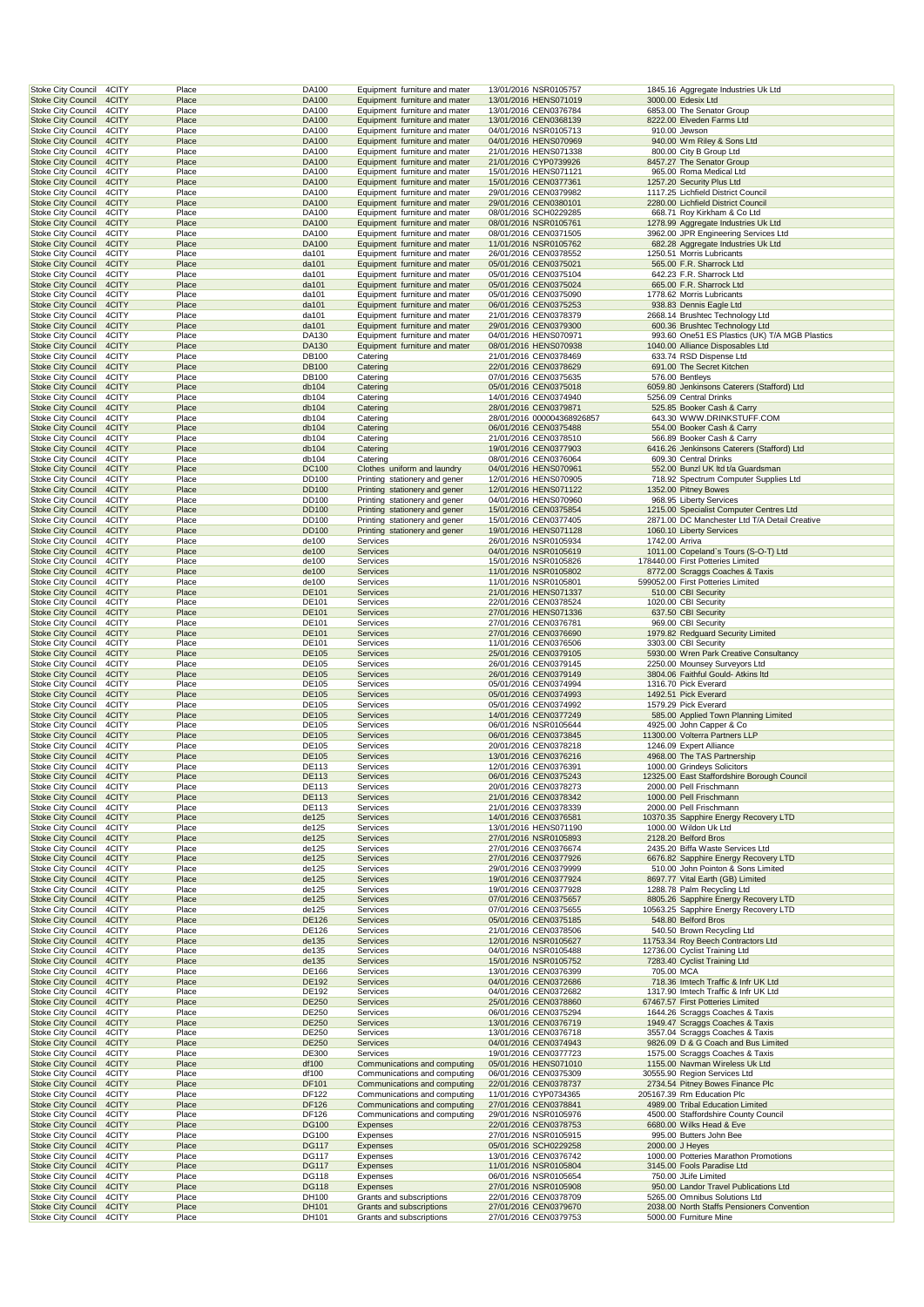| <b>Stoke City Council</b><br>4CITY                                       | Place          | DA100                 | Equipment furniture and mater                                  | 13/01/2016 NSR0105757                               |                | 1845.16 Aggregate Industries Uk Ltd                                        |
|--------------------------------------------------------------------------|----------------|-----------------------|----------------------------------------------------------------|-----------------------------------------------------|----------------|----------------------------------------------------------------------------|
| <b>Stoke City Council</b><br>4CITY<br><b>Stoke City Council</b><br>4CITY | Place<br>Place | DA100<br>DA100        | Equipment furniture and mater                                  | 13/01/2016 HENS071019<br>13/01/2016 CEN0376784      |                | 3000.00 Edesix Ltd<br>6853.00 The Senator Group                            |
| <b>Stoke City Council</b><br>4CITY                                       | Place          | DA100                 | Equipment furniture and mater<br>Equipment furniture and mater | 13/01/2016 CEN0368139                               |                | 8222.00 Elveden Farms Ltd                                                  |
| <b>Stoke City Council</b><br>4CITY                                       | Place          | DA100                 | Equipment furniture and mater                                  | 04/01/2016 NSR0105713                               |                | 910.00 Jewson                                                              |
| <b>Stoke City Council</b><br>4CITY                                       | Place          | <b>DA100</b>          | Equipment furniture and mater                                  | 04/01/2016 HENS070969                               |                | 940.00 Wm Riley & Sons Ltd                                                 |
| 4CITY<br>Stoke City Council                                              | Place          | DA100                 | Equipment furniture and mater                                  | 21/01/2016 HENS071338                               |                | 800.00 City B Group Ltd                                                    |
| <b>Stoke City Council</b><br>4CITY<br>4CITY                              | Place          | <b>DA100</b>          | Equipment furniture and mater<br>Equipment furniture and mater | 21/01/2016 CYP0739926<br>15/01/2016 HENS071121      |                | 8457.27 The Senator Group                                                  |
| <b>Stoke City Council</b><br><b>Stoke City Council</b><br>4CITY          | Place<br>Place | DA100<br>DA100        | Equipment furniture and mater                                  | 15/01/2016 CEN0377361                               |                | 965.00 Roma Medical Ltd<br>1257.20 Security Plus Ltd                       |
| <b>Stoke City Council</b><br>4CITY                                       | Place          | DA100                 | Equipment furniture and mater                                  | 29/01/2016 CEN0379982                               |                | 1117.25 Lichfield District Council                                         |
| <b>Stoke City Council</b><br>4CITY                                       | Place          | DA100                 | Equipment furniture and mater                                  | 29/01/2016 CEN0380101                               |                | 2280.00 Lichfield District Council                                         |
| <b>Stoke City Council</b><br>4CITY                                       | Place          | DA100                 | Equipment furniture and mater                                  | 08/01/2016 SCH0229285                               |                | 668.71 Roy Kirkham & Co Ltd                                                |
| <b>Stoke City Council</b><br>4CITY                                       | Place          | DA100                 | Equipment furniture and mater                                  | 08/01/2016 NSR0105761                               |                | 1278.99 Aggregate Industries Uk Ltd                                        |
| Stoke City Council<br>4CITY<br><b>Stoke City Council</b><br>4CITY        | Place<br>Place | DA100<br><b>DA100</b> | Equipment furniture and mater<br>Equipment furniture and mater | 08/01/2016 CEN0371505<br>11/01/2016 NSR0105762      |                | 3962.00 JPR Engineering Services Ltd<br>682.28 Aggregate Industries Uk Ltd |
| Stoke City Council<br>4CITY                                              | Place          | da101                 | Equipment furniture and mater                                  | 26/01/2016 CEN0378552                               |                | 1250.51 Morris Lubricants                                                  |
| <b>Stoke City Council</b><br>4CITY                                       | Place          | da101                 | Equipment furniture and mater                                  | 05/01/2016 CEN0375021                               |                | 565.00 F.R. Sharrock Ltd                                                   |
| <b>Stoke City Council</b><br>4CITY                                       | Place          | da101                 | Equipment furniture and mater                                  | 05/01/2016 CEN0375104                               |                | 642.23 F.R. Sharrock Ltd                                                   |
| <b>Stoke City Council</b><br>4CITY                                       | Place          | da101                 | Equipment furniture and mater                                  | 05/01/2016 CEN0375024                               |                | 665.00 F.R. Sharrock Ltd<br>1778.62 Morris Lubricants                      |
| <b>Stoke City Council</b><br>4CITY<br>4CITY<br><b>Stoke City Council</b> | Place<br>Place | da101<br>da101        | Equipment furniture and mater<br>Equipment furniture and mater | 05/01/2016 CEN0375090<br>06/01/2016 CEN0375253      |                | 938.83 Dennis Eagle Ltd                                                    |
| <b>Stoke City Council</b><br>4CITY                                       | Place          | da101                 | Equipment furniture and mater                                  | 21/01/2016 CEN0378379                               |                | 2668.14 Brushtec Technology Ltd                                            |
| <b>Stoke City Council</b><br>4CITY                                       | Place          | da101                 | Equipment furniture and mater                                  | 29/01/2016 CEN0379300                               |                | 600.36 Brushtec Technology Ltd                                             |
| Stoke City Council<br>4CITY                                              | Place          | DA130                 | Equipment furniture and mater                                  | 04/01/2016 HENS070971                               |                | 993.60 One51 ES Plastics (UK) T/A MGB Plastics                             |
| <b>Stoke City Council</b><br>4CITY                                       | Place          | DA130                 | Equipment furniture and mater                                  | 08/01/2016 HENS070938                               |                | 1040.00 Alliance Disposables Ltd                                           |
| Stoke City Council<br>4CITY<br><b>Stoke City Council</b><br>4CITY        | Place<br>Place | DB100<br><b>DB100</b> | Catering<br>Catering                                           | 21/01/2016 CEN0378469<br>22/01/2016 CEN0378629      |                | 633.74 RSD Dispense Ltd<br>691.00 The Secret Kitchen                       |
| <b>Stoke City Council</b><br>4CITY                                       | Place          | DB100                 | Catering                                                       | 07/01/2016 CEN0375635                               |                | 576.00 Bentleys                                                            |
| <b>Stoke City Council</b><br>4CITY                                       | Place          | db104                 | Catering                                                       | 05/01/2016 CEN0375018                               |                | 6059.80 Jenkinsons Caterers (Stafford) Ltd                                 |
| <b>Stoke City Council</b><br>4CITY                                       | Place          | db104                 | Catering                                                       | 14/01/2016 CEN0374940                               |                | 5256.09 Central Drinks                                                     |
| <b>Stoke City Council</b><br>4CITY                                       | Place          | db104                 | Catering                                                       | 28/01/2016 CEN0379871                               |                | 525.85 Booker Cash & Carry                                                 |
| <b>Stoke City Council</b><br>4CITY<br><b>Stoke City Council</b><br>4CITY | Place<br>Place | db104<br>db104        | Catering<br>Catering                                           | 28/01/2016 000004368926857<br>06/01/2016 CEN0375488 |                | 643.30 WWW.DRINKSTUFF.COM<br>554.00 Booker Cash & Carry                    |
| Stoke City Council<br>4CITY                                              | Place          | db104                 | Catering                                                       | 21/01/2016 CEN0378510                               |                | 566.89 Booker Cash & Carry                                                 |
| <b>Stoke City Council</b><br>4CITY                                       | Place          | db104                 | Catering                                                       | 19/01/2016 CEN0377903                               |                | 6416.26 Jenkinsons Caterers (Stafford) Ltd                                 |
| <b>Stoke City Council</b><br>4CITY                                       | Place          | db104                 | Catering                                                       | 08/01/2016 CEN0376064                               |                | 609.30 Central Drinks                                                      |
| <b>Stoke City Council</b><br>4CITY                                       | Place          | <b>DC100</b>          | Clothes uniform and laundry                                    | 04/01/2016 HENS070961                               |                | 552.00 Bunzl UK Itd t/a Guardsman                                          |
| <b>Stoke City Council</b><br>4CITY                                       | Place          | DD100                 | Printing stationery and gener                                  | 12/01/2016 HENS070905                               |                | 718.92 Spectrum Computer Supplies Ltd                                      |
| <b>Stoke City Council</b><br>4CITY<br><b>Stoke City Council</b><br>4CITY | Place<br>Place | <b>DD100</b><br>DD100 | Printing stationery and gener<br>Printing stationery and gener | 12/01/2016 HENS071122<br>04/01/2016 HENS070960      |                | 1352.00 Pitney Bowes<br>968.95 Liberty Services                            |
| <b>Stoke City Council</b><br>4CITY                                       | Place          | DD100                 | Printing stationery and gener                                  | 15/01/2016 CEN0375854                               |                | 1215.00 Specialist Computer Centres Ltd                                    |
| <b>Stoke City Council</b><br>4CITY                                       | Place          | DD100                 | Printing stationery and gener                                  | 15/01/2016 CEN0377405                               |                | 2871.00 DC Manchester Ltd T/A Detail Creative                              |
| <b>Stoke City Council</b><br>4CITY                                       | Place          | <b>DD100</b>          | Printing stationery and gener                                  | 19/01/2016 HENS071128                               |                | 1060.10 Liberty Services                                                   |
| Stoke City Council<br>4CITY                                              | Place          | de100                 | Services                                                       | 26/01/2016 NSR0105934                               | 1742.00 Arriva |                                                                            |
| <b>Stoke City Council</b><br>4CITY                                       | Place          | de100                 | <b>Services</b>                                                | 04/01/2016 NSR0105619                               |                | 1011.00 Copeland's Tours (S-O-T) Ltd                                       |
| Stoke City Council<br>4CITY                                              | Place          | de100                 | Services                                                       | 15/01/2016 NSR0105826                               |                | 178440.00 First Potteries Limited                                          |
| <b>Stoke City Council</b><br>4CITY<br><b>Stoke City Council</b><br>4CITY | Place<br>Place | de100<br>de100        | Services<br>Services                                           | 11/01/2016 NSR0105802<br>11/01/2016 NSR0105801      |                | 8772.00 Scraggs Coaches & Taxis<br>599052.00 First Potteries Limited       |
| <b>Stoke City Council</b><br>4CITY                                       | Place          | DE101                 | Services                                                       | 21/01/2016 HENS071337                               |                | 510.00 CBI Security                                                        |
| <b>Stoke City Council</b><br>4CITY                                       | Place          | DE101                 | Services                                                       | 22/01/2016 CEN0378524                               |                | 1020.00 CBI Security                                                       |
| 4CITY<br><b>Stoke City Council</b>                                       | Place          | DE101                 | Services                                                       | 27/01/2016 HENS071336                               |                | 637.50 CBI Security                                                        |
| 4CITY<br><b>Stoke City Council</b>                                       | Place          | DE101                 | Services                                                       | 27/01/2016 CEN0376781                               |                | 969.00 CBI Security                                                        |
| <b>Stoke City Council</b><br>4CITY                                       | Place          | <b>DE101</b>          | Services                                                       | 27/01/2016 CEN0376690                               |                | 1979.82 Redguard Security Limited                                          |
| Stoke City Council<br>4CITY                                              | Place<br>Place | DE101<br><b>DE105</b> | Services                                                       | 11/01/2016 CEN0376506                               |                | 3303.00 CBI Security                                                       |
| <b>Stoke City Council</b><br>4CITY<br><b>Stoke City Council</b><br>4CITY | Place          | DE105                 | Services<br>Services                                           | 25/01/2016 CEN0379105<br>26/01/2016 CEN0379145      |                | 5930.00 Wren Park Creative Consultancy<br>2250.00 Mounsey Surveyors Ltd    |
| <b>Stoke City Council</b><br>4CITY                                       | Place          | <b>DE105</b>          | Services                                                       | 26/01/2016 CEN0379149                               |                | 3804.06 Faithful Gould- Atkins Itd                                         |
| <b>Stoke City Council</b><br>4CITY                                       | Place          | DE105                 | Services                                                       | 05/01/2016 CEN0374994                               |                | 1316.70 Pick Everard                                                       |
| <b>Stoke City Council</b><br>4CITY                                       | Place          | DE105                 | Services                                                       | 05/01/2016 CEN0374993                               |                | 1492.51 Pick Everard                                                       |
| <b>Stoke City Council</b><br>4CITY                                       | Place          | DE105                 | Services                                                       | 05/01/2016 CEN0374992                               |                | 1579.29 Pick Everard                                                       |
| 4CITY<br><b>Stoke City Council</b>                                       | Place          | <b>DE105</b>          | Services                                                       | 14/01/2016 CEN0377249                               |                | 585.00 Applied Town Planning Limited                                       |
| 4CITY<br><b>Stoke City Council</b><br><b>Stoke City Council</b><br>4CITY | Place<br>Place | DE105<br>DE105        | Services<br>Services                                           | 06/01/2016 NSR0105644<br>06/01/2016 CEN0373845      |                | 4925.00 John Capper & Co<br>11300.00 Volterra Partners LLP                 |
| Stoke City Council<br>4CITY                                              | Place          | DE105                 | Services                                                       | 20/01/2016 CEN0378218                               |                | 1246.09 Expert Alliance                                                    |
| <b>Stoke City Council</b><br>4CITY                                       | Place          | <b>DE105</b>          | Services                                                       | 13/01/2016 CEN0376216                               |                | 4968.00 The TAS Partnership                                                |
| <b>Stoke City Council</b><br>4CITY                                       | Place          | DE113                 | Services                                                       | 12/01/2016 CEN0376391                               |                | 1000.00 Grindeys Solicitors                                                |
| <b>Stoke City Council</b><br>4CITY                                       | Place          | DE113                 | Services                                                       | 06/01/2016 CEN0375243                               |                | 12325.00 East Staffordshire Borough Council                                |
| <b>Stoke City Council</b><br>4CITY                                       | Place          | DE113                 | Services                                                       | 20/01/2016 CEN0378273                               |                | 2000.00 Pell Frischmann                                                    |
| <b>Stoke City Council</b><br>4CITY                                       |                |                       | Services                                                       |                                                     |                |                                                                            |
|                                                                          | Place          | <b>DE113</b>          |                                                                | 21/01/2016 CEN0378342                               |                | 1000.00 Pell Frischmann                                                    |
| Stoke City Council<br>4CITY                                              | Place          | DE113                 | Services                                                       | 21/01/2016 CEN0378339                               |                | 2000.00 Pell Frischmann                                                    |
| 4CITY<br><b>Stoke City Council</b><br><b>Stoke City Council</b><br>4CITY | Place<br>Place | de125<br>de125        | Services<br>Services                                           | 14/01/2016 CEN0376581<br>13/01/2016 HENS071190      |                | 10370.35 Sapphire Energy Recovery LTD<br>1000.00 Wildon Uk Ltd             |
| <b>Stoke City Council</b><br>4CITY                                       | Place          | de125                 | Services                                                       | 27/01/2016 NSR0105893                               |                | 2128.20 Belford Bros                                                       |
| <b>Stoke City Council</b><br>4CITY                                       | Place          | de125                 | Services                                                       | 27/01/2016 CEN0376674                               |                | 2435.20 Biffa Waste Services Ltd                                           |
| <b>Stoke City Council</b><br>4CITY                                       | Place          | de125                 | Services                                                       | 27/01/2016 CEN0377926                               |                | 6676.82 Sapphire Energy Recovery LTD                                       |
| <b>Stoke City Council</b><br>4CITY                                       | Place          | de125                 | Services                                                       | 29/01/2016 CEN0379999                               |                | 510.00 John Pointon & Sons Limited                                         |
| <b>Stoke City Council</b><br>4CITY<br><b>Stoke City Council</b><br>4CITY | Place<br>Place | de125<br>de125        | Services<br>Services                                           | 19/01/2016 CEN0377924<br>19/01/2016 CEN0377928      |                | 8697.77 Vital Earth (GB) Limited<br>1288.78 Palm Recycling Ltd             |
| <b>Stoke City Council</b><br>4CITY                                       | Place          | de125                 | Services                                                       | 07/01/2016 CEN0375657                               |                | 8805.26 Sapphire Energy Recovery LTD                                       |
| Stoke City Council<br>4CITY                                              | Place          | de125                 | Services                                                       | 07/01/2016 CEN0375655                               |                | 10563.25 Sapphire Energy Recovery LTD                                      |
| <b>Stoke City Council</b><br>4CITY                                       | Place          | <b>DE126</b>          | Services                                                       | 05/01/2016 CEN0375185                               |                | 548.80 Belford Bros                                                        |
| <b>Stoke City Council</b><br>4CITY                                       | Place          | DE126                 | Services                                                       | 21/01/2016 CEN0378506                               |                | 540.50 Brown Recycling Ltd                                                 |
| <b>Stoke City Council</b><br>4CITY                                       | Place          | de135                 | Services                                                       | 12/01/2016 NSR0105627                               |                | 11753.34 Roy Beech Contractors Ltd                                         |
| <b>Stoke City Council</b><br>4CITY<br><b>Stoke City Council</b><br>4CITY | Place<br>Place | de135<br>de135        | Services<br>Services                                           | 04/01/2016 NSR0105488<br>15/01/2016 NSR0105752      |                | 12736.00 Cyclist Training Ltd<br>7283.40 Cyclist Training Ltd              |
| <b>Stoke City Council</b><br>4CITY                                       | Place          | DE166                 | Services                                                       | 13/01/2016 CEN0376399                               | 705.00 MCA     |                                                                            |
| <b>Stoke City Council</b><br>4CITY                                       | Place          | DE192                 | Services                                                       | 04/01/2016 CEN0372686                               |                | 718.36 Imtech Traffic & Infr UK Ltd                                        |
| <b>Stoke City Council</b><br>4CITY                                       | Place          | DE192                 | Services                                                       | 04/01/2016 CEN0372682                               |                | 1317.90 Imtech Traffic & Infr UK Ltd                                       |
| <b>Stoke City Council</b><br>4CITY                                       | Place          | <b>DE250</b>          | Services                                                       | 25/01/2016 CEN0378860                               |                | 67467.57 First Potteries Limited                                           |
| Stoke City Council<br>4CITY<br><b>Stoke City Council</b><br>4CITY        | Place<br>Place | DE250<br>DE250        | Services<br>Services                                           | 06/01/2016 CEN0375294<br>13/01/2016 CEN0376719      |                | 1644.26 Scraggs Coaches & Taxis<br>1949.47 Scraggs Coaches & Taxis         |
| Stoke City Council<br>4CITY                                              | Place          | DE250                 | Services                                                       | 13/01/2016 CEN0376718                               |                | 3557.04 Scraggs Coaches & Taxis                                            |
| <b>Stoke City Council</b><br>4CITY                                       | Place          | DE250                 | Services                                                       | 04/01/2016 CEN0374943                               |                | 9826.09 D & G Coach and Bus Limited                                        |
| <b>Stoke City Council</b><br>4CITY                                       | Place          | DE300                 | Services                                                       | 19/01/2016 CEN0377723                               |                | 1575.00 Scraggs Coaches & Taxis                                            |
| <b>Stoke City Council</b><br>4CITY                                       | Place          | df100                 | Communications and computing                                   | 05/01/2016 HENS071010                               |                | 1155.00 Navman Wireless Uk Ltd                                             |
| <b>Stoke City Council</b><br>4CITY                                       | Place          | df100                 | Communications and computing                                   | 06/01/2016 CEN0375309                               |                | 30555.90 Region Services Ltd                                               |
| <b>Stoke City Council</b><br>4CITY<br><b>Stoke City Council</b><br>4CITY | Place<br>Place | DF101<br>DF122        | Communications and computing<br>Communications and computing   | 22/01/2016 CEN0378737<br>11/01/2016 CYP0734365      |                | 2734.54 Pitney Bowes Finance Plc<br>205167.39 Rm Education Plc             |
| <b>Stoke City Council</b><br>4CITY                                       | Place          | <b>DF126</b>          | Communications and computing                                   | 27/01/2016 CEN0378841                               |                | 4989.00 Tribal Education Limited                                           |
| Stoke City Council<br>4CITY                                              | Place          | DF126                 | Communications and computing                                   | 29/01/2016 NSR0105976                               |                | 4500.00 Staffordshire County Council                                       |
| <b>Stoke City Council</b><br>4CITY                                       | Place          | <b>DG100</b>          | Expenses                                                       | 22/01/2016 CEN0378753                               |                | 6680.00 Wilks Head & Eve                                                   |
| Stoke City Council<br>4CITY                                              | Place          | DG100                 | Expenses                                                       | 27/01/2016 NSR0105915                               |                | 995.00 Butters John Bee                                                    |
| <b>Stoke City Council</b><br>4CITY                                       | Place          | <b>DG117</b>          | Expenses                                                       | 05/01/2016 SCH0229258                               |                | 2000.00 J Heyes                                                            |
| Stoke City Council<br>4CITY<br>4CITY                                     | Place<br>Place | DG117<br><b>DG117</b> | Expenses<br>Expenses                                           | 13/01/2016 CEN0376742                               |                | 1000.00 Potteries Marathon Promotions<br>3145.00 Fools Paradise Ltd        |
| <b>Stoke City Council</b><br><b>Stoke City Council</b><br>4CITY          | Place          | DG118                 | Expenses                                                       | 11/01/2016 NSR0105804<br>06/01/2016 NSR0105654      |                | 750.00 JLife Limited                                                       |
| <b>Stoke City Council</b><br>4CITY                                       | Place          | <b>DG118</b>          | Expenses                                                       | 27/01/2016 NSR0105908                               |                | 950.00 Landor Travel Publications Ltd                                      |
| <b>Stoke City Council</b><br>4CITY                                       | Place          | DH100                 | Grants and subscriptions                                       | 22/01/2016 CEN0378709                               |                | 5265.00 Omnibus Solutions Ltd                                              |
| <b>Stoke City Council</b><br>4CITY<br><b>Stoke City Council</b><br>4CITY | Place<br>Place | DH101<br>DH101        | Grants and subscriptions<br>Grants and subscriptions           | 27/01/2016 CEN0379670<br>27/01/2016 CEN0379753      |                | 2038.00 North Staffs Pensioners Convention<br>5000.00 Furniture Mine       |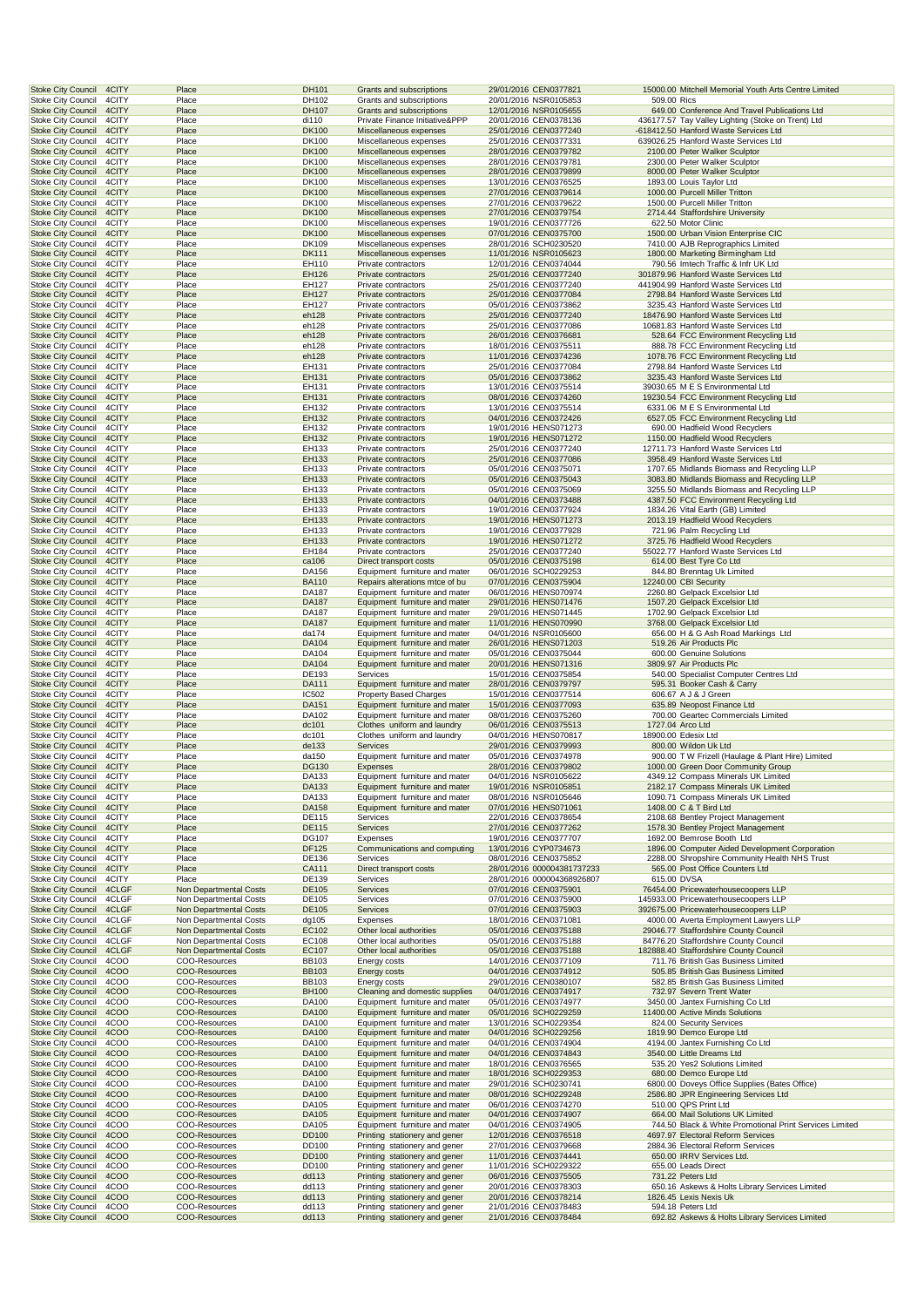| <b>Stoke City Council</b><br>4CITY                                       |                | Place                                            | DH101                 | Grants and subscriptions                                        | 29/01/2016 CEN0377821                                    |             | 15000.00 Mitchell Memorial Youth Arts Centre Limited                                     |
|--------------------------------------------------------------------------|----------------|--------------------------------------------------|-----------------------|-----------------------------------------------------------------|----------------------------------------------------------|-------------|------------------------------------------------------------------------------------------|
| Stoke City Council<br>4CITY<br><b>Stoke City Council</b><br>4CITY        |                | Place<br>Place                                   | DH102<br>DH107        | Grants and subscriptions<br>Grants and subscriptions            | 20/01/2016 NSR0105853<br>12/01/2016 NSR0105655           | 509.00 Rics | 649.00 Conference And Travel Publications Ltd                                            |
| <b>Stoke City Council</b>                                                | 4CITY          | Place                                            | di110                 | Private Finance Initiative&PPP                                  | 20/01/2016 CEN0378136                                    |             | 436177.57 Tay Valley Lighting (Stoke on Trent) Ltd                                       |
| <b>Stoke City Council</b>                                                | 4CITY          | Place                                            | <b>DK100</b>          | Miscellaneous expenses                                          | 25/01/2016 CEN0377240                                    |             | -618412.50 Hanford Waste Services Ltd                                                    |
| <b>Stoke City Council</b><br><b>Stoke City Council</b><br>4CITY          | 4CITY          | Place<br>Place                                   | DK100<br><b>DK100</b> | Miscellaneous expenses<br>Miscellaneous expenses                | 25/01/2016 CEN0377331<br>28/01/2016 CEN0379782           |             | 639026.25 Hanford Waste Services Ltd<br>2100.00 Peter Walker Sculptor                    |
| <b>Stoke City Council</b>                                                | 4CITY          | Place                                            | DK100                 | Miscellaneous expenses                                          | 28/01/2016 CEN0379781                                    |             | 2300.00 Peter Walker Sculptor                                                            |
| <b>Stoke City Council</b>                                                | 4CITY          | Place                                            | <b>DK100</b>          | Miscellaneous expenses                                          | 28/01/2016 CEN0379899                                    |             | 8000.00 Peter Walker Sculptor                                                            |
| <b>Stoke City Council</b><br><b>Stoke City Council</b>                   | 4CITY<br>4CITY | Place<br>Place                                   | DK100<br><b>DK100</b> | Miscellaneous expenses<br>Miscellaneous expenses                | 13/01/2016 CEN0376525<br>27/01/2016 CEN0379614           |             | 1893.00 Louis Taylor Ltd<br>1000.00 Purcell Miller Tritton                               |
| <b>Stoke City Council</b>                                                | 4CITY          | Place                                            | DK100                 | Miscellaneous expenses                                          | 27/01/2016 CEN0379622                                    |             | 1500.00 Purcell Miller Tritton                                                           |
| <b>Stoke City Council</b><br>4CITY                                       |                | Place                                            | <b>DK100</b>          | Miscellaneous expenses                                          | 27/01/2016 CEN0379754                                    |             | 2714.44 Staffordshire University                                                         |
| <b>Stoke City Council</b><br>4CITY<br><b>Stoke City Council</b><br>4CITY |                | Place<br>Place                                   | DK100<br><b>DK100</b> | Miscellaneous expenses<br>Miscellaneous expenses                | 19/01/2016 CEN0377726<br>07/01/2016 CEN0375700           |             | 622.50 Motor Clinic<br>1500.00 Urban Vision Enterprise CIC                               |
| <b>Stoke City Council</b>                                                | 4CITY          | Place                                            | DK109                 | Miscellaneous expenses                                          | 28/01/2016 SCH0230520                                    |             | 7410.00 AJB Reprographics Limited                                                        |
| <b>Stoke City Council</b><br>4CITY                                       |                | Place                                            | DK111                 | Miscellaneous expenses                                          | 11/01/2016 NSR0105623                                    |             | 1800.00 Marketing Birmingham Ltd                                                         |
| <b>Stoke City Council</b><br>4CITY<br>4CITY                              |                | Place                                            | EH110                 | Private contractors                                             | 12/01/2016 CEN0374044                                    |             | 790.56 Imtech Traffic & Infr UK Ltd                                                      |
| <b>Stoke City Council</b><br><b>Stoke City Council</b>                   | 4CITY          | Place<br>Place                                   | EH126<br>EH127        | Private contractors<br>Private contractors                      | 25/01/2016 CEN0377240<br>25/01/2016 CEN0377240           |             | 301879.96 Hanford Waste Services Ltd<br>441904.99 Hanford Waste Services Ltd             |
| <b>Stoke City Council</b>                                                | 4CITY          | Place                                            | EH127                 | Private contractors                                             | 25/01/2016 CEN0377084                                    |             | 2798.84 Hanford Waste Services Ltd                                                       |
| <b>Stoke City Council</b><br>4CITY<br>4CITY<br><b>Stoke City Council</b> |                | Place<br>Place                                   | EH127<br>eh128        | Private contractors<br>Private contractors                      | 05/01/2016 CEN0373862<br>25/01/2016 CEN0377240           |             | 3235.43 Hanford Waste Services Ltd<br>18476.90 Hanford Waste Services Ltd                |
| <b>Stoke City Council</b><br>4CITY                                       |                | Place                                            | eh128                 | Private contractors                                             | 25/01/2016 CEN0377086                                    |             | 10681.83 Hanford Waste Services Ltd                                                      |
| <b>Stoke City Council</b>                                                | 4CITY          | Place                                            | eh128                 | Private contractors                                             | 26/01/2016 CEN0376681                                    |             | 528.64 FCC Environment Recycling Ltd                                                     |
| <b>Stoke City Council</b><br><b>Stoke City Council</b><br>4CITY          | 4CITY          | Place<br>Place                                   | eh128<br>eh128        | Private contractors<br>Private contractors                      | 18/01/2016 CEN0375511<br>11/01/2016 CEN0374236           |             | 888.78 FCC Environment Recycling Ltd<br>1078.76 FCC Environment Recycling Ltd            |
| <b>Stoke City Council</b>                                                | 4CITY          | Place                                            | EH131                 | Private contractors                                             | 25/01/2016 CEN0377084                                    |             | 2798.84 Hanford Waste Services Ltd                                                       |
| <b>Stoke City Council</b><br>4CITY                                       |                | Place                                            | EH131                 | Private contractors                                             | 05/01/2016 CEN0373862                                    |             | 3235.43 Hanford Waste Services Ltd                                                       |
| <b>Stoke City Council</b>                                                | 4CITY          | Place                                            | EH131                 | Private contractors                                             | 13/01/2016 CEN0375514                                    |             | 39030.65 M E S Environmental Ltd<br>19230.54 FCC Environment Recycling Ltd               |
| <b>Stoke City Council</b><br><b>Stoke City Council</b>                   | 4CITY<br>4CITY | Place<br>Place                                   | EH131<br>EH132        | Private contractors<br>Private contractors                      | 08/01/2016 CEN0374260<br>13/01/2016 CEN0375514           |             | 6331.06 M E S Environmental Ltd                                                          |
| <b>Stoke City Council</b><br>4CITY                                       |                | Place                                            | EH132                 | Private contractors                                             | 04/01/2016 CEN0372426                                    |             | 6527.05 FCC Environment Recycling Ltd                                                    |
| <b>Stoke City Council</b><br>4CITY                                       |                | Place                                            | EH132                 | Private contractors                                             | 19/01/2016 HENS071273                                    |             | 690.00 Hadfield Wood Recyclers                                                           |
| <b>Stoke City Council</b><br><b>Stoke City Council</b>                   | 4CITY<br>4CITY | Place<br>Place                                   | EH132<br>EH133        | Private contractors<br>Private contractors                      | 19/01/2016 HENS071272<br>25/01/2016 CEN0377240           |             | 1150.00 Hadfield Wood Recyclers<br>12711.73 Hanford Waste Services Ltd                   |
| <b>Stoke City Council</b><br>4CITY                                       |                | Place                                            | EH133                 | Private contractors                                             | 25/01/2016 CEN0377086                                    |             | 3958.49 Hanford Waste Services Ltd                                                       |
| <b>Stoke City Council</b>                                                | 4CITY          | Place                                            | EH133                 | Private contractors                                             | 05/01/2016 CEN0375071                                    |             | 1707.65 Midlands Biomass and Recycling LLP                                               |
| <b>Stoke City Council</b><br>4CITY<br><b>Stoke City Council</b>          | 4CITY          | Place<br>Place                                   | EH133<br>EH133        | Private contractors<br>Private contractors                      | 05/01/2016 CEN0375043<br>05/01/2016 CEN0375069           |             | 3083.80 Midlands Biomass and Recycling LLP<br>3255.50 Midlands Biomass and Recycling LLP |
| <b>Stoke City Council</b>                                                | 4CITY          | Place                                            | EH133                 | Private contractors                                             | 04/01/2016 CEN0373488                                    |             | 4387.50 FCC Environment Recycling Ltd                                                    |
| <b>Stoke City Council</b><br>4CITY                                       |                | Place                                            | EH133                 | Private contractors                                             | 19/01/2016 CEN0377924                                    |             | 1834.26 Vital Earth (GB) Limited                                                         |
| <b>Stoke City Council</b><br>4CITY<br>4CITY                              |                | Place                                            | EH133                 | Private contractors                                             | 19/01/2016 HENS071273                                    |             | 2013.19 Hadfield Wood Recyclers                                                          |
| <b>Stoke City Council</b><br><b>Stoke City Council</b>                   | 4CITY          | Place<br>Place                                   | EH133<br>EH133        | Private contractors<br>Private contractors                      | 19/01/2016 CEN0377928<br>19/01/2016 HENS071272           |             | 721.96 Palm Recycling Ltd<br>3725.76 Hadfield Wood Recyclers                             |
| <b>Stoke City Council</b>                                                | 4CITY          | Place                                            | EH184                 | Private contractors                                             | 25/01/2016 CEN0377240                                    |             | 55022.77 Hanford Waste Services Ltd                                                      |
| <b>Stoke City Council</b><br>4CITY                                       |                | Place                                            | ca106                 | Direct transport costs                                          | 05/01/2016 CEN0375198                                    |             | 614.00 Best Tyre Co Ltd                                                                  |
| <b>Stoke City Council</b><br><b>Stoke City Council</b><br>4CITY          | 4CITY          | Place<br>Place                                   | DA156<br><b>BA110</b> | Equipment furniture and mater<br>Repairs alterations mtce of bu | 06/01/2016 SCH0229253<br>07/01/2016 CEN0375904           |             | 844.80 Brenntag Uk Limited<br>12240.00 CBI Security                                      |
| <b>Stoke City Council</b>                                                | 4CITY          | Place                                            | DA187                 | Equipment furniture and mater                                   | 06/01/2016 HENS070974                                    |             | 2260.80 Gelpack Excelsior Ltd                                                            |
| <b>Stoke City Council</b>                                                | 4CITY          | Place                                            | DA187                 | Equipment furniture and mater                                   | 29/01/2016 HENS071476                                    |             | 1507.20 Gelpack Excelsior Ltd                                                            |
| <b>Stoke City Council</b><br>4CITY<br><b>Stoke City Council</b><br>4CITY |                | Place<br>Place                                   | DA187<br><b>DA187</b> | Equipment furniture and mater<br>Equipment furniture and mater  | 29/01/2016 HENS071445<br>11/01/2016 HENS070990           |             | 1702.90 Gelpack Excelsior Ltd<br>3768.00 Gelpack Excelsior Ltd                           |
| <b>Stoke City Council</b><br>4CITY                                       |                | Place                                            | da174                 | Equipment furniture and mater                                   | 04/01/2016 NSR0105600                                    |             | 656.00 H & G Ash Road Markings Ltd                                                       |
| <b>Stoke City Council</b>                                                | 4CITY          | Place                                            | DA104                 | Equipment furniture and mater                                   | 26/01/2016 HENS071203                                    |             | 519.26 Air Products Plc                                                                  |
| <b>Stoke City Council</b><br><b>Stoke City Council</b>                   | 4CITY<br>4CITY | Place<br>Place                                   | DA104<br>DA104        | Equipment furniture and mater<br>Equipment furniture and mater  | 05/01/2016 CEN0375044<br>20/01/2016 HENS071316           |             | 600.00 Genuine Solutions<br>3809.97 Air Products Plc                                     |
| Stoke City Council<br>4CITY                                              |                | Place                                            | DE193                 | Services                                                        | 15/01/2016 CEN0375854                                    |             | 540.00 Specialist Computer Centres Ltd                                                   |
| <b>Stoke City Council</b><br>4CITY                                       |                | Place                                            | DA111                 | Equipment furniture and mater                                   | 28/01/2016 CEN0379797                                    |             | 595.31 Booker Cash & Carry                                                               |
| <b>Stoke City Council</b><br><b>Stoke City Council</b>                   | 4CITY<br>4CITY | Place<br>Place                                   | IC502<br>DA151        | <b>Property Based Charges</b><br>Equipment furniture and mater  | 15/01/2016 CEN0377514<br>15/01/2016 CEN0377093           |             | 606.67 A J & J Green<br>635.89 Neopost Finance Ltd                                       |
| <b>Stoke City Council</b><br>4CITY                                       |                | Place                                            | DA102                 | Equipment furniture and mater                                   | 08/01/2016 CEN0375260                                    |             | 700.00 Geartec Commercials Limited                                                       |
| 4CITY<br><b>Stoke City Council</b>                                       |                | Place                                            | dc101                 | Clothes uniform and laundry                                     | 06/01/2016 CEN0375513                                    |             | 1727.04 Arco Ltd                                                                         |
| <b>Stoke City Council</b>                                                | 4CITY          | Place<br>Place                                   | dc101                 | Clothes uniform and laundry<br>Services                         | 04/01/2016 HENS070817<br>29/01/2016 CEN0379993           |             | 18900.00 Edesix Ltd<br>800.00 Wildon Uk Ltd                                              |
| <b>Stoke City Council</b><br><b>Stoke City Council</b>                   | 4CITY<br>4CITY | Place                                            | de133<br>da150        | Equipment furniture and mater                                   | 05/01/2016 CEN0374978                                    |             | 900.00 T W Frizell (Haulage & Plant Hire) Limited                                        |
| <b>Stoke City Council</b><br>4CITY                                       |                | Place                                            | <b>DG130</b>          | Expenses                                                        | 28/01/2016 CEN0379802                                    |             | 1000.00 Green Door Community Group                                                       |
| 4CITY<br>Stoke City Council                                              |                | Place                                            | DA133                 | Equipment furniture and mater                                   | 04/01/2016 NSR0105622                                    |             | 4349.12 Compass Minerals UK Limited                                                      |
| <b>Stoke City Council</b><br>4CITY<br><b>Stoke City Council</b>          | 4CITY          | Place<br>Place                                   | DA133<br>DA133        | Equipment furniture and mater<br>Equipment furniture and mater  | 19/01/2016 NSR0105851<br>08/01/2016 NSR0105646           |             | 2182.17 Compass Minerals UK Limited<br>1090.71 Compass Minerals UK Limited               |
| <b>Stoke City Council</b>                                                | 4CITY          | Place                                            | DA158                 | Equipment furniture and mater                                   | 07/01/2016 HENS071061                                    |             | 1408.00 C & T Bird Ltd                                                                   |
| <b>Stoke City Council</b>                                                | 4CITY          | Place                                            | DE115                 | Services                                                        | 22/01/2016 CEN0378654                                    |             | 2108.68 Bentley Project Management                                                       |
| <b>Stoke City Council</b><br>4CITY<br><b>Stoke City Council</b>          | 4CITY          | Place<br>Place                                   | <b>DE115</b><br>DG107 | <b>Services</b><br>Expenses                                     | 27/01/2016 CEN0377262<br>19/01/2016 CEN0377707           |             | 1578.30 Bentley Project Management<br>1692.00 Bemrose Booth Ltd                          |
| <b>Stoke City Council</b><br>4CITY                                       |                | Place                                            | DF125                 | Communications and computing                                    | 13/01/2016 CYP0734673                                    |             | 1896.00 Computer Aided Development Corporation                                           |
| <b>Stoke City Council</b>                                                | 4CITY          | Place                                            | DE136                 | Services                                                        | 08/01/2016 CEN0375852                                    |             | 2288.00 Shropshire Community Health NHS Trust                                            |
| <b>Stoke City Council</b><br><b>Stoke City Council</b>                   | 4CITY<br>4CITY | Place<br>Place                                   | CA111<br>DE139        | Direct transport costs<br>Services                              | 28/01/2016 000004381737233<br>28/01/2016 000004368926807 | 615.00 DVSA | 565.00 Post Office Counters Ltd                                                          |
| <b>Stoke City Council</b>                                                | 4CLGF          | Non Departmental Costs                           | DE105                 | Services                                                        | 07/01/2016 CEN0375901                                    |             | 76454.00 Pricewaterhousecoopers LLP                                                      |
| Stoke City Council                                                       | 4CLGF          | Non Departmental Costs                           | DE105                 | Services                                                        | 07/01/2016 CEN0375900                                    |             | 145933.00 Pricewaterhousecoopers LLP                                                     |
| <b>Stoke City Council</b><br><b>Stoke City Council</b>                   | 4CLGF<br>4CLGF | Non Departmental Costs<br>Non Departmental Costs | DE105<br>dg105        | Services<br>Expenses                                            | 07/01/2016 CEN0375903<br>18/01/2016 CEN0371081           |             | 392675.00 Pricewaterhousecoopers LLP<br>4000.00 Averta Employment Lawyers LLP            |
| <b>Stoke City Council</b>                                                | 4CLGF          | Non Departmental Costs                           | EC102                 | Other local authorities                                         | 05/01/2016 CEN0375188                                    |             | 29046.77 Staffordshire County Council                                                    |
| <b>Stoke City Council</b>                                                | 4CLGF          | Non Departmental Costs                           | EC108                 | Other local authorities                                         | 05/01/2016 CEN0375188                                    |             | 84776.20 Staffordshire County Council                                                    |
| <b>Stoke City Council</b><br>Stoke City Council                          | 4CLGF<br>4COO  | Non Departmental Costs<br>COO-Resources          | EC107<br><b>BB103</b> | Other local authorities<br>Energy costs                         | 05/01/2016 CEN0375188<br>14/01/2016 CEN0377109           |             | 182888.40 Staffordshire County Council<br>711.76 British Gas Business Limited            |
| <b>Stoke City Council</b>                                                | 4COO           | COO-Resources                                    | <b>BB103</b>          | Energy costs                                                    | 04/01/2016 CEN0374912                                    |             | 505.85 British Gas Business Limited                                                      |
| Stoke City Council                                                       | 4COO           | COO-Resources                                    | <b>BB103</b>          | Energy costs                                                    | 29/01/2016 CEN0380107                                    |             | 582.85 British Gas Business Limited                                                      |
| <b>Stoke City Council</b><br>4COO                                        |                | COO-Resources                                    | <b>BH100</b>          | Cleaning and domestic supplies                                  | 04/01/2016 CEN0374917                                    |             | 732.97 Severn Trent Water                                                                |
| Stoke City Council<br><b>Stoke City Council</b>                          | 4COO<br>4COO   | COO-Resources<br>COO-Resources                   | DA100<br>DA100        | Equipment furniture and mater<br>Equipment furniture and mater  | 05/01/2016 CEN0374977<br>05/01/2016 SCH0229259           |             | 3450.00 Jantex Furnishing Co Ltd<br>11400.00 Active Minds Solutions                      |
| <b>Stoke City Council</b><br>4COO                                        |                | COO-Resources                                    | DA100                 | Equipment furniture and mater                                   | 13/01/2016 SCH0229354                                    |             | 824.00 Security Services                                                                 |
| <b>Stoke City Council</b><br>4COO                                        |                | COO-Resources                                    | DA100                 | Equipment furniture and mater                                   | 04/01/2016 SCH0229256                                    |             | 1819.90 Demco Europe Ltd                                                                 |
| <b>Stoke City Council</b><br><b>Stoke City Council</b>                   | 4COO<br>4COO   | COO-Resources<br>COO-Resources                   | DA100<br>DA100        | Equipment furniture and mater<br>Equipment furniture and mater  | 04/01/2016 CEN0374904<br>04/01/2016 CEN0374843           |             | 4194.00 Jantex Furnishing Co Ltd<br>3540.00 Little Dreams Ltd                            |
| Stoke City Council                                                       | 4COO           | COO-Resources                                    | DA100                 | Equipment furniture and mater                                   | 18/01/2016 CEN0376565                                    |             | 535.20 Yes2 Solutions Limited                                                            |
| <b>Stoke City Council</b>                                                | 4COO           | <b>COO-Resources</b>                             | DA100                 | Equipment furniture and mater                                   | 18/01/2016 SCH0229353                                    |             | 680.00 Demco Europe Ltd                                                                  |
| Stoke City Council<br><b>Stoke City Council</b>                          | 4COO           | COO-Resources<br>COO-Resources                   | DA100<br>DA100        | Equipment furniture and mater<br>Equipment furniture and mater  | 29/01/2016 SCH0230741<br>08/01/2016 SCH0229248           |             | 6800.00 Doveys Office Supplies (Bates Office)<br>2586.80 JPR Engineering Services Ltd    |
|                                                                          |                |                                                  |                       | Equipment furniture and mater                                   | 06/01/2016 CEN0374270                                    |             | 510.00 QPS Print Ltd                                                                     |
| Stoke City Council<br>4COO                                               | 4COO           | COO-Resources                                    | DA105                 |                                                                 |                                                          |             |                                                                                          |
| <b>Stoke City Council</b>                                                | 4COO           | COO-Resources                                    | DA105                 | Equipment furniture and mater                                   | 04/01/2016 CEN0374907                                    |             | 664.00 Mail Solutions UK Limited                                                         |
| <b>Stoke City Council</b><br>4COO                                        |                | COO-Resources                                    | DA105                 | Equipment furniture and mater                                   | 04/01/2016 CEN0374905                                    |             | 744.50 Black & White Promotional Print Services Limited                                  |
| <b>Stoke City Council</b>                                                | 4COO           | COO-Resources                                    | DD100                 | Printing stationery and gener                                   | 12/01/2016 CEN0376518                                    |             | 4697.97 Electoral Reform Services                                                        |
| Stoke City Council<br><b>Stoke City Council</b><br>4COO                  | 4COO           | COO-Resources<br><b>COO-Resources</b>            | DD100<br>DD100        | Printing stationery and gener<br>Printing stationery and gener  | 27/01/2016 CEN0379668<br>11/01/2016 CEN0374441           |             | 2884.36 Electoral Reform Services<br>650.00 IRRV Services Ltd.                           |
| <b>Stoke City Council</b>                                                | 4COO           | COO-Resources                                    | DD100                 | Printing stationery and gener                                   | 11/01/2016 SCH0229322                                    |             | 655.00 Leads Direct                                                                      |
| <b>Stoke City Council</b>                                                | 4COO           | <b>COO-Resources</b>                             | dd113                 | Printing stationery and gener                                   | 06/01/2016 CEN0375505                                    |             | 731.22 Peters Ltd                                                                        |
| <b>Stoke City Council</b><br><b>Stoke City Council</b>                   | 4COO<br>4COO   | COO-Resources<br>COO-Resources                   | dd113<br>dd113        | Printing stationery and gener<br>Printing stationery and gener  | 20/01/2016 CEN0378303<br>20/01/2016 CEN0378214           |             | 650.16 Askews & Holts Library Services Limited<br>1826.45 Lexis Nexis Uk                 |
| <b>Stoke City Council</b><br><b>Stoke City Council</b>                   | 4COO<br>4COO   | COO-Resources<br>COO-Resources                   | dd113<br>dd113        | Printing stationery and gener<br>Printing stationery and gener  | 21/01/2016 CEN0378483<br>21/01/2016 CEN0378484           |             | 594.18 Peters Ltd<br>692.82 Askews & Holts Library Services Limited                      |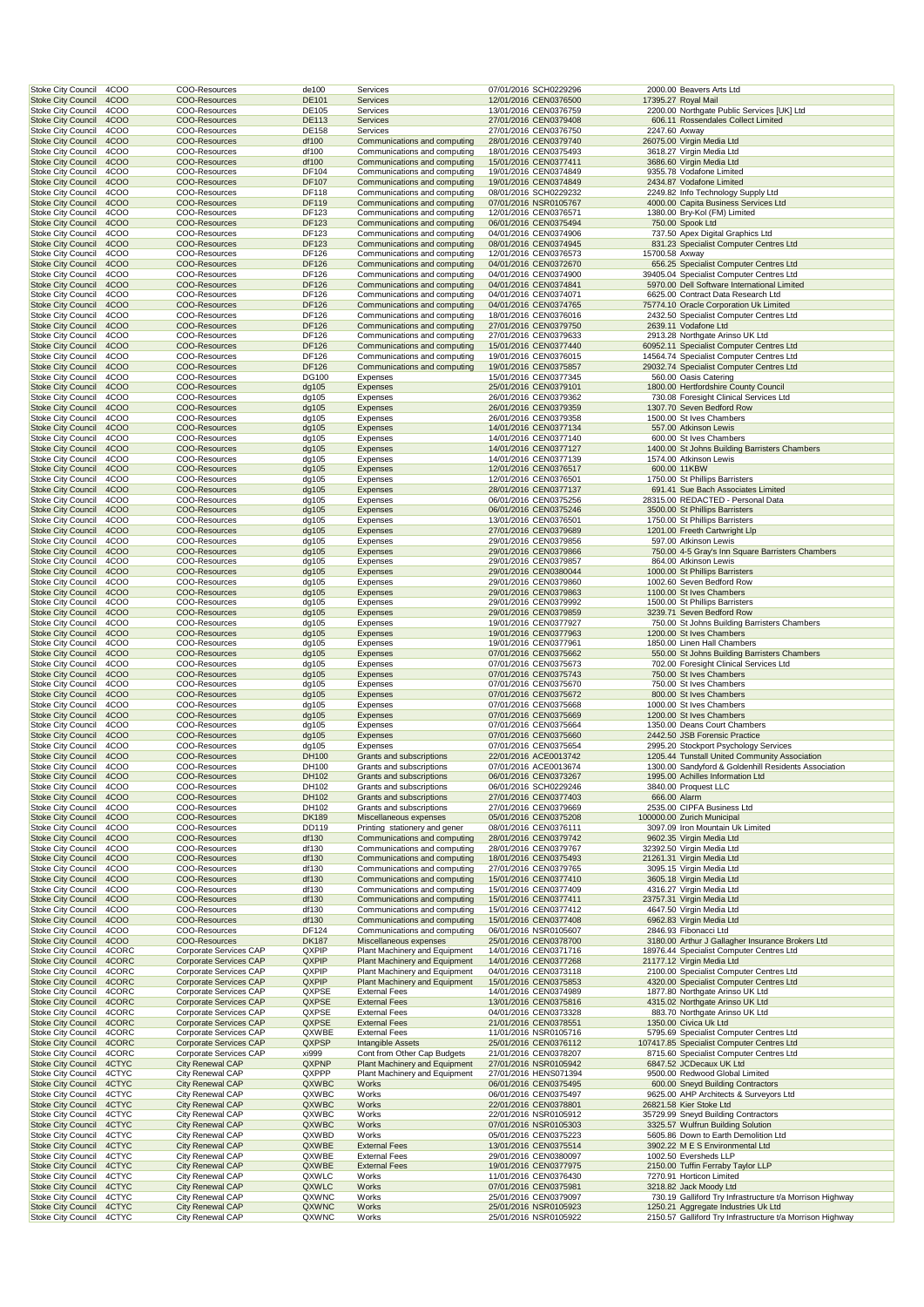| 4COO<br>Stoke City Council                                               | COO-Resources                                      | de100                 | Services                                                       | 07/01/2016 SCH0229296                          |                | 2000.00 Beavers Arts Ltd                                                                         |
|--------------------------------------------------------------------------|----------------------------------------------------|-----------------------|----------------------------------------------------------------|------------------------------------------------|----------------|--------------------------------------------------------------------------------------------------|
| <b>Stoke City Council</b><br>4COO                                        | <b>COO-Resources</b>                               | <b>DE101</b>          | Services                                                       | 12/01/2016 CEN0376500                          |                | 17395.27 Royal Mail                                                                              |
| <b>Stoke City Council</b><br>4COO<br><b>Stoke City Council</b><br>4COO   | COO-Resources<br><b>COO-Resources</b>              | DE105<br><b>DE113</b> | Services<br>Services                                           | 13/01/2016 CEN0376759<br>27/01/2016 CEN0379408 |                | 2200.00 Northgate Public Services [UK] Ltd<br>606.11 Rossendales Collect Limited                 |
| <b>Stoke City Council</b><br>4COO                                        | COO-Resources                                      | DE158                 | Services                                                       | 27/01/2016 CEN0376750                          | 2247.60 Axway  |                                                                                                  |
| <b>Stoke City Council</b><br>4COO                                        | <b>COO-Resources</b>                               | df100                 | Communications and computing                                   | 28/01/2016 CEN0379740                          |                | 26075.00 Virgin Media Ltd                                                                        |
| Stoke City Council<br>4COO                                               | COO-Resources                                      | df100                 | Communications and computing                                   | 18/01/2016 CEN0375493                          |                | 3618.27 Virgin Media Ltd                                                                         |
| <b>Stoke City Council</b><br>4COO                                        | COO-Resources                                      | df100                 | Communications and computing                                   | 15/01/2016 CEN0377411<br>19/01/2016 CEN0374849 |                | 3686.60 Virgin Media Ltd<br>9355.78 Vodafone Limited                                             |
| <b>Stoke City Council</b><br>4COO<br><b>Stoke City Council</b><br>4COO   | COO-Resources<br><b>COO-Resources</b>              | DF104<br>DF107        | Communications and computing<br>Communications and computing   | 19/01/2016 CEN0374849                          |                | 2434.87 Vodafone Limited                                                                         |
| <b>Stoke City Council</b><br>4COO                                        | COO-Resources                                      | DF118                 | Communications and computing                                   | 08/01/2016 SCH0229232                          |                | 2249.82 Info Technology Supply Ltd                                                               |
| <b>Stoke City Council</b><br>4COO                                        | <b>COO-Resources</b>                               | DF119                 | Communications and computing                                   | 07/01/2016 NSR0105767                          |                | 4000.00 Capita Business Services Ltd                                                             |
| <b>Stoke City Council</b><br>4COO                                        | COO-Resources                                      | DF123                 | Communications and computing                                   | 12/01/2016 CEN0376571                          |                | 1380.00 Bry-Kol (FM) Limited                                                                     |
| <b>Stoke City Council</b><br>4COO                                        | <b>COO-Resources</b>                               | DF123                 | Communications and computing                                   | 06/01/2016 CEN0375494                          |                | 750.00 Spook Ltd                                                                                 |
| <b>Stoke City Council</b><br>4COO<br><b>Stoke City Council</b><br>4COO   | COO-Resources<br><b>COO-Resources</b>              | DF123<br>DF123        | Communications and computing<br>Communications and computing   | 04/01/2016 CEN0374906<br>08/01/2016 CEN0374945 |                | 737.50 Apex Digital Graphics Ltd<br>831.23 Specialist Computer Centres Ltd                       |
| Stoke City Council<br>4COO                                               | COO-Resources                                      | DF126                 | Communications and computing                                   | 12/01/2016 CEN0376573                          | 15700.58 Axway |                                                                                                  |
| <b>Stoke City Council</b><br>4COO                                        | COO-Resources                                      | <b>DF126</b>          | Communications and computing                                   | 04/01/2016 CEN0372670                          |                | 656.25 Specialist Computer Centres Ltd                                                           |
| <b>Stoke City Council</b><br>4COO                                        | COO-Resources                                      | DF126                 | Communications and computing                                   | 04/01/2016 CEN0374900                          |                | 39405.04 Specialist Computer Centres Ltd                                                         |
| <b>Stoke City Council</b><br>4COO<br><b>Stoke City Council</b><br>4COO   | <b>COO-Resources</b>                               | <b>DF126</b>          | Communications and computing                                   | 04/01/2016 CEN0374841<br>04/01/2016 CEN0374071 |                | 5970.00 Dell Software International Limited<br>6625.00 Contract Data Research Ltd                |
| <b>Stoke City Council</b><br>4COO                                        | COO-Resources<br><b>COO-Resources</b>              | DF126<br>DF126        | Communications and computing<br>Communications and computing   | 04/01/2016 CEN0374765                          |                | 75774.10 Oracle Corporation Uk Limited                                                           |
| <b>Stoke City Council</b><br>4COO                                        | COO-Resources                                      | DF126                 | Communications and computing                                   | 18/01/2016 CEN0376016                          |                | 2432.50 Specialist Computer Centres Ltd                                                          |
| <b>Stoke City Council</b><br>4COO                                        | <b>COO-Resources</b>                               | <b>DF126</b>          | Communications and computing                                   | 27/01/2016 CEN0379750                          |                | 2639.11 Vodafone Ltd                                                                             |
| <b>Stoke City Council</b><br>4COO                                        | COO-Resources                                      | DF126                 | Communications and computing                                   | 27/01/2016 CEN0379633                          |                | 2913.28 Northgate Arinso UK Ltd                                                                  |
| <b>Stoke City Council</b><br>4COO<br>Stoke City Council<br>4COO          | <b>COO-Resources</b><br>COO-Resources              | DF126<br>DF126        | Communications and computing<br>Communications and computing   | 15/01/2016 CEN0377440<br>19/01/2016 CEN0376015 |                | 60952.11 Specialist Computer Centres Ltd<br>14564.74 Specialist Computer Centres Ltd             |
| <b>Stoke City Council</b><br>4COO                                        | COO-Resources                                      | <b>DF126</b>          | Communications and computing                                   | 19/01/2016 CEN0375857                          |                | 29032.74 Specialist Computer Centres Ltd                                                         |
| <b>Stoke City Council</b><br>4COO                                        | COO-Resources                                      | DG100                 | Expenses                                                       | 15/01/2016 CEN0377345                          |                | 560.00 Oasis Catering                                                                            |
| <b>Stoke City Council</b><br>4COO                                        | <b>COO-Resources</b>                               | dg105                 | Expenses                                                       | 25/01/2016 CEN0379101                          |                | 1800.00 Hertfordshire County Council                                                             |
| <b>Stoke City Council</b><br>4COO                                        | COO-Resources                                      | dg105                 | Expenses                                                       | 26/01/2016 CEN0379362                          |                | 730.08 Foresight Clinical Services Ltd                                                           |
| <b>Stoke City Council</b><br>4COO<br><b>Stoke City Council</b><br>4COO   | <b>COO-Resources</b><br>COO-Resources              | dg105<br>dg105        | Expenses<br>Expenses                                           | 26/01/2016 CEN0379359<br>26/01/2016 CEN0379358 |                | 1307.70 Seven Bedford Row<br>1500.00 St Ives Chambers                                            |
| <b>Stoke City Council</b><br>4COO                                        | <b>COO-Resources</b>                               | dg105                 | Expenses                                                       | 14/01/2016 CEN0377134                          |                | 557.00 Atkinson Lewis                                                                            |
| <b>Stoke City Council</b><br>4COO                                        | COO-Resources                                      | dg105                 | Expenses                                                       | 14/01/2016 CEN0377140                          |                | 600.00 St Ives Chambers                                                                          |
| <b>Stoke City Council</b><br>4COO                                        | <b>COO-Resources</b>                               | dg105                 | Expenses                                                       | 14/01/2016 CEN0377127                          |                | 1400.00 St Johns Building Barristers Chambers                                                    |
| Stoke City Council<br>4COO                                               | COO-Resources                                      | dg105                 | Expenses                                                       | 14/01/2016 CEN0377139                          |                | 1574.00 Atkinson Lewis                                                                           |
| <b>Stoke City Council</b><br>4COO<br><b>Stoke City Council</b><br>4COO   | COO-Resources<br>COO-Resources                     | dg105<br>dg105        | Expenses<br>Expenses                                           | 12/01/2016 CEN0376517<br>12/01/2016 CEN0376501 |                | 600.00 11KBW<br>1750.00 St Phillips Barristers                                                   |
| <b>Stoke City Council</b><br>4COO                                        | <b>COO-Resources</b>                               | $dq$ 105              | Expenses                                                       | 28/01/2016 CEN0377137                          |                | 691.41 Sue Bach Associates Limited                                                               |
| <b>Stoke City Council</b><br>4COO                                        | COO-Resources                                      | dg105                 | Expenses                                                       | 06/01/2016 CEN0375256                          |                | 28315.00 REDACTED - Personal Data                                                                |
| <b>Stoke City Council</b><br>4COO                                        | <b>COO-Resources</b>                               | dg105                 | Expenses                                                       | 06/01/2016 CEN0375246                          |                | 3500.00 St Phillips Barristers                                                                   |
| <b>Stoke City Council</b><br>4COO                                        | COO-Resources                                      | dg105                 | Expenses                                                       | 13/01/2016 CEN0376501                          |                | 1750.00 St Phillips Barristers                                                                   |
| <b>Stoke City Council</b><br>4COO                                        | <b>COO-Resources</b>                               | dg105                 | Expenses                                                       | 27/01/2016 CEN0379689                          |                | 1201.00 Freeth Cartwright Llp                                                                    |
| <b>Stoke City Council</b><br>4COO<br><b>Stoke City Council</b><br>4COO   | COO-Resources<br><b>COO-Resources</b>              | dg105<br>dg105        | Expenses<br>Expenses                                           | 29/01/2016 CEN0379856<br>29/01/2016 CEN0379866 |                | 597.00 Atkinson Lewis<br>750.00 4-5 Gray's Inn Square Barristers Chambers                        |
| Stoke City Council<br>4COO                                               | COO-Resources                                      | dg105                 | Expenses                                                       | 29/01/2016 CEN0379857                          |                | 864.00 Atkinson Lewis                                                                            |
| <b>Stoke City Council</b><br>4COO                                        | COO-Resources                                      | $dq$ 105              | Expenses                                                       | 29/01/2016 CEN0380044                          |                | 1000.00 St Phillips Barristers                                                                   |
| <b>Stoke City Council</b><br>4COO                                        | COO-Resources                                      | dg105                 | Expenses                                                       | 29/01/2016 CEN0379860                          |                | 1002.60 Seven Bedford Row                                                                        |
| <b>Stoke City Council</b><br>4COO                                        | <b>COO-Resources</b>                               | dg105                 | Expenses                                                       | 29/01/2016 CEN0379863                          |                | 1100.00 St Ives Chambers                                                                         |
| <b>Stoke City Council</b><br>4COO<br><b>Stoke City Council</b><br>4COO   | COO-Resources<br>COO-Resources                     | dg105<br>dg105        | Expenses<br>Expenses                                           | 29/01/2016 CEN0379992<br>29/01/2016 CEN0379859 |                | 1500.00 St Phillips Barristers<br>3239.71 Seven Bedford Row                                      |
| <b>Stoke City Council</b><br>4COO                                        | COO-Resources                                      | dg105                 | Expenses                                                       | 19/01/2016 CEN0377927                          |                | 750.00 St Johns Building Barristers Chambers                                                     |
| <b>Stoke City Council</b><br>4COO                                        | <b>COO-Resources</b>                               | dg105                 | Expenses                                                       | 19/01/2016 CEN0377963                          |                | 1200.00 St Ives Chambers                                                                         |
| Stoke City Council<br>4COO                                               | COO-Resources                                      | dg105                 | Expenses                                                       | 19/01/2016 CEN0377961                          |                | 1850.00 Linen Hall Chambers                                                                      |
| <b>Stoke City Council</b><br>4COO                                        | <b>COO-Resources</b>                               | dg105                 | Expenses                                                       | 07/01/2016 CEN0375662                          |                | 550.00 St Johns Building Barristers Chambers                                                     |
| <b>Stoke City Council</b><br>4COO<br><b>Stoke City Council</b><br>4COO   | COO-Resources<br>COO-Resources                     | dg105<br>$dq$ 105     | Expenses<br>Expenses                                           | 07/01/2016 CEN0375673<br>07/01/2016 CEN0375743 |                | 702.00 Foresight Clinical Services Ltd<br>750.00 St Ives Chambers                                |
| <b>Stoke City Council</b><br>4COO                                        | COO-Resources                                      | dg105                 | Expenses                                                       | 07/01/2016 CEN0375670                          |                | 750.00 St Ives Chambers                                                                          |
| <b>Stoke City Council</b><br>4COO                                        | <b>COO-Resources</b>                               | dg105                 | Expenses                                                       | 07/01/2016 CEN0375672                          |                | 800.00 St Ives Chambers                                                                          |
| <b>Stoke City Council</b><br>4COO                                        | COO-Resources                                      | dg105                 | Expenses                                                       | 07/01/2016 CEN0375668                          |                | 1000.00 St Ives Chambers                                                                         |
| <b>Stoke City Council</b><br>4COO<br><b>Stoke City Council</b><br>4COO   | COO-Resources<br>COO-Resources                     | dg105<br>dg105        | Expenses<br>Expenses                                           | 07/01/2016 CEN0375669<br>07/01/2016 CEN0375664 |                | 1200.00 St Ives Chambers<br>1350.00 Deans Court Chambers                                         |
| <b>Stoke City Council</b><br>4COO                                        | <b>COO-Resources</b>                               | dg105                 | <b>Expenses</b>                                                | 07/01/2016 CEN0375660                          |                | 2442.50 JSB Forensic Practice                                                                    |
| Stoke City Council<br>4COO                                               | COO-Resources                                      | dg105                 | Expenses                                                       | 07/01/2016 CEN0375654                          |                | 2995.20 Stockport Psychology Services                                                            |
| 4COO<br><b>Stoke City Council</b>                                        | <b>COO-Resources</b>                               | DH100                 | Grants and subscriptions                                       | 22/01/2016 ACE0013742                          |                | 1205.44 Tunstall United Community Association                                                    |
| <b>Stoke City Council</b><br>4COO                                        | COO-Resources                                      | DH100                 | Grants and subscriptions                                       | 07/01/2016 ACE0013674                          |                | 1300.00 Sandyford & Goldenhill Residents Association                                             |
| <b>Stoke City Council</b><br>4COO<br>Stoke City Council<br>4COO          | COO-Resources                                      | DH102<br>DH102        | Grants and subscriptions<br>Grants and subscriptions           | 06/01/2016 CEN0373267                          |                | 1995.00 Achilles Information Ltd<br>3840.00 Proquest LLC                                         |
| <b>Stoke City Council</b><br>4COO                                        | COO-Resources<br>COO-Resources                     | DH102                 | Grants and subscriptions                                       | 06/01/2016 SCH0229246<br>27/01/2016 CEN0377403 | 666.00 Alarm   |                                                                                                  |
| 4COO<br>Stoke City Council                                               | COO-Resources                                      | DH102                 | Grants and subscriptions                                       | 27/01/2016 CEN0379669                          |                | 2535.00 CIPFA Business Ltd                                                                       |
| <b>Stoke City Council</b><br>4COO                                        | COO-Resources                                      | <b>DK189</b>          | Miscellaneous expenses                                         | 05/01/2016 CEN0375208                          |                | 100000.00 Zurich Municipal                                                                       |
| <b>Stoke City Council</b><br>4COO                                        | COO-Resources                                      | DD119                 | Printing stationery and gener                                  | 08/01/2016 CEN0376111                          |                | 3097.09 Iron Mountain Uk Limited                                                                 |
| <b>Stoke City Council</b><br>4COO<br>Stoke City Council<br>4COO          | <b>COO-Resources</b><br>COO-Resources              | df130<br>df130        | Communications and computing<br>Communications and computing   | 28/01/2016 CEN0379742<br>28/01/2016 CEN0379767 |                | 9602.35 Virgin Media Ltd<br>32392.50 Virgin Media Ltd                                            |
| <b>Stoke City Council</b><br>4COO                                        | <b>COO-Resources</b>                               | df130                 | Communications and computing                                   | 18/01/2016 CEN0375493                          |                | 21261.31 Virgin Media Ltd                                                                        |
| <b>Stoke City Council</b><br>4COO                                        | COO-Resources                                      | df130                 | Communications and computing                                   | 27/01/2016 CEN0379765                          |                | 3095.15 Virgin Media Ltd                                                                         |
| <b>Stoke City Council</b><br>4COO                                        | COO-Resources                                      | df130                 | Communications and computing                                   | 15/01/2016 CEN0377410                          |                | 3605.18 Virgin Media Ltd                                                                         |
| Stoke City Council<br>4COO                                               | COO-Resources                                      | df130                 | Communications and computing                                   | 15/01/2016 CEN0377409                          |                | 4316.27 Virgin Media Ltd                                                                         |
| <b>Stoke City Council</b><br>4COO<br><b>Stoke City Council</b><br>4COO   | COO-Resources<br>COO-Resources                     | df130<br>df130        | Communications and computing<br>Communications and computing   | 15/01/2016 CEN0377411<br>15/01/2016 CEN0377412 |                | 23757.31 Virgin Media Ltd<br>4647.50 Virgin Media Ltd                                            |
| <b>Stoke City Council</b><br>4COO                                        | COO-Resources                                      | df130                 | Communications and computing                                   | 15/01/2016 CEN0377408                          |                | 6962.83 Virgin Media Ltd                                                                         |
| <b>Stoke City Council</b><br>4COO                                        | COO-Resources                                      | DF124                 | Communications and computing                                   | 06/01/2016 NSR0105607                          |                | 2846.93 Fibonacci Ltd                                                                            |
| <b>Stoke City Council</b><br>4COO                                        | <b>COO-Resources</b>                               | <b>DK187</b>          | Miscellaneous expenses                                         | 25/01/2016 CEN0378700                          |                | 3180.00 Arthur J Gallagher Insurance Brokers Ltd                                                 |
| Stoke City Council<br>4CORC                                              | Corporate Services CAP                             | QXPIP                 | Plant Machinery and Equipment                                  | 14/01/2016 CEN0371716                          |                | 18976.44 Specialist Computer Centres Ltd                                                         |
| <b>Stoke City Council</b><br>4CORC<br><b>Stoke City Council</b><br>4CORC | Corporate Services CAP<br>Corporate Services CAP   | QXPIP<br>QXPIP        | Plant Machinery and Equipment<br>Plant Machinery and Equipment | 14/01/2016 CEN0377268<br>04/01/2016 CEN0373118 |                | 21177.12 Virgin Media Ltd<br>2100.00 Specialist Computer Centres Ltd                             |
| <b>Stoke City Council</b><br>4CORC                                       | Corporate Services CAP                             | QXPIP                 | Plant Machinery and Equipment                                  | 15/01/2016 CEN0375853                          |                | 4320.00 Specialist Computer Centres Ltd                                                          |
| Stoke City Council<br>4CORC                                              | Corporate Services CAP                             | QXPSE                 | <b>External Fees</b>                                           | 14/01/2016 CEN0374989                          |                | 1877.80 Northgate Arinso UK Ltd                                                                  |
| <b>Stoke City Council</b><br>4CORC                                       | Corporate Services CAP                             | QXPSE                 | <b>External Fees</b>                                           | 13/01/2016 CEN0375816                          |                | 4315.02 Northgate Arinso UK Ltd                                                                  |
| Stoke City Council<br>4CORC                                              | Corporate Services CAP                             | QXPSE                 | <b>External Fees</b>                                           | 04/01/2016 CEN0373328                          |                | 883.70 Northgate Arinso UK Ltd                                                                   |
| 4CORC<br><b>Stoke City Council</b><br>Stoke City Council<br>4CORC        | Corporate Services CAP<br>Corporate Services CAP   | QXPSE<br>QXWBE        | <b>External Fees</b><br><b>External Fees</b>                   | 21/01/2016 CEN0378551<br>11/01/2016 NSR0105716 |                | 1350.00 Civica Uk Ltd<br>5795.69 Specialist Computer Centres Ltd                                 |
| <b>Stoke City Council</b><br>4CORC                                       | Corporate Services CAP                             | QXPSP                 | Intangible Assets                                              | 25/01/2016 CEN0376112                          |                | 107417.85 Specialist Computer Centres Ltd                                                        |
| Stoke City Council<br>4CORC                                              | Corporate Services CAP                             | xi999                 | Cont from Other Cap Budgets                                    | 21/01/2016 CEN0378207                          |                | 8715.60 Specialist Computer Centres Ltd                                                          |
| <b>Stoke City Council</b><br>4CTYC                                       | City Renewal CAP                                   | QXPNP                 | Plant Machinery and Equipment                                  | 27/01/2016 NSR0105942                          |                | 6847.52 JCDecaux UK Ltd                                                                          |
| <b>Stoke City Council</b><br>4CTYC                                       | City Renewal CAP                                   | QXPPP                 | Plant Machinery and Equipment                                  | 27/01/2016 HENS071394                          |                | 9500.00 Redwood Global Limited                                                                   |
| <b>Stoke City Council</b><br>4CTYC<br>Stoke City Council<br>4CTYC        | City Renewal CAP<br>City Renewal CAP               | QXWBC<br>QXWBC        | Works<br>Works                                                 | 06/01/2016 CEN0375495                          |                | 600.00 Sneyd Building Contractors<br>9625.00 AHP Architects & Surveyors Ltd                      |
| <b>Stoke City Council</b><br>4CTYC                                       | <b>City Renewal CAP</b>                            | QXWBC                 | Works                                                          | 06/01/2016 CEN0375497<br>22/01/2016 CEN0378801 |                | 26821.58 Kier Stoke Ltd                                                                          |
| Stoke City Council<br>4CTYC                                              | City Renewal CAP                                   | QXWBC                 | Works                                                          | 22/01/2016 NSR0105912                          |                | 35729.99 Sneyd Building Contractors                                                              |
| <b>Stoke City Council</b><br>4CTYC                                       | <b>City Renewal CAP</b>                            | QXWBC                 | Works                                                          | 07/01/2016 NSR0105303                          |                | 3325.57 Wulfrun Building Solution                                                                |
| Stoke City Council<br>4CTYC                                              | City Renewal CAP                                   | QXWBD                 | Works                                                          | 05/01/2016 CEN0375223                          |                | 5605.86 Down to Earth Demolition Ltd                                                             |
| <b>Stoke City Council</b><br>4CTYC                                       | <b>City Renewal CAP</b>                            | QXWBE                 | <b>External Fees</b>                                           | 13/01/2016 CEN0375514                          |                | 3902.22 M E S Environmental Ltd                                                                  |
| Stoke City Council<br>4CTYC<br><b>Stoke City Council</b><br>4CTYC        | City Renewal CAP<br><b>City Renewal CAP</b>        | QXWBE<br>QXWBE        | <b>External Fees</b><br><b>External Fees</b>                   | 29/01/2016 CEN0380097<br>19/01/2016 CEN0377975 |                | 1002.50 Eversheds LLP<br>2150.00 Tuffin Ferraby Taylor LLP                                       |
| <b>Stoke City Council</b><br>4CTYC                                       | City Renewal CAP                                   | QXWLC                 | Works                                                          | 11/01/2016 CEN0376430                          |                | 7270.91 Horticon Limited                                                                         |
| <b>Stoke City Council</b><br>4CTYC                                       | City Renewal CAP                                   | QXWLC                 | Works                                                          | 07/01/2016 CEN0375981                          |                | 3218.82 Jack Moody Ltd                                                                           |
| <b>Stoke City Council</b><br>4CTYC                                       | City Renewal CAP                                   | QXWNC                 | Works                                                          | 25/01/2016 CEN0379097                          |                | 730.19 Galliford Try Infrastructure t/a Morrison Highway                                         |
| <b>Stoke City Council</b><br>4CTYC                                       | <b>City Renewal CAP</b><br><b>City Renewal CAP</b> | QXWNC<br>QXWNC        | Works<br>Works                                                 | 25/01/2016 NSR0105923<br>25/01/2016 NSR0105922 |                | 1250.21 Aggregate Industries Uk Ltd<br>2150.57 Galliford Try Infrastructure t/a Morrison Highway |
| Stoke City Council<br>4CTYC                                              |                                                    |                       |                                                                |                                                |                |                                                                                                  |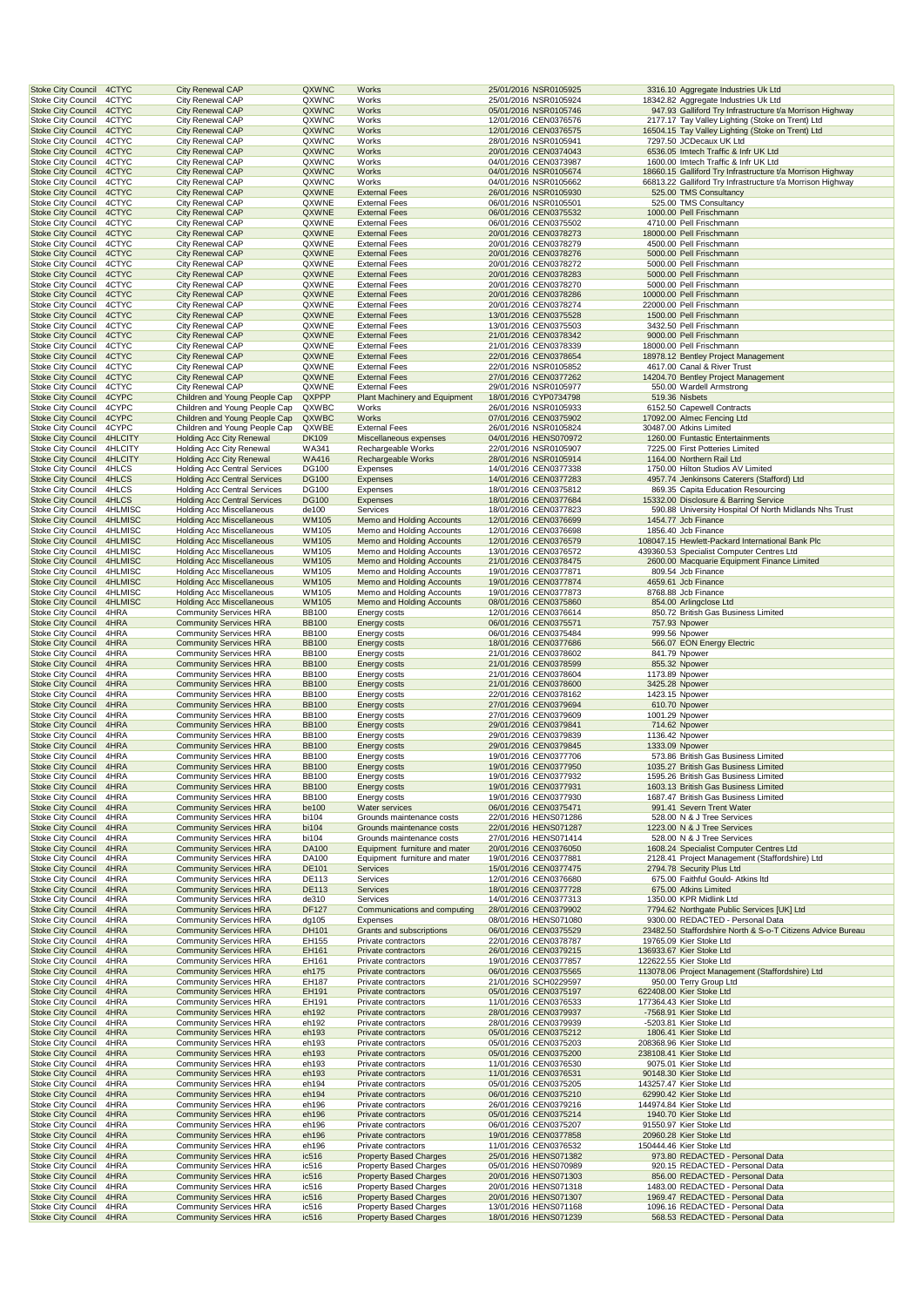| <b>Stoke City Council</b>                              | 4CTYC              | City Renewal CAP                                                  | QXWNC                        | Works                                                          | 25/01/2016 NSR0105925                          |                                  | 3316.10 Aggregate Industries Uk Ltd                                                                   |
|--------------------------------------------------------|--------------------|-------------------------------------------------------------------|------------------------------|----------------------------------------------------------------|------------------------------------------------|----------------------------------|-------------------------------------------------------------------------------------------------------|
| Stoke City Council                                     | 4CTYC              | City Renewal CAP                                                  | QXWNC                        | Works                                                          | 25/01/2016 NSR0105924                          |                                  | 18342.82 Aggregate Industries Uk Ltd                                                                  |
| <b>Stoke City Council</b>                              | 4CTYC              | City Renewal CAP                                                  | QXWNC                        | Works                                                          | 05/01/2016 NSR0105746                          |                                  | 947.93 Galliford Try Infrastructure t/a Morrison Highway                                              |
| <b>Stoke City Council</b><br><b>Stoke City Council</b> | 4CTYC<br>4CTYC     | City Renewal CAP<br>City Renewal CAP                              | QXWNC<br>QXWNC               | Works<br>Works                                                 | 12/01/2016 CEN0376576<br>12/01/2016 CEN0376575 |                                  | 2177.17 Tay Valley Lighting (Stoke on Trent) Ltd<br>16504.15 Tay Valley Lighting (Stoke on Trent) Ltd |
| <b>Stoke City Council</b>                              | 4CTYC              | City Renewal CAP                                                  | QXWNC                        | Works                                                          | 28/01/2016 NSR0105941                          |                                  | 7297.50 JCDecaux UK Ltd                                                                               |
| <b>Stoke City Council</b>                              | 4CTYC              | <b>City Renewal CAP</b>                                           | QXWNC                        | Works                                                          | 20/01/2016 CEN0374043                          |                                  | 6536.05 Imtech Traffic & Infr UK Ltd                                                                  |
| <b>Stoke City Council</b>                              | 4CTYC              | City Renewal CAP                                                  | QXWNC                        | Works                                                          | 04/01/2016 CEN0373987                          |                                  | 1600.00 Imtech Traffic & Infr UK Ltd                                                                  |
| <b>Stoke City Council</b>                              | 4CTYC              | <b>City Renewal CAP</b>                                           | QXWNC                        | Works                                                          | 04/01/2016 NSR0105674                          |                                  | 18660.15 Galliford Try Infrastructure t/a Morrison Highway                                            |
| <b>Stoke City Council</b><br><b>Stoke City Council</b> | 4CTYC<br>4CTYC     | City Renewal CAP<br>City Renewal CAP                              | QXWNC<br>QXWNE               | Works<br><b>External Fees</b>                                  | 04/01/2016 NSR0105662<br>26/01/2016 NSR0105930 |                                  | 66813.22 Galliford Try Infrastructure t/a Morrison Highway<br>525.00 TMS Consultancy                  |
| <b>Stoke City Council</b>                              | 4CTYC              | City Renewal CAP                                                  | QXWNE                        | <b>External Fees</b>                                           | 06/01/2016 NSR0105501                          |                                  | 525.00 TMS Consultancy                                                                                |
| <b>Stoke City Council</b>                              | 4CTYC              | <b>City Renewal CAP</b>                                           | QXWNE                        | <b>External Fees</b>                                           | 06/01/2016 CEN0375532                          |                                  | 1000.00 Pell Frischmann                                                                               |
| <b>Stoke City Council</b>                              | 4CTYC              | City Renewal CAP                                                  | QXWNE                        | <b>External Fees</b>                                           | 06/01/2016 CEN0375502                          |                                  | 4710.00 Pell Frischmann                                                                               |
| <b>Stoke City Council</b>                              | 4CTYC              | <b>City Renewal CAP</b>                                           | QXWNE                        | <b>External Fees</b>                                           | 20/01/2016 CEN0378273                          |                                  | 18000.00 Pell Frischmann                                                                              |
| <b>Stoke City Council</b>                              | 4CTYC              | City Renewal CAP                                                  | QXWNE                        | <b>External Fees</b>                                           | 20/01/2016 CEN0378279                          |                                  | 4500.00 Pell Frischmann                                                                               |
| <b>Stoke City Council</b>                              | 4CTYC              | <b>City Renewal CAP</b>                                           | QXWNE                        | <b>External Fees</b>                                           | 20/01/2016 CEN0378276                          |                                  | 5000.00 Pell Frischmann                                                                               |
| <b>Stoke City Council</b>                              | 4CTYC<br>4CTYC     | City Renewal CAP<br><b>City Renewal CAP</b>                       | QXWNE                        | <b>External Fees</b><br><b>External Fees</b>                   | 20/01/2016 CEN0378272<br>20/01/2016 CEN0378283 |                                  | 5000.00 Pell Frischmann                                                                               |
| <b>Stoke City Council</b><br><b>Stoke City Council</b> | 4CTYC              | <b>City Renewal CAP</b>                                           | QXWNE<br>QXWNE               | <b>External Fees</b>                                           | 20/01/2016 CEN0378270                          |                                  | 5000.00 Pell Frischmann<br>5000.00 Pell Frischmann                                                    |
| <b>Stoke City Council</b>                              | 4CTYC              | City Renewal CAP                                                  | QXWNE                        | <b>External Fees</b>                                           | 20/01/2016 CEN0378286                          |                                  | 10000.00 Pell Frischmann                                                                              |
| Stoke City Council                                     | 4CTYC              | City Renewal CAP                                                  | QXWNE                        | <b>External Fees</b>                                           | 20/01/2016 CEN0378274                          |                                  | 22000.00 Pell Frischmann                                                                              |
| <b>Stoke City Council</b>                              | 4CTYC              | <b>City Renewal CAP</b>                                           | QXWNE                        | <b>External Fees</b>                                           | 13/01/2016 CEN0375528                          |                                  | 1500.00 Pell Frischmann                                                                               |
| <b>Stoke City Council</b>                              | 4CTYC              | City Renewal CAP                                                  | QXWNE                        | <b>External Fees</b>                                           | 13/01/2016 CEN0375503                          |                                  | 3432.50 Pell Frischmann                                                                               |
| <b>Stoke City Council</b>                              | 4CTYC              | <b>City Renewal CAP</b>                                           | QXWNE                        | <b>External Fees</b>                                           | 21/01/2016 CEN0378342                          |                                  | 9000.00 Pell Frischmann                                                                               |
| <b>Stoke City Council</b><br><b>Stoke City Council</b> | 4CTYC<br>4CTYC     | City Renewal CAP<br><b>City Renewal CAP</b>                       | QXWNE<br>QXWNE               | <b>External Fees</b><br><b>External Fees</b>                   | 21/01/2016 CEN0378339<br>22/01/2016 CEN0378654 |                                  | 18000.00 Pell Frischmann<br>18978.12 Bentley Project Management                                       |
| <b>Stoke City Council</b>                              | 4CTYC              | City Renewal CAP                                                  | QXWNE                        | <b>External Fees</b>                                           | 22/01/2016 NSR0105852                          |                                  | 4617.00 Canal & River Trust                                                                           |
| <b>Stoke City Council</b>                              | 4CTYC              | <b>City Renewal CAP</b>                                           | QXWNE                        | <b>External Fees</b>                                           | 27/01/2016 CEN0377262                          |                                  | 14204.70 Bentley Project Management                                                                   |
| <b>Stoke City Council</b>                              | 4CTYC              | <b>City Renewal CAP</b>                                           | QXWNE                        | <b>External Fees</b>                                           | 29/01/2016 NSR0105977                          |                                  | 550.00 Wardell Armstrong                                                                              |
| <b>Stoke City Council</b>                              | 4CYPC              | Children and Young People Cap                                     | QXPPP                        | Plant Machinery and Equipment                                  | 18/01/2016 CYP0734798                          |                                  | 519.36 Nisbets                                                                                        |
| <b>Stoke City Council</b>                              | 4CYPC              | Children and Young People Cap                                     | QXWBC                        | Works                                                          | 26/01/2016 NSR0105933                          |                                  | 6152.50 Capewell Contracts                                                                            |
| <b>Stoke City Council</b>                              | 4CYPC              | Children and Young People Cap                                     | QXWBC                        | Works                                                          | 07/01/2016 CEN0375902                          |                                  | 17092.00 Almec Fencing Ltd                                                                            |
| <b>Stoke City Council</b><br><b>Stoke City Council</b> | 4CYPC<br>4HLCITY   | Children and Young People Cap<br><b>Holding Acc City Renewal</b>  | QXWBE<br><b>DK109</b>        | <b>External Fees</b><br>Miscellaneous expenses                 | 26/01/2016 NSR0105824<br>04/01/2016 HENS070972 |                                  | 30487.00 Atkins Limited<br>1260.00 Funtastic Entertainments                                           |
| <b>Stoke City Council</b>                              | 4HLCITY            | <b>Holding Acc City Renewal</b>                                   | WA341                        | Rechargeable Works                                             | 22/01/2016 NSR0105907                          |                                  | 7225.00 First Potteries Limited                                                                       |
| <b>Stoke City Council</b>                              | 4HLCITY            | <b>Holding Acc City Renewal</b>                                   | <b>WA416</b>                 | Rechargeable Works                                             | 28/01/2016 NSR0105914                          |                                  | 1164.00 Northern Rail Ltd                                                                             |
| <b>Stoke City Council</b>                              | 4HLCS              | <b>Holding Acc Central Services</b>                               | DG100                        | Expenses                                                       | 14/01/2016 CEN0377338                          |                                  | 1750.00 Hilton Studios AV Limited                                                                     |
| <b>Stoke City Council</b>                              | 4HLCS              | <b>Holding Acc Central Services</b>                               | <b>DG100</b>                 | Expenses                                                       | 14/01/2016 CEN0377283                          |                                  | 4957.74 Jenkinsons Caterers (Stafford) Ltd                                                            |
| <b>Stoke City Council</b>                              | 4HLCS              | <b>Holding Acc Central Services</b>                               | DG100                        | Expenses                                                       | 18/01/2016 CEN0375812                          |                                  | 869.35 Capita Education Resourcing                                                                    |
| <b>Stoke City Council</b>                              | 4HLCS              | <b>Holding Acc Central Services</b>                               | <b>DG100</b>                 | Expenses<br>Services                                           | 18/01/2016 CEN0377684                          |                                  | 15332.00 Disclosure & Barring Service                                                                 |
| <b>Stoke City Council</b><br><b>Stoke City Council</b> | 4HLMISC<br>4HLMISC | Holding Acc Miscellaneous<br><b>Holding Acc Miscellaneous</b>     | de100<br><b>WM105</b>        | Memo and Holding Accounts                                      | 18/01/2016 CEN0377823<br>12/01/2016 CEN0376699 |                                  | 590.88 University Hospital Of North Midlands Nhs Trust<br>1454.77 Jcb Finance                         |
| <b>Stoke City Council</b>                              | 4HLMISC            | <b>Holding Acc Miscellaneous</b>                                  | WM105                        | Memo and Holding Accounts                                      | 12/01/2016 CEN0376698                          |                                  | 1856.40 Jcb Finance                                                                                   |
| <b>Stoke City Council</b>                              | 4HLMISC            | <b>Holding Acc Miscellaneous</b>                                  | <b>WM105</b>                 | Memo and Holding Accounts                                      | 12/01/2016 CEN0376579                          |                                  | 108047.15 Hewlett-Packard International Bank Plc                                                      |
| <b>Stoke City Council</b>                              | 4HLMISC            | <b>Holding Acc Miscellaneous</b>                                  | WM105                        | Memo and Holding Accounts                                      | 13/01/2016 CEN0376572                          |                                  | 439360.53 Specialist Computer Centres Ltd                                                             |
| <b>Stoke City Council</b>                              | 4HLMISC            | <b>Holding Acc Miscellaneous</b>                                  | <b>WM105</b>                 | Memo and Holding Accounts                                      | 21/01/2016 CEN0378475                          |                                  | 2600.00 Macquarie Equipment Finance Limited                                                           |
| <b>Stoke City Council</b>                              | 4HLMISC            | <b>Holding Acc Miscellaneous</b>                                  | WM105                        | Memo and Holding Accounts                                      | 19/01/2016 CEN0377871                          |                                  | 809.54 Jcb Finance                                                                                    |
| <b>Stoke City Council</b>                              | 4HLMISC            | <b>Holding Acc Miscellaneous</b>                                  | <b>WM105</b>                 | Memo and Holding Accounts                                      | 19/01/2016 CEN0377874                          |                                  | 4659.61 Jcb Finance                                                                                   |
| Stoke City Council                                     | 4HLMISC            | Holding Acc Miscellaneous                                         | WM105<br><b>WM105</b>        | Memo and Holding Accounts                                      | 19/01/2016 CEN0377873                          |                                  | 8768.88 Jcb Finance                                                                                   |
| <b>Stoke City Council</b><br><b>Stoke City Council</b> | 4HLMISC<br>4HRA    | <b>Holding Acc Miscellaneous</b><br><b>Community Services HRA</b> | <b>BB100</b>                 | Memo and Holding Accounts<br>Energy costs                      | 08/01/2016 CEN0375860<br>12/01/2016 CEN0376614 |                                  | 854.00 Arlingclose Ltd<br>850.72 British Gas Business Limited                                         |
| <b>Stoke City Council</b>                              | 4HRA               | <b>Community Services HRA</b>                                     | <b>BB100</b>                 | <b>Energy costs</b>                                            | 06/01/2016 CEN0375571                          |                                  | 757.93 Npower                                                                                         |
| <b>Stoke City Council</b>                              | 4HRA               | <b>Community Services HRA</b>                                     | <b>BB100</b>                 | Energy costs                                                   | 06/01/2016 CEN0375484                          |                                  | 999.56 Npower                                                                                         |
| <b>Stoke City Council</b>                              | 4HRA               | <b>Community Services HRA</b>                                     | <b>BB100</b>                 | Energy costs                                                   | 18/01/2016 CEN0377686                          |                                  | 566.07 EON Energy Electric                                                                            |
| <b>Stoke City Council</b>                              | 4HRA               | <b>Community Services HRA</b>                                     | <b>BB100</b>                 | Energy costs                                                   | 21/01/2016 CEN0378602                          |                                  | 841.79 Npower                                                                                         |
| <b>Stoke City Council</b>                              | 4HRA               | <b>Community Services HRA</b>                                     | <b>BB100</b>                 | <b>Energy costs</b>                                            | 21/01/2016 CEN0378599                          |                                  | 855.32 Npower                                                                                         |
| <b>Stoke City Council</b><br><b>Stoke City Council</b> | 4HRA<br>4HRA       | <b>Community Services HRA</b><br><b>Community Services HRA</b>    | <b>BB100</b><br><b>BB100</b> | <b>Energy costs</b>                                            | 21/01/2016 CEN0378604<br>21/01/2016 CEN0378600 | 1173.89 Npower<br>3425.28 Npower |                                                                                                       |
| <b>Stoke City Council</b>                              | 4HRA               | <b>Community Services HRA</b>                                     | <b>BB100</b>                 | Energy costs<br>Energy costs                                   | 22/01/2016 CEN0378162                          | 1423.15 Npower                   |                                                                                                       |
| <b>Stoke City Council</b>                              | 4HRA               | <b>Community Services HRA</b>                                     | <b>BB100</b>                 | Energy costs                                                   | 27/01/2016 CEN0379694                          |                                  | 610.70 Npower                                                                                         |
| <b>Stoke City Council</b>                              | 4HRA               | <b>Community Services HRA</b>                                     | <b>BB100</b>                 | <b>Energy costs</b>                                            | 27/01/2016 CEN0379609                          | 1001.29 Npower                   |                                                                                                       |
| <b>Stoke City Council</b>                              | 4HRA               | <b>Community Services HRA</b>                                     | <b>BB100</b>                 | <b>Energy costs</b>                                            | 29/01/2016 CEN0379841                          |                                  | 714.62 Npower                                                                                         |
| <b>Stoke City Council</b>                              | 4HRA               | <b>Community Services HRA</b>                                     | <b>BB100</b>                 | Energy costs                                                   | 29/01/2016 CEN0379839                          | 1136.42 Npower                   |                                                                                                       |
| <b>Stoke City Council</b>                              | 4HRA               | <b>Community Services HRA</b>                                     | <b>BB100</b>                 | Energy costs                                                   | 29/01/2016 CEN0379845                          |                                  | 1333.09 Npower                                                                                        |
| <b>Stoke City Council</b><br><b>Stoke City Council</b> | 4HRA<br>4HRA       | <b>Community Services HRA</b><br><b>Community Services HRA</b>    | <b>BB100</b><br><b>BB100</b> | Energy costs<br>Energy costs                                   | 19/01/2016 CEN0377706<br>19/01/2016 CEN0377950 |                                  | 573.86 British Gas Business Limited<br>1035.27 British Gas Business Limited                           |
| Stoke City Council                                     | 4HRA               | <b>Community Services HRA</b>                                     | <b>BB100</b>                 | Energy costs                                                   | 19/01/2016 CEN0377932                          |                                  | 1595.26 British Gas Business Limited                                                                  |
| <b>Stoke City Council</b>                              | 4HRA               | <b>Community Services HRA</b>                                     | <b>BB100</b>                 | Energy costs                                                   | 19/01/2016 CEN0377931                          |                                  | 1603.13 British Gas Business Limited                                                                  |
| Stoke City Council                                     | 4HRA               | Community Services HRA                                            | <b>BB100</b>                 | Energy costs                                                   | 19/01/2016 CEN0377930                          |                                  | 1687.47 British Gas Business Limited                                                                  |
| <b>Stoke City Council</b>                              | 4HRA               | <b>Community Services HRA</b>                                     | be100                        | Water services                                                 | 06/01/2016 CEN0375471                          |                                  | 991.41 Severn Trent Water                                                                             |
| <b>Stoke City Council</b>                              | 4HRA               | <b>Community Services HRA</b>                                     | bi104                        | Grounds maintenance costs                                      | 22/01/2016 HENS071286                          |                                  | 528.00 N & J Tree Services                                                                            |
| <b>Stoke City Council</b><br><b>Stoke City Council</b> | 4HRA<br>4HRA       | <b>Community Services HRA</b><br><b>Community Services HRA</b>    | bi104                        | Grounds maintenance costs<br>Grounds maintenance costs         | 22/01/2016 HENS071287<br>27/01/2016 HENS071414 |                                  | 1223.00 N & J Tree Services<br>528.00 N & J Tree Services                                             |
| <b>Stoke City Council</b>                              | 4HRA               | <b>Community Services HRA</b>                                     | bi104<br>DA100               | Equipment furniture and mater                                  | 20/01/2016 CEN0376050                          |                                  | 1608.24 Specialist Computer Centres Ltd                                                               |
| <b>Stoke City Council</b>                              | 4HRA               | <b>Community Services HRA</b>                                     | DA100                        | Equipment furniture and mater                                  | 19/01/2016 CEN0377881                          |                                  | 2128.41 Project Management (Staffordshire) Ltd                                                        |
| <b>Stoke City Council</b>                              | 4HRA               | <b>Community Services HRA</b>                                     | DE101                        | Services                                                       | 15/01/2016 CEN0377475                          |                                  | 2794.78 Security Plus Ltd                                                                             |
| <b>Stoke City Council</b>                              | 4HRA               | <b>Community Services HRA</b>                                     | DE113                        | Services                                                       | 12/01/2016 CEN0376680                          |                                  | 675.00 Faithful Gould- Atkins Itd                                                                     |
| <b>Stoke City Council</b>                              | 4HRA               | <b>Community Services HRA</b>                                     | <b>DE113</b>                 | Services                                                       | 18/01/2016 CEN0377728                          |                                  | 675.00 Atkins Limited                                                                                 |
| Stoke City Council                                     | 4HRA               | Community Services HRA                                            | de310                        | Services                                                       | 14/01/2016 CEN0377313                          |                                  | 1350.00 KPR Midlink Ltd                                                                               |
| <b>Stoke City Council</b><br><b>Stoke City Council</b> | 4HRA<br>4HRA       | <b>Community Services HRA</b><br><b>Community Services HRA</b>    | <b>DF127</b><br>dg105        | Communications and computing<br>Expenses                       | 28/01/2016 CEN0379902<br>08/01/2016 HENS071080 |                                  | 7794.62 Northgate Public Services [UK] Ltd<br>9300.00 REDACTED - Personal Data                        |
| <b>Stoke City Council</b>                              | 4HRA               | <b>Community Services HRA</b>                                     | DH101                        | Grants and subscriptions                                       | 06/01/2016 CEN0375529                          |                                  | 23482.50 Staffordshire North & S-o-T Citizens Advice Bureau                                           |
| <b>Stoke City Council</b>                              | 4HRA               | <b>Community Services HRA</b>                                     | EH155                        | Private contractors                                            | 22/01/2016 CEN0378787                          |                                  | 19765.09 Kier Stoke Ltd                                                                               |
| <b>Stoke City Council</b>                              | 4HRA               | <b>Community Services HRA</b>                                     | EH161                        | Private contractors                                            | 26/01/2016 CEN0379215                          |                                  | 136933.67 Kier Stoke Ltd                                                                              |
| <b>Stoke City Council</b>                              | 4HRA               | <b>Community Services HRA</b>                                     | EH161                        | Private contractors                                            | 19/01/2016 CEN0377857                          |                                  | 122622.55 Kier Stoke Ltd                                                                              |
| <b>Stoke City Council</b>                              | 4HRA               | <b>Community Services HRA</b>                                     | eh175                        | Private contractors                                            | 06/01/2016 CEN0375565                          |                                  | 113078.06 Project Management (Staffordshire) Ltd                                                      |
| <b>Stoke City Council</b>                              | 4HRA               | <b>Community Services HRA</b>                                     | EH187                        | Private contractors                                            | 21/01/2016 SCH0229597                          |                                  | 950.00 Terry Group Ltd                                                                                |
| <b>Stoke City Council</b><br><b>Stoke City Council</b> | 4HRA<br>4HRA       | <b>Community Services HRA</b><br><b>Community Services HRA</b>    | EH191<br>EH191               | Private contractors<br>Private contractors                     | 05/01/2016 CEN0375197<br>11/01/2016 CEN0376533 |                                  | 622408.00 Kier Stoke Ltd<br>177364.43 Kier Stoke Ltd                                                  |
| <b>Stoke City Council</b>                              | 4HRA               | <b>Community Services HRA</b>                                     | eh192                        | Private contractors                                            | 28/01/2016 CEN0379937                          |                                  | -7568.91 Kier Stoke Ltd                                                                               |
| <b>Stoke City Council</b>                              | 4HRA               | <b>Community Services HRA</b>                                     | eh192                        | Private contractors                                            | 28/01/2016 CEN0379939                          |                                  | -5203.81 Kier Stoke Ltd                                                                               |
| <b>Stoke City Council</b>                              | 4HRA               | <b>Community Services HRA</b>                                     | eh193                        | Private contractors                                            | 05/01/2016 CEN0375212                          |                                  | 1806.41 Kier Stoke Ltd                                                                                |
| <b>Stoke City Council</b>                              | 4HRA               | <b>Community Services HRA</b>                                     | eh193                        | Private contractors                                            | 05/01/2016 CEN0375203                          |                                  | 208368.96 Kier Stoke Ltd                                                                              |
| <b>Stoke City Council</b>                              | 4HRA               | <b>Community Services HRA</b>                                     | eh193                        | Private contractors                                            | 05/01/2016 CEN0375200                          |                                  | 238108.41 Kier Stoke Ltd                                                                              |
| <b>Stoke City Council</b><br><b>Stoke City Council</b> | 4HRA<br>4HRA       | <b>Community Services HRA</b><br><b>Community Services HRA</b>    | eh193<br>eh193               | Private contractors<br>Private contractors                     | 11/01/2016 CEN0376530<br>11/01/2016 CEN0376531 |                                  | 9075.01 Kier Stoke Ltd<br>90148.30 Kier Stoke Ltd                                                     |
| <b>Stoke City Council</b>                              | 4HRA               | <b>Community Services HRA</b>                                     | eh194                        | Private contractors                                            | 05/01/2016 CEN0375205                          |                                  | 143257.47 Kier Stoke Ltd                                                                              |
| <b>Stoke City Council</b>                              | 4HRA               | <b>Community Services HRA</b>                                     | eh194                        | Private contractors                                            | 06/01/2016 CEN0375210                          |                                  | 62990.42 Kier Stoke Ltd                                                                               |
| <b>Stoke City Council</b>                              | 4HRA               | <b>Community Services HRA</b>                                     | eh196                        | Private contractors                                            | 26/01/2016 CEN0379216                          |                                  | 144974.84 Kier Stoke Ltd                                                                              |
| <b>Stoke City Council</b>                              | 4HRA               | <b>Community Services HRA</b>                                     | eh196                        | Private contractors                                            | 05/01/2016 CEN0375214                          |                                  | 1940.70 Kier Stoke Ltd                                                                                |
| <b>Stoke City Council</b>                              | 4HRA               | <b>Community Services HRA</b>                                     | eh196                        | Private contractors                                            | 06/01/2016 CEN0375207                          |                                  | 91550.97 Kier Stoke Ltd                                                                               |
| <b>Stoke City Council</b>                              | 4HRA               | <b>Community Services HRA</b>                                     | eh196                        | Private contractors                                            | 19/01/2016 CEN0377858                          |                                  | 20960.28 Kier Stoke Ltd                                                                               |
| <b>Stoke City Council</b>                              | 4HRA               | <b>Community Services HRA</b>                                     | eh196                        | Private contractors                                            | 11/01/2016 CEN0376532                          |                                  | 150444.46 Kier Stoke Ltd                                                                              |
| <b>Stoke City Council</b><br><b>Stoke City Council</b> | 4HRA<br>4HRA       | <b>Community Services HRA</b><br><b>Community Services HRA</b>    | ic516<br>ic516               | <b>Property Based Charges</b><br><b>Property Based Charges</b> | 25/01/2016 HENS071382<br>05/01/2016 HENS070989 |                                  | 973.80 REDACTED - Personal Data<br>920.15 REDACTED - Personal Data                                    |
| <b>Stoke City Council</b>                              | 4HRA               | <b>Community Services HRA</b>                                     | ic516                        | <b>Property Based Charges</b>                                  | 20/01/2016 HENS071303                          |                                  | 856.00 REDACTED - Personal Data                                                                       |
| <b>Stoke City Council</b>                              | 4HRA               | <b>Community Services HRA</b>                                     | ic516                        | Property Based Charges                                         | 20/01/2016 HENS071318                          |                                  | 1483.00 REDACTED - Personal Data                                                                      |
| <b>Stoke City Council</b>                              | 4HRA               | <b>Community Services HRA</b>                                     | ic516                        | <b>Property Based Charges</b>                                  | 20/01/2016 HENS071307                          |                                  | 1969.47 REDACTED - Personal Data                                                                      |
|                                                        |                    |                                                                   |                              |                                                                |                                                |                                  |                                                                                                       |
| <b>Stoke City Council</b><br><b>Stoke City Council</b> | 4HRA<br>4HRA       | <b>Community Services HRA</b><br><b>Community Services HRA</b>    | ic516<br>ic516               | <b>Property Based Charges</b><br><b>Property Based Charges</b> | 13/01/2016 HENS071168<br>18/01/2016 HENS071239 |                                  | 1096.16 REDACTED - Personal Data<br>568.53 REDACTED - Personal Data                                   |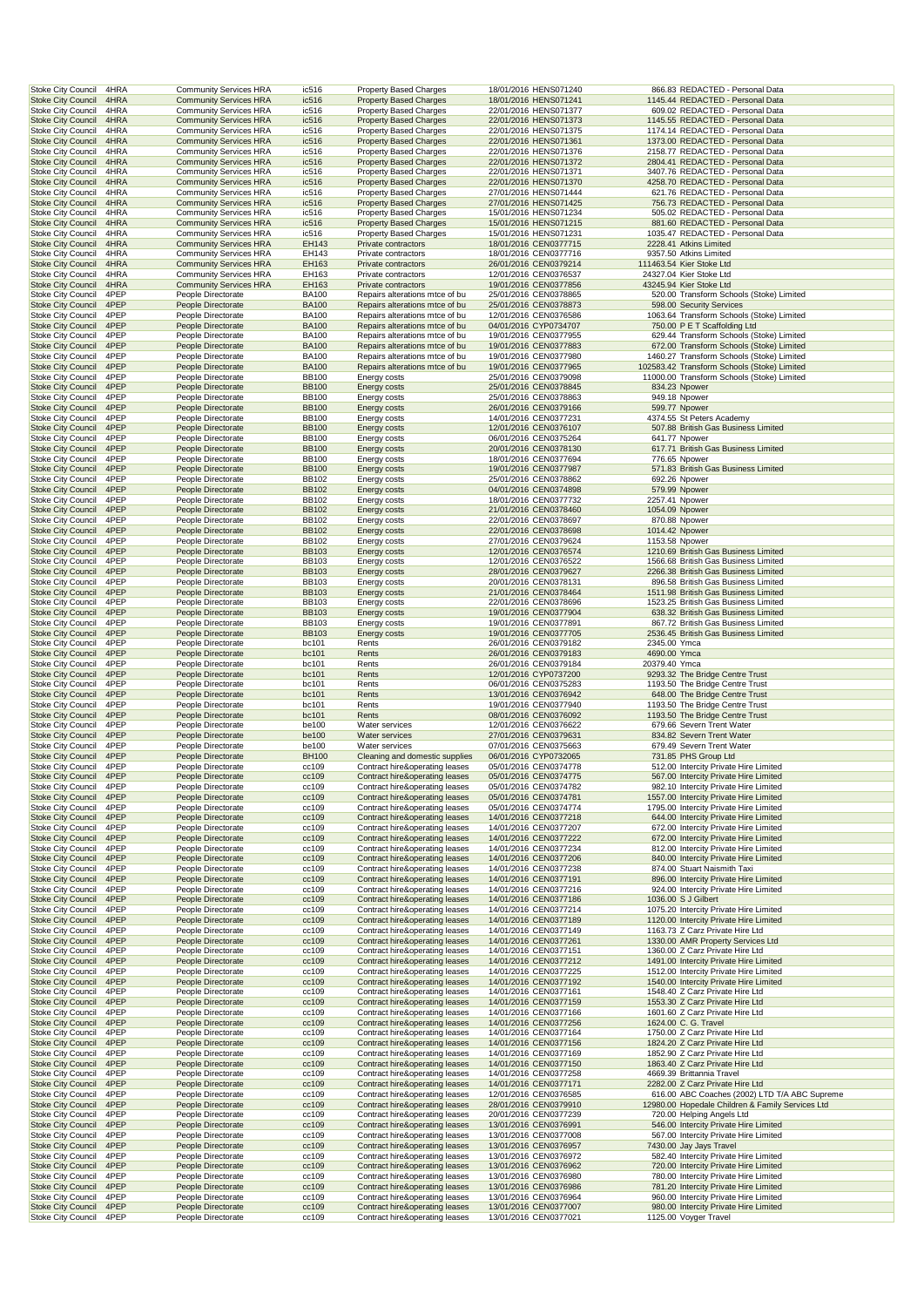| <b>Stoke City Council</b><br>4HRA                                      | <b>Community Services HRA</b>                                  | ic516                        | <b>Property Based Charges</b>                                    | 18/01/2016 HENS071240                          | 866.83 REDACTED - Personal Data                                                      |
|------------------------------------------------------------------------|----------------------------------------------------------------|------------------------------|------------------------------------------------------------------|------------------------------------------------|--------------------------------------------------------------------------------------|
| <b>Stoke City Council</b><br>4HRA                                      | <b>Community Services HRA</b>                                  | ic516                        | <b>Property Based Charges</b>                                    | 18/01/2016 HENS071241                          | 1145.44 REDACTED - Personal Data                                                     |
| <b>Stoke City Council</b><br>4HRA<br><b>Stoke City Council</b><br>4HRA | <b>Community Services HRA</b><br><b>Community Services HRA</b> | ic516<br>ic516               | <b>Property Based Charges</b><br><b>Property Based Charges</b>   | 22/01/2016 HENS071377<br>22/01/2016 HENS071373 | 609.02 REDACTED - Personal Data<br>1145.55 REDACTED - Personal Data                  |
| <b>Stoke City Council</b><br>4HRA                                      | <b>Community Services HRA</b>                                  | ic516                        | <b>Property Based Charges</b>                                    | 22/01/2016 HENS071375                          | 1174.14 REDACTED - Personal Data                                                     |
| <b>Stoke City Council</b><br>4HRA                                      | <b>Community Services HRA</b>                                  | ic516                        | <b>Property Based Charges</b>                                    | 22/01/2016 HENS071361                          | 1373.00 REDACTED - Personal Data                                                     |
| Stoke City Council<br>4HRA                                             | <b>Community Services HRA</b>                                  | ic516                        | Property Based Charges                                           | 22/01/2016 HENS071376                          | 2158.77 REDACTED - Personal Data                                                     |
| <b>Stoke City Council</b><br>4HRA                                      | <b>Community Services HRA</b>                                  | ic516                        | <b>Property Based Charges</b>                                    | 22/01/2016 HENS071372                          | 2804.41 REDACTED - Personal Data                                                     |
| <b>Stoke City Council</b><br>4HRA                                      | <b>Community Services HRA</b>                                  | ic516                        | <b>Property Based Charges</b>                                    | 22/01/2016 HENS071371                          | 3407.76 REDACTED - Personal Data                                                     |
| <b>Stoke City Council</b><br>4HRA<br><b>Stoke City Council</b><br>4HRA | <b>Community Services HRA</b><br><b>Community Services HRA</b> | ic516<br>ic516               | <b>Property Based Charges</b><br><b>Property Based Charges</b>   | 22/01/2016 HENS071370<br>27/01/2016 HENS071444 | 4258.70 REDACTED - Personal Data<br>621.76 REDACTED - Personal Data                  |
| <b>Stoke City Council</b><br>4HRA                                      | <b>Community Services HRA</b>                                  | ic516                        | <b>Property Based Charges</b>                                    | 27/01/2016 HENS071425                          | 756.73 REDACTED - Personal Data                                                      |
| <b>Stoke City Council</b><br>4HRA                                      | <b>Community Services HRA</b>                                  | ic516                        | <b>Property Based Charges</b>                                    | 15/01/2016 HENS071234                          | 505.02 REDACTED - Personal Data                                                      |
| <b>Stoke City Council</b><br>4HRA                                      | <b>Community Services HRA</b>                                  | ic516                        | <b>Property Based Charges</b>                                    | 15/01/2016 HENS071215                          | 881.60 REDACTED - Personal Data                                                      |
| <b>Stoke City Council</b><br>4HRA                                      | <b>Community Services HRA</b>                                  | ic516                        | <b>Property Based Charges</b>                                    | 15/01/2016 HENS071231                          | 1035.47 REDACTED - Personal Data                                                     |
| <b>Stoke City Council</b><br>4HRA                                      | <b>Community Services HRA</b>                                  | EH143                        | Private contractors                                              | 18/01/2016 CEN0377715                          | 2228.41 Atkins Limited                                                               |
| Stoke City Council<br>4HRA<br><b>Stoke City Council</b><br>4HRA        | <b>Community Services HRA</b><br><b>Community Services HRA</b> | EH143<br>EH163               | Private contractors<br>Private contractors                       | 18/01/2016 CEN0377716<br>26/01/2016 CEN0379214 | 9357.50 Atkins Limited<br>111463.54 Kier Stoke Ltd                                   |
| <b>Stoke City Council</b><br>4HRA                                      | <b>Community Services HRA</b>                                  | EH163                        | Private contractors                                              | 12/01/2016 CEN0376537                          | 24327.04 Kier Stoke Ltd                                                              |
| <b>Stoke City Council</b><br>4HRA                                      | <b>Community Services HRA</b>                                  | EH163                        | Private contractors                                              | 19/01/2016 CEN0377856                          | 43245.94 Kier Stoke Ltd                                                              |
| <b>Stoke City Council</b><br>4PEP                                      | People Directorate                                             | <b>BA100</b>                 | Repairs alterations mtce of bu                                   | 25/01/2016 CEN0378865                          | 520.00 Transform Schools (Stoke) Limited                                             |
| <b>Stoke City Council</b><br>4PEP                                      | People Directorate                                             | <b>BA100</b>                 | Repairs alterations mtce of bu                                   | 25/01/2016 CEN0378873                          | 598.00 Security Services                                                             |
| <b>Stoke City Council</b><br>4PEP                                      | People Directorate                                             | <b>BA100</b>                 | Repairs alterations mtce of bu                                   | 12/01/2016 CEN0376586                          | 1063.64 Transform Schools (Stoke) Limited                                            |
| <b>Stoke City Council</b><br>4PEP                                      | People Directorate                                             | <b>BA100</b>                 | Repairs alterations mtce of bu                                   | 04/01/2016 CYP0734707                          | 750.00 P E T Scaffolding Ltd                                                         |
| 4PEP<br><b>Stoke City Council</b><br><b>Stoke City Council</b><br>4PEP | People Directorate<br>People Directorate                       | <b>BA100</b><br><b>BA100</b> | Repairs alterations mtce of bu<br>Repairs alterations mtce of bu | 19/01/2016 CEN0377955<br>19/01/2016 CEN0377883 | 629.44 Transform Schools (Stoke) Limited<br>672.00 Transform Schools (Stoke) Limited |
| Stoke City Council<br>4PEP                                             | People Directorate                                             | <b>BA100</b>                 | Repairs alterations mtce of bu                                   | 19/01/2016 CEN0377980                          | 1460.27 Transform Schools (Stoke) Limited                                            |
| <b>Stoke City Council</b><br>4PEP                                      | People Directorate                                             | <b>BA100</b>                 | Repairs alterations mtce of bu                                   | 19/01/2016 CEN0377965                          | 102583.42 Transform Schools (Stoke) Limited                                          |
| <b>Stoke City Council</b><br>4PEP                                      | People Directorate                                             | <b>BB100</b>                 | Energy costs                                                     | 25/01/2016 CEN0379098                          | 11000.00 Transform Schools (Stoke) Limited                                           |
| <b>Stoke City Council</b><br>4PEP                                      | People Directorate                                             | <b>BB100</b>                 | <b>Energy costs</b>                                              | 25/01/2016 CEN0378845                          | 834.23 Npower                                                                        |
| <b>Stoke City Council</b><br>4PEP                                      | People Directorate                                             | <b>BB100</b>                 | Energy costs                                                     | 25/01/2016 CEN0378863                          | 949.18 Npower                                                                        |
| <b>Stoke City Council</b><br>4PEP                                      | People Directorate                                             | <b>BB100</b>                 | Energy costs<br>Energy costs                                     | 26/01/2016 CEN0379166                          | 599.77 Npower                                                                        |
| <b>Stoke City Council</b><br>4PEP<br><b>Stoke City Council</b><br>4PEP | People Directorate<br>People Directorate                       | <b>BB100</b><br><b>BB100</b> | <b>Energy costs</b>                                              | 14/01/2016 CEN0377231<br>12/01/2016 CEN0376107 | 4374.55 St Peters Academy<br>507.88 British Gas Business Limited                     |
| 4PEP<br><b>Stoke City Council</b>                                      | People Directorate                                             | <b>BB100</b>                 | Energy costs                                                     | 06/01/2016 CEN0375264                          | 641.77 Npower                                                                        |
| <b>Stoke City Council</b><br>4PEP                                      | People Directorate                                             | <b>BB100</b>                 | <b>Energy costs</b>                                              | 20/01/2016 CEN0378130                          | 617.71 British Gas Business Limited                                                  |
| Stoke City Council<br>4PEP                                             | People Directorate                                             | <b>BB100</b>                 | Energy costs                                                     | 18/01/2016 CEN0377694                          | 776.65 Npower                                                                        |
| <b>Stoke City Council</b><br>4PEP                                      | People Directorate                                             | <b>BB100</b>                 | <b>Energy costs</b>                                              | 19/01/2016 CEN0377987                          | 571.83 British Gas Business Limited                                                  |
| <b>Stoke City Council</b><br>4PEP                                      | People Directorate                                             | <b>BB102</b>                 | <b>Energy costs</b>                                              | 25/01/2016 CEN0378862                          | 692.26 Npower                                                                        |
| <b>Stoke City Council</b><br>4PEP<br>4PEP                              | People Directorate                                             | <b>BB102</b>                 | <b>Energy costs</b><br>Energy costs                              | 04/01/2016 CEN0374898<br>18/01/2016 CEN0377732 | 579.99 Npower                                                                        |
| <b>Stoke City Council</b><br><b>Stoke City Council</b><br>4PEP         | People Directorate<br>People Directorate                       | <b>BB102</b><br><b>BB102</b> | Energy costs                                                     | 21/01/2016 CEN0378460                          | 2257.41 Npower<br>1054.09 Npower                                                     |
| <b>Stoke City Council</b><br>4PEP                                      | People Directorate                                             | <b>BB102</b>                 | Energy costs                                                     | 22/01/2016 CEN0378697                          | 870.88 Npower                                                                        |
| <b>Stoke City Council</b><br>4PEP                                      | People Directorate                                             | <b>BB102</b>                 | <b>Energy costs</b>                                              | 22/01/2016 CEN0378698                          | 1014.42 Npower                                                                       |
| <b>Stoke City Council</b><br>4PEP                                      | People Directorate                                             | <b>BB102</b>                 | Energy costs                                                     | 27/01/2016 CEN0379624                          | 1153.58 Npower                                                                       |
| <b>Stoke City Council</b><br>4PEP                                      | People Directorate                                             | <b>BB103</b>                 | <b>Energy costs</b>                                              | 12/01/2016 CEN0376574                          | 1210.69 British Gas Business Limited                                                 |
| Stoke City Council<br>4PEP                                             | People Directorate                                             | <b>BB103</b>                 | Energy costs                                                     | 12/01/2016 CEN0376522                          | 1566.68 British Gas Business Limited                                                 |
| <b>Stoke City Council</b><br>4PEP                                      | People Directorate                                             | <b>BB103</b>                 | <b>Energy costs</b>                                              | 28/01/2016 CEN0379627                          | 2266.38 British Gas Business Limited                                                 |
| <b>Stoke City Council</b><br>4PEP<br><b>Stoke City Council</b><br>4PEP | People Directorate                                             | <b>BB103</b><br><b>BB103</b> | <b>Energy costs</b>                                              | 20/01/2016 CEN0378131<br>21/01/2016 CEN0378464 | 896.58 British Gas Business Limited<br>1511.98 British Gas Business Limited          |
| <b>Stoke City Council</b><br>4PEP                                      | People Directorate<br>People Directorate                       | <b>BB103</b>                 | <b>Energy costs</b><br><b>Energy costs</b>                       | 22/01/2016 CEN0378696                          | 1523.25 British Gas Business Limited                                                 |
| <b>Stoke City Council</b><br>4PEP                                      | People Directorate                                             | <b>BB103</b>                 | <b>Energy costs</b>                                              | 19/01/2016 CEN0377904                          | 638.32 British Gas Business Limited                                                  |
| <b>Stoke City Council</b><br>4PEP                                      | People Directorate                                             | <b>BB103</b>                 | Energy costs                                                     | 19/01/2016 CEN0377891                          | 867.72 British Gas Business Limited                                                  |
| <b>Stoke City Council</b><br>4PEP                                      | People Directorate                                             | <b>BB103</b>                 | <b>Energy costs</b>                                              | 19/01/2016 CEN0377705                          | 2536.45 British Gas Business Limited                                                 |
| 4PEP<br><b>Stoke City Council</b>                                      | People Directorate                                             | bc101                        | Rents                                                            | 26/01/2016 CEN0379182                          | 2345.00 Ymca                                                                         |
| <b>Stoke City Council</b><br>4PEP                                      | People Directorate                                             | bc101                        | Rents                                                            | 26/01/2016 CEN0379183                          | 4690.00 Ymca                                                                         |
| <b>Stoke City Council</b><br>4PEP<br><b>Stoke City Council</b><br>4PEP | People Directorate<br>People Directorate                       | bc101<br>bc101               | Rents<br>Rents                                                   | 26/01/2016 CEN0379184<br>12/01/2016 CYP0737200 | 20379.40 Ymca<br>9293.32 The Bridge Centre Trust                                     |
| <b>Stoke City Council</b><br>4PEP                                      | People Directorate                                             | bc101                        | Rents                                                            | 06/01/2016 CEN0375283                          | 1193.50 The Bridge Centre Trust                                                      |
| <b>Stoke City Council</b><br>4PEP                                      | People Directorate                                             | bc101                        | Rents                                                            | 13/01/2016 CEN0376942                          | 648.00 The Bridge Centre Trust                                                       |
| <b>Stoke City Council</b><br>4PEP                                      | People Directorate                                             | bc101                        | Rents                                                            | 19/01/2016 CEN0377940                          | 1193.50 The Bridge Centre Trust                                                      |
| <b>Stoke City Council</b><br>4PEP                                      | People Directorate                                             | bc101                        | Rents                                                            | 08/01/2016 CEN0376092                          | 1193.50 The Bridge Centre Trust                                                      |
| <b>Stoke City Council</b><br>4PEP                                      | People Directorate                                             | be100                        | Water services                                                   | 12/01/2016 CEN0376622                          | 679.66 Severn Trent Water                                                            |
| 4PEP<br><b>Stoke City Council</b>                                      | People Directorate                                             | be100                        | Water services                                                   | 27/01/2016 CEN0379631                          | 834.82 Severn Trent Water                                                            |
| <b>Stoke City Council</b><br>4PEP<br><b>Stoke City Council</b><br>4PEP | People Directorate<br>People Directorate                       | be100<br><b>BH100</b>        | Water services<br>Cleaning and domestic supplies                 | 07/01/2016 CEN0375663<br>06/01/2016 CYP0732065 | 679.49 Severn Trent Water<br>731.85 PHS Group Ltd                                    |
| <b>Stoke City Council</b><br>4PEP                                      | People Directorate                                             | cc109                        | Contract hire&operating leases                                   | 05/01/2016 CEN0374778                          | 512.00 Intercity Private Hire Limited                                                |
| <b>Stoke City Council</b><br>4PEP                                      | People Directorate                                             | cc109                        | Contract hire&operating leases                                   | 05/01/2016 CEN0374775                          | 567.00 Intercity Private Hire Limited                                                |
| <b>Stoke City Council</b><br>4PEP                                      |                                                                |                              | Contract hire&operating leases                                   |                                                |                                                                                      |
|                                                                        | People Directorate                                             | cc109                        |                                                                  | 05/01/2016 CEN0374782                          | 982.10 Intercity Private Hire Limited                                                |
| <b>Stoke City Council</b><br>4PEP                                      | People Directorate                                             | cc109                        | Contract hire&operating leases                                   | 05/01/2016 CEN0374781                          | 1557.00 Intercity Private Hire Limited                                               |
| <b>Stoke City Council</b><br>4PEP                                      | People Directorate                                             | cc109                        | Contract hire&operating leases                                   | 05/01/2016 CEN0374774                          | 1795.00 Intercity Private Hire Limited                                               |
| <b>Stoke City Council</b><br>4PEP                                      | People Directorate                                             | cc109                        | Contract hire&operating leases                                   | 14/01/2016 CEN0377218                          | 644.00 Intercity Private Hire Limited                                                |
| <b>Stoke City Council</b><br>4PEP                                      | People Directorate                                             | cc109                        | Contract hire&operating leases                                   | 14/01/2016 CEN0377207                          | 672.00 Intercity Private Hire Limited                                                |
| <b>Stoke City Council</b><br>4PEP                                      | People Directorate                                             | cc109                        | Contract hire&operating leases                                   | 14/01/2016 CEN0377222                          | 672.00 Intercity Private Hire Limited                                                |
| <b>Stoke City Council</b><br>4PEP<br><b>Stoke City Council</b><br>4PEP | People Directorate<br>People Directorate                       | cc109<br>cc109               | Contract hire&operating leases<br>Contract hire&operating leases | 14/01/2016 CEN0377234<br>14/01/2016 CEN0377206 | 812.00 Intercity Private Hire Limited<br>840.00 Intercity Private Hire Limited       |
| Stoke City Council<br>4PEP                                             | People Directorate                                             | cc109                        | Contract hire&operating leases                                   | 14/01/2016 CEN0377238                          | 874.00 Stuart Naismith Taxi                                                          |
| <b>Stoke City Council</b><br>4PEP                                      | People Directorate                                             | cc109                        | Contract hire&operating leases                                   | 14/01/2016 CEN0377191                          | 896.00 Intercity Private Hire Limited                                                |
| Stoke City Council<br>4PEP                                             | People Directorate                                             | cc109                        | Contract hire&operating leases                                   | 14/01/2016 CEN0377216                          | 924.00 Intercity Private Hire Limited                                                |
| <b>Stoke City Council</b><br>4PEP                                      | People Directorate                                             | cc109                        | Contract hire&operating leases                                   | 14/01/2016 CEN0377186                          | 1036.00 S J Gilbert                                                                  |
| <b>Stoke City Council</b><br>4PEP                                      | People Directorate                                             | cc109                        | Contract hire&operating leases                                   | 14/01/2016 CEN0377214                          | 1075.20 Intercity Private Hire Limited                                               |
| <b>Stoke City Council</b><br>4PEP<br><b>Stoke City Council</b><br>4PEP | People Directorate<br>People Directorate                       | cc109<br>cc109               | Contract hire&operating leases<br>Contract hire&operating leases | 14/01/2016 CEN0377189<br>14/01/2016 CEN0377149 | 1120.00 Intercity Private Hire Limited<br>1163.73 Z Carz Private Hire Ltd            |
| <b>Stoke City Council</b><br>4PEP                                      | People Directorate                                             | cc109                        | Contract hire&operating leases                                   | 14/01/2016 CEN0377261                          | 1330.00 AMR Property Services Ltd                                                    |
| Stoke City Council<br>4PEP                                             | People Directorate                                             | cc109                        | Contract hire&operating leases                                   | 14/01/2016 CEN0377151                          | 1360.00 Z Carz Private Hire Ltd                                                      |
| <b>Stoke City Council</b><br>4PEP                                      | People Directorate                                             | cc109                        | Contract hire&operating leases                                   | 14/01/2016 CEN0377212                          | 1491.00 Intercity Private Hire Limited                                               |
| <b>Stoke City Council</b><br>4PEP                                      | People Directorate                                             | cc109                        | Contract hire&operating leases                                   | 14/01/2016 CEN0377225                          | 1512.00 Intercity Private Hire Limited                                               |
| <b>Stoke City Council</b><br>4PEP                                      | People Directorate                                             | cc109                        | Contract hire&operating leases                                   | 14/01/2016 CEN0377192                          | 1540.00 Intercity Private Hire Limited                                               |
| <b>Stoke City Council</b><br>4PEP                                      | People Directorate                                             | cc109                        | Contract hire&operating leases                                   | 14/01/2016 CEN0377161                          | 1548.40 Z Carz Private Hire Ltd                                                      |
| <b>Stoke City Council</b><br>4PEP<br><b>Stoke City Council</b><br>4PEP | People Directorate<br>People Directorate                       | cc109<br>cc109               | Contract hire&operating leases<br>Contract hire&operating leases | 14/01/2016 CEN0377159<br>14/01/2016 CEN0377166 | 1553.30 Z Carz Private Hire Ltd<br>1601.60 Z Carz Private Hire Ltd                   |
| <b>Stoke City Council</b><br>4PEP                                      | People Directorate                                             | cc109                        | Contract hire&operating leases                                   | 14/01/2016 CEN0377256                          | 1624.00 C. G. Travel                                                                 |
| <b>Stoke City Council</b><br>4PEP                                      | People Directorate                                             | cc109                        | Contract hire&operating leases                                   | 14/01/2016 CEN0377164                          | 1750.00 Z Carz Private Hire Ltd                                                      |
| <b>Stoke City Council</b><br>4PEP                                      | People Directorate                                             | cc109                        | Contract hire&operating leases                                   | 14/01/2016 CEN0377156                          | 1824.20 Z Carz Private Hire Ltd                                                      |
| <b>Stoke City Council</b><br>4PEP                                      | People Directorate                                             | cc109                        | Contract hire&operating leases                                   | 14/01/2016 CEN0377169                          | 1852.90 Z Carz Private Hire Ltd                                                      |
| <b>Stoke City Council</b><br>4PEP                                      | People Directorate                                             | cc109                        | Contract hire&operating leases                                   | 14/01/2016 CEN0377150                          | 1863.40 Z Carz Private Hire Ltd                                                      |
| Stoke City Council<br>4PEP<br><b>Stoke City Council</b><br>4PEP        | People Directorate<br>People Directorate                       | cc109<br>cc109               | Contract hire&operating leases<br>Contract hire&operating leases | 14/01/2016 CEN0377258<br>14/01/2016 CEN0377171 | 4669.39 Brittannia Travel<br>2282.00 Z Carz Private Hire Ltd                         |
| <b>Stoke City Council</b><br>4PEP                                      | People Directorate                                             | cc109                        | Contract hire&operating leases                                   | 12/01/2016 CEN0376585                          | 616.00 ABC Coaches (2002) LTD T/A ABC Supreme                                        |
| <b>Stoke City Council</b><br>4PEP                                      | People Directorate                                             | cc109                        | Contract hire&operating leases                                   | 28/01/2016 CEN0379910                          | 12980.00 Hopedale Children & Family Services Ltd                                     |
| <b>Stoke City Council</b><br>4PEP                                      | People Directorate                                             | cc109                        | Contract hire&operating leases                                   | 20/01/2016 CEN0377239                          | 720.00 Helping Angels Ltd                                                            |
| <b>Stoke City Council</b><br>4PEP                                      | People Directorate                                             | cc109                        | Contract hire&operating leases                                   | 13/01/2016 CEN0376991                          | 546.00 Intercity Private Hire Limited                                                |
| <b>Stoke City Council</b><br>4PEP                                      | People Directorate                                             | cc109                        | Contract hire&operating leases                                   | 13/01/2016 CEN0377008                          | 567.00 Intercity Private Hire Limited                                                |
| <b>Stoke City Council</b><br>4PEP                                      | People Directorate                                             | cc109                        | Contract hire&operating leases                                   | 13/01/2016 CEN0376957                          | 7430.00 Jay Jays Travel                                                              |
| <b>Stoke City Council</b><br>4PEP<br><b>Stoke City Council</b><br>4PEP | People Directorate<br>People Directorate                       | cc109<br>cc109               | Contract hire&operating leases<br>Contract hire&operating leases | 13/01/2016 CEN0376972<br>13/01/2016 CEN0376962 | 582.40 Intercity Private Hire Limited<br>720.00 Intercity Private Hire Limited       |
| <b>Stoke City Council</b><br>4PEP                                      | People Directorate                                             | cc109                        | Contract hire&operating leases                                   | 13/01/2016 CEN0376980                          | 780.00 Intercity Private Hire Limited                                                |
| <b>Stoke City Council</b><br>4PEP                                      | People Directorate                                             | cc109                        | Contract hire&operating leases                                   | 13/01/2016 CEN0376986                          | 781.20 Intercity Private Hire Limited                                                |
| <b>Stoke City Council</b><br>4PEP                                      | People Directorate                                             | cc109                        | Contract hire&operating leases                                   | 13/01/2016 CEN0376964                          | 960.00 Intercity Private Hire Limited                                                |
| <b>Stoke City Council</b><br>4PEP<br><b>Stoke City Council</b><br>4PEP | People Directorate<br>People Directorate                       | cc109<br>cc109               | Contract hire&operating leases<br>Contract hire&operating leases | 13/01/2016 CEN0377007<br>13/01/2016 CEN0377021 | 980.00 Intercity Private Hire Limited<br>1125.00 Voyger Travel                       |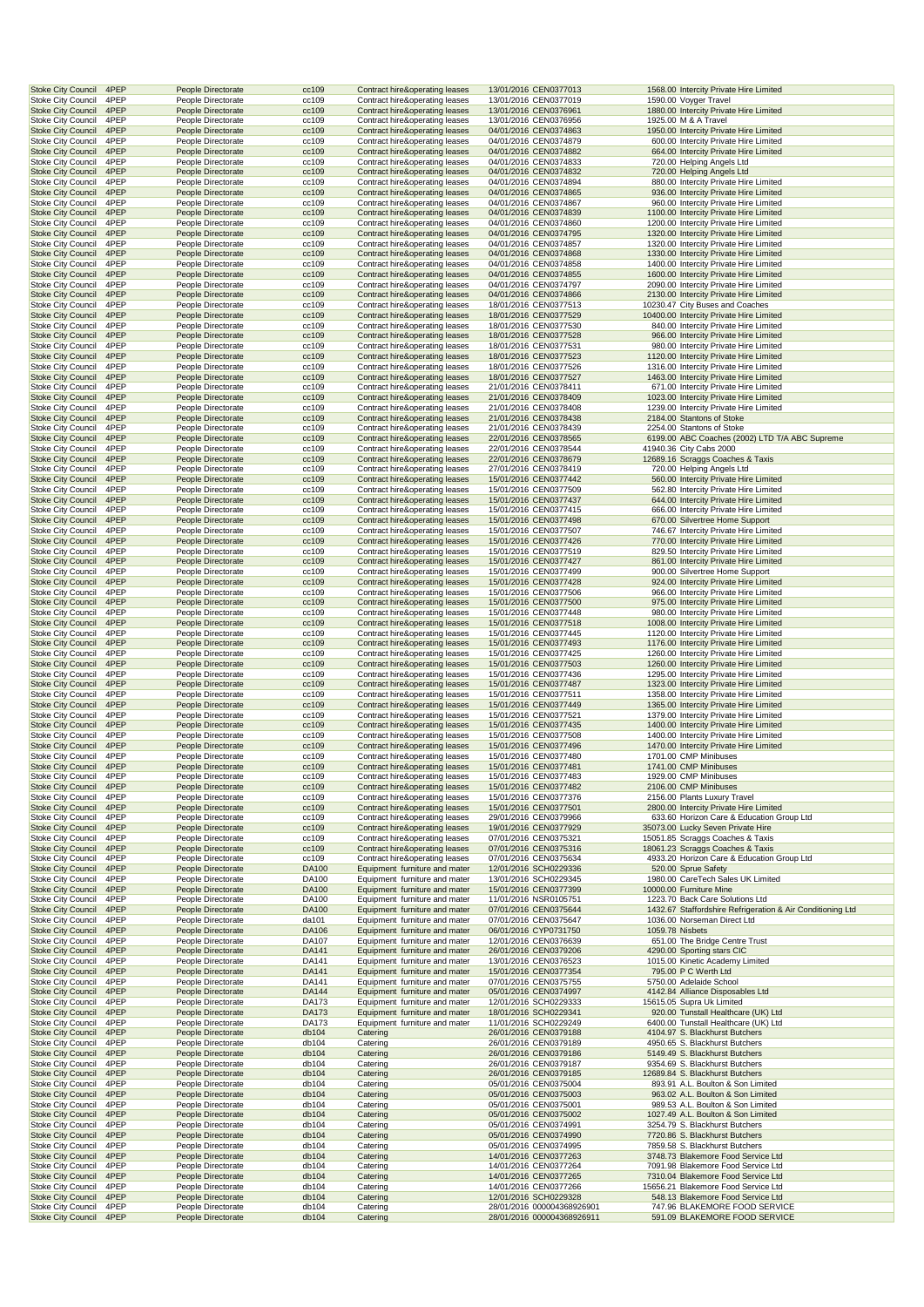| <b>Stoke City Council</b>                       | 4PEP         | People Directorate                       | cc109          | Contract hire&operating leases            | 13/01/2016 CEN0377013                                    |                 | 1568.00 Intercity Private Hire Limited                         |
|-------------------------------------------------|--------------|------------------------------------------|----------------|-------------------------------------------|----------------------------------------------------------|-----------------|----------------------------------------------------------------|
| <b>Stoke City Council</b>                       | 4PEP         | People Directorate                       | cc109          | Contract hire&operating leases            | 13/01/2016 CEN0377019                                    |                 | 1590.00 Voyger Travel                                          |
| <b>Stoke City Council</b>                       | 4PEP         | People Directorate                       | cc109          | Contract hire&operating leases            | 13/01/2016 CEN0376961                                    |                 | 1880.00 Intercity Private Hire Limited                         |
| <b>Stoke City Council</b>                       | 4PEP         | People Directorate                       | cc109          | Contract hire&operating leases            | 13/01/2016 CEN0376956                                    |                 | 1925.00 M & A Travel                                           |
| <b>Stoke City Council</b>                       |              |                                          |                |                                           |                                                          |                 |                                                                |
|                                                 | 4PEP         | People Directorate                       | cc109          | Contract hire&operating leases            | 04/01/2016 CEN0374863                                    |                 | 1950.00 Intercity Private Hire Limited                         |
| <b>Stoke City Council</b>                       | 4PEP         | People Directorate                       | cc109          | Contract hire&operating leases            | 04/01/2016 CEN0374879                                    |                 | 600.00 Intercity Private Hire Limited                          |
| <b>Stoke City Council</b>                       | 4PEP         | People Directorate                       | cc109          | <b>Contract hire&amp;operating leases</b> | 04/01/2016 CEN0374882                                    |                 | 664.00 Intercity Private Hire Limited                          |
| <b>Stoke City Council</b>                       | 4PEP         | People Directorate                       | cc109          | Contract hire&operating leases            | 04/01/2016 CEN0374833                                    |                 | 720.00 Helping Angels Ltd                                      |
| <b>Stoke City Council</b>                       | 4PEP         | People Directorate                       | cc109          | Contract hire&operating leases            | 04/01/2016 CEN0374832                                    |                 | 720.00 Helping Angels Ltd                                      |
| <b>Stoke City Council</b>                       | 4PEP         | People Directorate                       | cc109          | Contract hire&operating leases            | 04/01/2016 CEN0374894                                    |                 | 880.00 Intercity Private Hire Limited                          |
| <b>Stoke City Council</b>                       | 4PEP         | People Directorate                       | cc109          | Contract hire&operating leases            | 04/01/2016 CEN0374865                                    |                 | 936.00 Intercity Private Hire Limited                          |
| Stoke City Council                              | 4PEP         | People Directorate                       | cc109          | Contract hire&operating leases            | 04/01/2016 CEN0374867                                    |                 | 960.00 Intercity Private Hire Limited                          |
| <b>Stoke City Council</b>                       | 4PEP         | People Directorate                       | cc109          | Contract hire&operating leases            | 04/01/2016 CEN0374839                                    |                 | 1100.00 Intercity Private Hire Limited                         |
| <b>Stoke City Council</b>                       | 4PEP         |                                          |                |                                           | 04/01/2016 CEN0374860                                    |                 | 1200.00 Intercity Private Hire Limited                         |
|                                                 |              | People Directorate                       | cc109          | Contract hire&operating leases            |                                                          |                 |                                                                |
| <b>Stoke City Council</b>                       | 4PEP         | People Directorate                       | cc109          | Contract hire&operating leases            | 04/01/2016 CEN0374795                                    |                 | 1320.00 Intercity Private Hire Limited                         |
| <b>Stoke City Council</b>                       | 4PEP         | People Directorate                       | cc109          | Contract hire&operating leases            | 04/01/2016 CEN0374857                                    |                 | 1320.00 Intercity Private Hire Limited                         |
| <b>Stoke City Council</b>                       | 4PEP         | People Directorate                       | cc109          | Contract hire&operating leases            | 04/01/2016 CEN0374868                                    |                 | 1330.00 Intercity Private Hire Limited                         |
| <b>Stoke City Council</b>                       | 4PEP         | People Directorate                       | cc109          | Contract hire&operating leases            | 04/01/2016 CEN0374858                                    |                 | 1400.00 Intercity Private Hire Limited                         |
| <b>Stoke City Council</b>                       | 4PEP         | People Directorate                       | cc109          | Contract hire&operating leases            | 04/01/2016 CEN0374855                                    |                 | 1600.00 Intercity Private Hire Limited                         |
| <b>Stoke City Council</b>                       | 4PEP         | People Directorate                       | cc109          | Contract hire&operating leases            | 04/01/2016 CEN0374797                                    |                 | 2090.00 Intercity Private Hire Limited                         |
| <b>Stoke City Council</b>                       | 4PEP         | People Directorate                       | cc109          | Contract hire&operating leases            | 04/01/2016 CEN0374866                                    |                 | 2130.00 Intercity Private Hire Limited                         |
| <b>Stoke City Council</b>                       | 4PEP         | People Directorate                       | cc109          | Contract hire&operating leases            | 18/01/2016 CEN0377513                                    |                 | 10230.47 City Buses and Coaches                                |
| <b>Stoke City Council</b>                       | 4PEP         | People Directorate                       | cc109          | Contract hire&operating leases            | 18/01/2016 CEN0377529                                    |                 | 10400.00 Intercity Private Hire Limited                        |
|                                                 |              |                                          |                |                                           |                                                          |                 |                                                                |
| <b>Stoke City Council</b>                       | 4PEP         | People Directorate                       | cc109          | Contract hire&operating leases            | 18/01/2016 CEN0377530                                    |                 | 840.00 Intercity Private Hire Limited                          |
| <b>Stoke City Council</b>                       | 4PEP         | People Directorate                       | cc109          | Contract hire&operating leases            | 18/01/2016 CEN0377528                                    |                 | 966.00 Intercity Private Hire Limited                          |
| <b>Stoke City Council</b>                       | 4PEP         | People Directorate                       | cc109          | Contract hire&operating leases            | 18/01/2016 CEN0377531                                    |                 | 980.00 Intercity Private Hire Limited                          |
| <b>Stoke City Council</b>                       | 4PEP         | People Directorate                       | cc109          | <b>Contract hire&amp;operating leases</b> | 18/01/2016 CEN0377523                                    |                 | 1120.00 Intercity Private Hire Limited                         |
| <b>Stoke City Council</b>                       | 4PEP         | People Directorate                       | cc109          | Contract hire&operating leases            | 18/01/2016 CEN0377526                                    |                 | 1316.00 Intercity Private Hire Limited                         |
| <b>Stoke City Council</b>                       | 4PEP         | People Directorate                       | cc109          | Contract hire&operating leases            | 18/01/2016 CEN0377527                                    |                 | 1463.00 Intercity Private Hire Limited                         |
| <b>Stoke City Council</b>                       | 4PEP         | People Directorate                       | cc109          | Contract hire&operating leases            | 21/01/2016 CEN0378411                                    |                 | 671.00 Intercity Private Hire Limited                          |
| <b>Stoke City Council</b>                       | 4PEP         | People Directorate                       | cc109          | Contract hire&operating leases            | 21/01/2016 CEN0378409                                    |                 | 1023.00 Intercity Private Hire Limited                         |
| <b>Stoke City Council</b>                       | 4PEP         | People Directorate                       | cc109          | Contract hire&operating leases            | 21/01/2016 CEN0378408                                    |                 | 1239.00 Intercity Private Hire Limited                         |
| <b>Stoke City Council</b>                       | 4PEP         |                                          |                | Contract hire&operating leases            | 21/01/2016 CEN0378438                                    |                 | 2184.00 Stantons of Stoke                                      |
|                                                 |              | People Directorate                       | cc109          |                                           |                                                          |                 |                                                                |
| <b>Stoke City Council</b>                       | 4PEP         | People Directorate                       | cc109          | Contract hire&operating leases            | 21/01/2016 CEN0378439                                    |                 | 2254.00 Stantons of Stoke                                      |
| <b>Stoke City Council</b>                       | 4PEP         | People Directorate                       | cc109          | Contract hire&operating leases            | 22/01/2016 CEN0378565                                    |                 | 6199.00 ABC Coaches (2002) LTD T/A ABC Supreme                 |
| <b>Stoke City Council</b>                       | 4PEP         | People Directorate                       | cc109          | Contract hire&operating leases            | 22/01/2016 CEN0378544                                    |                 | 41940.36 City Cabs 2000                                        |
| <b>Stoke City Council</b>                       | 4PEP         | People Directorate                       | cc109          | <b>Contract hire&amp;operating leases</b> | 22/01/2016 CEN0378679                                    |                 | 12689.16 Scraggs Coaches & Taxis                               |
| <b>Stoke City Council</b>                       | 4PEP         | People Directorate                       | cc109          | Contract hire&operating leases            | 27/01/2016 CEN0378419                                    |                 | 720.00 Helping Angels Ltd                                      |
| <b>Stoke City Council</b>                       | 4PEP         | People Directorate                       | cc109          | Contract hire&operating leases            | 15/01/2016 CEN0377442                                    |                 | 560.00 Intercity Private Hire Limited                          |
| <b>Stoke City Council</b>                       | 4PEP         | People Directorate                       | cc109          | Contract hire&operating leases            | 15/01/2016 CEN0377509                                    |                 | 562.80 Intercity Private Hire Limited                          |
|                                                 |              |                                          |                |                                           |                                                          |                 |                                                                |
| <b>Stoke City Council</b>                       | 4PEP         | People Directorate                       | cc109          | Contract hire&operating leases            | 15/01/2016 CEN0377437                                    |                 | 644.00 Intercity Private Hire Limited                          |
| Stoke City Council                              | 4PEP         | People Directorate                       | cc109          | Contract hire&operating leases            | 15/01/2016 CEN0377415                                    |                 | 666.00 Intercity Private Hire Limited                          |
| <b>Stoke City Council</b>                       | 4PEP         | People Directorate                       | cc109          | Contract hire&operating leases            | 15/01/2016 CEN0377498                                    |                 | 670.00 Silvertree Home Support                                 |
| <b>Stoke City Council</b>                       | 4PEP         | People Directorate                       | cc109          | Contract hire&operating leases            | 15/01/2016 CEN0377507                                    |                 | 746.67 Intercity Private Hire Limited                          |
| <b>Stoke City Council</b>                       | 4PEP         | People Directorate                       | cc109          | Contract hire&operating leases            | 15/01/2016 CEN0377426                                    |                 | 770.00 Intercity Private Hire Limited                          |
| <b>Stoke City Council</b>                       | 4PEP         | People Directorate                       | cc109          | Contract hire&operating leases            | 15/01/2016 CEN0377519                                    |                 | 829.50 Intercity Private Hire Limited                          |
| <b>Stoke City Council</b>                       | 4PEP         | People Directorate                       | cc109          | Contract hire&operating leases            | 15/01/2016 CEN0377427                                    |                 | 861.00 Intercity Private Hire Limited                          |
| <b>Stoke City Council</b>                       | 4PEP         | People Directorate                       | cc109          | Contract hire&operating leases            | 15/01/2016 CEN0377499                                    |                 | 900.00 Silvertree Home Support                                 |
| <b>Stoke City Council</b>                       | 4PEP         |                                          |                | Contract hire&operating leases            | 15/01/2016 CEN0377428                                    |                 | 924.00 Intercity Private Hire Limited                          |
|                                                 |              | People Directorate                       | cc109          |                                           |                                                          |                 |                                                                |
| Stoke City Council                              | 4PEP         | People Directorate                       | cc109          | Contract hire&operating leases            | 15/01/2016 CEN0377506                                    |                 | 966.00 Intercity Private Hire Limited                          |
| <b>Stoke City Council</b>                       | 4PEP         | People Directorate                       | cc109          | Contract hire&operating leases            | 15/01/2016 CEN0377500                                    |                 | 975.00 Intercity Private Hire Limited                          |
| <b>Stoke City Council</b>                       | 4PEP         | People Directorate                       | cc109          | Contract hire&operating leases            | 15/01/2016 CEN0377448                                    |                 | 980.00 Intercity Private Hire Limited                          |
| <b>Stoke City Council</b>                       | 4PEP         | People Directorate                       | cc109          | Contract hire&operating leases            | 15/01/2016 CEN0377518                                    |                 | 1008.00 Intercity Private Hire Limited                         |
| <b>Stoke City Council</b>                       | 4PEP         | People Directorate                       | cc109          | Contract hire&operating leases            | 15/01/2016 CEN0377445                                    |                 | 1120.00 Intercity Private Hire Limited                         |
| <b>Stoke City Council</b>                       | 4PEP         | People Directorate                       | cc109          | Contract hire&operating leases            | 15/01/2016 CEN0377493                                    |                 | 1176.00 Intercity Private Hire Limited                         |
| <b>Stoke City Council</b>                       | 4PEP         | People Directorate                       | cc109          | Contract hire&operating leases            | 15/01/2016 CEN0377425                                    |                 | 1260.00 Intercity Private Hire Limited                         |
| <b>Stoke City Council</b>                       | 4PEP         | People Directorate                       | cc109          | Contract hire&operating leases            | 15/01/2016 CEN0377503                                    |                 | 1260.00 Intercity Private Hire Limited                         |
|                                                 | 4PEP         | People Directorate                       | cc109          |                                           | 15/01/2016 CEN0377436                                    |                 | 1295.00 Intercity Private Hire Limited                         |
| <b>Stoke City Council</b>                       |              |                                          |                | Contract hire&operating leases            | 15/01/2016 CEN0377487                                    |                 |                                                                |
| <b>Stoke City Council</b>                       | 4PEP         | People Directorate                       | cc109          | Contract hire&operating leases            |                                                          |                 | 1323.00 Intercity Private Hire Limited                         |
| <b>Stoke City Council</b>                       | 4PEP         | People Directorate                       | cc109          | Contract hire&operating leases            | 15/01/2016 CEN0377511                                    |                 | 1358.00 Intercity Private Hire Limited                         |
| <b>Stoke City Council</b>                       | 4PEP         | People Directorate                       | cc109          | Contract hire&operating leases            | 15/01/2016 CEN0377449                                    |                 | 1365.00 Intercity Private Hire Limited                         |
| <b>Stoke City Council</b>                       | 4PEP         | People Directorate                       | cc109          | Contract hire&operating leases            | 15/01/2016 CEN0377521                                    |                 | 1379.00 Intercity Private Hire Limited                         |
| <b>Stoke City Council</b>                       | 4PEP         | People Directorate                       | cc109          | Contract hire&operating leases            | 15/01/2016 CEN0377435                                    |                 | 1400.00 Intercity Private Hire Limited                         |
| <b>Stoke City Council</b>                       | 4PEP         | People Directorate                       | cc109          | Contract hire&operating leases            | 15/01/2016 CEN0377508                                    |                 | 1400.00 Intercity Private Hire Limited                         |
| <b>Stoke City Council</b>                       | 4PEP         | People Directorate                       | cc109          | Contract hire&operating leases            | 15/01/2016 CEN0377496                                    |                 | 1470.00 Intercity Private Hire Limited                         |
| <b>Stoke City Council</b>                       | 4PEP         | People Directorate                       | cc109          | Contract hire&operating leases            | 15/01/2016 CEN0377480                                    |                 | 1701.00 CMP Minibuses                                          |
|                                                 |              |                                          |                |                                           | 15/01/2016 CEN0377481                                    |                 | 1741.00 CMP Minibuses                                          |
| Stoke City Council 4PEP                         |              | People Directorate                       | cc109          | Contract hire&operating leases            |                                                          |                 |                                                                |
| <b>Stoke City Council</b>                       | 4PEP         | People Directorate                       | cc109          | Contract hire&operating leases            | 15/01/2016 CEN0377483                                    |                 | 1929.00 CMP Minibuses                                          |
| <b>Stoke City Council</b>                       | 4PEP         | People Directorate                       | cc109          | Contract hire&operating leases            | 15/01/2016 CEN0377482                                    |                 | 2106.00 CMP Minibuses                                          |
| <b>Stoke City Council</b>                       | 4PEP         | People Directorate                       |                | Contract hire&operating leases            |                                                          |                 |                                                                |
| <b>Stoke City Council</b>                       | 4PEP         |                                          | cc109          |                                           | 15/01/2016 CEN0377376                                    |                 | 2156.00 Plants Luxury Travel                                   |
| Stoke City Council                              | 4PEP         | People Directorate                       | cc109          | Contract hire&operating leases            | 15/01/2016 CEN0377501                                    |                 | 2800.00 Intercity Private Hire Limited                         |
|                                                 | 4PEP         | People Directorate                       | cc109          | Contract hire&operating leases            | 29/01/2016 CEN0379966                                    |                 | 633.60 Horizon Care & Education Group Ltd                      |
|                                                 |              |                                          |                |                                           |                                                          |                 |                                                                |
| <b>Stoke City Council</b>                       |              | People Directorate                       | cc109          | Contract hire&operating leases            | 19/01/2016 CEN0377929                                    |                 | 35073.00 Lucky Seven Private Hire                              |
| <b>Stoke City Council</b>                       | 4PEP         | People Directorate                       | cc109          | Contract hire&operating leases            | 07/01/2016 CEN0375321                                    |                 | 15051.85 Scraggs Coaches & Taxis                               |
| <b>Stoke City Council</b>                       | 4PEP         | People Directorate                       | cc109          | Contract hire&operating leases            | 07/01/2016 CEN0375316                                    |                 | 18061.23 Scraggs Coaches & Taxis                               |
| <b>Stoke City Council</b>                       | 4PEP         | People Directorate                       | cc109          | Contract hire&operating leases            | 07/01/2016 CEN0375634                                    |                 | 4933.20 Horizon Care & Education Group Ltd                     |
| <b>Stoke City Council</b>                       | 4PEP         | People Directorate                       | DA100          | Equipment furniture and mater             | 12/01/2016 SCH0229336                                    |                 | 520.00 Sprue Safety                                            |
| <b>Stoke City Council</b>                       | 4PEP         | People Directorate                       | DA100          | Equipment furniture and mater             | 13/01/2016 SCH0229345                                    |                 | 1980.00 CareTech Sales UK Limited                              |
| <b>Stoke City Council</b>                       | 4PEP         | People Directorate                       | DA100          | Equipment furniture and mater             | 15/01/2016 CEN0377399                                    |                 | 10000.00 Furniture Mine                                        |
| <b>Stoke City Council</b>                       | 4PEP         | People Directorate                       | DA100          | Equipment furniture and mater             | 11/01/2016 NSR0105751                                    |                 | 1223.70 Back Care Solutions Ltd                                |
| <b>Stoke City Council</b>                       | 4PEP         | People Directorate                       | DA100          | Equipment furniture and mater             | 07/01/2016 CEN0375644                                    |                 | 1432.67 Staffordshire Refrigeration & Air Conditioning Ltd     |
| Stoke City Council                              | 4PEP         | People Directorate                       | da101          | Equipment furniture and mater             | 07/01/2016 CEN0375647                                    |                 | 1036.00 Norseman Direct Ltd                                    |
| <b>Stoke City Council</b>                       | 4PEP         | People Directorate                       | DA106          | Equipment furniture and mater             | 06/01/2016 CYP0731750                                    | 1059.78 Nisbets |                                                                |
| <b>Stoke City Council</b>                       | 4PEP         | People Directorate                       | DA107          | Equipment furniture and mater             | 12/01/2016 CEN0376639                                    |                 | 651.00 The Bridge Centre Trust                                 |
| <b>Stoke City Council</b>                       | 4PEP         | People Directorate                       | DA141          | Equipment furniture and mater             | 26/01/2016 CEN0379206                                    |                 | 4290.00 Sporting stars CIC                                     |
|                                                 | 4PEP         |                                          |                |                                           |                                                          |                 |                                                                |
| <b>Stoke City Council</b>                       |              | People Directorate                       | DA141          | Equipment furniture and mater             | 13/01/2016 CEN0376523                                    |                 | 1015.00 Kinetic Academy Limited                                |
| <b>Stoke City Council</b>                       | 4PEP         | People Directorate                       | DA141          | Equipment furniture and mater             | 15/01/2016 CEN0377354                                    |                 | 795.00 P C Werth Ltd                                           |
| <b>Stoke City Council</b>                       | 4PEP         | People Directorate                       | DA141          | Equipment furniture and mater             | 07/01/2016 CEN0375755                                    |                 | 5750.00 Adelaide School                                        |
| <b>Stoke City Council</b>                       | 4PEP         | People Directorate                       | DA144          | Equipment furniture and mater             | 05/01/2016 CEN0374997                                    |                 | 4142.84 Alliance Disposables Ltd                               |
| Stoke City Council                              | 4PEP         | People Directorate                       | DA173          | Equipment furniture and mater             | 12/01/2016 SCH0229333                                    |                 | 15615.05 Supra Uk Limited                                      |
| <b>Stoke City Council</b>                       | 4PEP         | People Directorate                       | DA173          | Equipment furniture and mater             | 18/01/2016 SCH0229341                                    |                 | 920.00 Tunstall Healthcare (UK) Ltd                            |
| <b>Stoke City Council</b>                       | 4PEP         | People Directorate                       | DA173          | Equipment furniture and mater             | 11/01/2016 SCH0229249                                    |                 | 6400.00 Tunstall Healthcare (UK) Ltd                           |
| <b>Stoke City Council</b>                       | 4PEP         | People Directorate                       | db104          | Catering                                  | 26/01/2016 CEN0379188                                    |                 | 4104.97 S. Blackhurst Butchers                                 |
| <b>Stoke City Council</b>                       | 4PEP         | People Directorate                       | db104          | Catering                                  | 26/01/2016 CEN0379189                                    |                 | 4950.65 S. Blackhurst Butchers                                 |
| <b>Stoke City Council</b>                       | 4PEP         | People Directorate                       | db104          | Catering                                  | 26/01/2016 CEN0379186                                    |                 | 5149.49 S. Blackhurst Butchers                                 |
|                                                 | 4PEP         |                                          |                |                                           |                                                          |                 |                                                                |
| <b>Stoke City Council</b>                       |              | People Directorate                       | db104          | Catering                                  | 26/01/2016 CEN0379187                                    |                 | 9354.69 S. Blackhurst Butchers                                 |
| <b>Stoke City Council</b>                       | 4PEP         | People Directorate                       | db104          | Catering                                  | 26/01/2016 CEN0379185                                    |                 | 12689.84 S. Blackhurst Butchers                                |
| Stoke City Council                              | 4PEP         | People Directorate                       | db104          | Catering                                  | 05/01/2016 CEN0375004                                    |                 | 893.91 A.L. Boulton & Son Limited                              |
| <b>Stoke City Council</b>                       | 4PEP         | People Directorate                       | db104          | Catering                                  | 05/01/2016 CEN0375003                                    |                 | 963.02 A.L. Boulton & Son Limited                              |
| Stoke City Council                              | 4PEP         | People Directorate                       | db104          | Catering                                  | 05/01/2016 CEN0375001                                    |                 | 989.53 A.L. Boulton & Son Limited                              |
| <b>Stoke City Council</b>                       | 4PEP         | People Directorate                       | db104          | Catering                                  | 05/01/2016 CEN0375002                                    |                 | 1027.49 A.L. Boulton & Son Limited                             |
| <b>Stoke City Council</b>                       | 4PEP         | People Directorate                       | db104          | Catering                                  | 05/01/2016 CEN0374991                                    |                 | 3254.79 S. Blackhurst Butchers                                 |
| <b>Stoke City Council</b>                       | 4PEP         | People Directorate                       | db104          | Catering                                  | 05/01/2016 CEN0374990                                    |                 | 7720.86 S. Blackhurst Butchers                                 |
| <b>Stoke City Council</b>                       | 4PEP         | People Directorate                       | db104          | Catering                                  | 05/01/2016 CEN0374995                                    |                 | 7859.58 S. Blackhurst Butchers                                 |
|                                                 |              |                                          |                |                                           |                                                          |                 |                                                                |
| <b>Stoke City Council</b>                       | 4PEP         | People Directorate                       | db104          | Catering                                  | 14/01/2016 CEN0377263                                    |                 | 3748.73 Blakemore Food Service Ltd                             |
| <b>Stoke City Council</b>                       | 4PEP         | People Directorate                       | db104          | Catering                                  | 14/01/2016 CEN0377264                                    |                 | 7091.98 Blakemore Food Service Ltd                             |
| <b>Stoke City Council</b>                       | 4PEP         | People Directorate                       | db104          | Catering                                  | 14/01/2016 CEN0377265                                    |                 | 7310.04 Blakemore Food Service Ltd                             |
| Stoke City Council                              | 4PEP         | People Directorate                       | db104          | Catering                                  | 14/01/2016 CEN0377266                                    |                 | 15656.21 Blakemore Food Service Ltd                            |
| <b>Stoke City Council</b>                       | 4PEP         | People Directorate                       | db104          | Catering                                  | 12/01/2016 SCH0229328                                    |                 | 548.13 Blakemore Food Service Ltd                              |
| Stoke City Council<br><b>Stoke City Council</b> | 4PEP<br>4PEP | People Directorate<br>People Directorate | db104<br>db104 | Catering<br>Catering                      | 28/01/2016 000004368926901<br>28/01/2016 000004368926911 |                 | 747.96 BLAKEMORE FOOD SERVICE<br>591.09 BLAKEMORE FOOD SERVICE |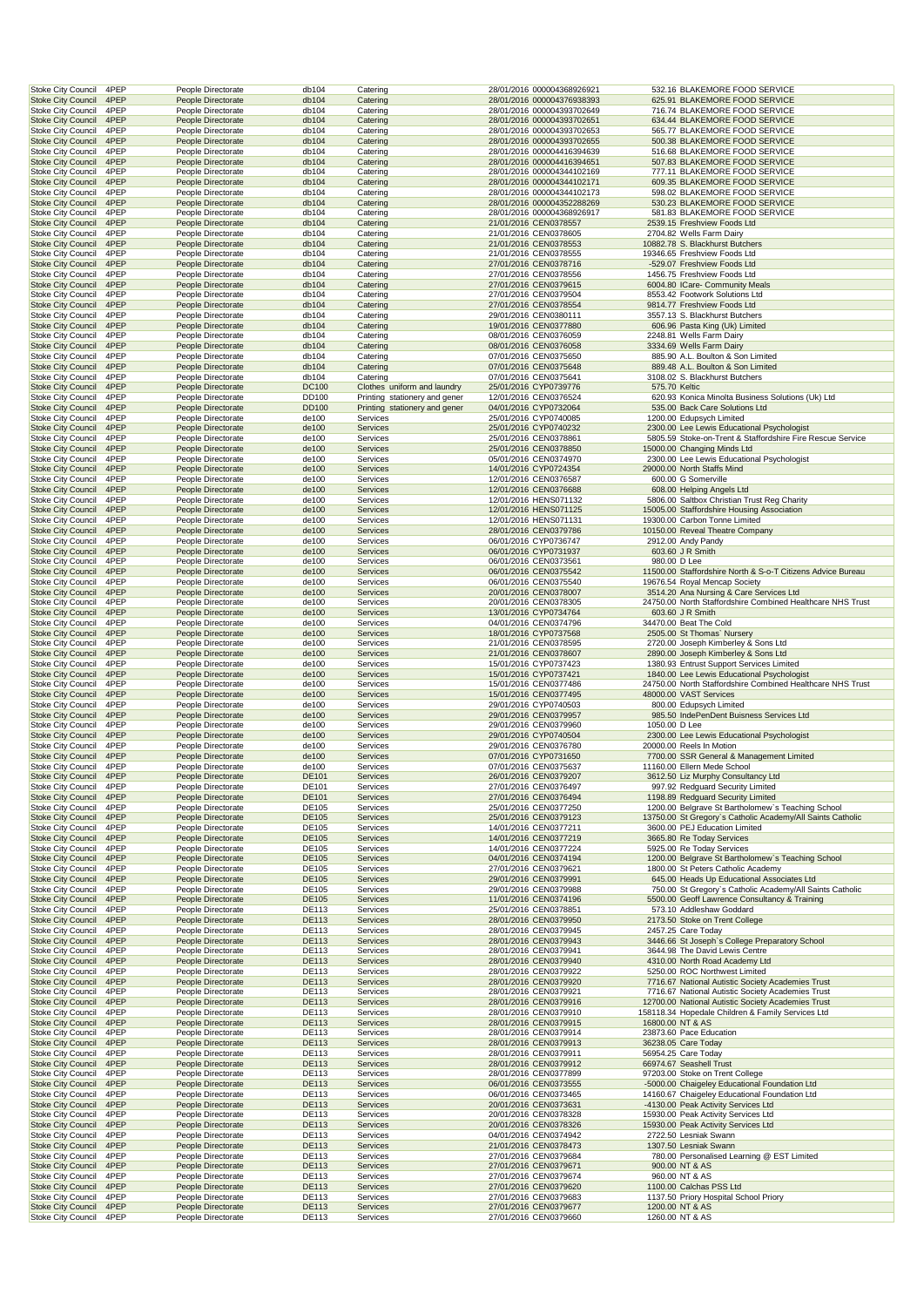| <b>Stoke City Council</b>                              | 4PEP         | People Directorate                       | db104                 | Catering                                | 28/01/2016 000004368926921                               |               | 532.16 BLAKEMORE FOOD SERVICE                                                                                   |
|--------------------------------------------------------|--------------|------------------------------------------|-----------------------|-----------------------------------------|----------------------------------------------------------|---------------|-----------------------------------------------------------------------------------------------------------------|
| <b>Stoke City Council</b><br><b>Stoke City Council</b> | 4PEP<br>4PEP | People Directorate<br>People Directorate | db104<br>db104        | Catering<br>Catering                    | 28/01/2016 000004376938393<br>28/01/2016 000004393702649 |               | 625.91 BLAKEMORE FOOD SERVICE<br>716.74 BLAKEMORE FOOD SERVICE                                                  |
| <b>Stoke City Council</b>                              | 4PEP         | People Directorate                       | db104                 | Catering                                | 28/01/2016 000004393702651                               |               | 634.44 BLAKEMORE FOOD SERVICE                                                                                   |
| <b>Stoke City Council</b>                              | 4PEP         | People Directorate                       | db104                 | Catering                                | 28/01/2016 000004393702653                               |               | 565.77 BLAKEMORE FOOD SERVICE                                                                                   |
| <b>Stoke City Council</b><br>Stoke City Council        | 4PEP<br>4PEP | People Directorate<br>People Directorate | db104<br>db104        | Catering<br>Catering                    | 28/01/2016 000004393702655<br>28/01/2016 000004416394639 |               | 500.38 BLAKEMORE FOOD SERVICE<br>516.68 BLAKEMORE FOOD SERVICE                                                  |
| <b>Stoke City Council</b>                              | 4PEP         | People Directorate                       | db104                 | Catering                                | 28/01/2016 000004416394651                               |               | 507.83 BLAKEMORE FOOD SERVICE                                                                                   |
| <b>Stoke City Council</b>                              | 4PEP         | People Directorate                       | db104                 | Catering                                | 28/01/2016 000004344102169                               |               | 777.11 BLAKEMORE FOOD SERVICE                                                                                   |
| <b>Stoke City Council</b><br><b>Stoke City Council</b> | 4PEP<br>4PEP | People Directorate<br>People Directorate | db104<br>db104        | Catering<br>Catering                    | 28/01/2016 000004344102171<br>28/01/2016 000004344102173 |               | 609.35 BLAKEMORE FOOD SERVICE<br>598.02 BLAKEMORE FOOD SERVICE                                                  |
| <b>Stoke City Council</b>                              | 4PEP         | People Directorate                       | db104                 | Catering                                | 28/01/2016 000004352288269                               |               | 530.23 BLAKEMORE FOOD SERVICE                                                                                   |
| <b>Stoke City Council</b>                              | 4PEP         | People Directorate                       | db104                 | Catering                                | 28/01/2016 000004368926917                               |               | 581.83 BLAKEMORE FOOD SERVICE                                                                                   |
| <b>Stoke City Council</b><br><b>Stoke City Council</b> | 4PEP<br>4PEP | People Directorate<br>People Directorate | db104<br>db104        | Catering<br>Catering                    | 21/01/2016 CEN0378557<br>21/01/2016 CEN0378605           |               | 2539.15 Freshview Foods Ltd<br>2704.82 Wells Farm Dairy                                                         |
| <b>Stoke City Council</b>                              | 4PEP         | People Directorate                       | db104                 | Catering                                | 21/01/2016 CEN0378553                                    |               | 10882.78 S. Blackhurst Butchers                                                                                 |
| Stoke City Council                                     | 4PEP         | People Directorate                       | db104                 | Catering                                | 21/01/2016 CEN0378555                                    |               | 19346.65 Freshview Foods Ltd                                                                                    |
| <b>Stoke City Council</b><br><b>Stoke City Council</b> | 4PEP<br>4PEP | People Directorate<br>People Directorate | db104<br>db104        | Catering<br>Catering                    | 27/01/2016 CEN0378716<br>27/01/2016 CEN0378556           |               | -529.07 Freshview Foods Ltd<br>1456.75 Freshview Foods Ltd                                                      |
| <b>Stoke City Council</b>                              | 4PEP         | People Directorate                       | db104                 | Catering                                | 27/01/2016 CEN0379615                                    |               | 6004.80 ICare- Community Meals                                                                                  |
| <b>Stoke City Council</b><br><b>Stoke City Council</b> | 4PEP<br>4PEP | People Directorate<br>People Directorate | db104<br>db104        | Catering<br>Catering                    | 27/01/2016 CEN0379504<br>27/01/2016 CEN0378554           |               | 8553.42 Footwork Solutions Ltd<br>9814.77 Freshview Foods Ltd                                                   |
| <b>Stoke City Council</b>                              | 4PEP         | People Directorate                       | db104                 | Catering                                | 29/01/2016 CEN0380111                                    |               | 3557.13 S. Blackhurst Butchers                                                                                  |
| <b>Stoke City Council</b>                              | 4PEP         | People Directorate                       | db104                 | Catering                                | 19/01/2016 CEN0377880                                    |               | 606.96 Pasta King (Uk) Limited                                                                                  |
| <b>Stoke City Council</b><br><b>Stoke City Council</b> | 4PEP<br>4PEP | People Directorate<br>People Directorate | db104<br>db104        | Catering<br>Catering                    | 08/01/2016 CEN0376059<br>08/01/2016 CEN0376058           |               | 2248.81 Wells Farm Dairy<br>3334.69 Wells Farm Dairy                                                            |
| Stoke City Council                                     | 4PEP         | People Directorate                       | db104                 | Catering                                | 07/01/2016 CEN0375650                                    |               | 885.90 A.L. Boulton & Son Limited                                                                               |
| <b>Stoke City Council</b>                              | 4PEP         | People Directorate                       | db104                 | Catering                                | 07/01/2016 CEN0375648                                    |               | 889.48 A.L. Boulton & Son Limited                                                                               |
| <b>Stoke City Council</b><br><b>Stoke City Council</b> | 4PEP<br>4PEP | People Directorate<br>People Directorate | db104<br>DC100        | Catering<br>Clothes uniform and laundry | 07/01/2016 CEN0375641<br>25/01/2016 CYP0739776           | 575.70 Keltic | 3108.02 S. Blackhurst Butchers                                                                                  |
| <b>Stoke City Council</b>                              | 4PEP         | People Directorate                       | DD100                 | Printing stationery and gener           | 12/01/2016 CEN0376524                                    |               | 620.93 Konica Minolta Business Solutions (Uk) Ltd                                                               |
| <b>Stoke City Council</b>                              | 4PEP         | People Directorate                       | <b>DD100</b>          | Printing stationery and gener           | 04/01/2016 CYP0732064                                    |               | 535.00 Back Care Solutions Ltd                                                                                  |
| <b>Stoke City Council</b><br><b>Stoke City Council</b> | 4PEP<br>4PEP | People Directorate<br>People Directorate | de100<br>de100        | Services<br><b>Services</b>             | 25/01/2016 CYP0740085<br>25/01/2016 CYP0740232           |               | 1200.00 Edupsych Limited<br>2300.00 Lee Lewis Educational Psychologist                                          |
| <b>Stoke City Council</b>                              | 4PEP         | People Directorate                       | de100                 | Services                                | 25/01/2016 CEN0378861                                    |               | 5805.59 Stoke-on-Trent & Staffordshire Fire Rescue Service                                                      |
| <b>Stoke City Council</b>                              | 4PEP         | People Directorate                       | de100                 | <b>Services</b>                         | 25/01/2016 CEN0378850                                    |               | 15000.00 Changing Minds Ltd                                                                                     |
| Stoke City Council<br><b>Stoke City Council</b>        | 4PEP<br>4PEP | People Directorate<br>People Directorate | de100<br>de100        | Services<br>Services                    | 05/01/2016 CEN0374970<br>14/01/2016 CYP0724354           |               | 2300.00 Lee Lewis Educational Psychologist<br>29000.00 North Staffs Mind                                        |
| <b>Stoke City Council</b>                              | 4PEP         | People Directorate                       | de100                 | Services                                | 12/01/2016 CEN0376587                                    |               | 600.00 G Somerville                                                                                             |
| <b>Stoke City Council</b>                              | 4PEP         | People Directorate                       | de100                 | Services                                | 12/01/2016 CEN0376688                                    |               | 608.00 Helping Angels Ltd                                                                                       |
| <b>Stoke City Council</b><br><b>Stoke City Council</b> | 4PEP<br>4PEP | People Directorate<br>People Directorate | de100<br>de100        | Services<br>Services                    | 12/01/2016 HENS071132<br>12/01/2016 HENS071125           |               | 5806.00 Saltbox Christian Trust Reg Charity<br>15005.00 Staffordshire Housing Association                       |
| <b>Stoke City Council</b>                              | 4PEP         | People Directorate                       | de100                 | Services                                | 12/01/2016 HENS071131                                    |               | 19300.00 Carbon Tonne Limited                                                                                   |
| <b>Stoke City Council</b>                              | 4PEP         | People Directorate                       | de100                 | Services                                | 28/01/2016 CEN0379786                                    |               | 10150.00 Reveal Theatre Company                                                                                 |
| <b>Stoke City Council</b><br><b>Stoke City Council</b> | 4PEP<br>4PEP | People Directorate<br>People Directorate | de100<br>de100        | Services<br><b>Services</b>             | 06/01/2016 CYP0736747<br>06/01/2016 CYP0731937           |               | 2912.00 Andy Pandy<br>603.60 J R Smith                                                                          |
| Stoke City Council                                     | 4PEP         | People Directorate                       | de100                 | Services                                | 06/01/2016 CEN0373561                                    | 980.00 D Lee  |                                                                                                                 |
| <b>Stoke City Council</b>                              | 4PEP         | People Directorate                       | de100                 | Services                                | 06/01/2016 CEN0375542                                    |               | 11500.00 Staffordshire North & S-o-T Citizens Advice Bureau                                                     |
| <b>Stoke City Council</b><br><b>Stoke City Council</b> | 4PEP<br>4PEP | People Directorate<br>People Directorate | de100<br>de100        | Services<br>Services                    | 06/01/2016 CEN0375540<br>20/01/2016 CEN0378007           |               | 19676.54 Royal Mencap Society<br>3514.20 Ana Nursing & Care Services Ltd                                        |
| <b>Stoke City Council</b>                              | 4PEP         | People Directorate                       | de100                 | Services                                | 20/01/2016 CEN0378305                                    |               | 24750.00 North Staffordshire Combined Healthcare NHS Trust                                                      |
| <b>Stoke City Council</b>                              | 4PEP<br>4PEP | People Directorate                       | de100                 | <b>Services</b>                         | 13/01/2016 CYP0734764                                    |               | 603.60 J R Smith                                                                                                |
| <b>Stoke City Council</b><br><b>Stoke City Council</b> | 4PEP         | People Directorate<br>People Directorate | de100<br>de100        | Services<br>Services                    | 04/01/2016 CEN0374796<br>18/01/2016 CYP0737568           |               | 34470.00 Beat The Cold<br>2505.00 St Thomas' Nursery                                                            |
| <b>Stoke City Council</b>                              | 4PEP         | People Directorate                       | de100                 | Services                                | 21/01/2016 CEN0378595                                    |               | 2720.00 Joseph Kimberley & Sons Ltd                                                                             |
| <b>Stoke City Council</b><br><b>Stoke City Council</b> | 4PEP<br>4PEP | People Directorate<br>People Directorate | de100<br>de100        | Services<br>Services                    | 21/01/2016 CEN0378607<br>15/01/2016 CYP0737423           |               | 2890.00 Joseph Kimberley & Sons Ltd<br>1380.93 Entrust Support Services Limited                                 |
| <b>Stoke City Council</b>                              | 4PEP         | People Directorate                       | de100                 | Services                                | 15/01/2016 CYP0737421                                    |               | 1840.00 Lee Lewis Educational Psychologist                                                                      |
| <b>Stoke City Council</b>                              | 4PEP         | People Directorate                       | de100                 | Services                                | 15/01/2016 CEN0377486                                    |               | 24750.00 North Staffordshire Combined Healthcare NHS Trust                                                      |
| <b>Stoke City Council</b><br><b>Stoke City Council</b> | 4PEP<br>4PEP | People Directorate<br>People Directorate | de100<br>de100        | Services<br>Services                    | 15/01/2016 CEN0377495<br>29/01/2016 CYP0740503           |               | 48000.00 VAST Services<br>800.00 Edupsych Limited                                                               |
| <b>Stoke City Council</b>                              | 4PEP         | People Directorate                       | de100                 | Services                                | 29/01/2016 CEN0379957                                    |               | 985.50 IndePenDent Buisness Services Ltd                                                                        |
| <b>Stoke City Council</b>                              | 4PEP         | People Directorate                       | de100                 | Services                                | 29/01/2016 CEN0379960                                    | 1050.00 D Lee |                                                                                                                 |
| <b>Stoke City Council</b><br><b>Stoke City Council</b> | 4PEP<br>4PEP | People Directorate<br>People Directorate | de100<br>de100        | Services<br>Services                    | 29/01/2016 CYP0740504<br>29/01/2016 CEN0376780           |               | 2300.00 Lee Lewis Educational Psychologist<br>20000.00 Reels In Motion                                          |
| <b>Stoke City Council</b>                              | 4PEP         | People Directorate                       | de100                 | <b>Services</b>                         | 07/01/2016 CYP0731650                                    |               | 7700.00 SSR General & Management Limited                                                                        |
| <b>Stoke City Council</b>                              | 4PEP         | People Directorate                       | de100                 | Services                                | 07/01/2016 CEN0375637                                    |               | 11160.00 Ellern Mede School                                                                                     |
| <b>Stoke City Council</b><br><b>Stoke City Council</b> | 4PEP<br>4PEP | People Directorate<br>People Directorate | DE101<br>DE101        | Services<br>Services                    | 26/01/2016 CEN0379207<br>27/01/2016 CEN0376497           |               | 3612.50 Liz Murphy Consultancy Ltd<br>997.92 Redguard Security Limited                                          |
| <b>Stoke City Council</b>                              | 4PEP         | People Directorate                       | DE101                 | Services                                | 27/01/2016 CEN0376494                                    |               | 1198.89 Redguard Security Limited                                                                               |
| <b>Stoke City Council</b>                              | 4PEP         | People Directorate                       | DE105                 | Services                                | 25/01/2016 CEN0377250                                    |               | 1200.00 Belgrave St Bartholomew's Teaching School<br>13750.00 St Gregory's Catholic Academy/All Saints Catholic |
| <b>Stoke City Council</b><br><b>Stoke City Council</b> | 4PEP<br>4PEP | People Directorate<br>People Directorate | DE105<br>DE105        | Services<br>Services                    | 25/01/2016 CEN0379123<br>14/01/2016 CEN0377211           |               | 3600.00 PEJ Education Limited                                                                                   |
| <b>Stoke City Council</b>                              | 4PEP         | People Directorate                       | DE105                 | Services                                | 14/01/2016 CEN0377219                                    |               | 3665.80 Re Today Services                                                                                       |
| Stoke City Council                                     | 4PEP         | People Directorate                       | DE105                 | Services                                | 14/01/2016 CEN0377224<br>04/01/2016 CEN0374194           |               | 5925.00 Re Today Services                                                                                       |
| <b>Stoke City Council</b><br><b>Stoke City Council</b> | 4PEP<br>4PEP | People Directorate<br>People Directorate | DE105<br>DE105        | Services<br>Services                    | 27/01/2016 CEN0379621                                    |               | 1200.00 Belgrave St Bartholomew's Teaching School<br>1800.00 St Peters Catholic Academy                         |
| <b>Stoke City Council</b>                              | 4PEP         | People Directorate                       | DE105                 | Services                                | 29/01/2016 CEN0379991                                    |               | 645.00 Heads Up Educational Associates Ltd                                                                      |
| Stoke City Council<br><b>Stoke City Council</b>        | 4PEP<br>4PEP | People Directorate<br>People Directorate | DE105<br>DE105        | Services<br>Services                    | 29/01/2016 CEN0379988<br>11/01/2016 CEN0374196           |               | 750.00 St Gregory's Catholic Academy/All Saints Catholic<br>5500.00 Geoff Lawrence Consultancy & Training       |
| <b>Stoke City Council</b>                              | 4PEP         | People Directorate                       | DE113                 | Services                                | 25/01/2016 CEN0378851                                    |               | 573.10 Addleshaw Goddard                                                                                        |
| <b>Stoke City Council</b>                              | 4PEP         | People Directorate                       | <b>DE113</b>          | Services                                | 28/01/2016 CEN0379950                                    |               | 2173.50 Stoke on Trent College                                                                                  |
| <b>Stoke City Council</b><br><b>Stoke City Council</b> | 4PEP<br>4PEP | People Directorate<br>People Directorate | DE113<br><b>DE113</b> | Services<br>Services                    | 28/01/2016 CEN0379945<br>28/01/2016 CEN0379943           |               | 2457.25 Care Today<br>3446.66 St Joseph's College Preparatory School                                            |
| Stoke City Council                                     | 4PEP         | People Directorate                       | DE113                 | Services                                | 28/01/2016 CEN0379941                                    |               | 3644.98 The David Lewis Centre                                                                                  |
| <b>Stoke City Council</b>                              | 4PEP         | People Directorate                       | <b>DE113</b>          | Services                                | 28/01/2016 CEN0379940                                    |               | 4310.00 North Road Academy Ltd                                                                                  |
| Stoke City Council<br><b>Stoke City Council</b>        | 4PEP<br>4PEP | People Directorate<br>People Directorate | DE113<br><b>DE113</b> | Services<br>Services                    | 28/01/2016 CEN0379922<br>28/01/2016 CEN0379920           |               | 5250.00 ROC Northwest Limited<br>7716.67 National Autistic Society Academies Trust                              |
| <b>Stoke City Council</b>                              | 4PEP         | People Directorate                       | DE113                 | Services                                | 28/01/2016 CEN0379921                                    |               | 7716.67 National Autistic Society Academies Trust                                                               |
| <b>Stoke City Council</b>                              | 4PEP         | People Directorate                       | <b>DE113</b>          | Services                                | 28/01/2016 CEN0379916                                    |               | 12700.00 National Autistic Society Academies Trust                                                              |
| <b>Stoke City Council</b><br><b>Stoke City Council</b> | 4PEP<br>4PEP | People Directorate<br>People Directorate | DE113<br><b>DE113</b> | Services<br>Services                    | 28/01/2016 CEN0379910<br>28/01/2016 CEN0379915           |               | 158118.34 Hopedale Children & Family Services Ltd<br>16800.00 NT & AS                                           |
| <b>Stoke City Council</b>                              | 4PEP         | People Directorate                       | DE113                 | Services                                | 28/01/2016 CEN0379914                                    |               | 23873.60 Pace Education                                                                                         |
| <b>Stoke City Council</b>                              | 4PEP         | People Directorate                       | <b>DE113</b>          | Services                                | 28/01/2016 CEN0379913                                    |               | 36238.05 Care Today                                                                                             |
| <b>Stoke City Council</b><br><b>Stoke City Council</b> | 4PEP<br>4PEP | People Directorate<br>People Directorate | DE113<br><b>DE113</b> | Services<br>Services                    | 28/01/2016 CEN0379911<br>28/01/2016 CEN0379912           |               | 56954.25 Care Today<br>66974.67 Seashell Trust                                                                  |
| <b>Stoke City Council</b>                              | 4PEP         | People Directorate                       | DE113                 | Services                                | 28/01/2016 CEN0377899                                    |               | 97203.00 Stoke on Trent College                                                                                 |
| <b>Stoke City Council</b>                              | 4PEP         | People Directorate                       | <b>DE113</b>          | Services                                | 06/01/2016 CEN0373555                                    |               | -5000.00 Chaigeley Educational Foundation Ltd                                                                   |
| <b>Stoke City Council</b><br><b>Stoke City Council</b> | 4PEP<br>4PEP | People Directorate<br>People Directorate | DE113<br><b>DE113</b> | Services<br>Services                    | 06/01/2016 CEN0373465<br>20/01/2016 CEN0373631           |               | 14160.67 Chaigeley Educational Foundation Ltd<br>-4130.00 Peak Activity Services Ltd                            |
| <b>Stoke City Council</b>                              | 4PEP         | People Directorate                       | DE113                 | Services                                | 20/01/2016 CEN0378328                                    |               | 15930.00 Peak Activity Services Ltd                                                                             |
| <b>Stoke City Council</b>                              | 4PEP         | People Directorate                       | <b>DE113</b>          | Services                                | 20/01/2016 CEN0378326                                    |               | 15930.00 Peak Activity Services Ltd                                                                             |
| <b>Stoke City Council</b><br><b>Stoke City Council</b> | 4PEP<br>4PEP | People Directorate<br>People Directorate | DE113<br><b>DE113</b> | Services<br>Services                    | 04/01/2016 CEN0374942<br>21/01/2016 CEN0378473           |               | 2722.50 Lesniak Swann<br>1307.50 Lesniak Swann                                                                  |
| <b>Stoke City Council</b>                              | 4PEP         | People Directorate                       | DE113                 | Services                                | 27/01/2016 CEN0379684                                    |               | 780.00 Personalised Learning @ EST Limited                                                                      |
| <b>Stoke City Council</b>                              | 4PEP         | People Directorate                       | <b>DE113</b>          | Services                                | 27/01/2016 CEN0379671                                    |               | 900.00 NT & AS                                                                                                  |
| <b>Stoke City Council</b><br><b>Stoke City Council</b> | 4PEP         | People Directorate                       | DE113                 | Services                                | 27/01/2016 CEN0379674                                    |               | 960.00 NT & AS                                                                                                  |
|                                                        | 4PEP         |                                          |                       |                                         |                                                          |               |                                                                                                                 |
| <b>Stoke City Council</b>                              | 4PEP         | People Directorate<br>People Directorate | <b>DE113</b><br>DE113 | Services<br>Services                    | 27/01/2016 CEN0379620<br>27/01/2016 CEN0379683           |               | 1100.00 Calchas PSS Ltd<br>1137.50 Priory Hospital School Priory                                                |
| <b>Stoke City Council</b><br><b>Stoke City Council</b> | 4PEP<br>4PEP | People Directorate<br>People Directorate | <b>DE113</b><br>DE113 | Services<br><b>Services</b>             | 27/01/2016 CEN0379677<br>27/01/2016 CEN0379660           |               | 1200.00 NT & AS<br>1260.00 NT & AS                                                                              |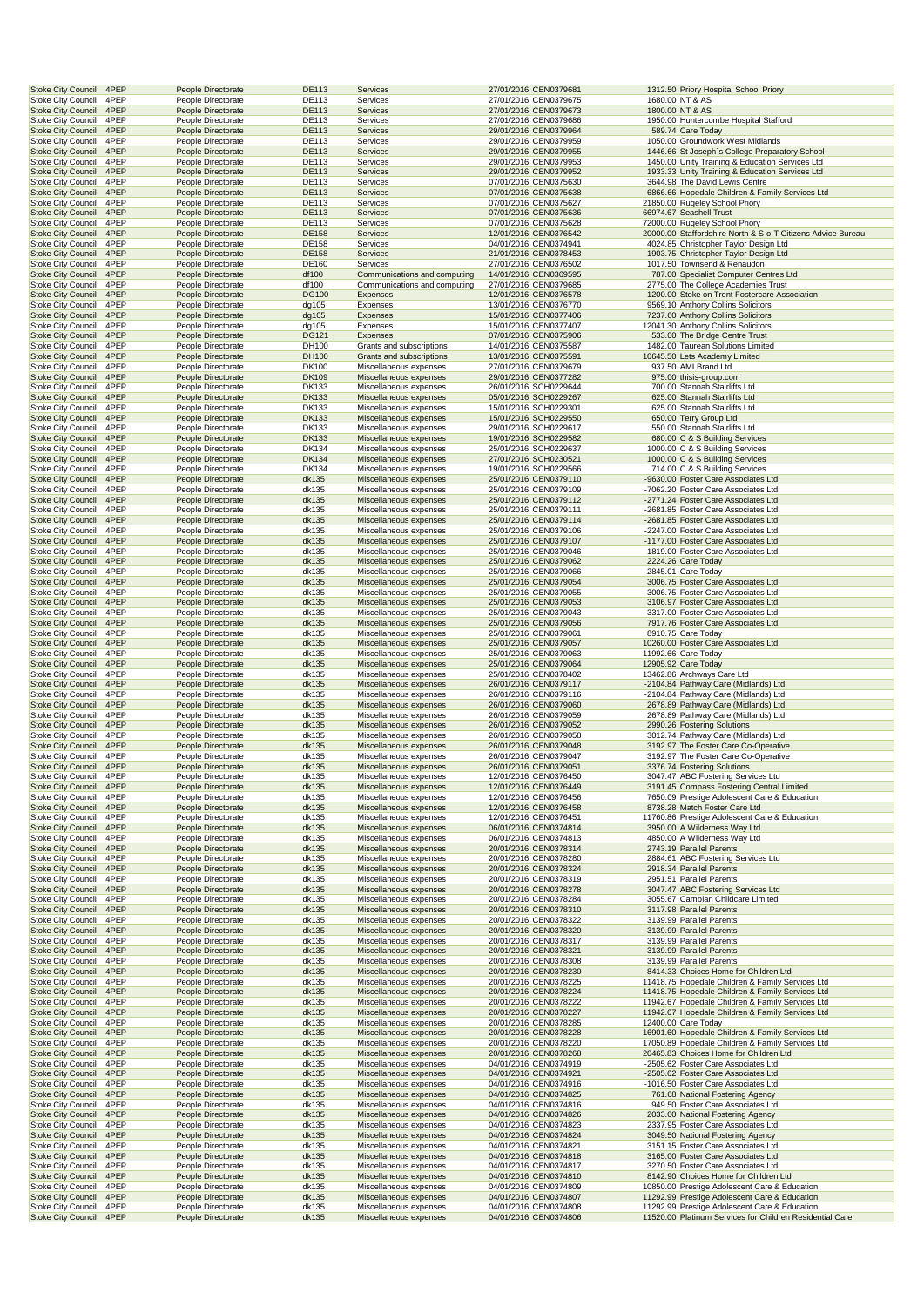| <b>Stoke City Council</b>                              | 4PEP         | People Directorate                       | <b>DE113</b>          | Services                                         | 27/01/2016 CEN0379681                          | 1312.50 Priory Hospital School Priory                                                                     |
|--------------------------------------------------------|--------------|------------------------------------------|-----------------------|--------------------------------------------------|------------------------------------------------|-----------------------------------------------------------------------------------------------------------|
| <b>Stoke City Council</b>                              | 4PEP         | People Directorate                       | DE113                 | Services                                         | 27/01/2016 CEN0379675                          | 1680.00 NT & AS                                                                                           |
| <b>Stoke City Council</b>                              | 4PEP         | People Directorate                       | <b>DE113</b>          | Services                                         | 27/01/2016 CEN0379673                          | 1800.00 NT & AS                                                                                           |
| <b>Stoke City Council</b>                              | 4PEP         | People Directorate                       | DE113                 | Services                                         | 27/01/2016 CEN0379686                          | 1950.00 Huntercombe Hospital Stafford                                                                     |
| <b>Stoke City Council</b>                              | 4PEP<br>4PEP | People Directorate                       | <b>DE113</b><br>DE113 | Services                                         | 29/01/2016 CEN0379964                          | 589.74 Care Today                                                                                         |
| <b>Stoke City Council</b><br><b>Stoke City Council</b> | 4PEP         | People Directorate<br>People Directorate | <b>DE113</b>          | Services<br>Services                             | 29/01/2016 CEN0379959<br>29/01/2016 CEN0379955 | 1050.00 Groundwork West Midlands<br>1446.66 St Joseph's College Preparatory School                        |
| <b>Stoke City Council</b>                              | 4PEP         | People Directorate                       | DE113                 | Services                                         | 29/01/2016 CEN0379953                          | 1450.00 Unity Training & Education Services Ltd                                                           |
| <b>Stoke City Council</b>                              | 4PEP         | People Directorate                       | <b>DE113</b>          | <b>Services</b>                                  | 29/01/2016 CEN0379952                          | 1933.33 Unity Training & Education Services Ltd                                                           |
| <b>Stoke City Council</b>                              | 4PEP         | People Directorate                       | DE113                 | Services                                         | 07/01/2016 CEN0375630                          | 3644.98 The David Lewis Centre                                                                            |
| <b>Stoke City Council</b>                              | 4PEP         | People Directorate                       | <b>DE113</b>          | <b>Services</b>                                  | 07/01/2016 CEN0375638                          | 6866.66 Hopedale Children & Family Services Ltd                                                           |
| <b>Stoke City Council</b>                              | 4PEP         | People Directorate                       | DE113                 | Services                                         | 07/01/2016 CEN0375627                          | 21850.00 Rugeley School Priory                                                                            |
| <b>Stoke City Council</b>                              | 4PEP         | People Directorate                       | <b>DE113</b>          | Services                                         | 07/01/2016 CEN0375636                          | 66974.67 Seashell Trust                                                                                   |
| <b>Stoke City Council</b>                              | 4PEP         | People Directorate                       | DE113                 | Services                                         | 07/01/2016 CEN0375628                          | 72000.00 Rugeley School Priory                                                                            |
| <b>Stoke City Council</b>                              | 4PEP         | People Directorate                       | <b>DE158</b>          | Services                                         | 12/01/2016 CEN0376542                          | 20000.00 Staffordshire North & S-o-T Citizens Advice Bureau                                               |
| <b>Stoke City Council</b>                              | 4PEP         | People Directorate                       | DE158                 | Services                                         | 04/01/2016 CEN0374941                          | 4024.85 Christopher Taylor Design Ltd                                                                     |
| <b>Stoke City Council</b>                              | 4PEP         | People Directorate                       | <b>DE158</b>          | Services                                         | 21/01/2016 CEN0378453                          | 1903.75 Christopher Taylor Design Ltd                                                                     |
| <b>Stoke City Council</b>                              | 4PEP         | People Directorate                       | DE160                 | Services                                         | 27/01/2016 CEN0376502                          | 1017.50 Townsend & Renaudon                                                                               |
| <b>Stoke City Council</b>                              | 4PEP         | People Directorate                       | df100                 | Communications and computing                     | 14/01/2016 CEN0369595                          | 787.00 Specialist Computer Centres Ltd                                                                    |
| <b>Stoke City Council</b>                              | 4PEP         | People Directorate                       | df100                 | Communications and computing                     | 27/01/2016 CEN0379685                          | 2775.00 The College Academies Trust                                                                       |
| <b>Stoke City Council</b>                              | 4PEP<br>4PEP | People Directorate                       | <b>DG100</b>          | Expenses                                         | 12/01/2016 CEN0376578<br>13/01/2016 CEN0376770 | 1200.00 Stoke on Trent Fostercare Association<br>9569.10 Anthony Collins Solicitors                       |
| <b>Stoke City Council</b><br><b>Stoke City Council</b> | 4PEP         | People Directorate<br>People Directorate | dg105<br>dg105        | Expenses<br>Expenses                             | 15/01/2016 CEN0377406                          | 7237.60 Anthony Collins Solicitors                                                                        |
| <b>Stoke City Council</b>                              | 4PEP         | People Directorate                       | dg105                 | Expenses                                         | 15/01/2016 CEN0377407                          | 12041.30 Anthony Collins Solicitors                                                                       |
| <b>Stoke City Council</b>                              | 4PEP         | People Directorate                       | <b>DG121</b>          | Expenses                                         | 07/01/2016 CEN0375906                          | 533.00 The Bridge Centre Trust                                                                            |
| <b>Stoke City Council</b>                              | 4PEP         | People Directorate                       | DH100                 | Grants and subscriptions                         | 14/01/2016 CEN0375587                          | 1482.00 Taurean Solutions Limited                                                                         |
| <b>Stoke City Council</b>                              | 4PEP         | People Directorate                       | DH100                 | Grants and subscriptions                         | 13/01/2016 CEN0375591                          | 10645.50 Lets Academy Limited                                                                             |
| <b>Stoke City Council</b>                              | 4PEP         | People Directorate                       | DK100                 | Miscellaneous expenses                           | 27/01/2016 CEN0379679                          | 937.50 AMI Brand Ltd                                                                                      |
| <b>Stoke City Council</b>                              | 4PEP         | People Directorate                       | <b>DK109</b>          | Miscellaneous expenses                           | 29/01/2016 CEN0377282                          | 975.00 thisis-group.com                                                                                   |
| <b>Stoke City Council</b>                              | 4PEP         | People Directorate                       | <b>DK133</b>          | Miscellaneous expenses                           | 26/01/2016 SCH0229644                          | 700.00 Stannah Stairlifts Ltd                                                                             |
| <b>Stoke City Council</b>                              | 4PEP         | People Directorate                       | <b>DK133</b>          | Miscellaneous expenses                           | 05/01/2016 SCH0229267                          | 625.00 Stannah Stairlifts Ltd                                                                             |
| <b>Stoke City Council</b>                              | 4PEP         | People Directorate                       | <b>DK133</b>          | Miscellaneous expenses                           | 15/01/2016 SCH0229301                          | 625.00 Stannah Stairlifts Ltd                                                                             |
| <b>Stoke City Council</b>                              | 4PEP         | People Directorate                       | <b>DK133</b>          | Miscellaneous expenses                           | 15/01/2016 SCH0229550                          | 650.00 Terry Group Ltd                                                                                    |
| <b>Stoke City Council</b>                              | 4PEP         | People Directorate                       | <b>DK133</b>          | Miscellaneous expenses                           | 29/01/2016 SCH0229617                          | 550.00 Stannah Stairlifts Ltd                                                                             |
| <b>Stoke City Council</b>                              | 4PEP         | People Directorate                       | <b>DK133</b>          | Miscellaneous expenses                           | 19/01/2016 SCH0229582                          | 680.00 C & S Building Services                                                                            |
| <b>Stoke City Council</b>                              | 4PEP         | People Directorate                       | DK134                 | Miscellaneous expenses                           | 25/01/2016 SCH0229637                          | 1000.00 C & S Building Services                                                                           |
| <b>Stoke City Council</b>                              | 4PEP         | People Directorate                       | <b>DK134</b>          | Miscellaneous expenses                           | 27/01/2016 SCH0230521                          | 1000.00 C & S Building Services                                                                           |
| <b>Stoke City Council</b>                              | 4PEP         | People Directorate                       | DK134                 | Miscellaneous expenses                           | 19/01/2016 SCH0229566                          | 714.00 C & S Building Services                                                                            |
| <b>Stoke City Council</b>                              | 4PEP         | People Directorate                       | dk135                 | Miscellaneous expenses                           | 25/01/2016 CEN0379110                          | -9630.00 Foster Care Associates Ltd                                                                       |
| <b>Stoke City Council</b>                              | 4PEP         | People Directorate                       | dk135                 | Miscellaneous expenses                           | 25/01/2016 CEN0379109                          | -7062.20 Foster Care Associates Ltd                                                                       |
| <b>Stoke City Council</b>                              | 4PEP         | People Directorate                       | dk135                 | Miscellaneous expenses                           | 25/01/2016 CEN0379112                          | -2771.24 Foster Care Associates Ltd                                                                       |
| <b>Stoke City Council</b>                              | 4PEP         | People Directorate                       | dk135                 | Miscellaneous expenses                           | 25/01/2016 CEN0379111                          | -2681.85 Foster Care Associates Ltd                                                                       |
| <b>Stoke City Council</b>                              | 4PEP         | People Directorate                       | dk135                 | Miscellaneous expenses                           | 25/01/2016 CEN0379114                          | -2681.85 Foster Care Associates Ltd                                                                       |
| <b>Stoke City Council</b>                              | 4PEP         | People Directorate                       | dk135                 | Miscellaneous expenses                           | 25/01/2016 CEN0379106                          | -2247.00 Foster Care Associates Ltd                                                                       |
| <b>Stoke City Council</b>                              | 4PEP         | People Directorate                       | dk135                 | Miscellaneous expenses                           | 25/01/2016 CEN0379107                          | -1177.00 Foster Care Associates Ltd                                                                       |
| <b>Stoke City Council</b>                              | 4PEP         | People Directorate                       | dk135                 | Miscellaneous expenses                           | 25/01/2016 CEN0379046                          | 1819.00 Foster Care Associates Ltd                                                                        |
| <b>Stoke City Council</b>                              | 4PEP         | People Directorate                       | dk135                 | Miscellaneous expenses                           | 25/01/2016 CEN0379062                          | 2224.26 Care Today                                                                                        |
| <b>Stoke City Council</b>                              | 4PEP<br>4PEP | People Directorate                       | dk135                 | Miscellaneous expenses                           | 25/01/2016 CEN0379066<br>25/01/2016 CEN0379054 | 2845.01 Care Today<br>3006.75 Foster Care Associates Ltd                                                  |
| <b>Stoke City Council</b><br>Stoke City Council        | 4PEP         | People Directorate<br>People Directorate | dk135<br>dk135        | Miscellaneous expenses<br>Miscellaneous expenses | 25/01/2016 CEN0379055                          | 3006.75 Foster Care Associates Ltd                                                                        |
| <b>Stoke City Council</b>                              | 4PEP         | People Directorate                       | dk135                 | Miscellaneous expenses                           | 25/01/2016 CEN0379053                          | 3106.97 Foster Care Associates Ltd                                                                        |
| <b>Stoke City Council</b>                              | 4PEP         | People Directorate                       | dk135                 |                                                  | 25/01/2016 CEN0379043                          | 3317.00 Foster Care Associates Ltd                                                                        |
| <b>Stoke City Council</b>                              | 4PEP         | People Directorate                       | dk135                 | Miscellaneous expenses<br>Miscellaneous expenses | 25/01/2016 CEN0379056                          | 7917.76 Foster Care Associates Ltd                                                                        |
| <b>Stoke City Council</b>                              | 4PEP         | People Directorate                       | dk135                 | Miscellaneous expenses                           | 25/01/2016 CEN0379061                          | 8910.75 Care Today                                                                                        |
| <b>Stoke City Council</b>                              | 4PEP         | People Directorate                       | dk135                 | Miscellaneous expenses                           | 25/01/2016 CEN0379057                          | 10260.00 Foster Care Associates Ltd                                                                       |
| <b>Stoke City Council</b>                              | 4PEP         | People Directorate                       | dk135                 | Miscellaneous expenses                           | 25/01/2016 CEN0379063                          | 11992.66 Care Today                                                                                       |
| <b>Stoke City Council</b>                              | 4PEP         | People Directorate                       | dk135                 | Miscellaneous expenses                           | 25/01/2016 CEN0379064                          | 12905.92 Care Today                                                                                       |
| <b>Stoke City Council</b>                              | 4PEP         | People Directorate                       | dk135                 | Miscellaneous expenses                           | 25/01/2016 CEN0378402                          | 13462.86 Archways Care Ltd                                                                                |
| <b>Stoke City Council</b>                              | 4PEP         | People Directorate                       | dk135                 | Miscellaneous expenses                           | 26/01/2016 CEN0379117                          | -2104.84 Pathway Care (Midlands) Ltd                                                                      |
| <b>Stoke City Council</b>                              | 4PEP         | People Directorate                       | dk135                 | Miscellaneous expenses                           | 26/01/2016 CEN0379116                          | -2104.84 Pathway Care (Midlands) Ltd                                                                      |
| <b>Stoke City Council</b>                              | 4PEP         | People Directorate                       | dk135                 | Miscellaneous expenses                           | 26/01/2016 CEN0379060                          | 2678.89 Pathway Care (Midlands) Ltd                                                                       |
| <b>Stoke City Council</b>                              | 4PEP         | People Directorate                       | dk135                 | Miscellaneous expenses                           | 26/01/2016 CEN0379059                          | 2678.89 Pathway Care (Midlands) Ltd                                                                       |
| <b>Stoke City Council</b>                              | 4PEP         | People Directorate                       | dk135                 | Miscellaneous expenses                           | 26/01/2016 CEN0379052                          | 2990.26 Fostering Solutions                                                                               |
| <b>Stoke City Council</b>                              | 4PEP         | People Directorate                       | dk135                 | Miscellaneous expenses                           | 26/01/2016 CEN0379058                          | 3012.74 Pathway Care (Midlands) Ltd                                                                       |
| <b>Stoke City Council</b>                              | 4PEP         | People Directorate                       | dk135                 | Miscellaneous expenses                           | 26/01/2016 CEN0379048                          | 3192.97 The Foster Care Co-Operative                                                                      |
| <b>Stoke City Council</b>                              | 4PEP         | People Directorate                       | dk135                 | Miscellaneous expenses                           | 26/01/2016 CEN0379047                          | 3192.97 The Foster Care Co-Operative                                                                      |
| <b>Stoke City Council</b>                              | 4PEP         | People Directorate                       | dk135                 | Miscellaneous expenses                           | 26/01/2016 CEN0379051                          | 3376.74 Fostering Solutions                                                                               |
| Stoke City Council                                     | 4PEP         | People Directorate                       | dk135                 | Miscellaneous expenses                           | 12/01/2016 CEN0376450                          | 3047.47 ABC Fostering Services Ltd                                                                        |
| <b>Stoke City Council</b>                              | 4PEP         | People Directorate                       | dk135                 | Miscellaneous expenses                           | 12/01/2016 CEN0376449                          | 3191.45 Compass Fostering Central Limited                                                                 |
| <b>Stoke City Council</b>                              | 4PEP         | People Directorate                       | dk135                 | Miscellaneous expenses                           | 12/01/2016 CEN0376456                          | 7650.09 Prestige Adolescent Care & Education                                                              |
| <b>Stoke City Council</b>                              | 4PEP         | People Directorate                       | dk135                 | Miscellaneous expenses                           | 12/01/2016 CEN0376458                          | 8738.28 Match Foster Care Ltd                                                                             |
| <b>Stoke City Council</b>                              | 4PEP         | People Directorate                       | dk135                 | Miscellaneous expenses                           | 12/01/2016 CEN0376451                          | 11760.86 Prestige Adolescent Care & Education                                                             |
| <b>Stoke City Council</b>                              | 4PEP         | People Directorate                       | dk135                 | Miscellaneous expenses                           | 06/01/2016 CEN0374814                          | 3950.00 A Wilderness Way Ltd                                                                              |
| <b>Stoke City Council</b>                              | 4PEP         | People Directorate                       | dk135                 | Miscellaneous expenses                           | 06/01/2016 CEN0374813                          | 4850.00 A Wilderness Way Ltd<br>2743.19 Parallel Parents                                                  |
| <b>Stoke City Council</b>                              | 4PEP         | People Directorate                       | dk135                 | Miscellaneous expenses                           | 20/01/2016 CEN0378314                          |                                                                                                           |
| <b>Stoke City Council</b>                              | 4PEP         | People Directorate                       | dk135                 | Miscellaneous expenses                           | 20/01/2016 CEN0378280                          | 2884.61 ABC Fostering Services Ltd                                                                        |
| <b>Stoke City Council</b><br><b>Stoke City Council</b> | 4PEP<br>4PEP | People Directorate<br>People Directorate | dk135<br>dk135        | Miscellaneous expenses<br>Miscellaneous expenses | 20/01/2016 CEN0378324<br>20/01/2016 CEN0378319 | 2918.34 Parallel Parents<br>2951.51 Parallel Parents                                                      |
| <b>Stoke City Council</b>                              | 4PEP         | People Directorate                       | dk135                 | Miscellaneous expenses                           | 20/01/2016 CEN0378278                          | 3047.47 ABC Fostering Services Ltd                                                                        |
| Stoke City Council                                     | 4PEP         | People Directorate                       | dk135                 | Miscellaneous expenses                           | 20/01/2016 CEN0378284                          | 3055.67 Cambian Childcare Limited                                                                         |
| <b>Stoke City Council</b>                              | 4PEP         | People Directorate                       | dk135                 | Miscellaneous expenses                           | 20/01/2016 CEN0378310                          | 3117.98 Parallel Parents                                                                                  |
| <b>Stoke City Council</b>                              | 4PEP         | People Directorate                       | dk135                 | Miscellaneous expenses                           | 20/01/2016 CEN0378322                          | 3139.99 Parallel Parents                                                                                  |
| <b>Stoke City Council</b>                              | 4PEP         | People Directorate                       | dk135                 | Miscellaneous expenses                           | 20/01/2016 CEN0378320                          | 3139.99 Parallel Parents                                                                                  |
| <b>Stoke City Council</b>                              | 4PEP         | People Directorate                       | dk135                 | Miscellaneous expenses                           | 20/01/2016 CEN0378317                          | 3139.99 Parallel Parents                                                                                  |
| <b>Stoke City Council</b>                              | 4PEP         | People Directorate                       | dk135                 | Miscellaneous expenses                           | 20/01/2016 CEN0378321                          | 3139.99 Parallel Parents                                                                                  |
| <b>Stoke City Council</b>                              | 4PEP         | People Directorate                       | dk135                 | Miscellaneous expenses                           | 20/01/2016 CEN0378308                          | 3139.99 Parallel Parents                                                                                  |
| <b>Stoke City Council</b>                              | 4PEP         | People Directorate                       | dk135                 | Miscellaneous expenses                           | 20/01/2016 CEN0378230                          | 8414.33 Choices Home for Children Ltd                                                                     |
| <b>Stoke City Council</b>                              | 4PEP         | People Directorate                       | dk135                 | Miscellaneous expenses                           | 20/01/2016 CEN0378225                          | 11418.75 Hopedale Children & Family Services Ltd                                                          |
| <b>Stoke City Council</b>                              | 4PEP         | People Directorate                       | dk135                 | Miscellaneous expenses                           | 20/01/2016 CEN0378224                          | 11418.75 Hopedale Children & Family Services Ltd                                                          |
| Stoke City Council                                     | 4PEP         | People Directorate                       | dk135                 | Miscellaneous expenses                           | 20/01/2016 CEN0378222                          | 11942.67 Hopedale Children & Family Services Ltd                                                          |
| <b>Stoke City Council</b>                              | 4PEP         | People Directorate                       | dk135                 | Miscellaneous expenses                           | 20/01/2016 CEN0378227                          | 11942.67 Hopedale Children & Family Services Ltd                                                          |
| <b>Stoke City Council</b>                              | 4PEP         | People Directorate                       | dk135                 | Miscellaneous expenses                           | 20/01/2016 CEN0378285                          | 12400.00 Care Today                                                                                       |
| <b>Stoke City Council</b><br><b>Stoke City Council</b> | 4PEP<br>4PEP | People Directorate                       | dk135                 | Miscellaneous expenses                           | 20/01/2016 CEN0378228<br>20/01/2016 CEN0378220 | 16901.60 Hopedale Children & Family Services Ltd<br>17050.89 Hopedale Children & Family Services Ltd      |
| <b>Stoke City Council</b>                              | 4PEP         | People Directorate                       | dk135<br>dk135        | Miscellaneous expenses                           | 20/01/2016 CEN0378268                          | 20465.83 Choices Home for Children Ltd                                                                    |
| <b>Stoke City Council</b>                              | 4PEP         | People Directorate<br>People Directorate | dk135                 | Miscellaneous expenses<br>Miscellaneous expenses | 04/01/2016 CEN0374919                          | -2505.62 Foster Care Associates Ltd                                                                       |
| <b>Stoke City Council</b>                              | 4PEP         | People Directorate                       | dk135                 | Miscellaneous expenses                           | 04/01/2016 CEN0374921                          | -2505.62 Foster Care Associates Ltd                                                                       |
| Stoke City Council                                     | 4PEP         | People Directorate                       | dk135                 | Miscellaneous expenses                           | 04/01/2016 CEN0374916                          | -1016.50 Foster Care Associates Ltd                                                                       |
| <b>Stoke City Council</b>                              | 4PEP         | People Directorate                       | dk135                 | Miscellaneous expenses                           | 04/01/2016 CEN0374825                          | 761.68 National Fostering Agency                                                                          |
| Stoke City Council                                     | 4PEP         | People Directorate                       | dk135                 | Miscellaneous expenses                           | 04/01/2016 CEN0374816                          | 949.50 Foster Care Associates Ltd                                                                         |
| <b>Stoke City Council</b>                              | 4PEP         | People Directorate                       | dk135                 | Miscellaneous expenses                           | 04/01/2016 CEN0374826                          | 2033.00 National Fostering Agency                                                                         |
| <b>Stoke City Council</b>                              | 4PEP         | People Directorate                       | dk135                 | Miscellaneous expenses                           | 04/01/2016 CEN0374823                          | 2337.95 Foster Care Associates Ltd                                                                        |
| <b>Stoke City Council</b>                              | 4PEP         | People Directorate                       | dk135                 | Miscellaneous expenses                           | 04/01/2016 CEN0374824                          | 3049.50 National Fostering Agency                                                                         |
| <b>Stoke City Council</b>                              | 4PEP         | People Directorate                       | dk135                 | Miscellaneous expenses                           | 04/01/2016 CEN0374821                          | 3151.15 Foster Care Associates Ltd                                                                        |
| <b>Stoke City Council</b>                              | 4PEP         | People Directorate                       | dk135                 | Miscellaneous expenses                           | 04/01/2016 CEN0374818                          | 3165.00 Foster Care Associates Ltd                                                                        |
| <b>Stoke City Council</b>                              |              | People Directorate                       | dk135                 | Miscellaneous expenses                           | 04/01/2016 CEN0374817                          | 3270.50 Foster Care Associates Ltd                                                                        |
|                                                        | 4PEP         |                                          |                       |                                                  |                                                |                                                                                                           |
| <b>Stoke City Council</b>                              | 4PEP         | People Directorate                       | dk135                 | Miscellaneous expenses                           | 04/01/2016 CEN0374810                          | 8142.90 Choices Home for Children Ltd                                                                     |
| Stoke City Council                                     | 4PEP         | People Directorate                       | dk135                 | Miscellaneous expenses                           | 04/01/2016 CEN0374809                          | 10850.00 Prestige Adolescent Care & Education                                                             |
| <b>Stoke City Council</b>                              | 4PEP         | People Directorate                       | dk135                 | Miscellaneous expenses                           | 04/01/2016 CEN0374807                          | 11292.99 Prestige Adolescent Care & Education                                                             |
| <b>Stoke City Council</b><br><b>Stoke City Council</b> | 4PEP<br>4PEP | People Directorate<br>People Directorate | dk135<br>dk135        | Miscellaneous expenses<br>Miscellaneous expenses | 04/01/2016 CEN0374808<br>04/01/2016 CEN0374806 | 11292.99 Prestige Adolescent Care & Education<br>11520.00 Platinum Services for Children Residential Care |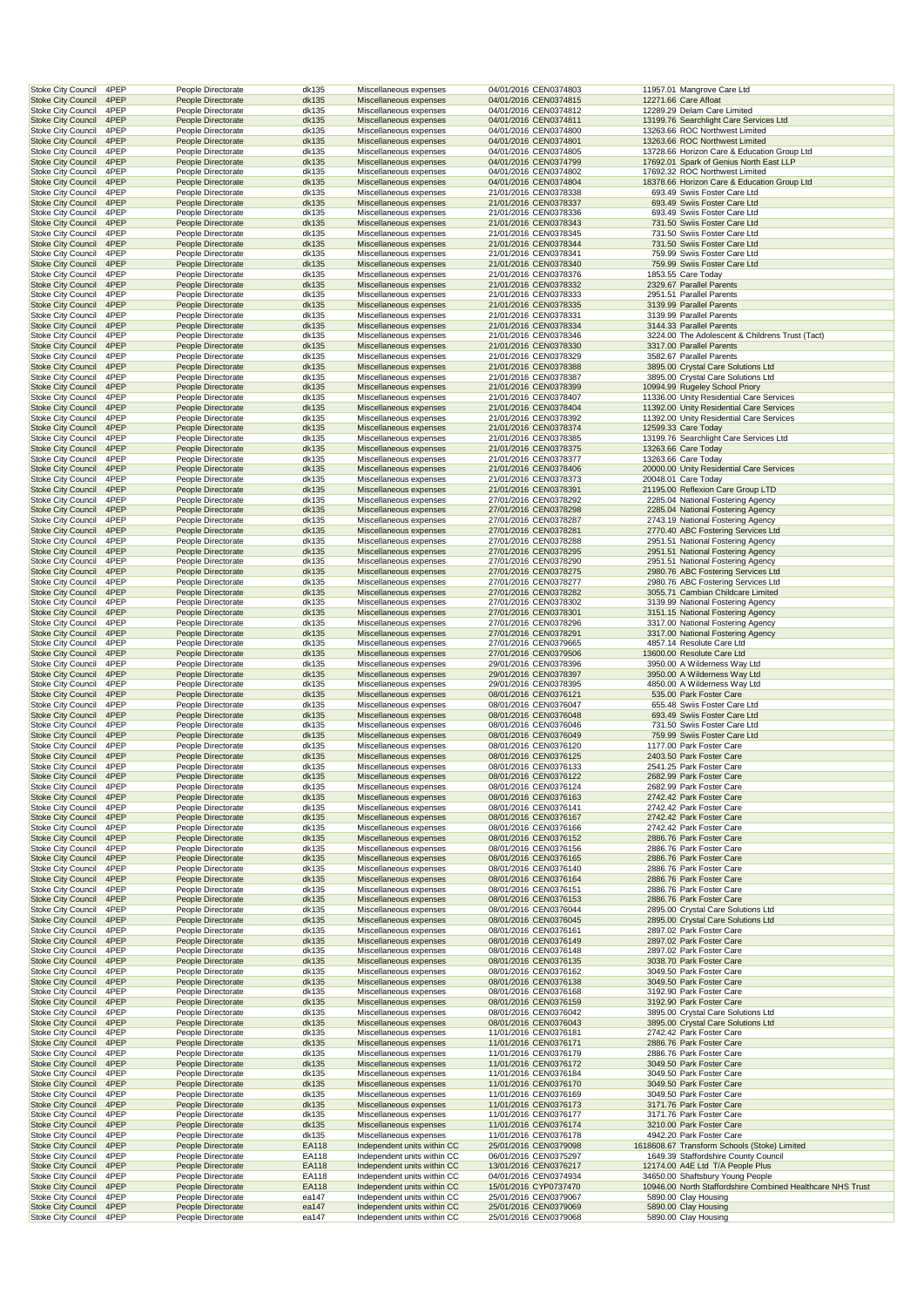| <b>Stoke City Council</b>                              | 4PEP         | People Directorate                       | dk135          | Miscellaneous expenses                                     | 04/01/2016 CEN0374803                          | 11957.01 Mangrove Care Ltd                                                             |
|--------------------------------------------------------|--------------|------------------------------------------|----------------|------------------------------------------------------------|------------------------------------------------|----------------------------------------------------------------------------------------|
| <b>Stoke City Council</b><br><b>Stoke City Council</b> | 4PEP<br>4PEP | People Directorate<br>People Directorate | dk135<br>dk135 | Miscellaneous expenses<br>Miscellaneous expenses           | 04/01/2016 CEN0374815<br>04/01/2016 CEN0374812 | 12271.66 Care Afloat<br>12289.29 Delam Care Limited                                    |
| <b>Stoke City Council</b>                              | 4PEP         | People Directorate                       | dk135          | Miscellaneous expenses                                     | 04/01/2016 CEN0374811                          | 13199.76 Searchlight Care Services Ltd                                                 |
| <b>Stoke City Council</b>                              | 4PEP         | People Directorate                       | dk135          | Miscellaneous expenses                                     | 04/01/2016 CEN0374800                          | 13263.66 ROC Northwest Limited                                                         |
| <b>Stoke City Council</b>                              | 4PEP         | People Directorate                       | dk135          | Miscellaneous expenses                                     | 04/01/2016 CEN0374801                          | 13263.66 ROC Northwest Limited                                                         |
| <b>Stoke City Council</b><br><b>Stoke City Council</b> | 4PEP<br>4PEP | People Directorate<br>People Directorate | dk135<br>dk135 | Miscellaneous expenses<br>Miscellaneous expenses           | 04/01/2016 CEN0374805<br>04/01/2016 CEN0374799 | 13728.66 Horizon Care & Education Group Ltd<br>17692.01 Spark of Genius North East LLP |
| <b>Stoke City Council</b>                              | 4PEP         | People Directorate                       | dk135          | Miscellaneous expenses                                     | 04/01/2016 CEN0374802                          | 17692.32 ROC Northwest Limited                                                         |
| <b>Stoke City Council</b>                              | 4PEP         | People Directorate                       | dk135          | Miscellaneous expenses                                     | 04/01/2016 CEN0374804                          | 18378.66 Horizon Care & Education Group Ltd                                            |
| <b>Stoke City Council</b><br><b>Stoke City Council</b> | 4PEP<br>4PEP | People Directorate<br>People Directorate | dk135<br>dk135 | Miscellaneous expenses<br>Miscellaneous expenses           | 21/01/2016 CEN0378338<br>21/01/2016 CEN0378337 | 693.49 Swiis Foster Care Ltd<br>693.49 Swiis Foster Care Ltd                           |
| <b>Stoke City Council</b>                              | 4PEP         | People Directorate                       | dk135          | Miscellaneous expenses                                     | 21/01/2016 CEN0378336                          | 693.49 Swiis Foster Care Ltd                                                           |
| <b>Stoke City Council</b>                              | 4PEP         | People Directorate                       | dk135          | Miscellaneous expenses                                     | 21/01/2016 CEN0378343                          | 731.50 Swiis Foster Care Ltd                                                           |
| <b>Stoke City Council</b>                              | 4PEP         | People Directorate                       | dk135          | Miscellaneous expenses                                     | 21/01/2016 CEN0378345                          | 731.50 Swiis Foster Care Ltd                                                           |
| <b>Stoke City Council</b><br><b>Stoke City Council</b> | 4PEP<br>4PEP | People Directorate<br>People Directorate | dk135<br>dk135 | Miscellaneous expenses<br>Miscellaneous expenses           | 21/01/2016 CEN0378344<br>21/01/2016 CEN0378341 | 731.50 Swiis Foster Care Ltd<br>759.99 Swiis Foster Care Ltd                           |
| <b>Stoke City Council</b>                              | 4PEP         | People Directorate                       | dk135          | Miscellaneous expenses                                     | 21/01/2016 CEN0378340                          | 759.99 Swiis Foster Care Ltd                                                           |
| <b>Stoke City Council</b><br><b>Stoke City Council</b> | 4PEP<br>4PEP | People Directorate<br>People Directorate | dk135<br>dk135 | Miscellaneous expenses<br>Miscellaneous expenses           | 21/01/2016 CEN0378376<br>21/01/2016 CEN0378332 | 1853.55 Care Today<br>2329.67 Parallel Parents                                         |
| <b>Stoke City Council</b>                              | 4PEP         | People Directorate                       | dk135          | Miscellaneous expenses                                     | 21/01/2016 CEN0378333                          | 2951.51 Parallel Parents                                                               |
| <b>Stoke City Council</b>                              | 4PEP         | People Directorate                       | dk135          | Miscellaneous expenses                                     | 21/01/2016 CEN0378335                          | 3139.99 Parallel Parents                                                               |
| <b>Stoke City Council</b><br><b>Stoke City Council</b> | 4PEP<br>4PEP | People Directorate<br>People Directorate | dk135<br>dk135 | Miscellaneous expenses<br>Miscellaneous expenses           | 21/01/2016 CEN0378331<br>21/01/2016 CEN0378334 | 3139.99 Parallel Parents<br>3144.33 Parallel Parents                                   |
| <b>Stoke City Council</b>                              | 4PEP         | People Directorate                       | dk135          | Miscellaneous expenses                                     | 21/01/2016 CEN0378346                          | 3224.00 The Adolescent & Childrens Trust (Tact)                                        |
| <b>Stoke City Council</b>                              | 4PEP         | People Directorate                       | dk135          | Miscellaneous expenses                                     | 21/01/2016 CEN0378330                          | 3317.00 Parallel Parents                                                               |
| <b>Stoke City Council</b><br><b>Stoke City Council</b> | 4PEP<br>4PEP | People Directorate<br>People Directorate | dk135<br>dk135 | Miscellaneous expenses<br>Miscellaneous expenses           | 21/01/2016 CEN0378329<br>21/01/2016 CEN0378388 | 3582.67 Parallel Parents<br>3895.00 Crystal Care Solutions Ltd                         |
| <b>Stoke City Council</b>                              | 4PEP         | People Directorate                       | dk135          | Miscellaneous expenses                                     | 21/01/2016 CEN0378387                          | 3895.00 Crystal Care Solutions Ltd                                                     |
| <b>Stoke City Council</b>                              | 4PEP         | People Directorate                       | dk135          | Miscellaneous expenses                                     | 21/01/2016 CEN0378399                          | 10994.99 Rugeley School Priory                                                         |
| <b>Stoke City Council</b><br><b>Stoke City Council</b> | 4PEP<br>4PEP | People Directorate<br>People Directorate | dk135<br>dk135 | Miscellaneous expenses<br>Miscellaneous expenses           | 21/01/2016 CEN0378407<br>21/01/2016 CEN0378404 | 11336.00 Unity Residential Care Services<br>11392.00 Unity Residential Care Services   |
| <b>Stoke City Council</b>                              | 4PEP         | People Directorate                       | dk135          | Miscellaneous expenses                                     | 21/01/2016 CEN0378392                          | 11392.00 Unity Residential Care Services                                               |
| <b>Stoke City Council</b>                              | 4PEP         | People Directorate                       | dk135          | Miscellaneous expenses                                     | 21/01/2016 CEN0378374                          | 12599.33 Care Today                                                                    |
| <b>Stoke City Council</b><br><b>Stoke City Council</b> | 4PEP<br>4PEP | People Directorate                       | dk135          | Miscellaneous expenses                                     | 21/01/2016 CEN0378385                          | 13199.76 Searchlight Care Services Ltd                                                 |
| <b>Stoke City Council</b>                              | 4PEP         | People Directorate<br>People Directorate | dk135<br>dk135 | Miscellaneous expenses<br>Miscellaneous expenses           | 21/01/2016 CEN0378375<br>21/01/2016 CEN0378377 | 13263.66 Care Today<br>13263.66 Care Today                                             |
| <b>Stoke City Council</b>                              | 4PEP         | People Directorate                       | dk135          | Miscellaneous expenses                                     | 21/01/2016 CEN0378406                          | 20000.00 Unity Residential Care Services                                               |
| <b>Stoke City Council</b><br><b>Stoke City Council</b> | 4PEP<br>4PEP | People Directorate                       | dk135          | Miscellaneous expenses                                     | 21/01/2016 CEN0378373                          | 20048.01 Care Today                                                                    |
| <b>Stoke City Council</b>                              | 4PEP         | People Directorate<br>People Directorate | dk135<br>dk135 | Miscellaneous expenses<br>Miscellaneous expenses           | 21/01/2016 CEN0378391<br>27/01/2016 CEN0378292 | 21195.00 Reflexion Care Group LTD<br>2285.04 National Fostering Agency                 |
| <b>Stoke City Council</b>                              | 4PEP         | People Directorate                       | dk135          | Miscellaneous expenses                                     | 27/01/2016 CEN0378298                          | 2285.04 National Fostering Agency                                                      |
| <b>Stoke City Council</b>                              | 4PEP         | People Directorate                       | dk135          | Miscellaneous expenses                                     | 27/01/2016 CEN0378287                          | 2743.19 National Fostering Agency                                                      |
| <b>Stoke City Council</b><br><b>Stoke City Council</b> | 4PEP<br>4PEP | People Directorate<br>People Directorate | dk135<br>dk135 | Miscellaneous expenses<br>Miscellaneous expenses           | 27/01/2016 CEN0378281<br>27/01/2016 CEN0378288 | 2770.40 ABC Fostering Services Ltd<br>2951.51 National Fostering Agency                |
| <b>Stoke City Council</b>                              | 4PEP         | People Directorate                       | dk135          | Miscellaneous expenses                                     | 27/01/2016 CEN0378295                          | 2951.51 National Fostering Agency                                                      |
| <b>Stoke City Council</b>                              | 4PEP         | People Directorate                       | dk135          | Miscellaneous expenses                                     | 27/01/2016 CEN0378290                          | 2951.51 National Fostering Agency                                                      |
| <b>Stoke City Council</b><br><b>Stoke City Council</b> | 4PEP<br>4PEP | People Directorate<br>People Directorate | dk135<br>dk135 | Miscellaneous expenses<br>Miscellaneous expenses           | 27/01/2016 CEN0378275<br>27/01/2016 CEN0378277 | 2980.76 ABC Fostering Services Ltd<br>2980.76 ABC Fostering Services Ltd               |
| <b>Stoke City Council</b>                              | 4PEP         | People Directorate                       | dk135          | Miscellaneous expenses                                     | 27/01/2016 CEN0378282                          | 3055.71 Cambian Childcare Limited                                                      |
| <b>Stoke City Council</b>                              | 4PEP         | People Directorate                       | dk135          | Miscellaneous expenses                                     | 27/01/2016 CEN0378302                          | 3139.99 National Fostering Agency                                                      |
| <b>Stoke City Council</b><br><b>Stoke City Council</b> | 4PEP<br>4PEP | People Directorate<br>People Directorate | dk135<br>dk135 | Miscellaneous expenses<br>Miscellaneous expenses           | 27/01/2016 CEN0378301<br>27/01/2016 CEN0378296 | 3151.15 National Fostering Agency<br>3317.00 National Fostering Agency                 |
| <b>Stoke City Council</b>                              | 4PEP         | People Directorate                       | dk135          | Miscellaneous expenses                                     | 27/01/2016 CEN0378291                          | 3317.00 National Fostering Agency                                                      |
| Stoke City Council                                     | 4PEP         | People Directorate                       | dk135          | Miscellaneous expenses                                     | 27/01/2016 CEN0379665                          | 4857.14 Resolute Care Ltd                                                              |
| <b>Stoke City Council</b><br><b>Stoke City Council</b> | 4PEP<br>4PEP | People Directorate<br>People Directorate | dk135<br>dk135 | Miscellaneous expenses<br>Miscellaneous expenses           | 27/01/2016 CEN0379506<br>29/01/2016 CEN0378396 | 13600.00 Resolute Care Ltd<br>3950.00 A Wilderness Way Ltd                             |
| <b>Stoke City Council</b>                              | 4PEP         | People Directorate                       | dk135          | Miscellaneous expenses                                     | 29/01/2016 CEN0378397                          | 3950.00 A Wilderness Way Ltd                                                           |
| <b>Stoke City Council</b>                              | 4PEP         | People Directorate                       | dk135          | Miscellaneous expenses                                     | 29/01/2016 CEN0378395                          | 4850.00 A Wilderness Way Ltd                                                           |
| <b>Stoke City Council</b><br><b>Stoke City Council</b> | 4PEP<br>4PEP | People Directorate<br>People Directorate | dk135<br>dk135 | Miscellaneous expenses<br>Miscellaneous expenses           | 08/01/2016 CEN0376121<br>08/01/2016 CEN0376047 | 535.00 Park Foster Care<br>655.48 Swiis Foster Care Ltd                                |
| <b>Stoke City Council</b>                              | 4PEP         | People Directorate                       | dk135          | Miscellaneous expenses                                     | 08/01/2016 CEN0376048                          | 693.49 Swiis Foster Care Ltd                                                           |
| <b>Stoke City Council</b>                              | 4PEP         | People Directorate                       | dk135          | Miscellaneous expenses                                     | 08/01/2016 CEN0376046                          | 731.50 Swiis Foster Care Ltd                                                           |
| <b>Stoke City Council</b><br><b>Stoke City Council</b> | 4PEP<br>4PEP | People Directorate<br>People Directorate | dk135<br>dk135 | Miscellaneous expenses<br>Miscellaneous expenses           | 08/01/2016 CEN0376049<br>08/01/2016 CEN0376120 | 759.99 Swiis Foster Care Ltd<br>1177.00 Park Foster Care                               |
| <b>Stoke City Council</b>                              | 4PEP         | People Directorate                       | dk135          | Miscellaneous expenses                                     | 08/01/2016 CEN0376125                          | 2403.50 Park Foster Care                                                               |
| <b>Stoke City Council</b>                              | 4PEP         | People Directorate                       | dk135          | Miscellaneous expenses                                     | 08/01/2016 CEN0376133                          | 2541.25 Park Foster Care                                                               |
| <b>Stoke City Council</b><br><b>Stoke City Council</b> | 4PEP<br>4PEP | People Directorate<br>People Directorate | dk135<br>dk135 | Miscellaneous expenses<br>Miscellaneous expenses           | 08/01/2016 CEN0376122<br>08/01/2016 CEN0376124 | 2682.99 Park Foster Care<br>2682.99 Park Foster Care                                   |
| <b>Stoke City Council</b>                              | 4PEP         | People Directorate                       | dk135          | Miscellaneous expenses                                     | 08/01/2016 CEN0376163                          | 2742.42 Park Foster Care                                                               |
| <b>Stoke City Council</b>                              | 4PEP         | People Directorate                       | dk135          | Miscellaneous expenses                                     | 08/01/2016 CEN0376141                          | 2742.42 Park Foster Care                                                               |
| <b>Stoke City Council</b><br><b>Stoke City Council</b> | 4PEP<br>4PEP | People Directorate<br>People Directorate | dk135<br>dk135 | Miscellaneous expenses<br>Miscellaneous expenses           | 08/01/2016 CEN0376167<br>08/01/2016 CEN0376166 | 2742.42 Park Foster Care<br>2742.42 Park Foster Care                                   |
| <b>Stoke City Council</b>                              | 4PEP         | People Directorate                       | dk135          | Miscellaneous expenses                                     | 08/01/2016 CEN0376152                          | 2886.76 Park Foster Care                                                               |
| Stoke City Council                                     | 4PEP         | People Directorate                       | dk135          | Miscellaneous expenses                                     | 08/01/2016 CEN0376156                          | 2886.76 Park Foster Care                                                               |
| <b>Stoke City Council</b><br><b>Stoke City Council</b> | 4PEP<br>4PEP | People Directorate<br>People Directorate | dk135<br>dk135 | Miscellaneous expenses<br>Miscellaneous expenses           | 08/01/2016 CEN0376165<br>08/01/2016 CEN0376140 | 2886.76 Park Foster Care<br>2886.76 Park Foster Care                                   |
| <b>Stoke City Council</b>                              | 4PEP         | People Directorate                       | dk135          | Miscellaneous expenses                                     | 08/01/2016 CEN0376164                          | 2886.76 Park Foster Care                                                               |
| Stoke City Council                                     | 4PEP         | People Directorate                       | dk135          | Miscellaneous expenses                                     | 08/01/2016 CEN0376151                          | 2886.76 Park Foster Care                                                               |
| <b>Stoke City Council</b><br><b>Stoke City Council</b> | 4PEP<br>4PEP | People Directorate<br>People Directorate | dk135<br>dk135 | Miscellaneous expenses<br>Miscellaneous expenses           | 08/01/2016 CEN0376153<br>08/01/2016 CEN0376044 | 2886.76 Park Foster Care<br>2895.00 Crystal Care Solutions Ltd                         |
| <b>Stoke City Council</b>                              | 4PEP         | People Directorate                       | dk135          | Miscellaneous expenses                                     | 08/01/2016 CEN0376045                          | 2895.00 Crystal Care Solutions Ltd                                                     |
| Stoke City Council                                     | 4PEP         | People Directorate                       | dk135          | Miscellaneous expenses                                     | 08/01/2016 CEN0376161                          | 2897.02 Park Foster Care                                                               |
| <b>Stoke City Council</b><br><b>Stoke City Council</b> | 4PEP<br>4PEP | People Directorate<br>People Directorate | dk135<br>dk135 | Miscellaneous expenses<br>Miscellaneous expenses           | 08/01/2016 CEN0376149<br>08/01/2016 CEN0376148 | 2897.02 Park Foster Care<br>2897.02 Park Foster Care                                   |
| <b>Stoke City Council</b>                              | 4PEP         | People Directorate                       | dk135          | Miscellaneous expenses                                     | 08/01/2016 CEN0376135                          | 3038.70 Park Foster Care                                                               |
| <b>Stoke City Council</b>                              | 4PEP         | People Directorate                       | dk135          | Miscellaneous expenses                                     | 08/01/2016 CEN0376162                          | 3049.50 Park Foster Care                                                               |
| <b>Stoke City Council</b><br><b>Stoke City Council</b> | 4PEP<br>4PEP | People Directorate<br>People Directorate | dk135<br>dk135 | Miscellaneous expenses<br>Miscellaneous expenses           | 08/01/2016 CEN0376138<br>08/01/2016 CEN0376168 | 3049.50 Park Foster Care<br>3192.90 Park Foster Care                                   |
| <b>Stoke City Council</b>                              | 4PEP         | People Directorate                       | dk135          | Miscellaneous expenses                                     | 08/01/2016 CEN0376159                          | 3192.90 Park Foster Care                                                               |
| <b>Stoke City Council</b>                              | 4PEP         | People Directorate                       | dk135          | Miscellaneous expenses                                     | 08/01/2016 CEN0376042                          | 3895.00 Crystal Care Solutions Ltd                                                     |
| <b>Stoke City Council</b><br>Stoke City Council        | 4PEP<br>4PEP | People Directorate<br>People Directorate | dk135<br>dk135 | Miscellaneous expenses<br>Miscellaneous expenses           | 08/01/2016 CEN0376043<br>11/01/2016 CEN0376181 | 3895.00 Crystal Care Solutions Ltd<br>2742.42 Park Foster Care                         |
| <b>Stoke City Council</b>                              | 4PEP         | People Directorate                       | dk135          | Miscellaneous expenses                                     | 11/01/2016 CEN0376171                          | 2886.76 Park Foster Care                                                               |
| <b>Stoke City Council</b>                              | 4PEP         | People Directorate                       | dk135          | Miscellaneous expenses                                     | 11/01/2016 CEN0376179                          | 2886.76 Park Foster Care                                                               |
| <b>Stoke City Council</b><br><b>Stoke City Council</b> | 4PEP<br>4PEP | People Directorate<br>People Directorate | dk135<br>dk135 | Miscellaneous expenses<br>Miscellaneous expenses           | 11/01/2016 CEN0376172<br>11/01/2016 CEN0376184 | 3049.50 Park Foster Care<br>3049.50 Park Foster Care                                   |
| <b>Stoke City Council</b>                              | 4PEP         | People Directorate                       | dk135          | Miscellaneous expenses                                     | 11/01/2016 CEN0376170                          | 3049.50 Park Foster Care                                                               |
| <b>Stoke City Council</b>                              | 4PEP         | People Directorate                       | dk135          | Miscellaneous expenses                                     | 11/01/2016 CEN0376169                          | 3049.50 Park Foster Care                                                               |
| <b>Stoke City Council</b><br><b>Stoke City Council</b> | 4PEP<br>4PEP | People Directorate                       | dk135          | Miscellaneous expenses                                     | 11/01/2016 CEN0376173                          | 3171.76 Park Foster Care                                                               |
| <b>Stoke City Council</b>                              | 4PEP         | People Directorate<br>People Directorate | dk135<br>dk135 | Miscellaneous expenses<br>Miscellaneous expenses           | 11/01/2016 CEN0376177<br>11/01/2016 CEN0376174 | 3171.76 Park Foster Care<br>3210.00 Park Foster Care                                   |
| Stoke City Council                                     | 4PEP         | People Directorate                       | dk135          | Miscellaneous expenses                                     | 11/01/2016 CEN0376178                          | 4942.20 Park Foster Care                                                               |
| <b>Stoke City Council</b><br><b>Stoke City Council</b> | 4PEP         | People Directorate                       | EA118          | Independent units within CC                                | 25/01/2016 CEN0379098                          | 1618608.67 Transform Schools (Stoke) Limited                                           |
| <b>Stoke City Council</b>                              | 4PEP<br>4PEP | People Directorate<br>People Directorate | EA118<br>EA118 | Independent units within CC<br>Independent units within CC | 06/01/2016 CEN0375297<br>13/01/2016 CEN0376217 | 1649.39 Staffordshire County Council<br>12174.00 A4E Ltd T/A People Plus               |
| <b>Stoke City Council</b>                              | 4PEP         | People Directorate                       | EA118          | Independent units within CC                                | 04/01/2016 CEN0374934                          | 34650.00 Shaftsbury Young People                                                       |
| <b>Stoke City Council</b><br><b>Stoke City Council</b> | 4PEP<br>4PEP | People Directorate                       | EA118          | Independent units within CC                                | 15/01/2016 CYP0737470                          | 10946.00 North Staffordshire Combined Healthcare NHS Trust<br>5890.00 Clay Housing     |
| <b>Stoke City Council</b>                              | 4PEP         | People Directorate<br>People Directorate | ea147<br>ea147 | Independent units within CC<br>Independent units within CC | 25/01/2016 CEN0379067<br>25/01/2016 CEN0379069 | 5890.00 Clay Housing                                                                   |
| <b>Stoke City Council</b>                              | 4PEP         | People Directorate                       | ea147          | Independent units within CC                                | 25/01/2016 CEN0379068                          | 5890.00 Clay Housing                                                                   |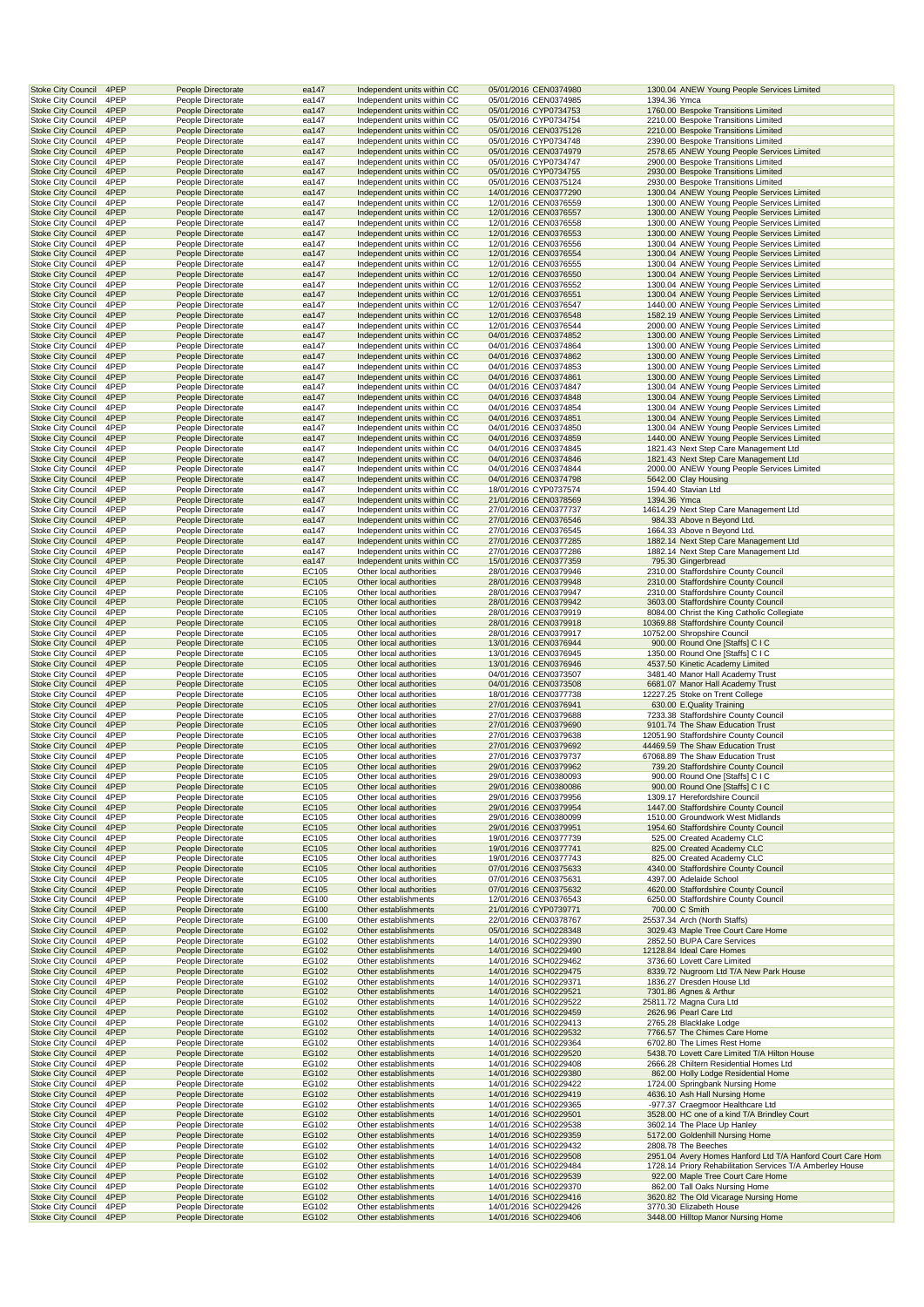| <b>Stoke City Council</b>                              | 4PEP         | People Directorate                       | ea147          |                                                    | Independent units within CC                                | 05/01/2016 CEN0374980                          |              | 1300.04 ANEW Young People Services Limited                                                                              |
|--------------------------------------------------------|--------------|------------------------------------------|----------------|----------------------------------------------------|------------------------------------------------------------|------------------------------------------------|--------------|-------------------------------------------------------------------------------------------------------------------------|
| <b>Stoke City Council</b>                              | 4PEP         | People Directorate                       | ea147          |                                                    | Independent units within CC                                | 05/01/2016 CEN0374985                          | 1394.36 Ymca |                                                                                                                         |
| <b>Stoke City Council</b><br><b>Stoke City Council</b> | 4PEP<br>4PEP | People Directorate<br>People Directorate | ea147<br>ea147 |                                                    | Independent units within CC<br>Independent units within CC | 05/01/2016 CYP0734753<br>05/01/2016 CYP0734754 |              | 1760.00 Bespoke Transitions Limited<br>2210.00 Bespoke Transitions Limited                                              |
| <b>Stoke City Council</b>                              | 4PEP         | People Directorate                       | ea147          |                                                    | Independent units within CC                                | 05/01/2016 CEN0375126                          |              | 2210.00 Bespoke Transitions Limited                                                                                     |
| <b>Stoke City Council</b>                              | 4PEP         | People Directorate                       | ea147          |                                                    | Independent units within CC                                | 05/01/2016 CYP0734748                          |              | 2390.00 Bespoke Transitions Limited                                                                                     |
| <b>Stoke City Council</b>                              | 4PEP         | People Directorate                       | ea147          |                                                    | Independent units within CC                                | 05/01/2016 CEN0374979                          |              | 2578.65 ANEW Young People Services Limited                                                                              |
| <b>Stoke City Council</b>                              | 4PEP         | People Directorate                       | ea147          |                                                    | Independent units within CC                                | 05/01/2016 CYP0734747                          |              | 2900.00 Bespoke Transitions Limited                                                                                     |
| <b>Stoke City Council</b><br><b>Stoke City Council</b> | 4PEP<br>4PEP | People Directorate<br>People Directorate | ea147<br>ea147 |                                                    | Independent units within CC<br>Independent units within CC | 05/01/2016 CYP0734755<br>05/01/2016 CEN0375124 |              | 2930.00 Bespoke Transitions Limited<br>2930.00 Bespoke Transitions Limited                                              |
| <b>Stoke City Council</b>                              | 4PEP         | People Directorate                       | ea147          |                                                    | Independent units within CC                                | 14/01/2016 CEN0377290                          |              | 1300.04 ANEW Young People Services Limited                                                                              |
| Stoke City Council                                     | 4PEP         | People Directorate                       | ea147          |                                                    | Independent units within CC                                | 12/01/2016 CEN0376559                          |              | 1300.00 ANEW Young People Services Limited                                                                              |
| <b>Stoke City Council</b>                              | 4PEP         | People Directorate                       | ea147          |                                                    | Independent units within CC                                | 12/01/2016 CEN0376557                          |              | 1300.00 ANEW Young People Services Limited                                                                              |
| <b>Stoke City Council</b>                              | 4PEP         | People Directorate                       | ea147          |                                                    | Independent units within CC                                | 12/01/2016 CEN0376558                          |              | 1300.00 ANEW Young People Services Limited                                                                              |
| <b>Stoke City Council</b>                              | 4PEP<br>4PEP | People Directorate                       | ea147          |                                                    | Independent units within CC                                | 12/01/2016 CEN0376553<br>12/01/2016 CEN0376556 |              | 1300.00 ANEW Young People Services Limited<br>1300.04 ANEW Young People Services Limited                                |
| <b>Stoke City Council</b><br><b>Stoke City Council</b> | 4PEP         | People Directorate<br>People Directorate | ea147<br>ea147 |                                                    | Independent units within CC<br>Independent units within CC | 12/01/2016 CEN0376554                          |              | 1300.04 ANEW Young People Services Limited                                                                              |
| <b>Stoke City Council</b>                              | 4PEP         | People Directorate                       | ea147          |                                                    | Independent units within CC                                | 12/01/2016 CEN0376555                          |              | 1300.04 ANEW Young People Services Limited                                                                              |
| <b>Stoke City Council</b>                              | 4PEP         | People Directorate                       | ea147          |                                                    | Independent units within CC                                | 12/01/2016 CEN0376550                          |              | 1300.04 ANEW Young People Services Limited                                                                              |
| <b>Stoke City Council</b>                              | 4PEP         | People Directorate                       | ea147          |                                                    | Independent units within CC                                | 12/01/2016 CEN0376552                          |              | 1300.04 ANEW Young People Services Limited                                                                              |
| <b>Stoke City Council</b>                              | 4PEP         | People Directorate                       | ea147          |                                                    | Independent units within CC                                | 12/01/2016 CEN0376551                          |              | 1300.04 ANEW Young People Services Limited                                                                              |
| Stoke City Council<br><b>Stoke City Council</b>        | 4PEP<br>4PEP | People Directorate<br>People Directorate | ea147<br>ea147 |                                                    | Independent units within CC<br>Independent units within CC | 12/01/2016 CEN0376547<br>12/01/2016 CEN0376548 |              | 1440.00 ANEW Young People Services Limited<br>1582.19 ANEW Young People Services Limited                                |
| <b>Stoke City Council</b>                              | 4PEP         | People Directorate                       | ea147          |                                                    | Independent units within CC                                | 12/01/2016 CEN0376544                          |              | 2000.00 ANEW Young People Services Limited                                                                              |
| <b>Stoke City Council</b>                              | 4PEP         | People Directorate                       | ea147          |                                                    | Independent units within CC                                | 04/01/2016 CEN0374852                          |              | 1300.00 ANEW Young People Services Limited                                                                              |
| <b>Stoke City Council</b>                              | 4PEP         | People Directorate                       | ea147          |                                                    | Independent units within CC                                | 04/01/2016 CEN0374864                          |              | 1300.00 ANEW Young People Services Limited                                                                              |
| <b>Stoke City Council</b>                              | 4PEP         | People Directorate                       | ea147          |                                                    | Independent units within CC                                | 04/01/2016 CEN0374862                          |              | 1300.00 ANEW Young People Services Limited                                                                              |
| <b>Stoke City Council</b>                              | 4PEP         | People Directorate                       | ea147          |                                                    | Independent units within CC                                | 04/01/2016 CEN0374853                          |              | 1300.00 ANEW Young People Services Limited                                                                              |
| <b>Stoke City Council</b><br><b>Stoke City Council</b> | 4PEP<br>4PEP | People Directorate<br>People Directorate | ea147<br>ea147 |                                                    | Independent units within CC<br>Independent units within CC | 04/01/2016 CEN0374861<br>04/01/2016 CEN0374847 |              | 1300.00 ANEW Young People Services Limited<br>1300.04 ANEW Young People Services Limited                                |
| <b>Stoke City Council</b>                              | 4PEP         | People Directorate                       | ea147          |                                                    | Independent units within CC                                | 04/01/2016 CEN0374848                          |              | 1300.04 ANEW Young People Services Limited                                                                              |
| Stoke City Council                                     | 4PEP         | People Directorate                       | ea147          |                                                    | Independent units within CC                                | 04/01/2016 CEN0374854                          |              | 1300.04 ANEW Young People Services Limited                                                                              |
| <b>Stoke City Council</b>                              | 4PEP         | People Directorate                       | ea147          |                                                    | Independent units within CC                                | 04/01/2016 CEN0374851                          |              | 1300.04 ANEW Young People Services Limited                                                                              |
| <b>Stoke City Council</b>                              | 4PEP         | People Directorate                       | ea147          |                                                    | Independent units within CC                                | 04/01/2016 CEN0374850                          |              | 1300.04 ANEW Young People Services Limited                                                                              |
| <b>Stoke City Council</b>                              | 4PEP         | People Directorate                       | ea147          |                                                    | Independent units within CC                                | 04/01/2016 CEN0374859                          |              | 1440.00 ANEW Young People Services Limited                                                                              |
| <b>Stoke City Council</b>                              | 4PEP         | People Directorate                       | ea147          |                                                    | Independent units within CC                                | 04/01/2016 CEN0374845                          |              | 1821.43 Next Step Care Management Ltd                                                                                   |
| <b>Stoke City Council</b><br><b>Stoke City Council</b> | 4PEP<br>4PEP | People Directorate<br>People Directorate | ea147<br>ea147 |                                                    | Independent units within CC<br>Independent units within CC | 04/01/2016 CEN0374846<br>04/01/2016 CEN0374844 |              | 1821.43 Next Step Care Management Ltd<br>2000.00 ANEW Young People Services Limited                                     |
| <b>Stoke City Council</b>                              | 4PEP         | People Directorate                       | ea147          |                                                    | Independent units within CC                                | 04/01/2016 CEN0374798                          |              | 5642.00 Clay Housing                                                                                                    |
| <b>Stoke City Council</b>                              | 4PEP         | People Directorate                       | ea147          |                                                    | Independent units within CC                                | 18/01/2016 CYP0737574                          |              | 1594.40 Stavian Ltd                                                                                                     |
| <b>Stoke City Council</b>                              | 4PEP         | People Directorate                       | ea147          |                                                    | Independent units within CC                                | 21/01/2016 CEN0378569                          | 1394.36 Ymca |                                                                                                                         |
| Stoke City Council                                     | 4PEP         | People Directorate                       | ea147          |                                                    | Independent units within CC                                | 27/01/2016 CEN0377737                          |              | 14614.29 Next Step Care Management Ltd                                                                                  |
| <b>Stoke City Council</b>                              | 4PEP         | People Directorate                       | ea147          |                                                    | Independent units within CC                                | 27/01/2016 CEN0376546                          |              | 984.33 Above n Beyond Ltd.                                                                                              |
| <b>Stoke City Council</b>                              | 4PEP         | People Directorate                       | ea147          |                                                    | Independent units within CC                                | 27/01/2016 CEN0376545                          |              | 1664.33 Above n Beyond Ltd.                                                                                             |
| <b>Stoke City Council</b><br><b>Stoke City Council</b> | 4PEP<br>4PEP | People Directorate<br>People Directorate | ea147<br>ea147 |                                                    | Independent units within CC<br>Independent units within CC | 27/01/2016 CEN0377285<br>27/01/2016 CEN0377286 |              | 1882.14 Next Step Care Management Ltd<br>1882.14 Next Step Care Management Ltd                                          |
| <b>Stoke City Council</b>                              | 4PEP         | People Directorate                       | ea147          |                                                    | Independent units within CC                                | 15/01/2016 CEN0377359                          |              | 795.30 Gingerbread                                                                                                      |
| <b>Stoke City Council</b>                              | 4PEP         | People Directorate                       | EC105          | Other local authorities                            |                                                            | 28/01/2016 CEN0379946                          |              | 2310.00 Staffordshire County Council                                                                                    |
| <b>Stoke City Council</b>                              | 4PEP         | People Directorate                       | EC105          | Other local authorities                            |                                                            | 28/01/2016 CEN0379948                          |              | 2310.00 Staffordshire County Council                                                                                    |
| Stoke City Council                                     | 4PEP         | People Directorate                       | EC105          | Other local authorities                            |                                                            | 28/01/2016 CEN0379947                          |              | 2310.00 Staffordshire County Council                                                                                    |
| <b>Stoke City Council</b>                              | 4PEP         | People Directorate                       | EC105          | Other local authorities                            |                                                            | 28/01/2016 CEN0379942                          |              | 3603.00 Staffordshire County Council                                                                                    |
| <b>Stoke City Council</b>                              | 4PEP         | People Directorate                       | EC105          | Other local authorities                            |                                                            | 28/01/2016 CEN0379919                          |              | 8084.00 Christ the King Catholic Collegiate                                                                             |
| <b>Stoke City Council</b><br><b>Stoke City Council</b> | 4PEP<br>4PEP | People Directorate<br>People Directorate | EC105<br>EC105 | Other local authorities<br>Other local authorities |                                                            | 28/01/2016 CEN0379918<br>28/01/2016 CEN0379917 |              | 10369.88 Staffordshire County Council<br>10752.00 Shropshire Council                                                    |
| <b>Stoke City Council</b>                              | 4PEP         | People Directorate                       | EC105          | Other local authorities                            |                                                            | 13/01/2016 CEN0376944                          |              | 900.00 Round One [Staffs] C I C                                                                                         |
| <b>Stoke City Council</b>                              | 4PEP         | People Directorate                       | EC105          | Other local authorities                            |                                                            | 13/01/2016 CEN0376945                          |              | 1350.00 Round One [Staffs] C I C                                                                                        |
| <b>Stoke City Council</b>                              | 4PEP         | People Directorate                       | EC105          | Other local authorities                            |                                                            | 13/01/2016 CEN0376946                          |              | 4537.50 Kinetic Academy Limited                                                                                         |
| <b>Stoke City Council</b>                              | 4PEP         | People Directorate                       | EC105          | Other local authorities                            |                                                            | 04/01/2016 CEN0373507                          |              | 3481.40 Manor Hall Academy Trust                                                                                        |
| <b>Stoke City Council</b>                              | 4PEP         | People Directorate                       | EC105          | Other local authorities                            |                                                            | 04/01/2016 CEN0373508                          |              | 6681.07 Manor Hall Academy Trust                                                                                        |
| Stoke City Council                                     | 4PEP         | People Directorate                       | EC105          | Other local authorities                            |                                                            | 18/01/2016 CEN0377738                          |              | 12227.25 Stoke on Trent College                                                                                         |
| <b>Stoke City Council</b><br><b>Stoke City Council</b> | 4PEP<br>4PEP | People Directorate<br>People Directorate | EC105<br>EC105 | Other local authorities<br>Other local authorities |                                                            | 27/01/2016 CEN0376941<br>27/01/2016 CEN0379688 |              | 630.00 E.Quality Training<br>7233.38 Staffordshire County Council                                                       |
| <b>Stoke City Council</b>                              | 4PEP         | People Directorate                       | EC105          | Other local authorities                            |                                                            | 27/01/2016 CEN0379690                          |              | 9101.74 The Shaw Education Trust                                                                                        |
| <b>Stoke City Council</b>                              | 4PEP         | People Directorate                       | EC105          | Other local authorities                            |                                                            | 27/01/2016 CEN0379638                          |              | 12051.90 Staffordshire County Council                                                                                   |
| <b>Stoke City Council</b>                              | 4PEP         | People Directorate                       | EC105          | Other local authorities                            |                                                            | 27/01/2016 CEN0379692                          |              | 44469.59 The Shaw Education Trust                                                                                       |
| <b>Stoke City Council</b>                              | 4PEP         | People Directorate                       | EC105          | Other local authorities                            |                                                            | 27/01/2016 CEN0379737                          |              | 67068.89 The Shaw Education Trust                                                                                       |
| <b>Stoke City Council</b>                              | 4PEP         | People Directorate                       | EC105          | Other local authorities                            |                                                            | 29/01/2016 CEN0379962                          |              | 739.20 Staffordshire County Council                                                                                     |
| Stoke City Council<br><b>Stoke City Council</b>        | 4PEP<br>4PEP | People Directorate<br>People Directorate | EC105<br>EC105 | Other local authorities<br>Other local authorities |                                                            | 29/01/2016 CEN0380093                          |              | 900.00 Round One [Staffs] C I C<br>900.00 Round One [Staffs] C I C                                                      |
| <b>Stoke City Council</b>                              | 4PEP         | People Directorate                       | EC105          | Other local authorities                            |                                                            | 29/01/2016 CEN0380086<br>29/01/2016 CEN0379956 |              | 1309.17 Herefordshire Council                                                                                           |
| <b>Stoke City Council</b>                              | 4PEP         | People Directorate                       | EC105          | Other local authorities                            |                                                            | 29/01/2016 CEN0379954                          |              | 1447.00 Staffordshire County Council                                                                                    |
| Stoke City Council                                     | 4PEP         | People Directorate                       | EC105          | Other local authorities                            |                                                            | 29/01/2016 CEN0380099                          |              | 1510.00 Groundwork West Midlands                                                                                        |
| <b>Stoke City Council</b>                              | 4PEP         | People Directorate                       | EC105          | Other local authorities                            |                                                            | 29/01/2016 CEN0379951                          |              | 1954.60 Staffordshire County Council                                                                                    |
| <b>Stoke City Council</b>                              | 4PEP         | People Directorate                       | EC105          | Other local authorities                            |                                                            | 19/01/2016 CEN0377739                          |              | 525.00 Created Academy CLC                                                                                              |
| <b>Stoke City Council</b>                              | 4PEP         | People Directorate                       | EC105          | Other local authorities                            |                                                            | 19/01/2016 CEN0377741                          |              | 825.00 Created Academy CLC                                                                                              |
| <b>Stoke City Council</b><br><b>Stoke City Council</b> | 4PEP<br>4PEP | People Directorate<br>People Directorate | EC105<br>EC105 | Other local authorities<br>Other local authorities |                                                            | 19/01/2016 CEN0377743<br>07/01/2016 CEN0375633 |              | 825.00 Created Academy CLC<br>4340.00 Staffordshire County Council                                                      |
| <b>Stoke City Council</b>                              | 4PEP         | People Directorate                       | EC105          | Other local authorities                            |                                                            | 07/01/2016 CEN0375631                          |              | 4397.00 Adelaide School                                                                                                 |
| <b>Stoke City Council</b>                              | 4PEP         | People Directorate                       | EC105          | Other local authorities                            |                                                            | 07/01/2016 CEN0375632                          |              | 4620.00 Staffordshire County Council                                                                                    |
| Stoke City Council                                     | 4PEP         | People Directorate                       | EG100          | Other establishments                               |                                                            | 12/01/2016 CEN0376543                          |              | 6250.00 Staffordshire County Council                                                                                    |
| <b>Stoke City Council</b>                              | 4PEP         | People Directorate                       | EG100          | Other establishments                               |                                                            | 21/01/2016 CYP0739771                          |              | 700.00 C Smith                                                                                                          |
| Stoke City Council<br><b>Stoke City Council</b>        | 4PEP<br>4PEP | People Directorate<br>People Directorate | EG100<br>EG102 | Other establishments<br>Other establishments       |                                                            | 22/01/2016 CEN0378767<br>05/01/2016 SCH0228348 |              | 25537.34 Arch (North Staffs)<br>3029.43 Maple Tree Court Care Home                                                      |
| <b>Stoke City Council</b>                              | 4PEP         | People Directorate                       | EG102          | Other establishments                               |                                                            | 14/01/2016 SCH0229390                          |              | 2852.50 BUPA Care Services                                                                                              |
| <b>Stoke City Council</b>                              | 4PEP         | People Directorate                       | EG102          | Other establishments                               |                                                            | 14/01/2016 SCH0229490                          |              | 12128.84 Ideal Care Homes                                                                                               |
| <b>Stoke City Council</b>                              | 4PEP         | People Directorate                       | EG102          | Other establishments                               |                                                            | 14/01/2016 SCH0229462                          |              | 3736.60 Lovett Care Limited                                                                                             |
| <b>Stoke City Council</b>                              | 4PEP         | People Directorate                       | EG102          | Other establishments                               |                                                            | 14/01/2016 SCH0229475                          |              | 8339.72 Nugroom Ltd T/A New Park House                                                                                  |
| <b>Stoke City Council</b>                              | 4PEP         | People Directorate                       | EG102          | Other establishments                               |                                                            | 14/01/2016 SCH0229371                          |              | 1836.27 Dresden House Ltd                                                                                               |
| <b>Stoke City Council</b><br>Stoke City Council        | 4PEP<br>4PEP | People Directorate<br>People Directorate | EG102<br>EG102 | Other establishments<br>Other establishments       |                                                            | 14/01/2016 SCH0229521<br>14/01/2016 SCH0229522 |              | 7301.86 Agnes & Arthur<br>25811.72 Magna Cura Ltd                                                                       |
| <b>Stoke City Council</b>                              | 4PEP         | People Directorate                       | EG102          | Other establishments                               |                                                            | 14/01/2016 SCH0229459                          |              | 2626.96 Pearl Care Ltd                                                                                                  |
| <b>Stoke City Council</b>                              | 4PEP         | People Directorate                       | EG102          | Other establishments                               |                                                            | 14/01/2016 SCH0229413                          |              | 2765.28 Blacklake Lodge                                                                                                 |
| <b>Stoke City Council</b>                              | 4PEP         | People Directorate                       | EG102          | Other establishments                               |                                                            | 14/01/2016 SCH0229532                          |              | 7766.57 The Chimes Care Home                                                                                            |
| <b>Stoke City Council</b>                              | 4PEP         | People Directorate                       | EG102          | Other establishments                               |                                                            | 14/01/2016 SCH0229364                          |              | 6702.80 The Limes Rest Home                                                                                             |
| <b>Stoke City Council</b>                              | 4PEP         | People Directorate                       | EG102          | Other establishments                               |                                                            | 14/01/2016 SCH0229520                          |              | 5438.70 Lovett Care Limited T/A Hilton House                                                                            |
| <b>Stoke City Council</b>                              | 4PEP         | People Directorate                       | EG102          | Other establishments                               |                                                            | 14/01/2016 SCH0229408                          |              | 2666.28 Chiltern Residential Homes Ltd                                                                                  |
| <b>Stoke City Council</b><br>Stoke City Council        | 4PEP<br>4PEP | People Directorate<br>People Directorate | EG102<br>EG102 | Other establishments<br>Other establishments       |                                                            | 14/01/2016 SCH0229380<br>14/01/2016 SCH0229422 |              | 862.00 Holly Lodge Residential Home<br>1724.00 Springbank Nursing Home                                                  |
| <b>Stoke City Council</b>                              | 4PEP         | People Directorate                       | EG102          | Other establishments                               |                                                            | 14/01/2016 SCH0229419                          |              | 4636.10 Ash Hall Nursing Home                                                                                           |
| Stoke City Council                                     | 4PEP         | People Directorate                       | EG102          | Other establishments                               |                                                            | 14/01/2016 SCH0229365                          |              | -977.37 Craegmoor Healthcare Ltd                                                                                        |
| <b>Stoke City Council</b>                              | 4PEP         | People Directorate                       | EG102          | Other establishments                               |                                                            | 14/01/2016 SCH0229501                          |              | 3528.00 HC one of a kind T/A Brindley Court                                                                             |
| <b>Stoke City Council</b>                              | 4PEP         | People Directorate                       | EG102          | Other establishments                               |                                                            | 14/01/2016 SCH0229538                          |              | 3602.14 The Place Up Hanley                                                                                             |
| <b>Stoke City Council</b>                              | 4PEP         | People Directorate                       | EG102          | Other establishments                               |                                                            | 14/01/2016 SCH0229359                          |              | 5172.00 Goldenhill Nursing Home                                                                                         |
| <b>Stoke City Council</b><br><b>Stoke City Council</b> | 4PEP         | People Directorate                       | EG102          | Other establishments                               |                                                            | 14/01/2016 SCH0229432                          |              | 2808.78 The Beeches                                                                                                     |
| <b>Stoke City Council</b>                              | 4PEP<br>4PEP | People Directorate<br>People Directorate | EG102<br>EG102 | Other establishments<br>Other establishments       |                                                            | 14/01/2016 SCH0229508<br>14/01/2016 SCH0229484 |              | 2951.04 Avery Homes Hanford Ltd T/A Hanford Court Care Hom<br>1728.14 Priory Rehabilitation Services T/A Amberley House |
| <b>Stoke City Council</b>                              | 4PEP         | People Directorate                       | EG102          | Other establishments                               |                                                            | 14/01/2016 SCH0229539                          |              | 922.00 Maple Tree Court Care Home                                                                                       |
| Stoke City Council                                     | 4PEP         | People Directorate                       | EG102          | Other establishments                               |                                                            | 14/01/2016 SCH0229370                          |              | 862.00 Tall Oaks Nursing Home                                                                                           |
| <b>Stoke City Council</b>                              | 4PEP         | People Directorate                       | EG102          | Other establishments                               |                                                            | 14/01/2016 SCH0229416                          |              | 3620.82 The Old Vicarage Nursing Home                                                                                   |
|                                                        | 4PEP         | People Directorate                       | EG102          | Other establishments                               |                                                            | 14/01/2016 SCH0229426                          |              | 3770.30 Elizabeth House                                                                                                 |
| Stoke City Council<br><b>Stoke City Council</b>        | 4PEP         | People Directorate                       | EG102          | Other establishments                               |                                                            | 14/01/2016 SCH0229406                          |              | 3448.00 Hilltop Manor Nursing Home                                                                                      |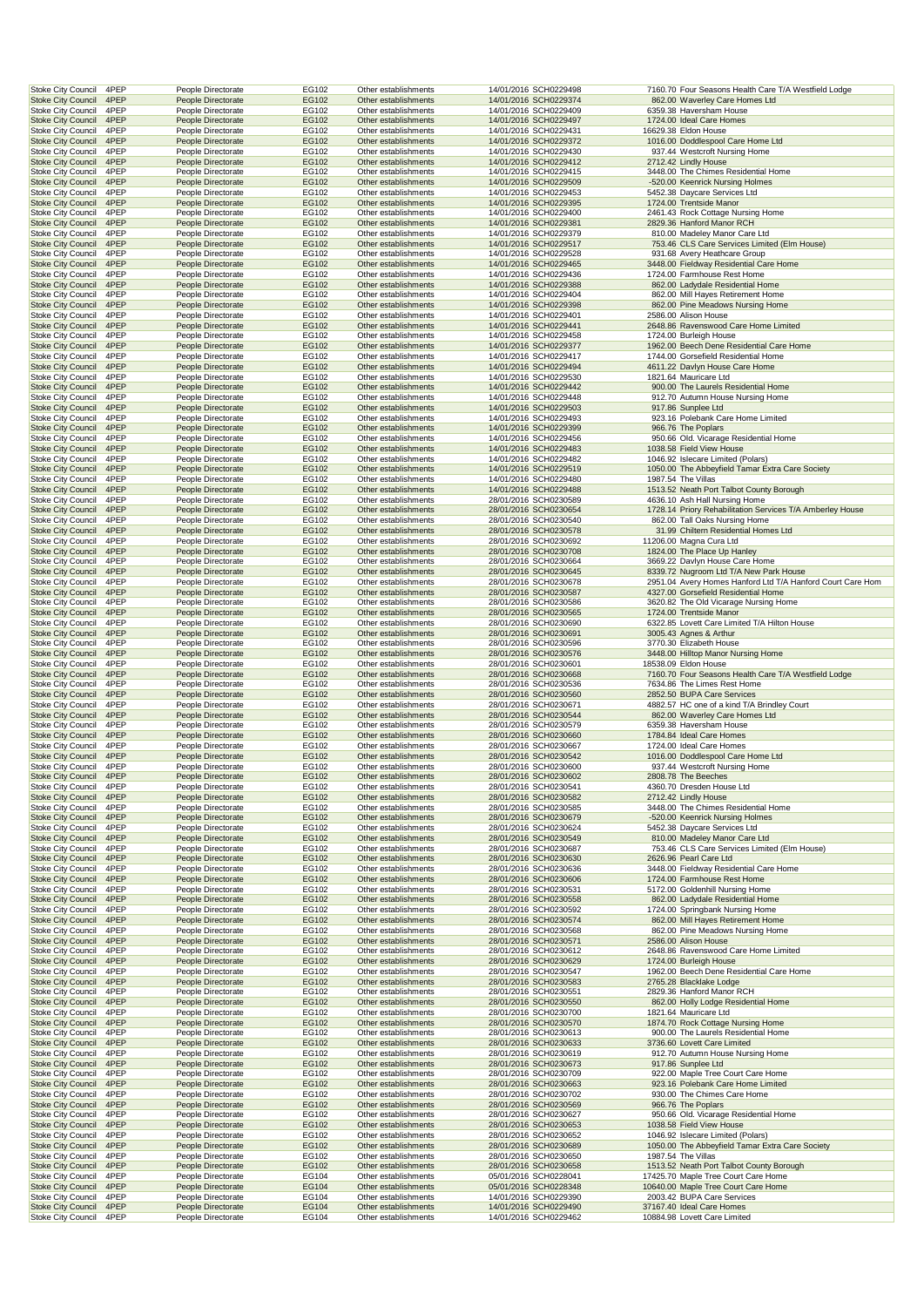| 4PEP<br><b>Stoke City Council</b>                                      | People Directorate                       | EG102          | Other establishments                         | 14/01/2016 SCH0229498                          | 7160.70 Four Seasons Health Care T/A Westfield Lodge                                              |
|------------------------------------------------------------------------|------------------------------------------|----------------|----------------------------------------------|------------------------------------------------|---------------------------------------------------------------------------------------------------|
| 4PEP<br><b>Stoke City Council</b>                                      | People Directorate                       | EG102          | Other establishments                         | 14/01/2016 SCH0229374                          | 862.00 Waverley Care Homes Ltd                                                                    |
| 4PEP<br><b>Stoke City Council</b>                                      | People Directorate                       | EG102          | Other establishments                         | 14/01/2016 SCH0229409                          | 6359.38 Haversham House                                                                           |
| 4PEP<br><b>Stoke City Council</b><br><b>Stoke City Council</b><br>4PEP | People Directorate<br>People Directorate | EG102<br>EG102 | Other establishments<br>Other establishments | 14/01/2016 SCH0229497<br>14/01/2016 SCH0229431 | 1724.00 Ideal Care Homes<br>16629.38 Eldon House                                                  |
| <b>Stoke City Council</b><br>4PEP                                      | People Directorate                       | EG102          | Other establishments                         | 14/01/2016 SCH0229372                          | 1016.00 Doddlespool Care Home Ltd                                                                 |
| Stoke City Council<br>4PEP                                             | People Directorate                       | EG102          | Other establishments                         | 14/01/2016 SCH0229430                          | 937.44 Westcroft Nursing Home                                                                     |
| <b>Stoke City Council</b><br>4PEP                                      | People Directorate                       | EG102          | Other establishments                         | 14/01/2016 SCH0229412                          | 2712.42 Lindly House                                                                              |
| <b>Stoke City Council</b><br>4PEP                                      | People Directorate                       | EG102          | Other establishments                         | 14/01/2016 SCH0229415                          | 3448.00 The Chimes Residential Home                                                               |
| <b>Stoke City Council</b><br>4PEP                                      | People Directorate                       | EG102          | Other establishments                         | 14/01/2016 SCH0229509                          | -520.00 Keenrick Nursing Holmes                                                                   |
| <b>Stoke City Council</b><br>4PEP                                      | People Directorate                       | EG102          | Other establishments                         | 14/01/2016 SCH0229453                          | 5452.38 Daycare Services Ltd                                                                      |
| <b>Stoke City Council</b><br>4PEP<br><b>Stoke City Council</b><br>4PEP | People Directorate<br>People Directorate | EG102<br>EG102 | Other establishments<br>Other establishments | 14/01/2016 SCH0229395<br>14/01/2016 SCH0229400 | 1724.00 Trentside Manor<br>2461.43 Rock Cottage Nursing Home                                      |
| <b>Stoke City Council</b><br>4PEP                                      | People Directorate                       | EG102          | Other establishments                         | 14/01/2016 SCH0229381                          | 2829.36 Hanford Manor RCH                                                                         |
| <b>Stoke City Council</b><br>4PEP                                      | People Directorate                       | EG102          | Other establishments                         | 14/01/2016 SCH0229379                          | 810.00 Madeley Manor Care Ltd                                                                     |
| <b>Stoke City Council</b><br>4PEP                                      | People Directorate                       | EG102          | Other establishments                         | 14/01/2016 SCH0229517                          | 753.46 CLS Care Services Limited (Elm House)                                                      |
| Stoke City Council<br>4PEP                                             | People Directorate                       | EG102          | Other establishments                         | 14/01/2016 SCH0229528                          | 931.68 Avery Heathcare Group                                                                      |
| <b>Stoke City Council</b><br>4PEP                                      | People Directorate                       | EG102          | Other establishments                         | 14/01/2016 SCH0229465                          | 3448.00 Fieldway Residential Care Home                                                            |
| <b>Stoke City Council</b><br>4PEP<br><b>Stoke City Council</b><br>4PEP | People Directorate                       | EG102<br>EG102 | Other establishments<br>Other establishments | 14/01/2016 SCH0229436                          | 1724.00 Farmhouse Rest Home<br>862.00 Ladydale Residential Home                                   |
| <b>Stoke City Council</b><br>4PEP                                      | People Directorate<br>People Directorate | EG102          | Other establishments                         | 14/01/2016 SCH0229388<br>14/01/2016 SCH0229404 | 862.00 Mill Hayes Retirement Home                                                                 |
| <b>Stoke City Council</b><br>4PEP                                      | People Directorate                       | EG102          | Other establishments                         | 14/01/2016 SCH0229398                          | 862.00 Pine Meadows Nursing Home                                                                  |
| <b>Stoke City Council</b><br>4PEP                                      | People Directorate                       | EG102          | Other establishments                         | 14/01/2016 SCH0229401                          | 2586.00 Alison House                                                                              |
| <b>Stoke City Council</b><br>4PEP                                      | People Directorate                       | EG102          | Other establishments                         | 14/01/2016 SCH0229441                          | 2648.86 Ravenswood Care Home Limited                                                              |
| <b>Stoke City Council</b><br>4PEP                                      | People Directorate                       | EG102          | Other establishments                         | 14/01/2016 SCH0229458                          | 1724.00 Burleigh House                                                                            |
| <b>Stoke City Council</b><br>4PEP<br>Stoke City Council<br>4PEP        | People Directorate<br>People Directorate | EG102<br>EG102 | Other establishments<br>Other establishments | 14/01/2016 SCH0229377<br>14/01/2016 SCH0229417 | 1962.00 Beech Dene Residential Care Home<br>1744.00 Gorsefield Residential Home                   |
| <b>Stoke City Council</b><br>4PEP                                      | People Directorate                       | EG102          | Other establishments                         | 14/01/2016 SCH0229494                          | 4611.22 Davlyn House Care Home                                                                    |
| <b>Stoke City Council</b><br>4PEP                                      | People Directorate                       | EG102          | Other establishments                         | 14/01/2016 SCH0229530                          | 1821.64 Mauricare Ltd                                                                             |
| <b>Stoke City Council</b><br>4PEP                                      | People Directorate                       | EG102          | Other establishments                         | 14/01/2016 SCH0229442                          | 900.00 The Laurels Residential Home                                                               |
| <b>Stoke City Council</b><br>4PEP                                      | People Directorate                       | EG102          | Other establishments                         | 14/01/2016 SCH0229448                          | 912.70 Autumn House Nursing Home                                                                  |
| <b>Stoke City Council</b><br>4PEP                                      | People Directorate                       | EG102          | Other establishments                         | 14/01/2016 SCH0229503                          | 917.86 Sunplee Ltd                                                                                |
| <b>Stoke City Council</b><br>4PEP                                      | People Directorate                       | EG102          | Other establishments                         | 14/01/2016 SCH0229493                          | 923.16 Polebank Care Home Limited                                                                 |
| <b>Stoke City Council</b><br>4PEP<br><b>Stoke City Council</b><br>4PEP | People Directorate<br>People Directorate | EG102<br>EG102 | Other establishments<br>Other establishments | 14/01/2016 SCH0229399<br>14/01/2016 SCH0229456 | 966.76 The Poplars<br>950.66 Old. Vicarage Residential Home                                       |
| <b>Stoke City Council</b><br>4PEP                                      | People Directorate                       | EG102          | Other establishments                         | 14/01/2016 SCH0229483                          | 1038.58 Field View House                                                                          |
| Stoke City Council<br>4PEP                                             | People Directorate                       | EG102          | Other establishments                         | 14/01/2016 SCH0229482                          | 1046.92 Islecare Limited (Polars)                                                                 |
| <b>Stoke City Council</b><br>4PEP                                      | People Directorate                       | EG102          | Other establishments                         | 14/01/2016 SCH0229519                          | 1050.00 The Abbeyfield Tamar Extra Care Society                                                   |
| <b>Stoke City Council</b><br>4PEP                                      | People Directorate                       | EG102          | Other establishments                         | 14/01/2016 SCH0229480                          | 1987.54 The Villas                                                                                |
| <b>Stoke City Council</b><br>4PEP                                      | People Directorate                       | EG102          | Other establishments                         | 14/01/2016 SCH0229488                          | 1513.52 Neath Port Talbot County Borough                                                          |
| <b>Stoke City Council</b><br>4PEP<br><b>Stoke City Council</b><br>4PEP | People Directorate<br>People Directorate | EG102<br>EG102 | Other establishments<br>Other establishments | 28/01/2016 SCH0230589<br>28/01/2016 SCH0230654 | 4636.10 Ash Hall Nursing Home<br>1728.14 Priory Rehabilitation Services T/A Amberley House        |
| <b>Stoke City Council</b><br>4PEP                                      | People Directorate                       | EG102          | Other establishments                         | 28/01/2016 SCH0230540                          | 862.00 Tall Oaks Nursing Home                                                                     |
| <b>Stoke City Council</b><br>4PEP                                      | People Directorate                       | EG102          | Other establishments                         | 28/01/2016 SCH0230578                          | 31.99 Chiltern Residential Homes Ltd                                                              |
| <b>Stoke City Council</b><br>4PEP                                      | People Directorate                       | EG102          | Other establishments                         | 28/01/2016 SCH0230692                          | 11206.00 Magna Cura Ltd                                                                           |
| <b>Stoke City Council</b><br>4PEP                                      | People Directorate                       | EG102          | Other establishments                         | 28/01/2016 SCH0230708                          | 1824.00 The Place Up Hanley                                                                       |
| Stoke City Council<br>4PEP                                             | People Directorate                       | EG102          | Other establishments                         | 28/01/2016 SCH0230664                          | 3669.22 Davlyn House Care Home                                                                    |
| <b>Stoke City Council</b><br>4PEP                                      | People Directorate                       | EG102          | Other establishments                         | 28/01/2016 SCH0230645                          | 8339.72 Nugroom Ltd T/A New Park House                                                            |
| <b>Stoke City Council</b><br>4PEP<br><b>Stoke City Council</b><br>4PEP | People Directorate<br>People Directorate | EG102<br>EG102 | Other establishments<br>Other establishments | 28/01/2016 SCH0230678                          | 2951.04 Avery Homes Hanford Ltd T/A Hanford Court Care Hom<br>4327.00 Gorsefield Residential Home |
| 4PEP<br><b>Stoke City Council</b>                                      | People Directorate                       | EG102          | Other establishments                         | 28/01/2016 SCH0230587<br>28/01/2016 SCH0230586 | 3620.82 The Old Vicarage Nursing Home                                                             |
| <b>Stoke City Council</b><br>4PEP                                      | People Directorate                       | EG102          | Other establishments                         | 28/01/2016 SCH0230565                          | 1724.00 Trentside Manor                                                                           |
| 4PEP<br><b>Stoke City Council</b>                                      | People Directorate                       | EG102          | Other establishments                         | 28/01/2016 SCH0230690                          | 6322.85 Lovett Care Limited T/A Hilton House                                                      |
| <b>Stoke City Council</b><br>4PEP                                      | People Directorate                       | EG102          | Other establishments                         | 28/01/2016 SCH0230691                          | 3005.43 Agnes & Arthur                                                                            |
| Stoke City Council<br>4PEP                                             | People Directorate                       | EG102          | Other establishments                         | 28/01/2016 SCH0230596                          | 3770.30 Elizabeth House                                                                           |
| <b>Stoke City Council</b><br>4PEP                                      | People Directorate                       | EG102          | Other establishments                         | 28/01/2016 SCH0230576                          | 3448.00 Hilltop Manor Nursing Home                                                                |
| <b>Stoke City Council</b><br>4PEP<br><b>Stoke City Council</b><br>4PEP | People Directorate<br>People Directorate | EG102<br>EG102 | Other establishments<br>Other establishments | 28/01/2016 SCH0230601<br>28/01/2016 SCH0230668 | 18538.09 Eldon House<br>7160.70 Four Seasons Health Care T/A Westfield Lodge                      |
| <b>Stoke City Council</b><br>4PEP                                      | People Directorate                       | EG102          | Other establishments                         | 28/01/2016 SCH0230536                          | 7634.86 The Limes Rest Home                                                                       |
| <b>Stoke City Council</b><br>4PEP                                      | People Directorate                       | EG102          | Other establishments                         | 28/01/2016 SCH0230560                          | 2852.50 BUPA Care Services                                                                        |
| 4PEP<br><b>Stoke City Council</b>                                      | People Directorate                       | EG102          | Other establishments                         | 28/01/2016 SCH0230671                          | 4882.57 HC one of a kind T/A Brindley Court                                                       |
| <b>Stoke City Council</b><br>4PEP                                      | People Directorate                       | EG102          | Other establishments                         | 28/01/2016 SCH0230544                          | 862.00 Waverley Care Homes Ltd                                                                    |
| 4PEP<br><b>Stoke City Council</b>                                      | People Directorate                       | EG102          | Other establishments                         | 28/01/2016 SCH0230579                          | 6359.38 Haversham House                                                                           |
| <b>Stoke City Council</b><br>4PEP<br>4PEP                              | People Directorate                       | EG102<br>EG102 | Other establishments                         | 28/01/2016 SCH0230660<br>28/01/2016 SCH0230667 | 1784.84 Ideal Care Homes<br>1724.00 Ideal Care Homes                                              |
| Stoke City Council<br><b>Stoke City Council</b><br>4PEP                | People Directorate<br>People Directorate | EG102          | Other establishments<br>Other establishments | 28/01/2016 SCH0230542                          | 1016.00 Doddlespool Care Home Ltd                                                                 |
| <b>Stoke City Council</b><br>4PEP                                      | People Directorate                       | EG102          | Other establishments                         | 28/01/2016 SCH0230600                          | 937.44 Westcroft Nursing Home                                                                     |
| <b>Stoke City Council</b><br>4PEP                                      | People Directorate                       | EG102          | Other establishments                         | 28/01/2016 SCH0230602                          | 2808.78 The Beeches                                                                               |
| <b>Stoke City Council</b><br>4PEP                                      | People Directorate                       | EG102          | Other establishments                         | 28/01/2016 SCH0230541                          | 4360.70 Dresden House Ltd                                                                         |
| <b>Stoke City Council</b><br>4PEP                                      | People Directorate                       | EG102          | Other establishments                         | 28/01/2016 SCH0230582                          | 2712.42 Lindly House                                                                              |
| 4PEP<br><b>Stoke City Council</b><br><b>Stoke City Council</b><br>4PEP | People Directorate<br>People Directorate | EG102<br>EG102 | Other establishments<br>Other establishments | 28/01/2016 SCH0230585<br>28/01/2016 SCH0230679 | 3448.00 The Chimes Residential Home<br>-520.00 Keenrick Nursing Holmes                            |
| <b>Stoke City Council</b><br>4PEP                                      | People Directorate                       | EG102          | Other establishments                         | 28/01/2016 SCH0230624                          | 5452.38 Daycare Services Ltd                                                                      |
| <b>Stoke City Council</b><br>4PEP                                      | People Directorate                       | EG102          | Other establishments                         |                                                |                                                                                                   |
| <b>Stoke City Council</b><br>4PEP                                      |                                          |                |                                              |                                                | 810.00 Madeley Manor Care Ltd                                                                     |
| <b>Stoke City Council</b><br>4PEP                                      | People Directorate                       | EG102          | Other establishments                         | 28/01/2016 SCH0230549<br>28/01/2016 SCH0230687 | 753.46 CLS Care Services Limited (Elm House)                                                      |
|                                                                        | People Directorate                       | EG102          | Other establishments                         | 28/01/2016 SCH0230630                          | 2626.96 Pearl Care Ltd                                                                            |
| <b>Stoke City Council</b><br>4PEP                                      | People Directorate                       | EG102          | Other establishments                         | 28/01/2016 SCH0230636                          | 3448.00 Fieldway Residential Care Home                                                            |
| <b>Stoke City Council</b><br>4PEP                                      | People Directorate                       | EG102          | Other establishments                         | 28/01/2016 SCH0230606                          | 1724.00 Farmhouse Rest Home                                                                       |
| Stoke City Council<br>4PEP                                             | People Directorate                       | EG102          | Other establishments                         | 28/01/2016 SCH0230531                          | 5172.00 Goldenhill Nursing Home                                                                   |
| <b>Stoke City Council</b><br>4PEP<br><b>Stoke City Council</b><br>4PEP | People Directorate<br>People Directorate | EG102<br>EG102 | Other establishments<br>Other establishments | 28/01/2016 SCH0230558<br>28/01/2016 SCH0230592 | 862.00 Ladydale Residential Home<br>1724.00 Springbank Nursing Home                               |
| <b>Stoke City Council</b><br>4PEP                                      | People Directorate                       | EG102          | Other establishments                         | 28/01/2016 SCH0230574                          | 862.00 Mill Hayes Retirement Home                                                                 |
| <b>Stoke City Council</b><br>4PEP                                      | People Directorate                       | EG102          | Other establishments                         | 28/01/2016 SCH0230568                          | 862.00 Pine Meadows Nursing Home                                                                  |
| <b>Stoke City Council</b><br>4PEP                                      | People Directorate                       | EG102          | Other establishments                         | 28/01/2016 SCH0230571                          | 2586.00 Alison House                                                                              |
| Stoke City Council<br>4PEP                                             | People Directorate                       | EG102          | Other establishments                         | 28/01/2016 SCH0230612                          | 2648.86 Ravenswood Care Home Limited                                                              |
| <b>Stoke City Council</b><br>4PEP                                      | People Directorate                       | EG102          | Other establishments                         | 28/01/2016 SCH0230629                          | 1724.00 Burleigh House                                                                            |
| Stoke City Council<br>4PEP<br>4PEP                                     | People Directorate                       | EG102<br>EG102 | Other establishments<br>Other establishments | 28/01/2016 SCH0230547                          | 1962.00 Beech Dene Residential Care Home<br>2765.28 Blacklake Lodge                               |
| <b>Stoke City Council</b><br><b>Stoke City Council</b><br>4PEP         | People Directorate<br>People Directorate | EG102          | Other establishments                         | 28/01/2016 SCH0230583<br>28/01/2016 SCH0230551 | 2829.36 Hanford Manor RCH                                                                         |
| <b>Stoke City Council</b><br>4PEP                                      | People Directorate                       | EG102          | Other establishments                         | 28/01/2016 SCH0230550                          | 862.00 Holly Lodge Residential Home                                                               |
| <b>Stoke City Council</b><br>4PEP                                      | People Directorate                       | EG102          | Other establishments                         | 28/01/2016 SCH0230700                          | 1821.64 Mauricare Ltd                                                                             |
| <b>Stoke City Council</b><br>4PEP                                      | People Directorate                       | EG102          | Other establishments                         | 28/01/2016 SCH0230570                          | 1874.70 Rock Cottage Nursing Home                                                                 |
| Stoke City Council<br>4PEP                                             | People Directorate                       | EG102          | Other establishments                         | 28/01/2016 SCH0230613                          | 900.00 The Laurels Residential Home<br>3736.60 Lovett Care Limited                                |
| <b>Stoke City Council</b><br>4PEP<br>Stoke City Council<br>4PEP        | People Directorate<br>People Directorate | EG102<br>EG102 | Other establishments<br>Other establishments | 28/01/2016 SCH0230633<br>28/01/2016 SCH0230619 | 912.70 Autumn House Nursing Home                                                                  |
| <b>Stoke City Council</b><br>4PEP                                      | People Directorate                       | EG102          | Other establishments                         | 28/01/2016 SCH0230673                          | 917.86 Sunplee Ltd                                                                                |
| <b>Stoke City Council</b><br>4PEP                                      | People Directorate                       | EG102          | Other establishments                         | 28/01/2016 SCH0230709                          | 922.00 Maple Tree Court Care Home                                                                 |
| <b>Stoke City Council</b><br>4PEP                                      | People Directorate                       | EG102          | Other establishments                         | 28/01/2016 SCH0230663                          | 923.16 Polebank Care Home Limited                                                                 |
| <b>Stoke City Council</b><br>4PEP                                      | People Directorate                       | EG102          | Other establishments                         | 28/01/2016 SCH0230702                          | 930.00 The Chimes Care Home                                                                       |
| <b>Stoke City Council</b><br>4PEP                                      | People Directorate                       | EG102          | Other establishments                         | 28/01/2016 SCH0230569                          | 966.76 The Poplars                                                                                |
| <b>Stoke City Council</b><br>4PEP                                      | People Directorate                       | EG102          | Other establishments                         | 28/01/2016 SCH0230627                          | 950.66 Old. Vicarage Residential Home                                                             |
| <b>Stoke City Council</b><br>4PEP<br>Stoke City Council<br>4PEP        | People Directorate<br>People Directorate | EG102<br>EG102 | Other establishments<br>Other establishments | 28/01/2016 SCH0230653<br>28/01/2016 SCH0230652 | 1038.58 Field View House<br>1046.92 Islecare Limited (Polars)                                     |
| <b>Stoke City Council</b><br>4PEP                                      | People Directorate                       | EG102          | Other establishments                         | 28/01/2016 SCH0230689                          | 1050.00 The Abbeyfield Tamar Extra Care Society                                                   |
| Stoke City Council<br>4PEP                                             | People Directorate                       | EG102          | Other establishments                         | 28/01/2016 SCH0230650                          | 1987.54 The Villas                                                                                |
| <b>Stoke City Council</b><br>4PEP                                      | People Directorate                       | EG102          | Other establishments                         | 28/01/2016 SCH0230658                          | 1513.52 Neath Port Talbot County Borough                                                          |
| <b>Stoke City Council</b><br>4PEP                                      | People Directorate                       | EG104          | Other establishments                         | 05/01/2016 SCH0228041                          | 17425.70 Maple Tree Court Care Home                                                               |
| <b>Stoke City Council</b><br>4PEP                                      | People Directorate                       | EG104          | Other establishments                         | 05/01/2016 SCH0228348                          | 10640.00 Maple Tree Court Care Home                                                               |
| <b>Stoke City Council</b><br>4PEP<br>4PEP<br><b>Stoke City Council</b> | People Directorate<br>People Directorate | EG104<br>EG104 | Other establishments<br>Other establishments | 14/01/2016 SCH0229390<br>14/01/2016 SCH0229490 | 2003.42 BUPA Care Services<br>37167.40 Ideal Care Homes                                           |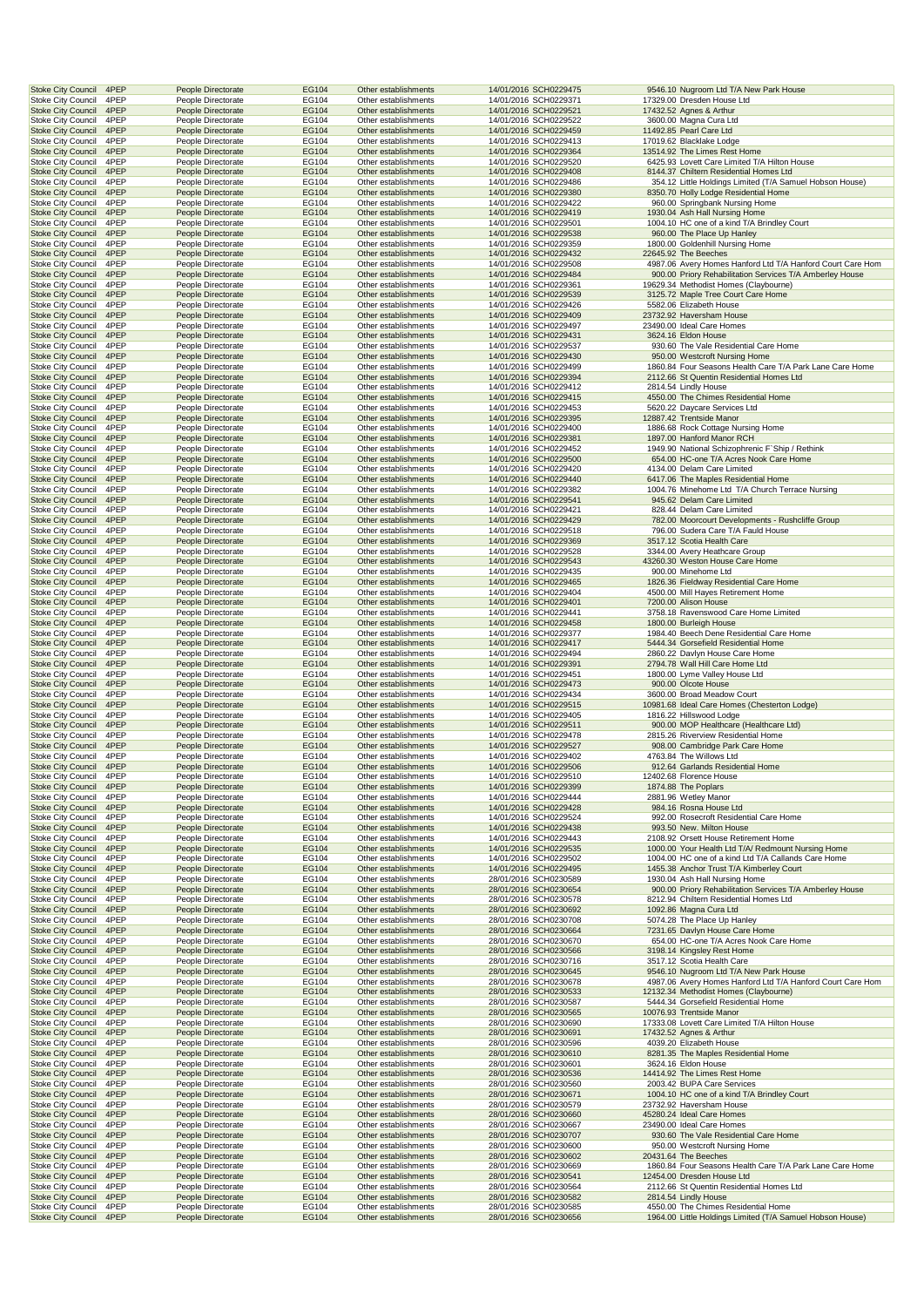| <b>Stoke City Council</b><br>4PEP                                      | People Directorate                       | EG104          | Other establishments                         | 14/01/2016 SCH0229475                          | 9546.10 Nugroom Ltd T/A New Park House                                                               |
|------------------------------------------------------------------------|------------------------------------------|----------------|----------------------------------------------|------------------------------------------------|------------------------------------------------------------------------------------------------------|
| <b>Stoke City Council</b><br>4PEP<br><b>Stoke City Council</b><br>4PEP | People Directorate<br>People Directorate | EG104<br>EG104 | Other establishments<br>Other establishments | 14/01/2016 SCH0229371<br>14/01/2016 SCH0229521 | 17329.00 Dresden House Ltd<br>17432.52 Agnes & Arthur                                                |
| Stoke City Council<br>4PEP                                             | People Directorate                       | EG104          | Other establishments                         | 14/01/2016 SCH0229522                          | 3600.00 Magna Cura Ltd                                                                               |
| <b>Stoke City Council</b><br>4PEP                                      | People Directorate                       | EG104          | Other establishments                         | 14/01/2016 SCH0229459                          | 11492.85 Pearl Care Ltd                                                                              |
| <b>Stoke City Council</b><br>4PEP                                      | People Directorate                       | EG104          | Other establishments                         | 14/01/2016 SCH0229413                          | 17019.62 Blacklake Lodge                                                                             |
| <b>Stoke City Council</b><br>4PEP<br>4PEP<br><b>Stoke City Council</b> | People Directorate<br>People Directorate | EG104<br>EG104 | Other establishments<br>Other establishments | 14/01/2016 SCH0229364<br>14/01/2016 SCH0229520 | 13514.92 The Limes Rest Home<br>6425.93 Lovett Care Limited T/A Hilton House                         |
| <b>Stoke City Council</b><br>4PEP                                      | People Directorate                       | EG104          | Other establishments                         | 14/01/2016 SCH0229408                          | 8144.37 Chiltern Residential Homes Ltd                                                               |
| 4PEP<br><b>Stoke City Council</b>                                      | People Directorate                       | EG104          | Other establishments                         | 14/01/2016 SCH0229486                          | 354.12 Little Holdings Limited (T/A Samuel Hobson House)                                             |
| <b>Stoke City Council</b><br>4PEP                                      | People Directorate                       | EG104          | Other establishments                         | 14/01/2016 SCH0229380                          | 8350.70 Holly Lodge Residential Home                                                                 |
| Stoke City Council<br>4PEP<br>4PEP<br><b>Stoke City Council</b>        | People Directorate<br>People Directorate | EG104<br>EG104 | Other establishments<br>Other establishments | 14/01/2016 SCH0229422<br>14/01/2016 SCH0229419 | 960.00 Springbank Nursing Home<br>1930.04 Ash Hall Nursing Home                                      |
| <b>Stoke City Council</b><br>4PEP                                      | People Directorate                       | EG104          | Other establishments                         | 14/01/2016 SCH0229501                          | 1004.10 HC one of a kind T/A Brindley Court                                                          |
| 4PEP<br><b>Stoke City Council</b>                                      | People Directorate                       | EG104          | Other establishments                         | 14/01/2016 SCH0229538                          | 960.00 The Place Up Hanley                                                                           |
| <b>Stoke City Council</b><br>4PEP                                      | People Directorate                       | EG104          | Other establishments                         | 14/01/2016 SCH0229359                          | 1800.00 Goldenhill Nursing Home                                                                      |
| <b>Stoke City Council</b><br>4PEP<br>4PEP<br><b>Stoke City Council</b> | People Directorate<br>People Directorate | EG104<br>EG104 | Other establishments<br>Other establishments | 14/01/2016 SCH0229432<br>14/01/2016 SCH0229508 | 22645.92 The Beeches<br>4987.06 Avery Homes Hanford Ltd T/A Hanford Court Care Hom                   |
| <b>Stoke City Council</b><br>4PEP                                      | People Directorate                       | EG104          | Other establishments                         | 14/01/2016 SCH0229484                          | 900.00 Priory Rehabilitation Services T/A Amberley House                                             |
| 4PEP<br><b>Stoke City Council</b>                                      | People Directorate                       | EG104          | Other establishments                         | 14/01/2016 SCH0229361                          | 19629.34 Methodist Homes (Claybourne)                                                                |
| <b>Stoke City Council</b><br>4PEP                                      | People Directorate                       | EG104          | Other establishments                         | 14/01/2016 SCH0229539                          | 3125.72 Maple Tree Court Care Home                                                                   |
| Stoke City Council<br>4PEP<br>4PEP                                     | People Directorate                       | EG104<br>EG104 | Other establishments                         | 14/01/2016 SCH0229426                          | 5582.06 Elizabeth House                                                                              |
| <b>Stoke City Council</b><br><b>Stoke City Council</b><br>4PEP         | People Directorate<br>People Directorate | EG104          | Other establishments<br>Other establishments | 14/01/2016 SCH0229409<br>14/01/2016 SCH0229497 | 23732.92 Haversham House<br>23490.00 Ideal Care Homes                                                |
| 4PEP<br><b>Stoke City Council</b>                                      | People Directorate                       | EG104          | Other establishments                         | 14/01/2016 SCH0229431                          | 3624.16 Eldon House                                                                                  |
| <b>Stoke City Council</b><br>4PEP                                      | People Directorate                       | EG104          | Other establishments                         | 14/01/2016 SCH0229537                          | 930.60 The Vale Residential Care Home                                                                |
| <b>Stoke City Council</b><br>4PEP                                      | People Directorate                       | EG104          | Other establishments                         | 14/01/2016 SCH0229430                          | 950.00 Westcroft Nursing Home                                                                        |
| 4PEP<br><b>Stoke City Council</b><br><b>Stoke City Council</b><br>4PEP | People Directorate<br>People Directorate | EG104<br>EG104 | Other establishments<br>Other establishments | 14/01/2016 SCH0229499<br>14/01/2016 SCH0229394 | 1860.84 Four Seasons Health Care T/A Park Lane Care Home<br>2112.66 St Quentin Residential Homes Ltd |
| 4PEP<br><b>Stoke City Council</b>                                      | People Directorate                       | EG104          | Other establishments                         | 14/01/2016 SCH0229412                          | 2814.54 Lindly House                                                                                 |
| <b>Stoke City Council</b><br>4PEP                                      | People Directorate                       | EG104          | Other establishments                         | 14/01/2016 SCH0229415                          | 4550.00 The Chimes Residential Home                                                                  |
| Stoke City Council<br>4PEP                                             | People Directorate                       | EG104          | Other establishments                         | 14/01/2016 SCH0229453                          | 5620.22 Daycare Services Ltd                                                                         |
| 4PEP<br><b>Stoke City Council</b><br><b>Stoke City Council</b><br>4PEP | People Directorate<br>People Directorate | EG104<br>EG104 | Other establishments<br>Other establishments | 14/01/2016 SCH0229395<br>14/01/2016 SCH0229400 | 12887.42 Trentside Manor<br>1886.68 Rock Cottage Nursing Home                                        |
| 4PEP<br><b>Stoke City Council</b>                                      | People Directorate                       | EG104          | Other establishments                         | 14/01/2016 SCH0229381                          | 1897.00 Hanford Manor RCH                                                                            |
| Stoke City Council<br>4PEP                                             | People Directorate                       | EG104          | Other establishments                         | 14/01/2016 SCH0229452                          | 1949.90 National Schizophrenic F'Ship / Rethink                                                      |
| <b>Stoke City Council</b><br>4PEP                                      | People Directorate                       | EG104          | Other establishments                         | 14/01/2016 SCH0229500                          | 654.00 HC-one T/A Acres Nook Care Home                                                               |
| 4PEP<br><b>Stoke City Council</b><br><b>Stoke City Council</b><br>4PEP | People Directorate                       | EG104<br>EG104 | Other establishments<br>Other establishments | 14/01/2016 SCH0229420<br>14/01/2016 SCH0229440 | 4134.00 Delam Care Limited<br>6417.06 The Maples Residential Home                                    |
| 4PEP<br><b>Stoke City Council</b>                                      | People Directorate<br>People Directorate | EG104          | Other establishments                         | 14/01/2016 SCH0229382                          | 1004.76 Minehome Ltd T/A Church Terrace Nursing                                                      |
| <b>Stoke City Council</b><br>4PEP                                      | People Directorate                       | EG104          | Other establishments                         | 14/01/2016 SCH0229541                          | 945.62 Delam Care Limited                                                                            |
| Stoke City Council<br>4PEP                                             | People Directorate                       | EG104          | Other establishments                         | 14/01/2016 SCH0229421                          | 828.44 Delam Care Limited                                                                            |
| 4PEP<br><b>Stoke City Council</b>                                      | People Directorate                       | EG104          | Other establishments                         | 14/01/2016 SCH0229429                          | 782.00 Moorcourt Developments - Rushcliffe Group                                                     |
| <b>Stoke City Council</b><br>4PEP<br>4PEP<br><b>Stoke City Council</b> | People Directorate<br>People Directorate | EG104<br>EG104 | Other establishments<br>Other establishments | 14/01/2016 SCH0229518<br>14/01/2016 SCH0229369 | 796.00 Sudera Care T/A Fauld House<br>3517.12 Scotia Health Care                                     |
| <b>Stoke City Council</b><br>4PEP                                      | People Directorate                       | EG104          | Other establishments                         | 14/01/2016 SCH0229528                          | 3344.00 Avery Heathcare Group                                                                        |
| <b>Stoke City Council</b><br>4PEP                                      | People Directorate                       | EG104          | Other establishments                         | 14/01/2016 SCH0229543                          | 43260.30 Weston House Care Home                                                                      |
| 4PEP<br><b>Stoke City Council</b>                                      | People Directorate                       | EG104          | Other establishments                         | 14/01/2016 SCH0229435                          | 900.00 Minehome Ltd                                                                                  |
| <b>Stoke City Council</b><br>4PEP<br>4PEP<br><b>Stoke City Council</b> | People Directorate<br>People Directorate | EG104<br>EG104 | Other establishments<br>Other establishments | 14/01/2016 SCH0229465<br>14/01/2016 SCH0229404 | 1826.36 Fieldway Residential Care Home<br>4500.00 Mill Hayes Retirement Home                         |
| <b>Stoke City Council</b><br>4PEP                                      | People Directorate                       | EG104          | Other establishments                         | 14/01/2016 SCH0229401                          | 7200.00 Alison House                                                                                 |
| <b>Stoke City Council</b><br>4PEP                                      | People Directorate                       | EG104          | Other establishments                         | 14/01/2016 SCH0229441                          | 3758.18 Ravenswood Care Home Limited                                                                 |
| 4PEP<br><b>Stoke City Council</b>                                      | People Directorate                       | EG104          | Other establishments                         | 14/01/2016 SCH0229458                          | 1800.00 Burleigh House                                                                               |
| <b>Stoke City Council</b><br>4PEP<br>4PEP<br><b>Stoke City Council</b> | People Directorate<br>People Directorate | EG104<br>EG104 | Other establishments<br>Other establishments | 14/01/2016 SCH0229377<br>14/01/2016 SCH0229417 | 1984.40 Beech Dene Residential Care Home<br>5444.34 Gorsefield Residential Home                      |
| <b>Stoke City Council</b><br>4PEP                                      | People Directorate                       | EG104          | Other establishments                         | 14/01/2016 SCH0229494                          | 2860.22 Davlyn House Care Home                                                                       |
| <b>Stoke City Council</b><br>4PEP                                      | People Directorate                       | EG104          | Other establishments                         | 14/01/2016 SCH0229391                          | 2794.78 Wall Hill Care Home Ltd                                                                      |
| 4PEP<br><b>Stoke City Council</b>                                      | People Directorate                       | EG104          | Other establishments                         | 14/01/2016 SCH0229451                          | 1800.00 Lyme Valley House Ltd                                                                        |
| <b>Stoke City Council</b><br>4PEP<br>4PEP<br><b>Stoke City Council</b> | People Directorate<br>People Directorate | EG104<br>EG104 | Other establishments<br>Other establishments | 14/01/2016 SCH0229473<br>14/01/2016 SCH0229434 | 900.00 Olcote House<br>3600.00 Broad Meadow Court                                                    |
| <b>Stoke City Council</b><br>4PEP                                      | People Directorate                       | EG104          | Other establishments                         | 14/01/2016 SCH0229515                          | 10981.68 Ideal Care Homes (Chesterton Lodge)                                                         |
| <b>Stoke City Council</b><br>4PEP                                      | People Directorate                       | EG104          | Other establishments                         | 14/01/2016 SCH0229405                          | 1816.22 Hillswood Lodge                                                                              |
| 4PEP<br><b>Stoke City Council</b>                                      | People Directorate                       | EG104          | Other establishments                         | 14/01/2016 SCH0229511                          | 900.00 MOP Healthcare (Healthcare Ltd)                                                               |
| <b>Stoke City Council</b><br>4PEP<br>4PEP<br><b>Stoke City Council</b> | People Directorate                       | EG104<br>EG104 | Other establishments<br>Other establishments | 14/01/2016 SCH0229478<br>14/01/2016 SCH0229527 | 2815.26 Riverview Residential Home                                                                   |
| 4PEP<br><b>Stoke City Council</b>                                      | People Directorate<br>People Directorate | EG104          | Other establishments                         | 14/01/2016 SCH0229402                          | 908.00 Cambridge Park Care Home<br>4763.84 The Willows Ltd                                           |
| 4PEP<br><b>Stoke City Council</b>                                      | People Directorate                       | EG104          | Other establishments                         | 14/01/2016 SCH0229506                          | 912.64 Garlands Residential Home                                                                     |
| Stoke City Council<br>4PEP                                             | People Directorate                       | EG104          | Other establishments                         | 14/01/2016 SCH0229510                          | 12402.68 Florence House                                                                              |
| <b>Stoke City Council</b><br>4PEP<br>Stoke City Council<br>4PEP        | People Directorate<br>People Directorate | EG104<br>EG104 | Other establishments<br>Other establishments | 14/01/2016 SCH0229399<br>14/01/2016 SCH0229444 | 1874.88 The Poplars<br>2881.96 Wetley Manor                                                          |
| <b>Stoke City Council</b><br>4PEP                                      | People Directorate                       | EG104          | Other establishments                         | 14/01/2016 SCH0229428                          | 984.16 Rosna House Ltd                                                                               |
| 4PEP<br><b>Stoke City Council</b>                                      | People Directorate                       | EG104          | Other establishments                         | 14/01/2016 SCH0229524                          | 992.00 Rosecroft Residential Care Home                                                               |
| <b>Stoke City Council</b><br>4PEP                                      | People Directorate                       | EG104          | Other establishments                         | 14/01/2016 SCH0229438                          | 993.50 New. Milton House                                                                             |
| <b>Stoke City Council</b><br>4PEP                                      | People Directorate                       | EG104          | Other establishments                         | 14/01/2016 SCH0229443<br>14/01/2016 SCH0229535 | 2108.92 Orsett House Retirement Home<br>1000.00 Your Health Ltd T/A/ Redmount Nursing Home           |
| <b>Stoke City Council</b><br>4PEP<br><b>Stoke City Council</b><br>4PEP | People Directorate<br>People Directorate | EG104<br>EG104 | Other establishments<br>Other establishments | 14/01/2016 SCH0229502                          | 1004.00 HC one of a kind Ltd T/A Callands Care Home                                                  |
| <b>Stoke City Council</b><br>4PEP                                      | People Directorate                       | EG104          | Other establishments                         | 14/01/2016 SCH0229495                          | 1455.38 Anchor Trust T/A Kimberley Court                                                             |
| <b>Stoke City Council</b><br>4PEP                                      | People Directorate                       | EG104          | Other establishments                         | 28/01/2016 SCH0230589                          | 1930.04 Ash Hall Nursing Home                                                                        |
| <b>Stoke City Council</b><br>4PEP<br>Stoke City Council<br>4PEP        | People Directorate<br>People Directorate | EG104<br>EG104 | Other establishments<br>Other establishments | 28/01/2016 SCH0230654<br>28/01/2016 SCH0230578 | 900.00 Priory Rehabilitation Services T/A Amberley House<br>8212.94 Chiltern Residential Homes Ltd   |
| <b>Stoke City Council</b><br>4PEP                                      | People Directorate                       | EG104          | Other establishments                         | 28/01/2016 SCH0230692                          | 1092.86 Magna Cura Ltd                                                                               |
| Stoke City Council<br>4PEP                                             | People Directorate                       | EG104          | Other establishments                         | 28/01/2016 SCH0230708                          | 5074.28 The Place Up Hanley                                                                          |
| <b>Stoke City Council</b><br>4PEP                                      | People Directorate                       | EG104          | Other establishments                         | 28/01/2016 SCH0230664                          | 7231.65 Davlyn House Care Home                                                                       |
| Stoke City Council<br>4PEP<br>4PEP                                     | People Directorate                       | EG104<br>EG104 | Other establishments<br>Other establishments | 28/01/2016 SCH0230670                          | 654.00 HC-one T/A Acres Nook Care Home                                                               |
| <b>Stoke City Council</b><br><b>Stoke City Council</b><br>4PEP         | People Directorate<br>People Directorate | EG104          | Other establishments                         | 28/01/2016 SCH0230566<br>28/01/2016 SCH0230716 | 3198.14 Kingsley Rest Home<br>3517.12 Scotia Health Care                                             |
| <b>Stoke City Council</b><br>4PEP                                      | People Directorate                       | EG104          | Other establishments                         | 28/01/2016 SCH0230645                          | 9546.10 Nugroom Ltd T/A New Park House                                                               |
| <b>Stoke City Council</b><br>4PEP                                      | People Directorate                       | EG104          | Other establishments                         | 28/01/2016 SCH0230678                          | 4987.06 Avery Homes Hanford Ltd T/A Hanford Court Care Hom                                           |
| <b>Stoke City Council</b><br>4PEP<br>4PEP                              | People Directorate                       | EG104          | Other establishments                         | 28/01/2016 SCH0230533                          | 12132.34 Methodist Homes (Claybourne)                                                                |
| <b>Stoke City Council</b><br><b>Stoke City Council</b><br>4PEP         | People Directorate<br>People Directorate | EG104<br>EG104 | Other establishments<br>Other establishments | 28/01/2016 SCH0230587<br>28/01/2016 SCH0230565 | 5444.34 Gorsefield Residential Home<br>10076.93 Trentside Manor                                      |
| Stoke City Council<br>4PEP                                             | People Directorate                       | EG104          | Other establishments                         | 28/01/2016 SCH0230690                          | 17333.08 Lovett Care Limited T/A Hilton House                                                        |
| <b>Stoke City Council</b><br>4PEP                                      | People Directorate                       | EG104          | Other establishments                         | 28/01/2016 SCH0230691                          | 17432.52 Agnes & Arthur                                                                              |
| <b>Stoke City Council</b><br>4PEP                                      | People Directorate                       | EG104          | Other establishments                         | 28/01/2016 SCH0230596                          | 4039.20 Elizabeth House                                                                              |
| 4PEP<br><b>Stoke City Council</b><br><b>Stoke City Council</b><br>4PEP | People Directorate<br>People Directorate | EG104<br>EG104 | Other establishments<br>Other establishments | 28/01/2016 SCH0230610<br>28/01/2016 SCH0230601 | 8281.35 The Maples Residential Home<br>3624.16 Eldon House                                           |
| <b>Stoke City Council</b><br>4PEP                                      | People Directorate                       | EG104          | Other establishments                         | 28/01/2016 SCH0230536                          | 14414.92 The Limes Rest Home                                                                         |
| <b>Stoke City Council</b><br>4PEP                                      | People Directorate                       | EG104          | Other establishments                         | 28/01/2016 SCH0230560                          | 2003.42 BUPA Care Services                                                                           |
| <b>Stoke City Council</b><br>4PEP                                      | People Directorate                       | EG104          | Other establishments                         | 28/01/2016 SCH0230671                          | 1004.10 HC one of a kind T/A Brindley Court                                                          |
| 4PEP<br><b>Stoke City Council</b><br><b>Stoke City Council</b><br>4PEP | People Directorate<br>People Directorate | EG104<br>EG104 | Other establishments<br>Other establishments | 28/01/2016 SCH0230579<br>28/01/2016 SCH0230660 | 23732.92 Haversham House<br>45280.24 Ideal Care Homes                                                |
|                                                                        |                                          |                | Other establishments                         | 28/01/2016 SCH0230667                          | 23490.00 Ideal Care Homes                                                                            |
| Stoke City Council<br>4PEP                                             | People Directorate                       | EG104          |                                              |                                                |                                                                                                      |
| <b>Stoke City Council</b><br>4PEP                                      | People Directorate                       | EG104          | Other establishments                         | 28/01/2016 SCH0230707                          | 930.60 The Vale Residential Care Home                                                                |
| <b>Stoke City Council</b><br>4PEP                                      | People Directorate                       | EG104          | Other establishments                         | 28/01/2016 SCH0230600                          | 950.00 Westcroft Nursing Home                                                                        |
| 4PEP<br><b>Stoke City Council</b>                                      | People Directorate                       | EG104          | Other establishments                         | 28/01/2016 SCH0230602                          | 20431.64 The Beeches                                                                                 |
| <b>Stoke City Council</b><br>4PEP<br><b>Stoke City Council</b><br>4PEP | People Directorate<br>People Directorate | EG104<br>EG104 | Other establishments<br>Other establishments | 28/01/2016 SCH0230669<br>28/01/2016 SCH0230541 | 1860.84 Four Seasons Health Care T/A Park Lane Care Home<br>12454.00 Dresden House Ltd               |
| <b>Stoke City Council</b><br>4PEP                                      | People Directorate                       | EG104          | Other establishments                         | 28/01/2016 SCH0230564                          | 2112.66 St Quentin Residential Homes Ltd                                                             |
| <b>Stoke City Council</b><br>4PEP<br>4PEP<br><b>Stoke City Council</b> | People Directorate<br>People Directorate | EG104<br>EG104 | Other establishments<br>Other establishments | 28/01/2016 SCH0230582<br>28/01/2016 SCH0230585 | 2814.54 Lindly House<br>4550.00 The Chimes Residential Home                                          |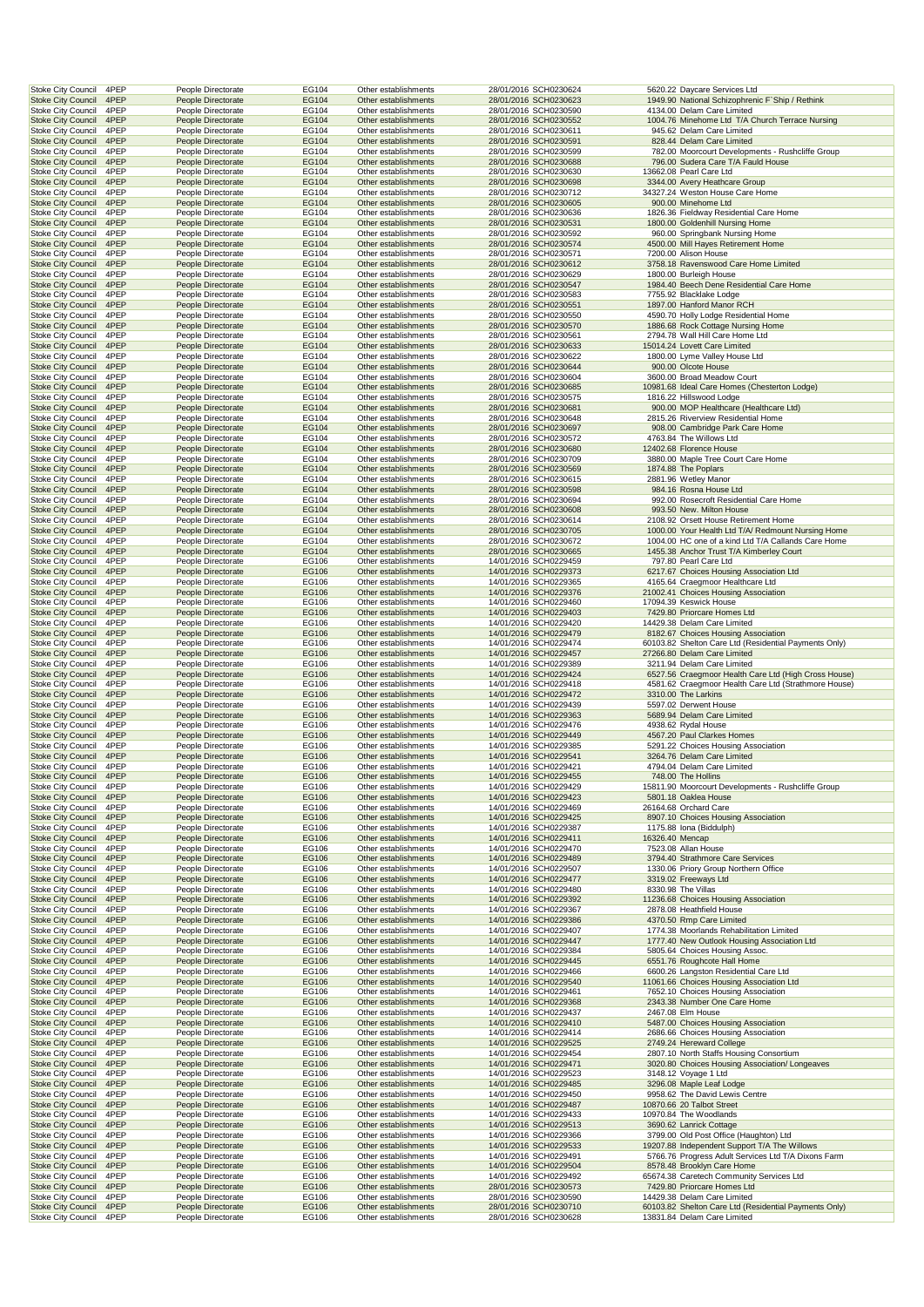| Stoke City Council                                     | 4PEP         | People Directorate                       | EG104          | Other establishments                         | 28/01/2016 SCH0230624                          |                 | 5620.22 Daycare Services Ltd                                                         |
|--------------------------------------------------------|--------------|------------------------------------------|----------------|----------------------------------------------|------------------------------------------------|-----------------|--------------------------------------------------------------------------------------|
| <b>Stoke City Council</b>                              | 4PEP         | People Directorate                       | EG104          | Other establishments                         | 28/01/2016 SCH0230623                          |                 | 1949.90 National Schizophrenic F'Ship / Rethink                                      |
| <b>Stoke City Council</b>                              | 4PEP         | People Directorate                       | EG104          | Other establishments                         | 28/01/2016 SCH0230590                          |                 | 4134.00 Delam Care Limited                                                           |
| <b>Stoke City Council</b><br><b>Stoke City Council</b> | 4PEP<br>4PEP | People Directorate<br>People Directorate | EG104<br>EG104 | Other establishments<br>Other establishments | 28/01/2016 SCH0230552<br>28/01/2016 SCH0230611 |                 | 1004.76 Minehome Ltd T/A Church Terrace Nursing<br>945.62 Delam Care Limited         |
| <b>Stoke City Council</b>                              | 4PEP         | People Directorate                       | EG104          | Other establishments                         | 28/01/2016 SCH0230591                          |                 | 828.44 Delam Care Limited                                                            |
| <b>Stoke City Council</b>                              | 4PEP         | People Directorate                       | EG104          | Other establishments                         | 28/01/2016 SCH0230599                          |                 | 782.00 Moorcourt Developments - Rushcliffe Group                                     |
| <b>Stoke City Council</b>                              | 4PEP         | People Directorate                       | EG104          | Other establishments                         | 28/01/2016 SCH0230688                          |                 | 796.00 Sudera Care T/A Fauld House                                                   |
| <b>Stoke City Council</b>                              | 4PEP         | People Directorate                       | EG104          | Other establishments                         | 28/01/2016 SCH0230630                          |                 | 13662.08 Pearl Care Ltd                                                              |
| <b>Stoke City Council</b>                              | 4PEP         | People Directorate                       | EG104          | Other establishments                         | 28/01/2016 SCH0230698                          |                 | 3344.00 Avery Heathcare Group                                                        |
| <b>Stoke City Council</b><br><b>Stoke City Council</b> | 4PEP<br>4PEP | People Directorate<br>People Directorate | EG104<br>EG104 | Other establishments<br>Other establishments | 28/01/2016 SCH0230712<br>28/01/2016 SCH0230605 |                 | 34327.24 Weston House Care Home<br>900.00 Minehome Ltd                               |
| <b>Stoke City Council</b>                              | 4PEP         | People Directorate                       | EG104          | Other establishments                         | 28/01/2016 SCH0230636                          |                 | 1826.36 Fieldway Residential Care Home                                               |
| <b>Stoke City Council</b>                              | 4PEP         | People Directorate                       | EG104          | Other establishments                         | 28/01/2016 SCH0230531                          |                 | 1800.00 Goldenhill Nursing Home                                                      |
| <b>Stoke City Council</b>                              | 4PEP         | People Directorate                       | EG104          | Other establishments                         | 28/01/2016 SCH0230592                          |                 | 960.00 Springbank Nursing Home                                                       |
| <b>Stoke City Council</b>                              | 4PEP         | People Directorate                       | EG104          | Other establishments                         | 28/01/2016 SCH0230574                          |                 | 4500.00 Mill Hayes Retirement Home                                                   |
| <b>Stoke City Council</b>                              | 4PEP         | People Directorate                       | EG104          | Other establishments                         | 28/01/2016 SCH0230571                          |                 | 7200.00 Alison House                                                                 |
| <b>Stoke City Council</b>                              | 4PEP         | People Directorate                       | EG104          | Other establishments                         | 28/01/2016 SCH0230612                          |                 | 3758.18 Ravenswood Care Home Limited                                                 |
| <b>Stoke City Council</b><br><b>Stoke City Council</b> | 4PEP<br>4PEP | People Directorate<br>People Directorate | EG104<br>EG104 | Other establishments<br>Other establishments | 28/01/2016 SCH0230629<br>28/01/2016 SCH0230547 |                 | 1800.00 Burleigh House<br>1984.40 Beech Dene Residential Care Home                   |
| <b>Stoke City Council</b>                              | 4PEP         | People Directorate                       | EG104          | Other establishments                         | 28/01/2016 SCH0230583                          |                 | 7755.92 Blacklake Lodge                                                              |
| <b>Stoke City Council</b>                              | 4PEP         | People Directorate                       | EG104          | Other establishments                         | 28/01/2016 SCH0230551                          |                 | 1897.00 Hanford Manor RCH                                                            |
| <b>Stoke City Council</b>                              | 4PEP         | People Directorate                       | EG104          | Other establishments                         | 28/01/2016 SCH0230550                          |                 | 4590.70 Holly Lodge Residential Home                                                 |
| <b>Stoke City Council</b>                              | 4PEP         | People Directorate                       | EG104          | Other establishments                         | 28/01/2016 SCH0230570                          |                 | 1886.68 Rock Cottage Nursing Home                                                    |
| <b>Stoke City Council</b>                              | 4PEP         | People Directorate                       | EG104          | Other establishments                         | 28/01/2016 SCH0230561                          |                 | 2794.78 Wall Hill Care Home Ltd                                                      |
| <b>Stoke City Council</b><br><b>Stoke City Council</b> | 4PEP<br>4PEP | People Directorate<br>People Directorate | EG104<br>EG104 | Other establishments<br>Other establishments | 28/01/2016 SCH0230633<br>28/01/2016 SCH0230622 |                 | 15014.24 Lovett Care Limited<br>1800.00 Lyme Valley House Ltd                        |
| <b>Stoke City Council</b>                              | 4PEP         | People Directorate                       | EG104          | Other establishments                         | 28/01/2016 SCH0230644                          |                 | 900.00 Olcote House                                                                  |
| <b>Stoke City Council</b>                              | 4PEP         | People Directorate                       | EG104          | Other establishments                         | 28/01/2016 SCH0230604                          |                 | 3600.00 Broad Meadow Court                                                           |
| <b>Stoke City Council</b>                              | 4PEP         | People Directorate                       | EG104          | Other establishments                         | 28/01/2016 SCH0230685                          |                 | 10981.68 Ideal Care Homes (Chesterton Lodge)                                         |
| <b>Stoke City Council</b>                              | 4PEP         | People Directorate                       | EG104          | Other establishments                         | 28/01/2016 SCH0230575                          |                 | 1816.22 Hillswood Lodge                                                              |
| <b>Stoke City Council</b>                              | 4PEP         | People Directorate                       | EG104          | Other establishments                         | 28/01/2016 SCH0230681                          |                 | 900.00 MOP Healthcare (Healthcare Ltd)                                               |
| <b>Stoke City Council</b>                              | 4PEP         | People Directorate                       | EG104          | Other establishments                         | 28/01/2016 SCH0230648                          |                 | 2815.26 Riverview Residential Home                                                   |
| <b>Stoke City Council</b><br><b>Stoke City Council</b> | 4PEP<br>4PEP | People Directorate<br>People Directorate | EG104<br>EG104 | Other establishments<br>Other establishments | 28/01/2016 SCH0230697<br>28/01/2016 SCH0230572 |                 | 908.00 Cambridge Park Care Home<br>4763.84 The Willows Ltd                           |
| <b>Stoke City Council</b>                              | 4PEP         | People Directorate                       | EG104          | Other establishments                         | 28/01/2016 SCH0230680                          |                 | 12402.68 Florence House                                                              |
| <b>Stoke City Council</b>                              | 4PEP         | People Directorate                       | EG104          | Other establishments                         | 28/01/2016 SCH0230709                          |                 | 3880.00 Maple Tree Court Care Home                                                   |
| <b>Stoke City Council</b>                              | 4PEP         | People Directorate                       | EG104          | Other establishments                         | 28/01/2016 SCH0230569                          |                 | 1874.88 The Poplars                                                                  |
| <b>Stoke City Council</b>                              | 4PEP         | People Directorate                       | EG104          | Other establishments                         | 28/01/2016 SCH0230615                          |                 | 2881.96 Wetley Manor                                                                 |
| <b>Stoke City Council</b>                              | 4PEP         | People Directorate                       | EG104          | Other establishments                         | 28/01/2016 SCH0230598                          |                 | 984.16 Rosna House Ltd                                                               |
| <b>Stoke City Council</b>                              | 4PEP<br>4PEP | People Directorate                       | EG104          | Other establishments                         | 28/01/2016 SCH0230694<br>28/01/2016 SCH0230608 |                 | 992.00 Rosecroft Residential Care Home                                               |
| <b>Stoke City Council</b><br><b>Stoke City Council</b> | 4PEP         | People Directorate<br>People Directorate | EG104<br>EG104 | Other establishments<br>Other establishments | 28/01/2016 SCH0230614                          |                 | 993.50 New. Milton House<br>2108.92 Orsett House Retirement Home                     |
| <b>Stoke City Council</b>                              | 4PEP         | People Directorate                       | EG104          | Other establishments                         | 28/01/2016 SCH0230705                          |                 | 1000.00 Your Health Ltd T/A/ Redmount Nursing Home                                   |
| <b>Stoke City Council</b>                              | 4PEP         | People Directorate                       | EG104          | Other establishments                         | 28/01/2016 SCH0230672                          |                 | 1004.00 HC one of a kind Ltd T/A Callands Care Home                                  |
| <b>Stoke City Council</b>                              | 4PEP         | People Directorate                       | EG104          | Other establishments                         | 28/01/2016 SCH0230665                          |                 | 1455.38 Anchor Trust T/A Kimberley Court                                             |
| <b>Stoke City Council</b>                              | 4PEP         | People Directorate                       | EG106          | Other establishments                         | 14/01/2016 SCH0229459                          |                 | 797.80 Pearl Care Ltd                                                                |
| <b>Stoke City Council</b>                              | 4PEP         | People Directorate                       | EG106          | Other establishments                         | 14/01/2016 SCH0229373                          |                 | 6217.67 Choices Housing Association Ltd                                              |
| <b>Stoke City Council</b>                              | 4PEP<br>4PEP | People Directorate                       | EG106          | Other establishments<br>Other establishments | 14/01/2016 SCH0229365                          |                 | 4165.64 Craegmoor Healthcare Ltd                                                     |
| <b>Stoke City Council</b><br><b>Stoke City Council</b> | 4PEP         | People Directorate<br>People Directorate | EG106<br>EG106 | Other establishments                         | 14/01/2016 SCH0229376<br>14/01/2016 SCH0229460 |                 | 21002.41 Choices Housing Association<br>17094.39 Keswick House                       |
| <b>Stoke City Council</b>                              | 4PEP         | People Directorate                       | EG106          | Other establishments                         | 14/01/2016 SCH0229403                          |                 | 7429.80 Priorcare Homes Ltd                                                          |
| <b>Stoke City Council</b>                              | 4PEP         | People Directorate                       | EG106          | Other establishments                         | 14/01/2016 SCH0229420                          |                 | 14429.38 Delam Care Limited                                                          |
| <b>Stoke City Council</b>                              | 4PEP         | People Directorate                       | EG106          | Other establishments                         | 14/01/2016 SCH0229479                          |                 | 8182.67 Choices Housing Association                                                  |
| Stoke City Council                                     | 4PEP         |                                          |                |                                              |                                                |                 |                                                                                      |
|                                                        |              | People Directorate                       | EG106          | Other establishments                         | 14/01/2016 SCH0229474                          |                 | 60103.82 Shelton Care Ltd (Residential Payments Only)                                |
| <b>Stoke City Council</b>                              | 4PEP         | People Directorate                       | EG106          | Other establishments                         | 14/01/2016 SCH0229457                          |                 | 27266.80 Delam Care Limited                                                          |
| <b>Stoke City Council</b>                              | 4PEP         | People Directorate                       | EG106          | Other establishments                         | 14/01/2016 SCH0229389                          |                 | 3211.94 Delam Care Limited                                                           |
| <b>Stoke City Council</b>                              | 4PEP         | People Directorate                       | EG106          | Other establishments                         | 14/01/2016 SCH0229424                          |                 | 6527.56 Craegmoor Health Care Ltd (High Cross House)                                 |
| <b>Stoke City Council</b>                              | 4PEP<br>4PEP | People Directorate<br>People Directorate | EG106<br>EG106 | Other establishments<br>Other establishments | 14/01/2016 SCH0229418<br>14/01/2016 SCH0229472 |                 | 4581.62 Craegmoor Health Care Ltd (Strathmore House)<br>3310.00 The Larkins          |
| <b>Stoke City Council</b><br><b>Stoke City Council</b> | 4PEP         | People Directorate                       | EG106          | Other establishments                         | 14/01/2016 SCH0229439                          |                 | 5597.02 Derwent House                                                                |
| <b>Stoke City Council</b>                              | 4PEP         | People Directorate                       | EG106          | Other establishments                         | 14/01/2016 SCH0229363                          |                 | 5689.94 Delam Care Limited                                                           |
| <b>Stoke City Council</b>                              | 4PEP         | People Directorate                       | EG106          | Other establishments                         | 14/01/2016 SCH0229476                          |                 | 4938.62 Rydal House                                                                  |
| <b>Stoke City Council</b>                              | 4PEP         | People Directorate                       | EG106          | Other establishments                         | 14/01/2016 SCH0229449                          |                 | 4567.20 Paul Clarkes Homes                                                           |
| Stoke City Council                                     | 4PEP         | People Directorate                       | EG106          | Other establishments                         | 14/01/2016 SCH0229385                          |                 | 5291.22 Choices Housing Association                                                  |
| <b>Stoke City Council</b>                              | 4PEP         | People Directorate                       | EG106          | Other establishments<br>Other establishments | 14/01/2016 SCH0229541                          |                 | 3264.76 Delam Care Limited                                                           |
| <b>Stoke City Council</b><br><b>Stoke City Council</b> | 4PEP<br>4PEP | People Directorate<br>People Directorate | EG106<br>EG106 | Other establishments                         | 14/01/2016 SCH0229421<br>14/01/2016 SCH0229455 |                 | 4794.04 Delam Care Limited<br>748.00 The Hollins                                     |
| Stoke City Council                                     | 4PEP         | People Directorate                       | EG106          | Other establishments                         | 14/01/2016 SCH0229429                          |                 | 15811.90 Moorcourt Developments - Rushcliffe Group                                   |
| <b>Stoke City Council</b>                              | 4PEP         | People Directorate                       | EG106          | Other establishments                         | 14/01/2016 SCH0229423                          |                 | 5801.18 Oaklea House                                                                 |
| Stoke City Council                                     | 4PEP         | People Directorate                       | EG106          | Other establishments                         | 14/01/2016 SCH0229469                          |                 | 26164.68 Orchard Care                                                                |
| <b>Stoke City Council</b>                              | 4PEP         | People Directorate                       | EG106          | Other establishments                         | 14/01/2016 SCH0229425                          |                 | 8907.10 Choices Housing Association                                                  |
| <b>Stoke City Council</b>                              | 4PEP         | People Directorate                       | EG106          | Other establishments                         | 14/01/2016 SCH0229387                          |                 | 1175.88 Iona (Biddulph)                                                              |
| <b>Stoke City Council</b><br><b>Stoke City Council</b> | 4PEP<br>4PEP | People Directorate<br>People Directorate | EG106<br>EG106 | Other establishments<br>Other establishments | 14/01/2016 SCH0229411<br>14/01/2016 SCH0229470 | 16326.40 Mencap | 7523.08 Allan House                                                                  |
| <b>Stoke City Council</b>                              | 4PEP         | People Directorate                       | EG106          | Other establishments                         | 14/01/2016 SCH0229489                          |                 | 3794.40 Strathmore Care Services                                                     |
| <b>Stoke City Council</b>                              | 4PEP         | People Directorate                       | EG106          | Other establishments                         | 14/01/2016 SCH0229507                          |                 | 1330.06 Priory Group Northern Office                                                 |
| <b>Stoke City Council</b>                              | 4PEP         | People Directorate                       | EG106          | Other establishments                         | 14/01/2016 SCH0229477                          |                 | 3319.02 Freeways Ltd                                                                 |
| <b>Stoke City Council</b>                              | 4PEP         | People Directorate                       | EG106          | Other establishments                         | 14/01/2016 SCH0229480                          |                 | 8330.98 The Villas                                                                   |
| <b>Stoke City Council</b><br>Stoke City Council        | 4PEP<br>4PEP | People Directorate<br>People Directorate | EG106<br>EG106 | Other establishments<br>Other establishments | 14/01/2016 SCH0229392<br>14/01/2016 SCH0229367 |                 | 11236.68 Choices Housing Association<br>2878.08 Heathfield House                     |
| <b>Stoke City Council</b>                              | 4PEP         | People Directorate                       | EG106          | Other establishments                         | 14/01/2016 SCH0229386                          |                 | 4370.50 Rmp Care Limited                                                             |
| <b>Stoke City Council</b>                              | 4PEP         | People Directorate                       | EG106          | Other establishments                         | 14/01/2016 SCH0229407                          |                 | 1774.38 Moorlands Rehabilitation Limited                                             |
| <b>Stoke City Council</b>                              | 4PEP         | People Directorate                       | EG106          | Other establishments                         | 14/01/2016 SCH0229447                          |                 | 1777.40 New Outlook Housing Association Ltd                                          |
| <b>Stoke City Council</b>                              | 4PEP         | People Directorate                       | EG106          | Other establishments                         | 14/01/2016 SCH0229384                          |                 | 5805.64 Choices Housing Assoc.                                                       |
| <b>Stoke City Council</b>                              | 4PEP         | People Directorate                       | EG106          | Other establishments                         | 14/01/2016 SCH0229445                          |                 | 6551.76 Roughcote Hall Home                                                          |
| <b>Stoke City Council</b><br><b>Stoke City Council</b> | 4PEP<br>4PEP | People Directorate<br>People Directorate | EG106<br>EG106 | Other establishments<br>Other establishments | 14/01/2016 SCH0229466<br>14/01/2016 SCH0229540 |                 | 6600.26 Langston Residential Care Ltd<br>11061.66 Choices Housing Association Ltd    |
| <b>Stoke City Council</b>                              | 4PEP         | People Directorate                       | EG106          | Other establishments                         | 14/01/2016 SCH0229461                          |                 | 7652.10 Choices Housing Association                                                  |
| <b>Stoke City Council</b>                              | 4PEP         | People Directorate                       | EG106          | Other establishments                         | 14/01/2016 SCH0229368                          |                 | 2343.38 Number One Care Home                                                         |
| Stoke City Council                                     | 4PEP         | People Directorate                       | EG106          | Other establishments                         | 14/01/2016 SCH0229437                          |                 | 2467.08 Elm House                                                                    |
| <b>Stoke City Council</b>                              | 4PEP         | People Directorate                       | EG106          | Other establishments                         | 14/01/2016 SCH0229410                          |                 | 5487.00 Choices Housing Association                                                  |
| Stoke City Council<br><b>Stoke City Council</b>        | 4PEP<br>4PEP | People Directorate<br>People Directorate | EG106<br>EG106 | Other establishments<br>Other establishments | 14/01/2016 SCH0229414<br>14/01/2016 SCH0229525 |                 | 2686.66 Choices Housing Association<br>2749.24 Hereward College                      |
| <b>Stoke City Council</b>                              | 4PEP         | People Directorate                       | EG106          | Other establishments                         | 14/01/2016 SCH0229454                          |                 | 2807.10 North Staffs Housing Consortium                                              |
| <b>Stoke City Council</b>                              | 4PEP         | People Directorate                       | EG106          | Other establishments                         | 14/01/2016 SCH0229471                          |                 | 3020.80 Choices Housing Association/ Longeaves                                       |
| <b>Stoke City Council</b>                              | 4PEP         | People Directorate                       | EG106          | Other establishments                         | 14/01/2016 SCH0229523                          |                 | 3148.12 Voyage 1 Ltd                                                                 |
| <b>Stoke City Council</b>                              | 4PEP         | People Directorate                       | EG106          | Other establishments                         | 14/01/2016 SCH0229485                          |                 | 3296.08 Maple Leaf Lodge                                                             |
| Stoke City Council                                     | 4PEP         | People Directorate                       | EG106          | Other establishments                         | 14/01/2016 SCH0229450                          |                 | 9958.62 The David Lewis Centre                                                       |
| <b>Stoke City Council</b>                              | 4PEP         | People Directorate                       | EG106          | Other establishments                         | 14/01/2016 SCH0229487                          |                 | 10870.66 20 Talbot Street                                                            |
| <b>Stoke City Council</b><br><b>Stoke City Council</b> | 4PEP<br>4PEP | People Directorate<br>People Directorate | EG106<br>EG106 | Other establishments<br>Other establishments | 14/01/2016 SCH0229433<br>14/01/2016 SCH0229513 |                 | 10970.84 The Woodlands<br>3690.62 Lanrick Cottage                                    |
| Stoke City Council                                     | 4PEP         | People Directorate                       | EG106          | Other establishments                         | 14/01/2016 SCH0229366                          |                 | 3799.00 Old Post Office (Haughton) Ltd                                               |
| <b>Stoke City Council</b>                              | 4PEP         | People Directorate                       | EG106          | Other establishments                         | 14/01/2016 SCH0229533                          |                 | 19207.88 Independent Support T/A The Willows                                         |
| <b>Stoke City Council</b>                              | 4PEP         | People Directorate                       | EG106          | Other establishments                         | 14/01/2016 SCH0229491                          |                 | 5766.76 Progress Adult Services Ltd T/A Dixons Farm                                  |
| <b>Stoke City Council</b>                              | 4PEP         | People Directorate                       | EG106          | Other establishments                         | 14/01/2016 SCH0229504                          |                 | 8578.48 Brooklyn Care Home                                                           |
| <b>Stoke City Council</b>                              | 4PEP         | People Directorate                       | EG106          | Other establishments                         | 14/01/2016 SCH0229492                          |                 | 65674.38 Caretech Community Services Ltd                                             |
| <b>Stoke City Council</b><br><b>Stoke City Council</b> | 4PEP<br>4PEP | People Directorate<br>People Directorate | EG106<br>EG106 | Other establishments<br>Other establishments | 28/01/2016 SCH0230573<br>28/01/2016 SCH0230590 |                 | 7429.80 Priorcare Homes Ltd<br>14429.38 Delam Care Limited                           |
| <b>Stoke City Council</b><br><b>Stoke City Council</b> | 4PEP<br>4PEP | People Directorate<br>People Directorate | EG106<br>EG106 | Other establishments<br>Other establishments | 28/01/2016 SCH0230710                          |                 | 60103.82 Shelton Care Ltd (Residential Payments Only)<br>13831.84 Delam Care Limited |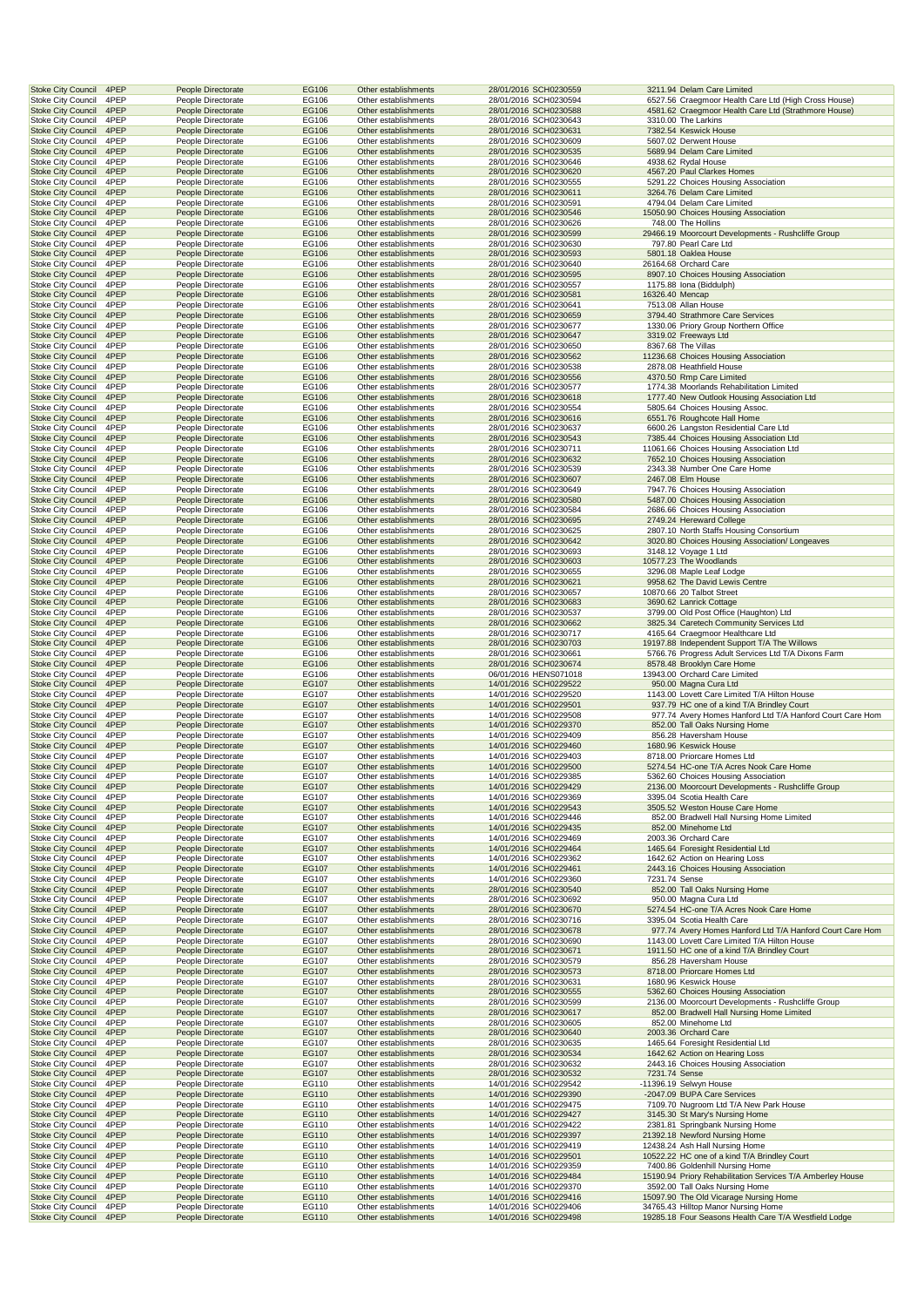| <b>Stoke City Council</b>                       | 4PEP         | People Directorate                       | EG106          | Other establishments                         | 28/01/2016 SCH0230559                          |                 | 3211.94 Delam Care Limited                                                    |
|-------------------------------------------------|--------------|------------------------------------------|----------------|----------------------------------------------|------------------------------------------------|-----------------|-------------------------------------------------------------------------------|
| <b>Stoke City Council</b>                       | 4PEP         | People Directorate                       | EG106          | Other establishments                         | 28/01/2016 SCH0230594                          |                 | 6527.56 Craegmoor Health Care Ltd (High Cross House)                          |
| <b>Stoke City Council</b>                       | 4PEP         | People Directorate                       | EG106          | Other establishments                         | 28/01/2016 SCH0230588                          |                 | 4581.62 Craegmoor Health Care Ltd (Strathmore House)                          |
| <b>Stoke City Council</b>                       | 4PEP         | People Directorate                       | EG106          | Other establishments                         | 28/01/2016 SCH0230643                          |                 | 3310.00 The Larkins                                                           |
| <b>Stoke City Council</b>                       | 4PEP         | People Directorate                       | EG106          | Other establishments                         | 28/01/2016 SCH0230631                          |                 | 7382.54 Keswick House                                                         |
| <b>Stoke City Council</b>                       | 4PEP         | People Directorate                       | EG106          | Other establishments                         | 28/01/2016 SCH0230609                          |                 | 5607.02 Derwent House                                                         |
| <b>Stoke City Council</b>                       | 4PEP         | People Directorate                       | EG106          | Other establishments                         | 28/01/2016 SCH0230535                          |                 | 5689.94 Delam Care Limited                                                    |
| <b>Stoke City Council</b>                       | 4PEP         | People Directorate                       | EG106          | Other establishments                         | 28/01/2016 SCH0230646                          |                 | 4938.62 Rydal House                                                           |
| <b>Stoke City Council</b>                       | 4PEP         | People Directorate                       | EG106          | Other establishments                         | 28/01/2016 SCH0230620                          |                 | 4567.20 Paul Clarkes Homes                                                    |
| <b>Stoke City Council</b>                       | 4PEP         | People Directorate                       | EG106          | Other establishments                         | 28/01/2016 SCH0230555                          |                 | 5291.22 Choices Housing Association                                           |
| <b>Stoke City Council</b>                       | 4PEP         | People Directorate                       | EG106          | Other establishments                         | 28/01/2016 SCH0230611                          |                 | 3264.76 Delam Care Limited                                                    |
| <b>Stoke City Council</b>                       | 4PEP         | People Directorate                       | EG106          | Other establishments                         | 28/01/2016 SCH0230591                          |                 | 4794.04 Delam Care Limited                                                    |
| <b>Stoke City Council</b>                       | 4PEP         | People Directorate                       | EG106          | Other establishments                         | 28/01/2016 SCH0230546                          |                 | 15050.90 Choices Housing Association                                          |
| <b>Stoke City Council</b>                       | 4PEP         | People Directorate                       | EG106          | Other establishments                         | 28/01/2016 SCH0230626                          |                 | 748.00 The Hollins                                                            |
| <b>Stoke City Council</b>                       | 4PEP         | People Directorate                       | EG106          | Other establishments                         | 28/01/2016 SCH0230599                          |                 | 29466.19 Moorcourt Developments - Rushcliffe Group                            |
| <b>Stoke City Council</b>                       | 4PEP         | People Directorate                       | EG106          | Other establishments                         | 28/01/2016 SCH0230630                          |                 | 797.80 Pearl Care Ltd                                                         |
| <b>Stoke City Council</b>                       | 4PEP         | People Directorate                       | EG106          | Other establishments                         | 28/01/2016 SCH0230593                          |                 | 5801.18 Oaklea House                                                          |
| <b>Stoke City Council</b>                       | 4PEP         | People Directorate                       | EG106          | Other establishments                         | 28/01/2016 SCH0230640                          |                 | 26164.68 Orchard Care                                                         |
| <b>Stoke City Council</b>                       | 4PEP         | People Directorate                       | EG106          | Other establishments                         | 28/01/2016 SCH0230595                          |                 | 8907.10 Choices Housing Association                                           |
| <b>Stoke City Council</b>                       | 4PEP         | People Directorate                       | EG106          | Other establishments                         | 28/01/2016 SCH0230557                          |                 | 1175.88 Iona (Biddulph)                                                       |
| <b>Stoke City Council</b>                       | 4PEP         | People Directorate                       | EG106          | Other establishments                         | 28/01/2016 SCH0230581                          | 16326.40 Mencap |                                                                               |
| <b>Stoke City Council</b>                       | 4PEP         | People Directorate                       | EG106          | Other establishments                         | 28/01/2016 SCH0230641                          |                 | 7513.08 Allan House                                                           |
| <b>Stoke City Council</b>                       | 4PEP         | People Directorate                       | EG106          | Other establishments                         | 28/01/2016 SCH0230659                          |                 | 3794.40 Strathmore Care Services                                              |
| <b>Stoke City Council</b>                       | 4PEP         |                                          | EG106          | Other establishments                         | 28/01/2016 SCH0230677                          |                 | 1330.06 Priory Group Northern Office                                          |
|                                                 | 4PEP         | People Directorate                       | EG106          | Other establishments                         | 28/01/2016 SCH0230647                          |                 | 3319.02 Freeways Ltd                                                          |
| <b>Stoke City Council</b>                       |              | People Directorate                       |                |                                              |                                                |                 |                                                                               |
| <b>Stoke City Council</b>                       | 4PEP         | People Directorate                       | EG106          | Other establishments                         | 28/01/2016 SCH0230650                          |                 | 8367.68 The Villas                                                            |
| <b>Stoke City Council</b>                       | 4PEP         | People Directorate                       | EG106          | Other establishments                         | 28/01/2016 SCH0230562                          |                 | 11236.68 Choices Housing Association                                          |
| <b>Stoke City Council</b>                       | 4PEP         | People Directorate                       | EG106          | Other establishments                         | 28/01/2016 SCH0230538                          |                 | 2878.08 Heathfield House                                                      |
| <b>Stoke City Council</b>                       | 4PEP         | People Directorate                       | EG106          | Other establishments                         | 28/01/2016 SCH0230556                          |                 | 4370.50 Rmp Care Limited                                                      |
| <b>Stoke City Council</b>                       | 4PEP         | People Directorate                       | EG106          | Other establishments                         | 28/01/2016 SCH0230577                          |                 | 1774.38 Moorlands Rehabilitation Limited                                      |
| <b>Stoke City Council</b>                       | 4PEP         | People Directorate                       | EG106          | Other establishments                         | 28/01/2016 SCH0230618                          |                 | 1777.40 New Outlook Housing Association Ltd                                   |
| <b>Stoke City Council</b>                       | 4PEP         | People Directorate                       | EG106          | Other establishments                         | 28/01/2016 SCH0230554                          |                 | 5805.64 Choices Housing Assoc.                                                |
| <b>Stoke City Council</b>                       | 4PEP         | People Directorate                       | EG106          | Other establishments                         | 28/01/2016 SCH0230616                          |                 | 6551.76 Roughcote Hall Home                                                   |
| <b>Stoke City Council</b>                       | 4PEP         | People Directorate                       | EG106          | Other establishments                         | 28/01/2016 SCH0230637                          |                 | 6600.26 Langston Residential Care Ltd                                         |
| <b>Stoke City Council</b>                       | 4PEP         | People Directorate                       | EG106          | Other establishments                         | 28/01/2016 SCH0230543                          |                 | 7385.44 Choices Housing Association Ltd                                       |
| <b>Stoke City Council</b>                       | 4PEP         | People Directorate                       | EG106          | Other establishments                         | 28/01/2016 SCH0230711                          |                 | 11061.66 Choices Housing Association Ltd                                      |
| <b>Stoke City Council</b>                       | 4PEP         | People Directorate                       | EG106          | Other establishments                         | 28/01/2016 SCH0230632                          |                 | 7652.10 Choices Housing Association                                           |
| <b>Stoke City Council</b>                       | 4PEP         | People Directorate                       | EG106          | Other establishments                         | 28/01/2016 SCH0230539                          |                 | 2343.38 Number One Care Home                                                  |
| <b>Stoke City Council</b>                       | 4PEP         | People Directorate                       | EG106          | Other establishments                         | 28/01/2016 SCH0230607                          |                 | 2467.08 Elm House                                                             |
| <b>Stoke City Council</b>                       | 4PEP         | People Directorate                       | EG106          | Other establishments                         | 28/01/2016 SCH0230649                          |                 | 7947.76 Choices Housing Association                                           |
| <b>Stoke City Council</b>                       | 4PEP         | People Directorate                       | EG106          | Other establishments                         | 28/01/2016 SCH0230580                          |                 | 5487.00 Choices Housing Association                                           |
| <b>Stoke City Council</b>                       | 4PEP         | People Directorate                       | EG106          | Other establishments                         | 28/01/2016 SCH0230584                          |                 | 2686.66 Choices Housing Association                                           |
| <b>Stoke City Council</b>                       | 4PEP         | People Directorate                       | EG106          | Other establishments                         | 28/01/2016 SCH0230695                          |                 | 2749.24 Hereward College                                                      |
|                                                 |              | People Directorate                       |                |                                              |                                                |                 |                                                                               |
| <b>Stoke City Council</b>                       | 4PEP         |                                          | EG106          | Other establishments                         | 28/01/2016 SCH0230625                          |                 | 2807.10 North Staffs Housing Consortium                                       |
| <b>Stoke City Council</b>                       | 4PEP         | People Directorate                       | EG106          | Other establishments                         | 28/01/2016 SCH0230642                          |                 | 3020.80 Choices Housing Association/ Longeaves                                |
| <b>Stoke City Council</b>                       | 4PEP         | People Directorate                       | EG106          | Other establishments                         | 28/01/2016 SCH0230693                          |                 | 3148.12 Voyage 1 Ltd                                                          |
| <b>Stoke City Council</b>                       | 4PEP         | People Directorate                       | EG106          | Other establishments                         | 28/01/2016 SCH0230603                          |                 | 10577.23 The Woodlands                                                        |
| <b>Stoke City Council</b>                       | 4PEP         | People Directorate                       | EG106          | Other establishments                         | 28/01/2016 SCH0230655                          |                 | 3296.08 Maple Leaf Lodge                                                      |
| <b>Stoke City Council</b>                       | 4PEP         | People Directorate                       | EG106          | Other establishments                         | 28/01/2016 SCH0230621                          |                 | 9958.62 The David Lewis Centre                                                |
| <b>Stoke City Council</b>                       | 4PEP         | People Directorate                       | EG106          | Other establishments                         | 28/01/2016 SCH0230657                          |                 | 10870.66 20 Talbot Street                                                     |
| <b>Stoke City Council</b>                       | 4PEP         | People Directorate                       | EG106          | Other establishments                         | 28/01/2016 SCH0230683                          |                 | 3690.62 Lanrick Cottage                                                       |
| <b>Stoke City Council</b>                       | 4PEP         | People Directorate                       | EG106          | Other establishments                         | 28/01/2016 SCH0230537                          |                 | 3799.00 Old Post Office (Haughton) Ltd                                        |
| <b>Stoke City Council</b>                       | 4PEP         | People Directorate                       | EG106          | Other establishments                         | 28/01/2016 SCH0230662                          |                 | 3825.34 Caretech Community Services Ltd                                       |
| <b>Stoke City Council</b>                       | 4PEP         | People Directorate                       | EG106          | Other establishments                         | 28/01/2016 SCH0230717                          |                 | 4165.64 Craegmoor Healthcare Ltd                                              |
| <b>Stoke City Council</b>                       | 4PEP         | People Directorate                       | EG106          | Other establishments                         | 28/01/2016 SCH0230703                          |                 | 19197.88 Independent Support T/A The Willows                                  |
| <b>Stoke City Council</b>                       | 4PEP         | People Directorate                       | EG106          | Other establishments                         | 28/01/2016 SCH0230661                          |                 | 5766.76 Progress Adult Services Ltd T/A Dixons Farm                           |
| <b>Stoke City Council</b>                       | 4PEP         | People Directorate                       | EG106          | Other establishments                         | 28/01/2016 SCH0230674                          |                 | 8578.48 Brooklyn Care Home                                                    |
| <b>Stoke City Council</b>                       | 4PEP         | People Directorate                       | EG106          | Other establishments                         | 06/01/2016 HENS071018                          |                 | 13943.00 Orchard Care Limited                                                 |
| <b>Stoke City Council</b>                       | 4PEP         | People Directorate                       | EG107          | Other establishments                         | 14/01/2016 SCH0229522                          |                 | 950.00 Magna Cura Ltd                                                         |
| <b>Stoke City Council</b>                       | 4PEP         | People Directorate                       | EG107          | Other establishments                         | 14/01/2016 SCH0229520                          |                 | 1143.00 Lovett Care Limited T/A Hilton House                                  |
| <b>Stoke City Council</b>                       | 4PEP         | People Directorate                       | EG107          | Other establishments                         | 14/01/2016 SCH0229501                          |                 | 937.79 HC one of a kind T/A Brindley Court                                    |
| <b>Stoke City Council</b>                       | 4PEP         | People Directorate                       | EG107          | Other establishments                         | 14/01/2016 SCH0229508                          |                 | 977.74 Avery Homes Hanford Ltd T/A Hanford Court Care Hom                     |
| <b>Stoke City Council</b>                       | 4PEP         | People Directorate                       | EG107          | Other establishments                         | 14/01/2016 SCH0229370                          |                 | 852.00 Tall Oaks Nursing Home                                                 |
| <b>Stoke City Council</b>                       | 4PEP         |                                          | EG107          | Other establishments                         | 14/01/2016 SCH0229409                          |                 | 856.28 Haversham House                                                        |
|                                                 | 4PEP         | People Directorate                       | EG107          | Other establishments                         | 14/01/2016 SCH0229460                          |                 | 1680.96 Keswick House                                                         |
| <b>Stoke City Council</b>                       | 4PEP         | People Directorate                       |                |                                              | 14/01/2016 SCH0229403                          |                 |                                                                               |
| <b>Stoke City Council</b>                       |              | People Directorate                       | EG107          | Other establishments                         |                                                |                 | 8718.00 Priorcare Homes Ltd                                                   |
| <b>Stoke City Council</b>                       | 4PEP         | People Directorate                       | EG107          | Other establishments                         | 14/01/2016 SCH0229500                          |                 | 5274.54 HC-one T/A Acres Nook Care Home                                       |
| Stoke City Council                              | 4PEP         | People Directorate                       | EG107          | Other establishments                         | 14/01/2016 SCH0229385                          |                 | 5362.60 Choices Housing Association                                           |
| <b>Stoke City Council</b>                       | 4PEP         | People Directorate                       | EG107          | Other establishments                         | 14/01/2016 SCH0229429                          |                 | 2136.00 Moorcourt Developments - Rushcliffe Group                             |
| <b>Stoke City Council</b>                       | 4PEP         | People Directorate                       | EG107          | Other establishments                         | 14/01/2016 SCH0229369                          |                 | 3395.04 Scotia Health Care                                                    |
| <b>Stoke City Council</b>                       | 4PEP         | People Directorate                       | EG107          | Other establishments                         | 14/01/2016 SCH0229543                          |                 | 3505.52 Weston House Care Home                                                |
| <b>Stoke City Council</b>                       | 4PEP         | People Directorate                       | EG107          | Other establishments                         | 14/01/2016 SCH0229446                          |                 | 852.00 Bradwell Hall Nursing Home Limited                                     |
| <b>Stoke City Council</b>                       | 4PEP         | People Directorate                       | EG107          | Other establishments                         | 14/01/2016 SCH0229435                          |                 | 852.00 Minehome Ltd                                                           |
| <b>Stoke City Council</b>                       | 4PEP         | People Directorate                       | EG107          | Other establishments                         | 14/01/2016 SCH0229469                          |                 | 2003.36 Orchard Care                                                          |
| <b>Stoke City Council</b>                       | 4PEP         | People Directorate                       | EG107          | Other establishments                         | 14/01/2016 SCH0229464                          |                 | 1465.64 Foresight Residential Ltd                                             |
| <b>Stoke City Council</b>                       | 4PEP         | People Directorate                       | EG107          | Other establishments                         | 14/01/2016 SCH0229362                          |                 | 1642.62 Action on Hearing Loss                                                |
| <b>Stoke City Council</b>                       | 4PEP         | People Directorate                       | EG107          | Other establishments                         | 14/01/2016 SCH0229461                          |                 | 2443.16 Choices Housing Association                                           |
| <b>Stoke City Council</b>                       | 4PEP         | People Directorate                       | EG107          | Other establishments                         | 14/01/2016 SCH0229360                          | 7231.74 Sense   |                                                                               |
| <b>Stoke City Council</b>                       | 4PEP         | People Directorate                       | EG107          | Other establishments                         | 28/01/2016 SCH0230540                          |                 | 852.00 Tall Oaks Nursing Home                                                 |
| <b>Stoke City Council</b>                       | 4PEP         | People Directorate                       | EG107          | Other establishments                         | 28/01/2016 SCH0230692                          |                 | 950.00 Magna Cura Ltd                                                         |
| <b>Stoke City Council</b>                       | 4PEP         | People Directorate                       | EG107          | Other establishments                         | 28/01/2016 SCH0230670                          |                 | 5274.54 HC-one T/A Acres Nook Care Home                                       |
| <b>Stoke City Council</b>                       | 4PEP         | People Directorate                       | EG107          | Other establishments                         | 28/01/2016 SCH0230716                          |                 | 3395.04 Scotia Health Care                                                    |
| <b>Stoke City Council</b>                       | 4PEP         | People Directorate                       | EG107          | Other establishments                         | 28/01/2016 SCH0230678                          |                 | 977.74 Avery Homes Hanford Ltd T/A Hanford Court Care Hom                     |
| <b>Stoke City Council</b>                       | 4PEP         | People Directorate                       | EG107          | Other establishments                         | 28/01/2016 SCH0230690                          |                 | 1143.00 Lovett Care Limited T/A Hilton House                                  |
| <b>Stoke City Council</b>                       | 4PEP         | People Directorate                       | EG107          | Other establishments                         | 28/01/2016 SCH0230671                          |                 | 1911.50 HC one of a kind T/A Brindley Court                                   |
| <b>Stoke City Council</b>                       | 4PEP         | People Directorate                       | EG107          | Other establishments                         | 28/01/2016 SCH0230579                          |                 | 856.28 Haversham House                                                        |
| <b>Stoke City Council</b>                       | 4PEP         | People Directorate                       | EG107          | Other establishments                         | 28/01/2016 SCH0230573                          |                 | 8718.00 Priorcare Homes Ltd                                                   |
| <b>Stoke City Council</b>                       | 4PEP         | People Directorate                       | EG107          | Other establishments                         | 28/01/2016 SCH0230631                          |                 | 1680.96 Keswick House                                                         |
| <b>Stoke City Council</b>                       | 4PEP         | People Directorate                       | EG107          | Other establishments                         | 28/01/2016 SCH0230555                          |                 | 5362.60 Choices Housing Association                                           |
| Stoke City Council                              | 4PEP         | People Directorate                       | EG107          | Other establishments                         | 28/01/2016 SCH0230599                          |                 | 2136.00 Moorcourt Developments - Rushcliffe Group                             |
| <b>Stoke City Council</b>                       | 4PEP         | People Directorate                       | EG107          | Other establishments                         | 28/01/2016 SCH0230617                          |                 | 852.00 Bradwell Hall Nursing Home Limited                                     |
| <b>Stoke City Council</b>                       | 4PEP         | People Directorate                       | EG107          | Other establishments                         | 28/01/2016 SCH0230605                          |                 | 852.00 Minehome Ltd                                                           |
| <b>Stoke City Council</b>                       | 4PEP         |                                          | EG107          | Other establishments                         | 28/01/2016 SCH0230640                          |                 | 2003.36 Orchard Care                                                          |
|                                                 | 4PEP         | People Directorate                       |                |                                              |                                                |                 |                                                                               |
| <b>Stoke City Council</b>                       |              | People Directorate                       | EG107          | Other establishments                         | 28/01/2016 SCH0230635                          |                 | 1465.64 Foresight Residential Ltd                                             |
| <b>Stoke City Council</b>                       | 4PEP         | People Directorate                       | EG107          | Other establishments                         | 28/01/2016 SCH0230534                          |                 | 1642.62 Action on Hearing Loss                                                |
| <b>Stoke City Council</b>                       | 4PEP         | People Directorate                       | EG107          | Other establishments                         | 28/01/2016 SCH0230632                          |                 | 2443.16 Choices Housing Association                                           |
| <b>Stoke City Council</b>                       | 4PEP         | People Directorate                       | EG107          | Other establishments                         | 28/01/2016 SCH0230532                          | 7231.74 Sense   |                                                                               |
| Stoke City Council                              | 4PEP         | People Directorate                       | EG110          | Other establishments                         | 14/01/2016 SCH0229542                          |                 | -11396.19 Selwyn House                                                        |
| <b>Stoke City Council</b>                       | 4PEP         | People Directorate                       | EG110          | Other establishments                         | 14/01/2016 SCH0229390                          |                 | -2047.09 BUPA Care Services                                                   |
| Stoke City Council                              | 4PEP         | People Directorate                       | EG110          | Other establishments                         | 14/01/2016 SCH0229475                          |                 | 7109.70 Nugroom Ltd T/A New Park House                                        |
| <b>Stoke City Council</b>                       | 4PEP         | People Directorate                       | EG110          | Other establishments                         | 14/01/2016 SCH0229427                          |                 | 3145.30 St Mary's Nursing Home                                                |
| <b>Stoke City Council</b>                       | 4PEP         | People Directorate                       | EG110          | Other establishments                         | 14/01/2016 SCH0229422                          |                 | 2381.81 Springbank Nursing Home                                               |
| <b>Stoke City Council</b>                       | 4PEP         | People Directorate                       | EG110          | Other establishments                         | 14/01/2016 SCH0229397                          |                 | 21392.18 Newford Nursing Home                                                 |
| <b>Stoke City Council</b>                       | 4PEP         | People Directorate                       | EG110          | Other establishments                         | 14/01/2016 SCH0229419                          |                 | 12438.24 Ash Hall Nursing Home                                                |
| <b>Stoke City Council</b>                       | 4PEP         | People Directorate                       | EG110          | Other establishments                         | 14/01/2016 SCH0229501                          |                 | 10522.22 HC one of a kind T/A Brindley Court                                  |
| <b>Stoke City Council</b>                       | 4PEP         | People Directorate                       | EG110          | Other establishments                         | 14/01/2016 SCH0229359                          |                 | 7400.86 Goldenhill Nursing Home                                               |
| <b>Stoke City Council</b>                       | 4PEP         | People Directorate                       | EG110          | Other establishments                         | 14/01/2016 SCH0229484                          |                 | 15190.94 Priory Rehabilitation Services T/A Amberley House                    |
| Stoke City Council                              |              |                                          | EG110          | Other establishments                         | 14/01/2016 SCH0229370                          |                 | 3592.00 Tall Oaks Nursing Home                                                |
|                                                 |              |                                          |                |                                              |                                                |                 |                                                                               |
|                                                 | 4PEP         | People Directorate                       |                |                                              |                                                |                 |                                                                               |
| <b>Stoke City Council</b><br>Stoke City Council | 4PEP<br>4PEP | People Directorate<br>People Directorate | EG110<br>EG110 | Other establishments<br>Other establishments | 14/01/2016 SCH0229416<br>14/01/2016 SCH0229406 |                 | 15097.90 The Old Vicarage Nursing Home<br>34765.43 Hilltop Manor Nursing Home |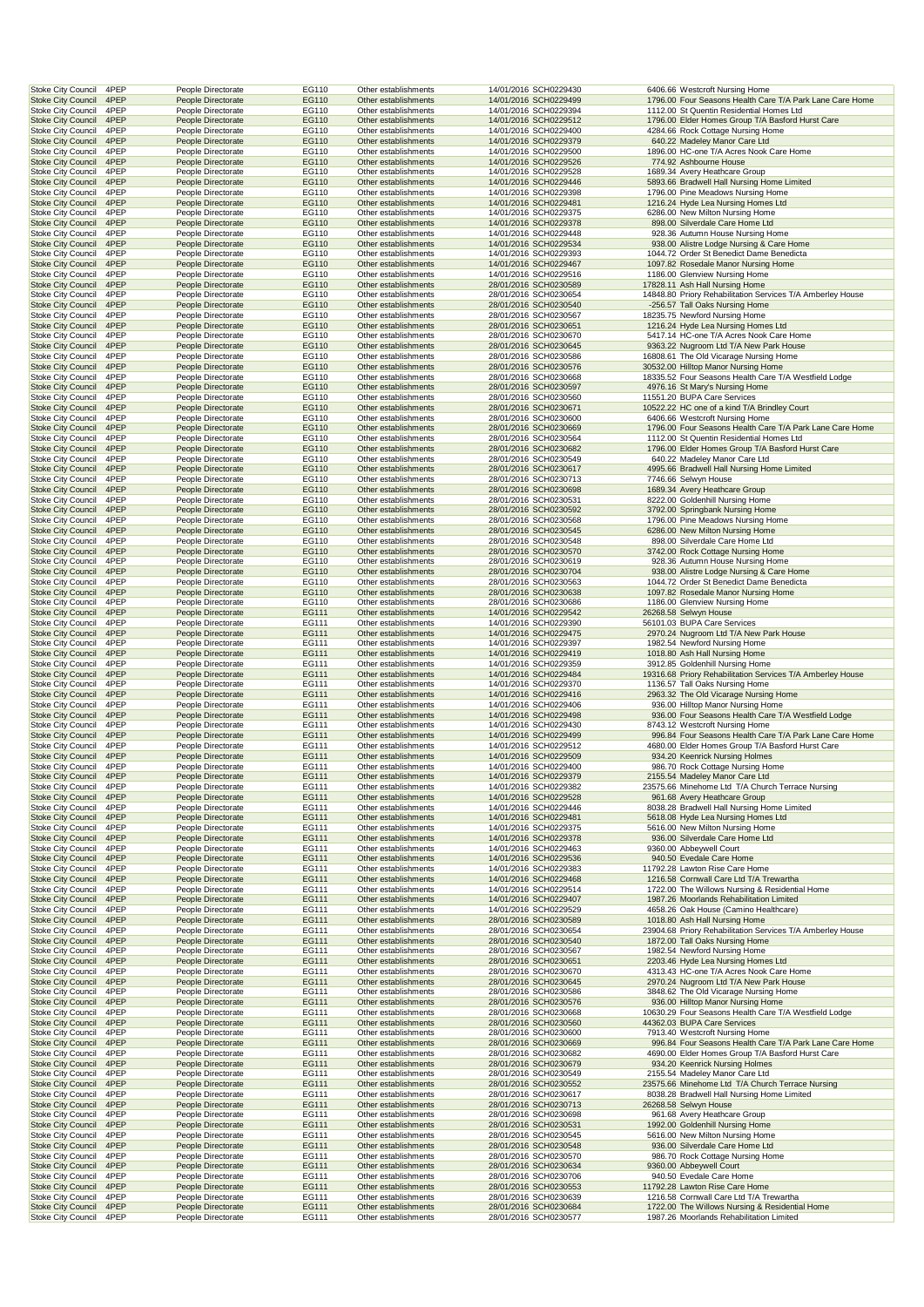| 4PEP<br><b>Stoke City Council</b>                                      | People Directorate                       | EG110          | Other establishments                         | 14/01/2016 SCH0229430                          | 6406.66 Westcroft Nursing Home                                                                              |
|------------------------------------------------------------------------|------------------------------------------|----------------|----------------------------------------------|------------------------------------------------|-------------------------------------------------------------------------------------------------------------|
|                                                                        | People Directorate                       | EG110          | Other establishments                         | 14/01/2016 SCH0229499                          | 1796.00 Four Seasons Health Care T/A Park Lane Care Home<br>1112.00 St Quentin Residential Homes Ltd        |
| <b>Stoke City Council</b><br>4PEP<br><b>Stoke City Council</b><br>4PEP | People Directorate<br>People Directorate | EG110<br>EG110 | Other establishments<br>Other establishments | 14/01/2016 SCH0229394<br>14/01/2016 SCH0229512 | 1796.00 Elder Homes Group T/A Basford Hurst Care                                                            |
| <b>Stoke City Council</b><br>4PEP                                      | People Directorate                       | EG110          | Other establishments                         | 14/01/2016 SCH0229400                          | 4284.66 Rock Cottage Nursing Home                                                                           |
| <b>Stoke City Council</b><br>4PEP                                      | People Directorate                       | EG110          | Other establishments                         | 14/01/2016 SCH0229379                          | 640.22 Madeley Manor Care Ltd                                                                               |
| 4PEP<br><b>Stoke City Council</b>                                      | People Directorate                       | EG110          | Other establishments                         | 14/01/2016 SCH0229500                          | 1896.00 HC-one T/A Acres Nook Care Home                                                                     |
| <b>Stoke City Council</b><br>4PEP                                      | People Directorate                       | EG110          | Other establishments                         | 14/01/2016 SCH0229526                          | 774.92 Ashbourne House                                                                                      |
| 4PEP<br><b>Stoke City Council</b><br><b>Stoke City Council</b><br>4PEP | People Directorate<br>People Directorate | EG110<br>EG110 | Other establishments<br>Other establishments | 14/01/2016 SCH0229528<br>14/01/2016 SCH0229446 | 1689.34 Avery Heathcare Group<br>5893.66 Bradwell Hall Nursing Home Limited                                 |
| <b>Stoke City Council</b><br>4PEP                                      | People Directorate                       | EG110          | Other establishments                         | 14/01/2016 SCH0229398                          | 1796.00 Pine Meadows Nursing Home                                                                           |
| 4PEP<br><b>Stoke City Council</b>                                      | People Directorate                       | EG110          | Other establishments                         | 14/01/2016 SCH0229481                          | 1216.24 Hyde Lea Nursing Homes Ltd                                                                          |
| <b>Stoke City Council</b><br>4PEP                                      | People Directorate                       | EG110          | Other establishments                         | 14/01/2016 SCH0229375                          | 6286.00 New Milton Nursing Home                                                                             |
| 4PEP<br><b>Stoke City Council</b>                                      | People Directorate                       | EG110          | Other establishments                         | 14/01/2016 SCH0229378                          | 898.00 Silverdale Care Home Ltd                                                                             |
| <b>Stoke City Council</b><br>4PEP                                      | People Directorate                       | EG110          | Other establishments                         | 14/01/2016 SCH0229448                          | 928.36 Autumn House Nursing Home                                                                            |
| <b>Stoke City Council</b><br>4PEP<br>4PEP<br><b>Stoke City Council</b> | People Directorate                       | EG110          | Other establishments<br>Other establishments | 14/01/2016 SCH0229534                          | 938.00 Alistre Lodge Nursing & Care Home                                                                    |
| <b>Stoke City Council</b><br>4PEP                                      | People Directorate<br>People Directorate | EG110<br>EG110 | Other establishments                         | 14/01/2016 SCH0229393<br>14/01/2016 SCH0229467 | 1044.72 Order St Benedict Dame Benedicta<br>1097.82 Rosedale Manor Nursing Home                             |
| 4PEP<br><b>Stoke City Council</b>                                      | People Directorate                       | EG110          | Other establishments                         | 14/01/2016 SCH0229516                          | 1186.00 Glenview Nursing Home                                                                               |
| <b>Stoke City Council</b><br>4PEP                                      | People Directorate                       | EG110          | Other establishments                         | 28/01/2016 SCH0230589                          | 17828.11 Ash Hall Nursing Home                                                                              |
| <b>Stoke City Council</b><br>4PEP                                      | People Directorate                       | EG110          | Other establishments                         | 28/01/2016 SCH0230654                          | 14848.80 Priory Rehabilitation Services T/A Amberley House                                                  |
| 4PEP<br><b>Stoke City Council</b>                                      | People Directorate                       | EG110          | Other establishments                         | 28/01/2016 SCH0230540                          | -256.57 Tall Oaks Nursing Home                                                                              |
| <b>Stoke City Council</b><br>4PEP                                      | People Directorate                       | EG110          | Other establishments                         | 28/01/2016 SCH0230567                          | 18235.75 Newford Nursing Home                                                                               |
| 4PEP<br><b>Stoke City Council</b>                                      | People Directorate                       | EG110          | Other establishments                         | 28/01/2016 SCH0230651                          | 1216.24 Hyde Lea Nursing Homes Ltd                                                                          |
| 4PEP<br><b>Stoke City Council</b><br><b>Stoke City Council</b><br>4PEP | People Directorate<br>People Directorate | EG110<br>EG110 | Other establishments<br>Other establishments | 28/01/2016 SCH0230670<br>28/01/2016 SCH0230645 | 5417.14 HC-one T/A Acres Nook Care Home<br>9363.22 Nugroom Ltd T/A New Park House                           |
| 4PEP<br><b>Stoke City Council</b>                                      | People Directorate                       | EG110          | Other establishments                         | 28/01/2016 SCH0230586                          | 16808.61 The Old Vicarage Nursing Home                                                                      |
| <b>Stoke City Council</b><br>4PEP                                      | People Directorate                       | EG110          | Other establishments                         | 28/01/2016 SCH0230576                          | 30532.00 Hilltop Manor Nursing Home                                                                         |
| <b>Stoke City Council</b><br>4PEP                                      | People Directorate                       | EG110          | Other establishments                         | 28/01/2016 SCH0230668                          | 18335.52 Four Seasons Health Care T/A Westfield Lodge                                                       |
| <b>Stoke City Council</b><br>4PEP                                      | People Directorate                       | EG110          | Other establishments                         | 28/01/2016 SCH0230597                          | 4976.16 St Mary's Nursing Home                                                                              |
| <b>Stoke City Council</b><br>4PEP                                      | People Directorate                       | EG110          | Other establishments                         | 28/01/2016 SCH0230560                          | 11551.20 BUPA Care Services                                                                                 |
| 4PEP<br><b>Stoke City Council</b>                                      | People Directorate                       | EG110          | Other establishments                         | 28/01/2016 SCH0230671                          | 10522.22 HC one of a kind T/A Brindley Court                                                                |
| Stoke City Council<br>4PEP                                             | People Directorate                       | EG110          | Other establishments                         | 28/01/2016 SCH0230600                          | 6406.66 Westcroft Nursing Home<br>1796.00 Four Seasons Health Care T/A Park Lane Care Home                  |
| 4PEP<br><b>Stoke City Council</b><br>4PEP<br><b>Stoke City Council</b> | People Directorate<br>People Directorate | EG110<br>EG110 | Other establishments<br>Other establishments | 28/01/2016 SCH0230669<br>28/01/2016 SCH0230564 | 1112.00 St Quentin Residential Homes Ltd                                                                    |
| <b>Stoke City Council</b><br>4PEP                                      | People Directorate                       | EG110          | Other establishments                         | 28/01/2016 SCH0230682                          | 1796.00 Elder Homes Group T/A Basford Hurst Care                                                            |
| 4PEP<br><b>Stoke City Council</b>                                      | People Directorate                       | EG110          | Other establishments                         | 28/01/2016 SCH0230549                          | 640.22 Madeley Manor Care Ltd                                                                               |
| <b>Stoke City Council</b><br>4PEP                                      | People Directorate                       | EG110          | Other establishments                         | 28/01/2016 SCH0230617                          | 4995.66 Bradwell Hall Nursing Home Limited                                                                  |
| <b>Stoke City Council</b><br>4PEP                                      | People Directorate                       | EG110          | Other establishments                         | 28/01/2016 SCH0230713                          | 7746.66 Selwyn House                                                                                        |
| <b>Stoke City Council</b><br>4PEP                                      | People Directorate                       | EG110          | Other establishments                         | 28/01/2016 SCH0230698                          | 1689.34 Avery Heathcare Group                                                                               |
| <b>Stoke City Council</b><br>4PEP                                      | People Directorate                       | EG110          | Other establishments                         | 28/01/2016 SCH0230531                          | 8222.00 Goldenhill Nursing Home                                                                             |
| 4PEP<br><b>Stoke City Council</b>                                      | People Directorate                       | EG110          | Other establishments                         | 28/01/2016 SCH0230592                          | 3792.00 Springbank Nursing Home                                                                             |
| <b>Stoke City Council</b><br>4PEP<br>4PEP                              | People Directorate                       | EG110<br>EG110 | Other establishments                         | 28/01/2016 SCH0230568                          | 1796.00 Pine Meadows Nursing Home<br>6286.00 New Milton Nursing Home                                        |
| <b>Stoke City Council</b><br><b>Stoke City Council</b><br>4PEP         | People Directorate<br>People Directorate | EG110          | Other establishments<br>Other establishments | 28/01/2016 SCH0230545<br>28/01/2016 SCH0230548 | 898.00 Silverdale Care Home Ltd                                                                             |
| <b>Stoke City Council</b><br>4PEP                                      | People Directorate                       | EG110          | Other establishments                         | 28/01/2016 SCH0230570                          | 3742.00 Rock Cottage Nursing Home                                                                           |
| 4PEP<br><b>Stoke City Council</b>                                      | People Directorate                       | EG110          | Other establishments                         | 28/01/2016 SCH0230619                          | 928.36 Autumn House Nursing Home                                                                            |
| <b>Stoke City Council</b><br>4PEP                                      | People Directorate                       | EG110          | Other establishments                         | 28/01/2016 SCH0230704                          | 938.00 Alistre Lodge Nursing & Care Home                                                                    |
| <b>Stoke City Council</b><br>4PEP                                      | People Directorate                       | EG110          | Other establishments                         | 28/01/2016 SCH0230563                          | 1044.72 Order St Benedict Dame Benedicta                                                                    |
| <b>Stoke City Council</b><br>4PEP                                      | People Directorate                       | EG110          | Other establishments                         | 28/01/2016 SCH0230638                          | 1097.82 Rosedale Manor Nursing Home                                                                         |
| <b>Stoke City Council</b><br>4PEP                                      | People Directorate                       | EG110          | Other establishments                         | 28/01/2016 SCH0230686                          | 1186.00 Glenview Nursing Home                                                                               |
| <b>Stoke City Council</b><br>4PEP<br><b>Stoke City Council</b><br>4PEP | People Directorate<br>People Directorate | EG111<br>EG111 | Other establishments<br>Other establishments | 14/01/2016 SCH0229542<br>14/01/2016 SCH0229390 | 26268.58 Selwyn House<br>56101.03 BUPA Care Services                                                        |
| 4PEP<br><b>Stoke City Council</b>                                      | People Directorate                       | EG111          | Other establishments                         | 14/01/2016 SCH0229475                          | 2970.24 Nugroom Ltd T/A New Park House                                                                      |
| Stoke City Council<br>4PEP                                             | People Directorate                       | EG111          | Other establishments                         | 14/01/2016 SCH0229397                          | 1982.54 Newford Nursing Home                                                                                |
| <b>Stoke City Council</b><br>4PEP                                      | People Directorate                       | EG111          | Other establishments                         | 14/01/2016 SCH0229419                          | 1018.80 Ash Hall Nursing Home                                                                               |
|                                                                        | People Directorate                       | EG111          | Other establishments                         |                                                | 3912.85 Goldenhill Nursing Home                                                                             |
| <b>Stoke City Council</b><br>4PEP                                      |                                          |                |                                              | 14/01/2016 SCH0229359                          |                                                                                                             |
| <b>Stoke City Council</b><br>4PEP                                      | People Directorate                       | EG111          | Other establishments                         | 14/01/2016 SCH0229484                          | 19316.68 Priory Rehabilitation Services T/A Amberley House                                                  |
| <b>Stoke City Council</b><br>4PEP                                      | People Directorate                       | EG111          | Other establishments                         | 14/01/2016 SCH0229370                          | 1136.57 Tall Oaks Nursing Home                                                                              |
| <b>Stoke City Council</b><br>4PEP                                      | People Directorate                       | EG111          | Other establishments                         | 14/01/2016 SCH0229416                          | 2963.32 The Old Vicarage Nursing Home                                                                       |
| 4PEP<br><b>Stoke City Council</b>                                      | People Directorate                       | EG111          | Other establishments                         | 14/01/2016 SCH0229406                          | 936.00 Hilltop Manor Nursing Home                                                                           |
| <b>Stoke City Council</b><br>4PEP                                      | People Directorate                       | EG111          | Other establishments                         | 14/01/2016 SCH0229498                          | 936.00 Four Seasons Health Care T/A Westfield Lodge                                                         |
| <b>Stoke City Council</b><br>4PEP                                      | People Directorate                       | EG111          | Other establishments                         | 14/01/2016 SCH0229430                          | 8743.12 Westcroft Nursing Home                                                                              |
| 4PEP<br><b>Stoke City Council</b><br>4PEP<br><b>Stoke City Council</b> | People Directorate<br>People Directorate | EG111<br>EG111 | Other establishments<br>Other establishments | 14/01/2016 SCH0229499<br>14/01/2016 SCH0229512 | 996.84 Four Seasons Health Care T/A Park Lane Care Home<br>4680.00 Elder Homes Group T/A Basford Hurst Care |
| 4PEP<br><b>Stoke City Council</b>                                      | People Directorate                       | EG111          | Other establishments                         | 14/01/2016 SCH0229509                          | 934.20 Keenrick Nursing Holmes                                                                              |
| <b>Stoke City Council</b><br>4PEP                                      | People Directorate                       | EG111          | Other establishments                         | 14/01/2016 SCH0229400                          | 986.70 Rock Cottage Nursing Home                                                                            |
| <b>Stoke City Council</b><br>4PEP                                      | People Directorate                       | EG111          | Other establishments                         | 14/01/2016 SCH0229379                          | 2155.54 Madeley Manor Care Ltd                                                                              |
| <b>Stoke City Council</b><br>4PEP                                      | People Directorate                       | EG111          | Other establishments                         | 14/01/2016 SCH0229382                          | 23575.66 Minehome Ltd T/A Church Terrace Nursing                                                            |
| <b>Stoke City Council</b><br>4PEP                                      | People Directorate                       | EG111          | Other establishments                         | 14/01/2016 SCH0229528                          | 961.68 Avery Heathcare Group                                                                                |
| 4PEP<br><b>Stoke City Council</b>                                      | People Directorate                       | EG111          | Other establishments                         | 14/01/2016 SCH0229446                          | 8038.28 Bradwell Hall Nursing Home Limited                                                                  |
| 4PEP<br><b>Stoke City Council</b><br><b>Stoke City Council</b><br>4PEP | People Directorate<br>People Directorate | EG111<br>EG111 | Other establishments<br>Other establishments | 14/01/2016 SCH0229481<br>14/01/2016 SCH0229375 | 5618.08 Hyde Lea Nursing Homes Ltd<br>5616.00 New Milton Nursing Home                                       |
| <b>Stoke City Council</b><br>4PEP                                      | People Directorate                       | EG111          | Other establishments                         | 14/01/2016 SCH0229378                          | 936.00 Silverdale Care Home Ltd                                                                             |
| Stoke City Council<br>4PEP                                             | People Directorate                       | EG111          | Other establishments                         | 14/01/2016 SCH0229463                          | 9360.00 Abbeywell Court                                                                                     |
| 4PEP<br><b>Stoke City Council</b>                                      | People Directorate                       | EG111          | Other establishments                         | 14/01/2016 SCH0229536                          | 940.50 Evedale Care Home                                                                                    |
| <b>Stoke City Council</b><br>4PEP                                      | People Directorate                       | EG111          | Other establishments                         | 14/01/2016 SCH0229383                          | 11792.28 Lawton Rise Care Home                                                                              |
| <b>Stoke City Council</b><br>4PEP                                      | People Directorate                       | EG111          | Other establishments                         | 14/01/2016 SCH0229468                          | 1216.58 Cornwall Care Ltd T/A Trewartha                                                                     |
| Stoke City Council<br>4PEP                                             | People Directorate                       | EG111          | Other establishments                         | 14/01/2016 SCH0229514                          | 1722.00 The Willows Nursing & Residential Home                                                              |
| <b>Stoke City Council</b><br>4PEP<br>4PEP<br><b>Stoke City Council</b> | People Directorate<br>People Directorate | EG111<br>EG111 | Other establishments<br>Other establishments | 14/01/2016 SCH0229407<br>14/01/2016 SCH0229529 | 1987.26 Moorlands Rehabilitation Limited<br>4658.26 Oak House (Camino Healthcare)                           |
| <b>Stoke City Council</b><br>4PEP                                      | People Directorate                       | EG111          | Other establishments                         | 28/01/2016 SCH0230589                          | 1018.80 Ash Hall Nursing Home                                                                               |
| <b>Stoke City Council</b><br>4PEP                                      | People Directorate                       | EG111          | Other establishments                         | 28/01/2016 SCH0230654                          | 23904.68 Priory Rehabilitation Services T/A Amberley House                                                  |
| <b>Stoke City Council</b><br>4PEP                                      | People Directorate                       | EG111          | Other establishments                         | 28/01/2016 SCH0230540                          | 1872.00 Tall Oaks Nursing Home                                                                              |
| Stoke City Council<br>4PEP                                             | People Directorate                       | EG111          | Other establishments                         | 28/01/2016 SCH0230567                          | 1982.54 Newford Nursing Home                                                                                |
| <b>Stoke City Council</b><br>4PEP                                      | People Directorate                       | EG111          | Other establishments                         | 28/01/2016 SCH0230651                          | 2203.46 Hyde Lea Nursing Homes Ltd                                                                          |
| <b>Stoke City Council</b><br>4PEP                                      | People Directorate                       | EG111          | Other establishments                         | 28/01/2016 SCH0230670                          | 4313.43 HC-one T/A Acres Nook Care Home                                                                     |
| <b>Stoke City Council</b><br>4PEP<br>4PEP<br><b>Stoke City Council</b> | People Directorate<br>People Directorate | EG111<br>EG111 | Other establishments<br>Other establishments | 28/01/2016 SCH0230645<br>28/01/2016 SCH0230586 | 2970.24 Nugroom Ltd T/A New Park House<br>3848.62 The Old Vicarage Nursing Home                             |
| <b>Stoke City Council</b><br>4PEP                                      | People Directorate                       | EG111          | Other establishments                         | 28/01/2016 SCH0230576                          | 936.00 Hilltop Manor Nursing Home                                                                           |
| <b>Stoke City Council</b><br>4PEP                                      | People Directorate                       | EG111          | Other establishments                         | 28/01/2016 SCH0230668                          | 10630.29 Four Seasons Health Care T/A Westfield Lodge                                                       |
| <b>Stoke City Council</b><br>4PEP                                      | People Directorate                       | EG111          | Other establishments                         | 28/01/2016 SCH0230560                          | 44362.03 BUPA Care Services                                                                                 |
| Stoke City Council<br>4PEP                                             | People Directorate                       | EG111          | Other establishments                         | 28/01/2016 SCH0230600                          | 7913.40 Westcroft Nursing Home                                                                              |
| <b>Stoke City Council</b><br>4PEP                                      | People Directorate                       | EG111          | Other establishments                         | 28/01/2016 SCH0230669                          | 996.84 Four Seasons Health Care T/A Park Lane Care Home                                                     |
| Stoke City Council<br>4PEP                                             | People Directorate                       | EG111          | Other establishments                         | 28/01/2016 SCH0230682                          | 4690.00 Elder Homes Group T/A Basford Hurst Care                                                            |
| <b>Stoke City Council</b><br>4PEP<br><b>Stoke City Council</b><br>4PEP | People Directorate<br>People Directorate | EG111<br>EG111 | Other establishments<br>Other establishments | 28/01/2016 SCH0230679<br>28/01/2016 SCH0230549 | 934.20 Keenrick Nursing Holmes<br>2155.54 Madeley Manor Care Ltd                                            |
| <b>Stoke City Council</b><br>4PEP                                      | People Directorate                       | EG111          | Other establishments                         | 28/01/2016 SCH0230552                          | 23575.66 Minehome Ltd T/A Church Terrace Nursing                                                            |
| <b>Stoke City Council</b><br>4PEP                                      | People Directorate                       | EG111          | Other establishments                         | 28/01/2016 SCH0230617                          | 8038.28 Bradwell Hall Nursing Home Limited                                                                  |
| <b>Stoke City Council</b><br>4PEP                                      | People Directorate                       | EG111          | Other establishments                         | 28/01/2016 SCH0230713                          | 26268.58 Selwyn House                                                                                       |
| <b>Stoke City Council</b><br>4PEP                                      | People Directorate                       | EG111          | Other establishments                         | 28/01/2016 SCH0230698                          | 961.68 Avery Heathcare Group                                                                                |
| <b>Stoke City Council</b><br>4PEP                                      | People Directorate                       | EG111          | Other establishments                         | 28/01/2016 SCH0230531                          | 1992.00 Goldenhill Nursing Home                                                                             |
| Stoke City Council<br>4PEP                                             | People Directorate                       | EG111          | Other establishments                         | 28/01/2016 SCH0230545                          | 5616.00 New Milton Nursing Home                                                                             |
| <b>Stoke City Council</b><br>4PEP                                      | People Directorate<br>People Directorate | EG111          | Other establishments                         | 28/01/2016 SCH0230548                          | 936.00 Silverdale Care Home Ltd                                                                             |
| Stoke City Council<br>4PEP<br><b>Stoke City Council</b><br>4PEP        | People Directorate                       | EG111<br>EG111 | Other establishments<br>Other establishments | 28/01/2016 SCH0230570<br>28/01/2016 SCH0230634 | 986.70 Rock Cottage Nursing Home<br>9360.00 Abbeywell Court                                                 |
| <b>Stoke City Council</b><br>4PEP                                      | People Directorate                       | EG111          | Other establishments                         | 28/01/2016 SCH0230706                          | 940.50 Evedale Care Home                                                                                    |
| <b>Stoke City Council</b><br>4PEP                                      | People Directorate                       | EG111          | Other establishments                         | 28/01/2016 SCH0230553                          | 11792.28 Lawton Rise Care Home                                                                              |
| 4PEP<br><b>Stoke City Council</b>                                      | People Directorate                       | EG111          | Other establishments                         | 28/01/2016 SCH0230639                          | 1216.58 Cornwall Care Ltd T/A Trewartha                                                                     |
| <b>Stoke City Council</b><br>4PEP<br><b>Stoke City Council</b><br>4PEP | People Directorate<br>People Directorate | EG111<br>EG111 | Other establishments<br>Other establishments | 28/01/2016 SCH0230684<br>28/01/2016 SCH0230577 | 1722.00 The Willows Nursing & Residential Home<br>1987.26 Moorlands Rehabilitation Limited                  |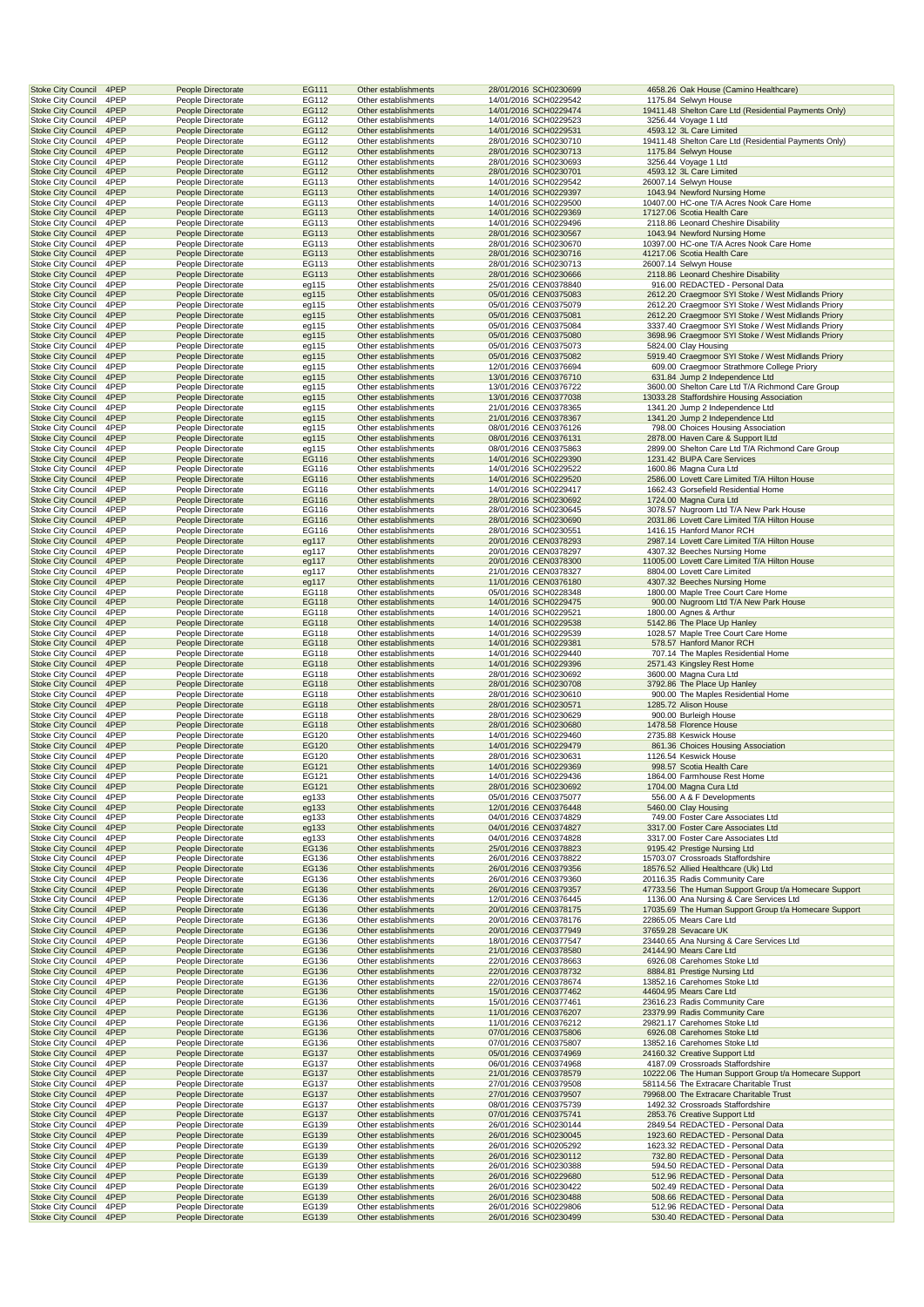| <b>Stoke City Council</b><br>4PEP                                      | People Directorate                       | EG111          | Other establishments                         | 28/01/2016 SCH0230699                          | 4658.26 Oak House (Camino Healthcare)                                                            |
|------------------------------------------------------------------------|------------------------------------------|----------------|----------------------------------------------|------------------------------------------------|--------------------------------------------------------------------------------------------------|
| <b>Stoke City Council</b><br>4PEP<br><b>Stoke City Council</b>         | People Directorate                       | EG112          | Other establishments                         | 14/01/2016 SCH0229542                          | 1175.84 Selwyn House                                                                             |
| 4PEP<br>Stoke City Council<br>4PEP                                     | People Directorate<br>People Directorate | EG112<br>EG112 | Other establishments<br>Other establishments | 14/01/2016 SCH0229474<br>14/01/2016 SCH0229523 | 19411.48 Shelton Care Ltd (Residential Payments Only)<br>3256.44 Voyage 1 Ltd                    |
| <b>Stoke City Council</b><br>4PEP                                      | People Directorate                       | EG112          | Other establishments                         | 14/01/2016 SCH0229531                          | 4593.12 3L Care Limited                                                                          |
| <b>Stoke City Council</b><br>4PEP                                      | People Directorate                       | EG112          | Other establishments                         | 28/01/2016 SCH0230710                          | 19411.48 Shelton Care Ltd (Residential Payments Only)                                            |
| <b>Stoke City Council</b><br>4PEP                                      | People Directorate                       | EG112          | Other establishments                         | 28/01/2016 SCH0230713                          | 1175.84 Selwyn House                                                                             |
| 4PEP<br><b>Stoke City Council</b>                                      | People Directorate                       | EG112          | Other establishments                         | 28/01/2016 SCH0230693                          | 3256.44 Voyage 1 Ltd                                                                             |
| <b>Stoke City Council</b><br>4PEP<br>4PEP<br><b>Stoke City Council</b> | People Directorate<br>People Directorate | EG112<br>EG113 | Other establishments<br>Other establishments | 28/01/2016 SCH0230701<br>14/01/2016 SCH0229542 | 4593.12 3L Care Limited<br>26007.14 Selwyn House                                                 |
| <b>Stoke City Council</b><br>4PEP                                      | People Directorate                       | EG113          | Other establishments                         | 14/01/2016 SCH0229397                          | 1043.94 Newford Nursing Home                                                                     |
| Stoke City Council<br>4PEP                                             | People Directorate                       | EG113          | Other establishments                         | 14/01/2016 SCH0229500                          | 10407.00 HC-one T/A Acres Nook Care Home                                                         |
| 4PEP<br><b>Stoke City Council</b>                                      | People Directorate                       | EG113          | Other establishments                         | 14/01/2016 SCH0229369                          | 17127.06 Scotia Health Care                                                                      |
| <b>Stoke City Council</b><br>4PEP                                      | People Directorate                       | EG113          | Other establishments                         | 14/01/2016 SCH0229496                          | 2118.86 Leonard Cheshire Disability                                                              |
| 4PEP<br><b>Stoke City Council</b><br><b>Stoke City Council</b><br>4PEP | People Directorate<br>People Directorate | EG113<br>EG113 | Other establishments<br>Other establishments | 28/01/2016 SCH0230567<br>28/01/2016 SCH0230670 | 1043.94 Newford Nursing Home<br>10397.00 HC-one T/A Acres Nook Care Home                         |
| <b>Stoke City Council</b><br>4PEP                                      | People Directorate                       | EG113          | Other establishments                         | 28/01/2016 SCH0230716                          | 41217.06 Scotia Health Care                                                                      |
| 4PEP<br><b>Stoke City Council</b>                                      | People Directorate                       | EG113          | Other establishments                         | 28/01/2016 SCH0230713                          | 26007.14 Selwyn House                                                                            |
| <b>Stoke City Council</b><br>4PEP                                      | People Directorate                       | EG113          | Other establishments                         | 28/01/2016 SCH0230666                          | 2118.86 Leonard Cheshire Disability                                                              |
| 4PEP<br><b>Stoke City Council</b><br><b>Stoke City Council</b>         | People Directorate                       | eg115          | Other establishments                         | 25/01/2016 CEN0378840                          | 916.00 REDACTED - Personal Data<br>2612.20 Craegmoor SYI Stoke / West Midlands Priory            |
| 4PEP<br>Stoke City Council<br>4PEP                                     | People Directorate<br>People Directorate | eg115<br>eg115 | Other establishments<br>Other establishments | 05/01/2016 CEN0375083<br>05/01/2016 CEN0375079 | 2612.20 Craegmoor SYI Stoke / West Midlands Priory                                               |
| 4PEP<br><b>Stoke City Council</b>                                      | People Directorate                       | eg115          | Other establishments                         | 05/01/2016 CEN0375081                          | 2612.20 Craegmoor SYI Stoke / West Midlands Priory                                               |
| <b>Stoke City Council</b><br>4PEP                                      | People Directorate                       | eg115          | Other establishments                         | 05/01/2016 CEN0375084                          | 3337.40 Craegmoor SYI Stoke / West Midlands Priory                                               |
| 4PEP<br><b>Stoke City Council</b>                                      | People Directorate                       | eg115          | Other establishments                         | 05/01/2016 CEN0375080                          | 3698.96 Craegmoor SYI Stoke / West Midlands Priory                                               |
| <b>Stoke City Council</b><br>4PEP                                      | People Directorate                       | eg115          | Other establishments                         | 05/01/2016 CEN0375073                          | 5824.00 Clay Housing                                                                             |
| <b>Stoke City Council</b><br>4PEP<br>4PEP<br><b>Stoke City Council</b> | People Directorate<br>People Directorate | eg115<br>eg115 | Other establishments<br>Other establishments | 05/01/2016 CEN0375082<br>12/01/2016 CEN0376694 | 5919.40 Craegmoor SYI Stoke / West Midlands Priory<br>609.00 Craegmoor Strathmore College Priory |
| <b>Stoke City Council</b><br>4PEP                                      | People Directorate                       | eg115          | Other establishments                         | 13/01/2016 CEN0376710                          | 631.84 Jump 2 Independence Ltd                                                                   |
| 4PEP<br><b>Stoke City Council</b>                                      | People Directorate                       | eg115          | Other establishments                         | 13/01/2016 CEN0376722                          | 3600.00 Shelton Care Ltd T/A Richmond Care Group                                                 |
| <b>Stoke City Council</b><br>4PEP                                      | People Directorate                       | eg115          | Other establishments                         | 13/01/2016 CEN0377038                          | 13033.28 Staffordshire Housing Association                                                       |
| Stoke City Council<br>4PEP                                             | People Directorate                       | eg115          | Other establishments                         | 21/01/2016 CEN0378365                          | 1341.20 Jump 2 Independence Ltd                                                                  |
| 4PEP<br><b>Stoke City Council</b>                                      | People Directorate                       | eg115          | Other establishments                         | 21/01/2016 CEN0378367                          | 1341.20 Jump 2 Independence Ltd                                                                  |
| <b>Stoke City Council</b><br>4PEP<br>4PEP                              | People Directorate                       | eg115          | Other establishments                         | 08/01/2016 CEN0376126                          | 798.00 Choices Housing Association                                                               |
| <b>Stoke City Council</b><br><b>Stoke City Council</b><br>4PEP         | People Directorate<br>People Directorate | eg115<br>eg115 | Other establishments<br>Other establishments | 08/01/2016 CEN0376131<br>08/01/2016 CEN0375863 | 2878.00 Haven Care & Support ILtd<br>2899.00 Shelton Care Ltd T/A Richmond Care Group            |
| <b>Stoke City Council</b><br>4PEP                                      | People Directorate                       | EG116          | Other establishments                         | 14/01/2016 SCH0229390                          | 1231.42 BUPA Care Services                                                                       |
| 4PEP<br><b>Stoke City Council</b>                                      | People Directorate                       | EG116          | Other establishments                         | 14/01/2016 SCH0229522                          | 1600.86 Magna Cura Ltd                                                                           |
| <b>Stoke City Council</b><br>4PEP                                      | People Directorate                       | EG116          | Other establishments                         | 14/01/2016 SCH0229520                          | 2586.00 Lovett Care Limited T/A Hilton House                                                     |
| 4PEP<br><b>Stoke City Council</b>                                      | People Directorate                       | EG116          | Other establishments                         | 14/01/2016 SCH0229417                          | 1662.43 Gorsefield Residential Home                                                              |
| <b>Stoke City Council</b><br>4PEP                                      | People Directorate                       | EG116          | Other establishments                         | 28/01/2016 SCH0230692                          | 1724.00 Magna Cura Ltd                                                                           |
| Stoke City Council<br>4PEP<br>4PEP<br><b>Stoke City Council</b>        | People Directorate                       | EG116<br>EG116 | Other establishments                         | 28/01/2016 SCH0230645<br>28/01/2016 SCH0230690 | 3078.57 Nugroom Ltd T/A New Park House                                                           |
| <b>Stoke City Council</b><br>4PEP                                      | People Directorate<br>People Directorate | EG116          | Other establishments<br>Other establishments | 28/01/2016 SCH0230551                          | 2031.86 Lovett Care Limited T/A Hilton House<br>1416.15 Hanford Manor RCH                        |
| 4PEP<br><b>Stoke City Council</b>                                      | People Directorate                       | eg117          | Other establishments                         | 20/01/2016 CEN0378293                          | 2987.14 Lovett Care Limited T/A Hilton House                                                     |
| <b>Stoke City Council</b><br>4PEP                                      | People Directorate                       | eg117          | Other establishments                         | 20/01/2016 CEN0378297                          | 4307.32 Beeches Nursing Home                                                                     |
| <b>Stoke City Council</b><br>4PEP                                      | People Directorate                       | eg117          | Other establishments                         | 20/01/2016 CEN0378300                          | 11005.00 Lovett Care Limited T/A Hilton House                                                    |
| 4PEP<br><b>Stoke City Council</b>                                      | People Directorate                       | eg117          | Other establishments                         | 21/01/2016 CEN0378327                          | 8804.00 Lovett Care Limited                                                                      |
| <b>Stoke City Council</b><br>4PEP                                      | People Directorate                       | eg117          | Other establishments                         | 11/01/2016 CEN0376180                          | 4307.32 Beeches Nursing Home                                                                     |
| 4PEP<br><b>Stoke City Council</b><br><b>Stoke City Council</b><br>4PEP | People Directorate<br>People Directorate | EG118<br>EG118 | Other establishments<br>Other establishments | 05/01/2016 SCH0228348<br>14/01/2016 SCH0229475 | 1800.00 Maple Tree Court Care Home<br>900.00 Nugroom Ltd T/A New Park House                      |
| <b>Stoke City Council</b><br>4PEP                                      | People Directorate                       | EG118          | Other establishments                         | 14/01/2016 SCH0229521                          | 1800.00 Agnes & Arthur                                                                           |
| 4PEP<br><b>Stoke City Council</b>                                      | People Directorate                       | EG118          | Other establishments                         | 14/01/2016 SCH0229538                          | 5142.86 The Place Up Hanley                                                                      |
| <b>Stoke City Council</b><br>4PEP                                      | People Directorate                       | EG118          | Other establishments                         | 14/01/2016 SCH0229539                          | 1028.57 Maple Tree Court Care Home                                                               |
| 4PEP<br><b>Stoke City Council</b>                                      | People Directorate                       | EG118          | Other establishments                         | 14/01/2016 SCH0229381                          | 578.57 Hanford Manor RCH                                                                         |
| <b>Stoke City Council</b><br>4PEP                                      | People Directorate                       | EG118          | Other establishments                         | 14/01/2016 SCH0229440                          | 707.14 The Maples Residential Home                                                               |
| <b>Stoke City Council</b><br>4PEP<br>4PEP                              | People Directorate                       | EG118          | Other establishments                         | 14/01/2016 SCH0229396                          | 2571.43 Kingsley Rest Home                                                                       |
| Stoke City Council<br><b>Stoke City Council</b><br>4PEP                | People Directorate<br>People Directorate | EG118<br>EG118 | Other establishments<br>Other establishments | 28/01/2016 SCH0230692<br>28/01/2016 SCH0230708 | 3600.00 Magna Cura Ltd<br>3792.86 The Place Up Hanley                                            |
| 4PEP<br><b>Stoke City Council</b>                                      | People Directorate                       | EG118          | Other establishments                         | 28/01/2016 SCH0230610                          | 900.00 The Maples Residential Home                                                               |
| <b>Stoke City Council</b><br>4PEP                                      | People Directorate                       | EG118          | Other establishments                         | 28/01/2016 SCH0230571                          | 1285.72 Alison House                                                                             |
| <b>Stoke City Council</b><br>4PEP                                      | People Directorate                       | EG118          | Other establishments                         | 28/01/2016 SCH0230629                          | 900.00 Burleigh House                                                                            |
| 4PEP<br><b>Stoke City Council</b>                                      | People Directorate                       | EG118          | Other establishments                         | 28/01/2016 SCH0230680                          | 1478.58 Florence House                                                                           |
| <b>Stoke City Council</b><br>4PEP                                      | People Directorate                       | EG120          | Other establishments                         | 14/01/2016 SCH0229460                          | 2735.88 Keswick House                                                                            |
| <b>Stoke City Council</b><br>4PEP<br>4PEP<br><b>Stoke City Council</b> | People Directorate<br>People Directorate | EG120<br>EG120 | Other establishments<br>Other establishments | 14/01/2016 SCH0229479<br>28/01/2016 SCH0230631 | 861.36 Choices Housing Association<br>1126.54 Keswick House                                      |
| <b>Stoke City Council</b><br>4PEP                                      | People Directorate                       | EG121          | Other establishments                         | 14/01/2016 SCH0229369                          | 998.57 Scotia Health Care                                                                        |
| Stoke City Council<br>4PEP                                             | People Directorate                       | EG121          | Other establishments                         | 14/01/2016 SCH0229436                          | 1864.00 Farmhouse Rest Home                                                                      |
| <b>Stoke City Council</b><br>4PEP                                      | People Directorate                       | EG121          | Other establishments                         | 28/01/2016 SCH0230692                          | 1704.00 Magna Cura Ltd                                                                           |
| Stoke City Council<br>4PEP                                             | People Directorate                       | eg133          | Other establishments                         | 05/01/2016 CEN0375077                          | 556.00 A & F Developments                                                                        |
| <b>Stoke City Council</b><br>4PEP                                      | People Directorate                       | eg133          | Other establishments                         | 12/01/2016 CEN0376448                          | 5460.00 Clay Housing                                                                             |
| <b>Stoke City Council</b><br>4PEP<br><b>Stoke City Council</b><br>4PEP | People Directorate<br>People Directorate | eg133<br>eg133 | Other establishments<br>Other establishments | 04/01/2016 CEN0374829<br>04/01/2016 CEN0374827 | 749.00 Foster Care Associates Ltd<br>3317.00 Foster Care Associates Ltd                          |
| <b>Stoke City Council</b><br>4PEP                                      | People Directorate                       | eg133          | Other establishments                         | 04/01/2016 CEN0374828                          | 3317.00 Foster Care Associates Ltd                                                               |
| <b>Stoke City Council</b><br>4PEP                                      | People Directorate                       | EG136          | Other establishments                         | 25/01/2016 CEN0378823                          | 9195.42 Prestige Nursing Ltd                                                                     |
| <b>Stoke City Council</b><br>4PEP                                      | People Directorate                       | EG136          | Other establishments                         | 26/01/2016 CEN0378822                          | 15703.07 Crossroads Staffordshire                                                                |
| <b>Stoke City Council</b><br>4PEP                                      | People Directorate                       | EG136          | Other establishments                         | 26/01/2016 CEN0379356                          | 18576.52 Allied Healthcare (Uk) Ltd                                                              |
| <b>Stoke City Council</b><br>4PEP                                      | People Directorate                       | EG136          | Other establishments                         | 26/01/2016 CEN0379360                          | 20116.35 Radis Community Care                                                                    |
| <b>Stoke City Council</b><br>4PEP<br>Stoke City Council<br>4PEP        | People Directorate<br>People Directorate | EG136<br>EG136 | Other establishments<br>Other establishments | 26/01/2016 CEN0379357<br>12/01/2016 CEN0376445 | 47733.56 The Human Support Group t/a Homecare Support<br>1136.00 Ana Nursing & Care Services Ltd |
| <b>Stoke City Council</b><br>4PEP                                      | People Directorate                       | EG136          | Other establishments                         | 20/01/2016 CEN0378175                          | 17035.69 The Human Support Group t/a Homecare Support                                            |
| <b>Stoke City Council</b><br>4PEP                                      | People Directorate                       | EG136          | Other establishments                         | 20/01/2016 CEN0378176                          | 22865.05 Mears Care Ltd                                                                          |
| <b>Stoke City Council</b><br>4PEP                                      | People Directorate                       | EG136          | Other establishments                         | 20/01/2016 CEN0377949                          | 37659.28 Sevacare UK                                                                             |
| <b>Stoke City Council</b><br>4PEP                                      | People Directorate                       | EG136          | Other establishments                         | 18/01/2016 CEN0377547                          | 23440.65 Ana Nursing & Care Services Ltd                                                         |
| <b>Stoke City Council</b><br>4PEP                                      | People Directorate                       | EG136          | Other establishments                         | 21/01/2016 CEN0378580                          | 24144.90 Mears Care Ltd                                                                          |
| <b>Stoke City Council</b><br>4PEP<br><b>Stoke City Council</b><br>4PEP | People Directorate<br>People Directorate | EG136<br>EG136 | Other establishments<br>Other establishments | 22/01/2016 CEN0378663<br>22/01/2016 CEN0378732 | 6926.08 Carehomes Stoke Ltd<br>8884.81 Prestige Nursing Ltd                                      |
| <b>Stoke City Council</b><br>4PEP                                      | People Directorate                       | EG136          | Other establishments                         | 22/01/2016 CEN0378674                          | 13852.16 Carehomes Stoke Ltd                                                                     |
| <b>Stoke City Council</b><br>4PEP                                      | People Directorate                       | EG136          | Other establishments                         | 15/01/2016 CEN0377462                          | 44604.95 Mears Care Ltd                                                                          |
| 4PEP<br><b>Stoke City Council</b>                                      | People Directorate                       | EG136          | Other establishments                         | 15/01/2016 CEN0377461                          | 23616.23 Radis Community Care                                                                    |
| <b>Stoke City Council</b><br>4PEP                                      | People Directorate                       | EG136          | Other establishments                         | 11/01/2016 CEN0376207                          | 23379.99 Radis Community Care                                                                    |
| <b>Stoke City Council</b><br>4PEP                                      | People Directorate                       | EG136          | Other establishments                         | 11/01/2016 CEN0376212                          | 29821.17 Carehomes Stoke Ltd                                                                     |
| <b>Stoke City Council</b><br>4PEP<br><b>Stoke City Council</b><br>4PEP | People Directorate<br>People Directorate | EG136<br>EG136 | Other establishments<br>Other establishments | 07/01/2016 CEN0375806<br>07/01/2016 CEN0375807 | 6926.08 Carehomes Stoke Ltd<br>13852.16 Carehomes Stoke Ltd                                      |
| <b>Stoke City Council</b><br>4PEP                                      | People Directorate                       | EG137          | Other establishments                         | 05/01/2016 CEN0374969                          | 24160.32 Creative Support Ltd                                                                    |
| <b>Stoke City Council</b><br>4PEP                                      | People Directorate                       | EG137          | Other establishments                         | 06/01/2016 CEN0374968                          | 4187.09 Crossroads Staffordshire                                                                 |
| <b>Stoke City Council</b><br>4PEP                                      | People Directorate                       | EG137          | Other establishments                         | 21/01/2016 CEN0378579                          | 10222.06 The Human Support Group t/a Homecare Support                                            |
| <b>Stoke City Council</b><br>4PEP                                      | People Directorate                       | EG137          | Other establishments                         | 27/01/2016 CEN0379508                          | 58114.56 The Extracare Charitable Trust                                                          |
| <b>Stoke City Council</b><br>4PEP                                      | People Directorate                       | EG137          | Other establishments                         | 27/01/2016 CEN0379507                          | 79968.00 The Extracare Charitable Trust                                                          |
| 4PEP<br><b>Stoke City Council</b><br><b>Stoke City Council</b><br>4PEP | People Directorate<br>People Directorate | EG137<br>EG137 | Other establishments<br>Other establishments | 08/01/2016 CEN0375739<br>07/01/2016 CEN0375741 | 1492.32 Crossroads Staffordshire<br>2853.76 Creative Support Ltd                                 |
| <b>Stoke City Council</b><br>4PEP                                      | People Directorate                       | EG139          | Other establishments                         | 26/01/2016 SCH0230144                          | 2849.54 REDACTED - Personal Data                                                                 |
| 4PEP<br><b>Stoke City Council</b>                                      | People Directorate                       | EG139          | Other establishments                         | 26/01/2016 SCH0230045                          | 1923.60 REDACTED - Personal Data                                                                 |
| <b>Stoke City Council</b><br>4PEP                                      | People Directorate                       | EG139          | Other establishments                         | 26/01/2016 SCH0205292                          | 1623.32 REDACTED - Personal Data                                                                 |
| <b>Stoke City Council</b><br>4PEP                                      | People Directorate                       | EG139          | Other establishments                         | 26/01/2016 SCH0230112                          | 732.80 REDACTED - Personal Data                                                                  |
| <b>Stoke City Council</b><br>4PEP                                      | People Directorate                       | EG139          | Other establishments                         | 26/01/2016 SCH0230388                          | 594.50 REDACTED - Personal Data                                                                  |
| <b>Stoke City Council</b><br>4PEP                                      | People Directorate                       | EG139          | Other establishments                         | 26/01/2016 SCH0229680                          | 512.96 REDACTED - Personal Data                                                                  |
| <b>Stoke City Council</b><br>4PEP<br><b>Stoke City Council</b><br>4PEP | People Directorate<br>People Directorate | EG139<br>EG139 | Other establishments<br>Other establishments | 26/01/2016 SCH0230422<br>26/01/2016 SCH0230488 | 502.49 REDACTED - Personal Data<br>508.66 REDACTED - Personal Data                               |
| <b>Stoke City Council</b><br>4PEP                                      | People Directorate                       | EG139          | Other establishments                         | 26/01/2016 SCH0229806                          | 512.96 REDACTED - Personal Data                                                                  |
| <b>Stoke City Council</b><br>4PEP                                      | People Directorate                       | EG139          | Other establishments                         | 26/01/2016 SCH0230499                          | 530.40 REDACTED - Personal Data                                                                  |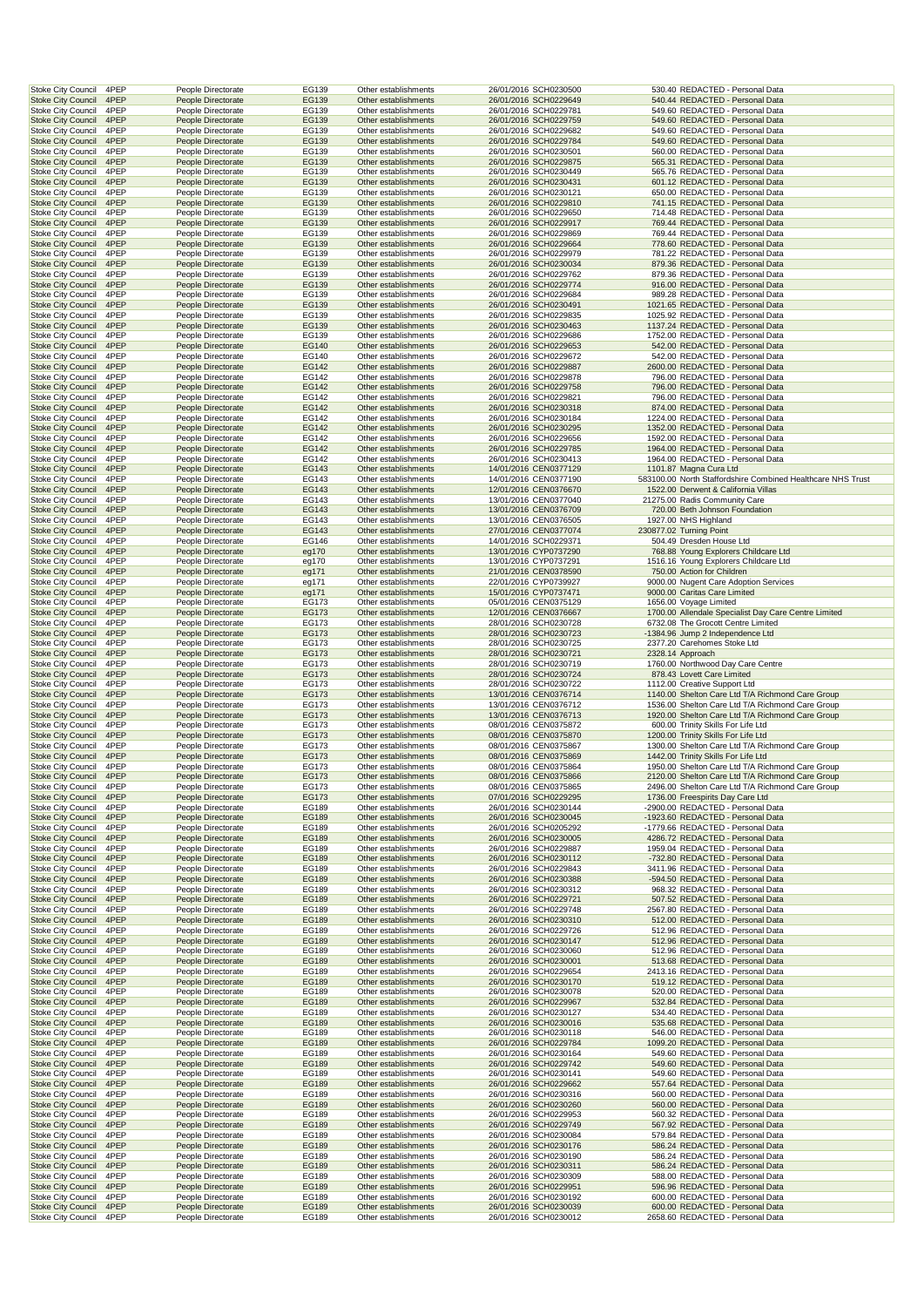|                                                        | 4PEP         | People Directorate                       | EG139          | Other establishments                         | 26/01/2016 SCH0230500                          | 530.40 REDACTED - Personal Data                                               |
|--------------------------------------------------------|--------------|------------------------------------------|----------------|----------------------------------------------|------------------------------------------------|-------------------------------------------------------------------------------|
| <b>Stoke City Council</b><br><b>Stoke City Council</b> | 4PEP         | People Directorate                       | EG139          | Other establishments                         | 26/01/2016 SCH0229649                          | 540.44 REDACTED - Personal Data                                               |
| <b>Stoke City Council</b>                              | 4PEP         | People Directorate                       | EG139          | Other establishments                         | 26/01/2016 SCH0229781                          | 549.60 REDACTED - Personal Data                                               |
| <b>Stoke City Council</b>                              | 4PEP         | People Directorate                       | EG139          | Other establishments                         | 26/01/2016 SCH0229759                          | 549.60 REDACTED - Personal Data                                               |
| Stoke City Council                                     | 4PEP         | People Directorate                       | EG139          | Other establishments                         | 26/01/2016 SCH0229682                          | 549.60 REDACTED - Personal Data                                               |
| <b>Stoke City Council</b>                              | 4PEP         | People Directorate                       | EG139          | Other establishments                         | 26/01/2016 SCH0229784                          | 549.60 REDACTED - Personal Data                                               |
| Stoke City Council                                     | 4PEP         | People Directorate                       | EG139          | Other establishments                         | 26/01/2016 SCH0230501                          | 560.00 REDACTED - Personal Data                                               |
| <b>Stoke City Council</b>                              | 4PEP         | People Directorate                       | EG139          | Other establishments                         | 26/01/2016 SCH0229875                          | 565.31 REDACTED - Personal Data                                               |
| <b>Stoke City Council</b>                              | 4PEP         | People Directorate                       | EG139          | Other establishments                         | 26/01/2016 SCH0230449                          | 565.76 REDACTED - Personal Data                                               |
| <b>Stoke City Council</b>                              | 4PEP         | People Directorate                       | EG139          | Other establishments                         | 26/01/2016 SCH0230431                          | 601.12 REDACTED - Personal Data                                               |
| <b>Stoke City Council</b>                              | 4PEP         | People Directorate                       | EG139          | Other establishments                         | 26/01/2016 SCH0230121                          | 650.00 REDACTED - Personal Data                                               |
| <b>Stoke City Council</b>                              | 4PEP         | People Directorate                       | EG139          | Other establishments                         | 26/01/2016 SCH0229810                          | 741.15 REDACTED - Personal Data                                               |
| <b>Stoke City Council</b>                              | 4PEP         | People Directorate                       | EG139          | Other establishments                         | 26/01/2016 SCH0229650                          | 714.48 REDACTED - Personal Data                                               |
| <b>Stoke City Council</b>                              | 4PEP         | People Directorate                       | EG139          | Other establishments                         | 26/01/2016 SCH0229917                          | 769.44 REDACTED - Personal Data                                               |
| Stoke City Council                                     | 4PEP         | People Directorate                       | EG139          | Other establishments                         | 26/01/2016 SCH0229869                          | 769.44 REDACTED - Personal Data                                               |
| <b>Stoke City Council</b>                              | 4PEP         | People Directorate                       | EG139          | Other establishments                         | 26/01/2016 SCH0229664                          | 778.60 REDACTED - Personal Data                                               |
| Stoke City Council                                     | 4PEP         | People Directorate                       | EG139          | Other establishments                         | 26/01/2016 SCH0229979                          | 781.22 REDACTED - Personal Data                                               |
| <b>Stoke City Council</b>                              | 4PEP         | People Directorate                       | EG139          | Other establishments                         | 26/01/2016 SCH0230034                          | 879.36 REDACTED - Personal Data                                               |
| <b>Stoke City Council</b>                              | 4PEP         | People Directorate                       | EG139          | Other establishments                         | 26/01/2016 SCH0229762                          | 879.36 REDACTED - Personal Data                                               |
| <b>Stoke City Council</b>                              | 4PEP         | People Directorate                       | EG139          | Other establishments                         | 26/01/2016 SCH0229774<br>26/01/2016 SCH0229684 | 916.00 REDACTED - Personal Data                                               |
| <b>Stoke City Council</b>                              | 4PEP<br>4PEP | People Directorate                       | EG139<br>EG139 | Other establishments<br>Other establishments |                                                | 989.28 REDACTED - Personal Data<br>1021.65 REDACTED - Personal Data           |
| <b>Stoke City Council</b><br><b>Stoke City Council</b> | 4PEP         | People Directorate<br>People Directorate | EG139          | Other establishments                         | 26/01/2016 SCH0230491<br>26/01/2016 SCH0229835 | 1025.92 REDACTED - Personal Data                                              |
| <b>Stoke City Council</b>                              | 4PEP         | People Directorate                       | EG139          | Other establishments                         | 26/01/2016 SCH0230463                          | 1137.24 REDACTED - Personal Data                                              |
| Stoke City Council                                     | 4PEP         | People Directorate                       | EG139          | Other establishments                         | 26/01/2016 SCH0229686                          | 1752.00 REDACTED - Personal Data                                              |
| <b>Stoke City Council</b>                              | 4PEP         | People Directorate                       | EG140          | Other establishments                         | 26/01/2016 SCH0229653                          | 542.00 REDACTED - Personal Data                                               |
| Stoke City Council                                     | 4PEP         | People Directorate                       | EG140          | Other establishments                         | 26/01/2016 SCH0229672                          | 542.00 REDACTED - Personal Data                                               |
| <b>Stoke City Council</b>                              | 4PEP         | People Directorate                       | EG142          | Other establishments                         | 26/01/2016 SCH0229887                          | 2600.00 REDACTED - Personal Data                                              |
| <b>Stoke City Council</b>                              | 4PEP         | People Directorate                       | EG142          | Other establishments                         | 26/01/2016 SCH0229878                          | 796.00 REDACTED - Personal Data                                               |
| <b>Stoke City Council</b>                              | 4PEP         | People Directorate                       | EG142          | Other establishments                         | 26/01/2016 SCH0229758                          | 796.00 REDACTED - Personal Data                                               |
| <b>Stoke City Council</b>                              | 4PEP         | People Directorate                       | EG142          | Other establishments                         | 26/01/2016 SCH0229821                          | 796.00 REDACTED - Personal Data                                               |
| <b>Stoke City Council</b>                              | 4PEP         | People Directorate                       | EG142          | Other establishments                         | 26/01/2016 SCH0230318                          | 874.00 REDACTED - Personal Data                                               |
| <b>Stoke City Council</b>                              | 4PEP         | People Directorate                       | EG142          | Other establishments                         | 26/01/2016 SCH0230184                          | 1224.00 REDACTED - Personal Data                                              |
| <b>Stoke City Council</b>                              | 4PEP         | People Directorate                       | EG142          | Other establishments                         | 26/01/2016 SCH0230295                          | 1352.00 REDACTED - Personal Data                                              |
| Stoke City Council                                     | 4PEP         | People Directorate                       | EG142          | Other establishments                         | 26/01/2016 SCH0229656                          | 1592.00 REDACTED - Personal Data                                              |
| <b>Stoke City Council</b>                              | 4PEP         | People Directorate                       | EG142          | Other establishments                         | 26/01/2016 SCH0229785                          | 1964.00 REDACTED - Personal Data                                              |
| Stoke City Council                                     | 4PEP         | People Directorate                       | EG142          | Other establishments                         | 26/01/2016 SCH0230413                          | 1964.00 REDACTED - Personal Data                                              |
| <b>Stoke City Council</b>                              | 4PEP         | People Directorate                       | EG143          | Other establishments                         | 14/01/2016 CEN0377129                          | 1101.87 Magna Cura Ltd                                                        |
| <b>Stoke City Council</b>                              | 4PEP         | People Directorate                       | EG143          | Other establishments                         | 14/01/2016 CEN0377190                          | 583100.00 North Staffordshire Combined Healthcare NHS Trust                   |
| <b>Stoke City Council</b>                              | 4PEP         | People Directorate                       | EG143          | Other establishments                         | 12/01/2016 CEN0376670                          | 1522.00 Derwent & California Villas                                           |
| <b>Stoke City Council</b>                              | 4PEP         | People Directorate                       | EG143          | Other establishments                         | 13/01/2016 CEN0377040                          | 21275.00 Radis Community Care                                                 |
| <b>Stoke City Council</b>                              | 4PEP         | People Directorate                       | EG143          | Other establishments                         | 13/01/2016 CEN0376709                          | 720.00 Beth Johnson Foundation                                                |
| <b>Stoke City Council</b>                              | 4PEP         | People Directorate                       | EG143          | Other establishments                         | 13/01/2016 CEN0376505                          | 1927.00 NHS Highland                                                          |
| <b>Stoke City Council</b>                              | 4PEP         | People Directorate                       | EG143          | Other establishments                         | 27/01/2016 CEN0377074                          | 230877.02 Turning Point                                                       |
| Stoke City Council                                     | 4PEP         | People Directorate                       | EG146          | Other establishments                         | 14/01/2016 SCH0229371                          | 504.49 Dresden House Ltd                                                      |
| <b>Stoke City Council</b><br>Stoke City Council        | 4PEP<br>4PEP | People Directorate<br>People Directorate | eg170<br>eg170 | Other establishments<br>Other establishments | 13/01/2016 CYP0737290<br>13/01/2016 CYP0737291 | 768.88 Young Explorers Childcare Ltd<br>1516.16 Young Explorers Childcare Ltd |
| <b>Stoke City Council</b>                              | 4PEP         | People Directorate                       | eg171          | Other establishments                         | 21/01/2016 CEN0378590                          | 750.00 Action for Children                                                    |
| <b>Stoke City Council</b>                              | 4PEP         | People Directorate                       | eg171          | Other establishments                         | 22/01/2016 CYP0739927                          | 9000.00 Nugent Care Adoption Services                                         |
| <b>Stoke City Council</b>                              | 4PEP         | People Directorate                       | eg171          | Other establishments                         | 15/01/2016 CYP0737471                          | 9000.00 Caritas Care Limited                                                  |
| <b>Stoke City Council</b>                              | 4PEP         | People Directorate                       | EG173          | Other establishments                         | 05/01/2016 CEN0375129                          | 1656.00 Voyage Limited                                                        |
| <b>Stoke City Council</b>                              | 4PEP         | People Directorate                       | EG173          | Other establishments                         | 12/01/2016 CEN0376667                          | 1700.00 Allendale Specialist Day Care Centre Limited                          |
| <b>Stoke City Council</b>                              | 4PEP         | People Directorate                       | EG173          | Other establishments                         | 28/01/2016 SCH0230728                          | 6732.08 The Grocott Centre Limited                                            |
| <b>Stoke City Council</b>                              | 4PEP         | People Directorate                       | EG173          | Other establishments                         | 28/01/2016 SCH0230723                          | -1384.96 Jump 2 Independence Ltd                                              |
| Stoke City Council                                     | 4PEP         |                                          |                |                                              |                                                |                                                                               |
|                                                        |              | People Directorate                       | EG173          | Other establishments                         | 28/01/2016 SCH0230725                          | 2377.20 Carehomes Stoke Ltd                                                   |
|                                                        |              |                                          |                |                                              |                                                |                                                                               |
| <b>Stoke City Council</b><br><b>Stoke City Council</b> | 4PEP<br>4PEP | People Directorate<br>People Directorate | EG173<br>EG173 | Other establishments<br>Other establishments | 28/01/2016 SCH0230721<br>28/01/2016 SCH0230719 | 2328.14 Approach<br>1760.00 Northwood Day Care Centre                         |
| <b>Stoke City Council</b>                              | 4PEP         | People Directorate                       | EG173          | Other establishments                         | 28/01/2016 SCH0230724                          | 878.43 Lovett Care Limited                                                    |
| <b>Stoke City Council</b>                              | 4PEP         | People Directorate                       | EG173          | Other establishments                         | 28/01/2016 SCH0230722                          | 1112.00 Creative Support Ltd                                                  |
| <b>Stoke City Council</b>                              | 4PEP         | People Directorate                       | EG173          | Other establishments                         | 13/01/2016 CEN0376714                          | 1140.00 Shelton Care Ltd T/A Richmond Care Group                              |
| Stoke City Council                                     | 4PEP         | People Directorate                       | EG173          | Other establishments                         | 13/01/2016 CEN0376712                          | 1536.00 Shelton Care Ltd T/A Richmond Care Group                              |
| <b>Stoke City Council</b>                              | 4PEP         | People Directorate                       | EG173          | Other establishments                         | 13/01/2016 CEN0376713                          | 1920.00 Shelton Care Ltd T/A Richmond Care Group                              |
| <b>Stoke City Council</b>                              | 4PEP         | People Directorate                       | EG173          | Other establishments                         | 08/01/2016 CEN0375872                          | 600.00 Trinity Skills For Life Ltd                                            |
| <b>Stoke City Council</b>                              | 4PEP         | People Directorate                       | EG173          | Other establishments                         | 08/01/2016 CEN0375870                          | 1200.00 Trinity Skills For Life Ltd                                           |
| <b>Stoke City Council</b>                              | 4PEP         | People Directorate                       | EG173          | Other establishments                         | 08/01/2016 CEN0375867                          | 1300.00 Shelton Care Ltd T/A Richmond Care Group                              |
| <b>Stoke City Council</b>                              | 4PEP         | People Directorate                       | EG173          | Other establishments                         | 08/01/2016 CEN0375869                          | 1442.00 Trinity Skills For Life Ltd                                           |
| Stoke City Council                                     | 4PEP         | People Directorate                       | EG173          | Other establishments                         | 08/01/2016 CEN0375864                          | 1950.00 Shelton Care Ltd T/A Richmond Care Group                              |
| Stoke City Council 4PEP                                |              | People Directorate                       | EG173          | Other establishments                         | 08/01/2016 CEN0375866                          | 2120.00 Shelton Care Ltd T/A Richmond Care Group                              |
| <b>Stoke City Council</b>                              | 4PEP         | People Directorate                       | EG173          | Other establishments                         | 08/01/2016 CEN0375865                          | 2496.00 Shelton Care Ltd T/A Richmond Care Group                              |
| <b>Stoke City Council</b>                              | 4PEP         | People Directorate                       | EG173          | Other establishments                         | 07/01/2016 SCH0229295                          | 1736.00 Freespirits Day Care Ltd                                              |
| <b>Stoke City Council</b>                              | 4PEP         | People Directorate                       | EG189          | Other establishments                         | 26/01/2016 SCH0230144                          | -2900.00 REDACTED - Personal Data                                             |
| <b>Stoke City Council</b>                              | 4PEP         | People Directorate                       | EG189          | Other establishments                         | 26/01/2016 SCH0230045                          | -1923.60 REDACTED - Personal Data                                             |
| <b>Stoke City Council</b>                              | 4PEP         | People Directorate                       | EG189          | Other establishments                         | 26/01/2016 SCH0205292                          | -1779.66 REDACTED - Personal Data                                             |
| <b>Stoke City Council</b>                              | 4PEP         | People Directorate                       | EG189          | Other establishments                         | 26/01/2016 SCH0230005                          | 4286.72 REDACTED - Personal Data                                              |
| Stoke City Council                                     | 4PEP<br>4PEP | People Directorate<br>People Directorate | EG189<br>EG189 | Other establishments<br>Other establishments | 26/01/2016 SCH0229887                          | 1959.04 REDACTED - Personal Data<br>-732.80 REDACTED - Personal Data          |
| <b>Stoke City Council</b><br>Stoke City Council        | 4PEP         | People Directorate                       | EG189          | Other establishments                         | 26/01/2016 SCH0230112<br>26/01/2016 SCH0229843 | 3411.96 REDACTED - Personal Data                                              |
| <b>Stoke City Council</b>                              | 4PEP         | People Directorate                       | EG189          | Other establishments                         | 26/01/2016 SCH0230388                          | -594.50 REDACTED - Personal Data                                              |
| Stoke City Council                                     | 4PEP         | People Directorate                       | EG189          | Other establishments                         | 26/01/2016 SCH0230312                          | 968.32 REDACTED - Personal Data                                               |
| <b>Stoke City Council</b>                              | 4PEP         | People Directorate                       | EG189          | Other establishments                         | 26/01/2016 SCH0229721                          | 507.52 REDACTED - Personal Data                                               |
| <b>Stoke City Council</b>                              | 4PEP         | People Directorate                       | EG189          | Other establishments                         | 26/01/2016 SCH0229748                          | 2567.80 REDACTED - Personal Data                                              |
| <b>Stoke City Council</b>                              | 4PEP         | People Directorate                       | EG189          | Other establishments                         | 26/01/2016 SCH0230310                          | 512.00 REDACTED - Personal Data                                               |
| <b>Stoke City Council</b>                              | 4PEP         | People Directorate                       | EG189          | Other establishments                         | 26/01/2016 SCH0229726                          | 512.96 REDACTED - Personal Data                                               |
| <b>Stoke City Council</b>                              | 4PEP         | People Directorate                       | EG189          | Other establishments                         | 26/01/2016 SCH0230147                          | 512.96 REDACTED - Personal Data                                               |
| <b>Stoke City Council</b>                              | 4PEP         | People Directorate                       | EG189          | Other establishments                         | 26/01/2016 SCH0230060                          | 512.96 REDACTED - Personal Data                                               |
| <b>Stoke City Council</b>                              | 4PEP         | People Directorate                       | EG189          | Other establishments                         | 26/01/2016 SCH0230001                          | 513.68 REDACTED - Personal Data                                               |
| Stoke City Council                                     | 4PEP         | People Directorate                       | EG189          | Other establishments                         | 26/01/2016 SCH0229654                          | 2413.16 REDACTED - Personal Data                                              |
| <b>Stoke City Council</b>                              | 4PEP         | People Directorate                       | EG189          | Other establishments                         | 26/01/2016 SCH0230170                          | 519.12 REDACTED - Personal Data                                               |
| <b>Stoke City Council</b>                              | 4PEP         | People Directorate                       | EG189          | Other establishments                         | 26/01/2016 SCH0230078                          | 520.00 REDACTED - Personal Data                                               |
| <b>Stoke City Council</b>                              | 4PEP         | People Directorate                       | EG189          | Other establishments                         | 26/01/2016 SCH0229967                          | 532.84 REDACTED - Personal Data                                               |
| <b>Stoke City Council</b>                              | 4PEP         | People Directorate                       | EG189          | Other establishments                         | 26/01/2016 SCH0230127                          | 534.40 REDACTED - Personal Data                                               |
| <b>Stoke City Council</b><br>Stoke City Council        | 4PEP<br>4PEP | People Directorate<br>People Directorate | EG189<br>EG189 | Other establishments<br>Other establishments | 26/01/2016 SCH0230016<br>26/01/2016 SCH0230118 | 535.68 REDACTED - Personal Data<br>546.00 REDACTED - Personal Data            |
| <b>Stoke City Council</b>                              | 4PEP         | People Directorate                       | EG189          | Other establishments                         | 26/01/2016 SCH0229784                          | 1099.20 REDACTED - Personal Data                                              |
| Stoke City Council                                     | 4PEP         | People Directorate                       | EG189          | Other establishments                         | 26/01/2016 SCH0230164                          | 549.60 REDACTED - Personal Data                                               |
| <b>Stoke City Council</b>                              | 4PEP         | People Directorate                       | EG189          | Other establishments                         | 26/01/2016 SCH0229742                          | 549.60 REDACTED - Personal Data                                               |
| Stoke City Council                                     | 4PEP         | People Directorate                       | EG189          | Other establishments                         | 26/01/2016 SCH0230141                          | 549.60 REDACTED - Personal Data                                               |
| <b>Stoke City Council</b>                              | 4PEP         | People Directorate                       | EG189          | Other establishments                         | 26/01/2016 SCH0229662                          | 557.64 REDACTED - Personal Data                                               |
| Stoke City Council                                     | 4PEP         | People Directorate                       | EG189          | Other establishments                         | 26/01/2016 SCH0230316                          | 560.00 REDACTED - Personal Data                                               |
| <b>Stoke City Council</b>                              | 4PEP         | People Directorate                       | EG189          | Other establishments                         | 26/01/2016 SCH0230260                          | 560.00 REDACTED - Personal Data                                               |
| <b>Stoke City Council</b>                              | 4PEP         | People Directorate                       | EG189          | Other establishments                         | 26/01/2016 SCH0229953                          | 560.32 REDACTED - Personal Data                                               |
| <b>Stoke City Council</b>                              | 4PEP         | People Directorate                       | EG189          | Other establishments                         | 26/01/2016 SCH0229749                          | 567.92 REDACTED - Personal Data                                               |
| Stoke City Council                                     | 4PEP         | People Directorate                       | EG189          | Other establishments                         | 26/01/2016 SCH0230084                          | 579.84 REDACTED - Personal Data                                               |
| <b>Stoke City Council</b>                              | 4PEP         | People Directorate                       | EG189          | Other establishments                         | 26/01/2016 SCH0230176                          | 586.24 REDACTED - Personal Data                                               |
| <b>Stoke City Council</b>                              | 4PEP         | People Directorate                       | EG189          | Other establishments                         | 26/01/2016 SCH0230190                          | 586.24 REDACTED - Personal Data                                               |
| <b>Stoke City Council</b>                              | 4PEP         | People Directorate                       | EG189          | Other establishments                         | 26/01/2016 SCH0230311                          | 586.24 REDACTED - Personal Data                                               |
| Stoke City Council                                     | 4PEP         | People Directorate                       | EG189          | Other establishments                         | 26/01/2016 SCH0230309                          | 588.00 REDACTED - Personal Data                                               |
| <b>Stoke City Council</b>                              | 4PEP         | People Directorate                       | EG189          | Other establishments                         | 26/01/2016 SCH0229951                          | 596.96 REDACTED - Personal Data                                               |
| Stoke City Council<br><b>Stoke City Council</b>        | 4PEP<br>4PEP | People Directorate<br>People Directorate | EG189<br>EG189 | Other establishments<br>Other establishments | 26/01/2016 SCH0230192<br>26/01/2016 SCH0230039 | 600.00 REDACTED - Personal Data<br>600.00 REDACTED - Personal Data            |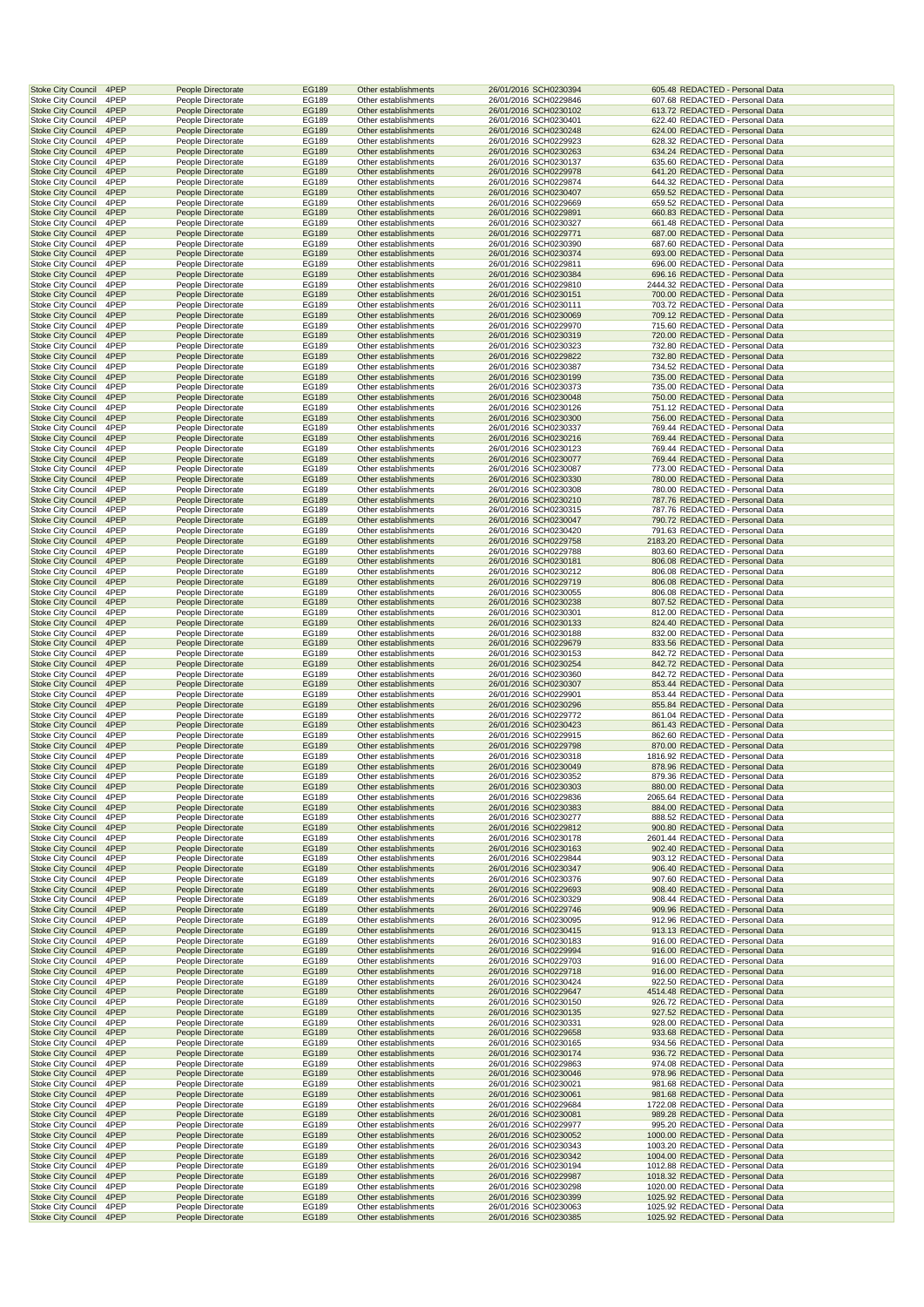| <b>Stoke City Council</b>                              | 4PEP         | People Directorate                       | EG189          | Other establishments                         | 26/01/2016 SCH0230394                          | 605.48 REDACTED - Personal Data                                      |  |
|--------------------------------------------------------|--------------|------------------------------------------|----------------|----------------------------------------------|------------------------------------------------|----------------------------------------------------------------------|--|
| <b>Stoke City Council</b>                              | 4PEP         | People Directorate                       | EG189          | Other establishments                         | 26/01/2016 SCH0229846                          | 607.68 REDACTED - Personal Data                                      |  |
| <b>Stoke City Council</b>                              | 4PEP         | People Directorate                       | EG189          | Other establishments                         | 26/01/2016 SCH0230102                          | 613.72 REDACTED - Personal Data                                      |  |
| <b>Stoke City Council</b>                              | 4PEP         | People Directorate                       | EG189          | Other establishments                         | 26/01/2016 SCH0230401                          | 622.40 REDACTED - Personal Data                                      |  |
| <b>Stoke City Council</b>                              | 4PEP         | People Directorate                       | EG189          | Other establishments                         | 26/01/2016 SCH0230248                          | 624.00 REDACTED - Personal Data                                      |  |
| <b>Stoke City Council</b>                              | 4PEP         | People Directorate                       | EG189          | Other establishments                         | 26/01/2016 SCH0229923                          | 628.32 REDACTED - Personal Data                                      |  |
| <b>Stoke City Council</b>                              | 4PEP         | People Directorate                       | EG189          | Other establishments                         | 26/01/2016 SCH0230263                          | 634.24 REDACTED - Personal Data                                      |  |
| <b>Stoke City Council</b>                              | 4PEP         | People Directorate                       | EG189          | Other establishments                         | 26/01/2016 SCH0230137                          | 635.60 REDACTED - Personal Data                                      |  |
| <b>Stoke City Council</b>                              | 4PEP         | People Directorate                       | EG189          | Other establishments                         | 26/01/2016 SCH0229978                          | 641.20 REDACTED - Personal Data                                      |  |
| Stoke City Council                                     | 4PEP         | People Directorate                       | EG189          | Other establishments                         | 26/01/2016 SCH0229874                          | 644.32 REDACTED - Personal Data                                      |  |
| <b>Stoke City Council</b><br>Stoke City Council        | 4PEP<br>4PEP | People Directorate<br>People Directorate | EG189<br>EG189 | Other establishments<br>Other establishments | 26/01/2016 SCH0230407<br>26/01/2016 SCH0229669 | 659.52 REDACTED - Personal Data<br>659.52 REDACTED - Personal Data   |  |
| <b>Stoke City Council</b>                              | 4PEP         | People Directorate                       | EG189          | Other establishments                         | 26/01/2016 SCH0229891                          | 660.83 REDACTED - Personal Data                                      |  |
| <b>Stoke City Council</b>                              | 4PEP         | People Directorate                       | EG189          | Other establishments                         | 26/01/2016 SCH0230327                          | 661.48 REDACTED - Personal Data                                      |  |
| <b>Stoke City Council</b>                              | 4PEP         | People Directorate                       | EG189          | Other establishments                         | 26/01/2016 SCH0229771                          | 687.00 REDACTED - Personal Data                                      |  |
| <b>Stoke City Council</b>                              | 4PEP         | People Directorate                       | EG189          | Other establishments                         | 26/01/2016 SCH0230390                          | 687.60 REDACTED - Personal Data                                      |  |
| <b>Stoke City Council</b>                              | 4PEP         | People Directorate                       | EG189          | Other establishments                         | 26/01/2016 SCH0230374                          | 693.00 REDACTED - Personal Data                                      |  |
| <b>Stoke City Council</b>                              | 4PEP         | People Directorate                       | EG189          | Other establishments                         | 26/01/2016 SCH0229811                          | 696.00 REDACTED - Personal Data                                      |  |
| <b>Stoke City Council</b>                              | 4PEP         | People Directorate                       | EG189          | Other establishments                         | 26/01/2016 SCH0230384                          | 696.16 REDACTED - Personal Data                                      |  |
| Stoke City Council                                     | 4PEP         | People Directorate                       | EG189          | Other establishments                         | 26/01/2016 SCH0229810                          | 2444.32 REDACTED - Personal Data                                     |  |
| <b>Stoke City Council</b>                              | 4PEP<br>4PEP | People Directorate                       | EG189          | Other establishments<br>Other establishments | 26/01/2016 SCH0230151<br>26/01/2016 SCH0230111 | 700.00 REDACTED - Personal Data<br>703.72 REDACTED - Personal Data   |  |
| Stoke City Council<br><b>Stoke City Council</b>        | 4PEP         | People Directorate<br>People Directorate | EG189<br>EG189 | Other establishments                         | 26/01/2016 SCH0230069                          | 709.12 REDACTED - Personal Data                                      |  |
| <b>Stoke City Council</b>                              | 4PEP         | People Directorate                       | EG189          | Other establishments                         | 26/01/2016 SCH0229970                          | 715.60 REDACTED - Personal Data                                      |  |
| <b>Stoke City Council</b>                              | 4PEP         | People Directorate                       | EG189          | Other establishments                         | 26/01/2016 SCH0230319                          | 720.00 REDACTED - Personal Data                                      |  |
| <b>Stoke City Council</b>                              | 4PEP         | People Directorate                       | EG189          | Other establishments                         | 26/01/2016 SCH0230323                          | 732.80 REDACTED - Personal Data                                      |  |
| <b>Stoke City Council</b>                              | 4PEP         | People Directorate                       | EG189          | Other establishments                         | 26/01/2016 SCH0229822                          | 732.80 REDACTED - Personal Data                                      |  |
| <b>Stoke City Council</b>                              | 4PEP         | People Directorate                       | EG189          | Other establishments                         | 26/01/2016 SCH0230387                          | 734.52 REDACTED - Personal Data                                      |  |
| <b>Stoke City Council</b>                              | 4PEP         | People Directorate                       | EG189          | Other establishments                         | 26/01/2016 SCH0230199                          | 735.00 REDACTED - Personal Data                                      |  |
| Stoke City Council                                     | 4PEP         | People Directorate                       | EG189          | Other establishments                         | 26/01/2016 SCH0230373                          | 735.00 REDACTED - Personal Data                                      |  |
| <b>Stoke City Council</b>                              | 4PEP         | People Directorate                       | EG189          | Other establishments                         | 26/01/2016 SCH0230048                          | 750.00 REDACTED - Personal Data                                      |  |
| Stoke City Council                                     | 4PEP         | People Directorate                       | EG189          | Other establishments                         | 26/01/2016 SCH0230126                          | 751.12 REDACTED - Personal Data                                      |  |
| <b>Stoke City Council</b>                              | 4PEP         | People Directorate                       | EG189          | Other establishments                         | 26/01/2016 SCH0230300                          | 756.00 REDACTED - Personal Data<br>769.44 REDACTED - Personal Data   |  |
| <b>Stoke City Council</b><br><b>Stoke City Council</b> | 4PEP<br>4PEP | People Directorate<br>People Directorate | EG189<br>EG189 | Other establishments<br>Other establishments | 26/01/2016 SCH0230337                          | 769.44 REDACTED - Personal Data                                      |  |
| <b>Stoke City Council</b>                              | 4PEP         | People Directorate                       | EG189          | Other establishments                         | 26/01/2016 SCH0230216<br>26/01/2016 SCH0230123 | 769.44 REDACTED - Personal Data                                      |  |
| <b>Stoke City Council</b>                              | 4PEP         | People Directorate                       | EG189          | Other establishments                         | 26/01/2016 SCH0230077                          | 769.44 REDACTED - Personal Data                                      |  |
| <b>Stoke City Council</b>                              | 4PEP         | People Directorate                       | EG189          | Other establishments                         | 26/01/2016 SCH0230087                          | 773.00 REDACTED - Personal Data                                      |  |
| <b>Stoke City Council</b>                              | 4PEP         | People Directorate                       | EG189          | Other establishments                         | 26/01/2016 SCH0230330                          | 780.00 REDACTED - Personal Data                                      |  |
| <b>Stoke City Council</b>                              | 4PEP         | People Directorate                       | EG189          | Other establishments                         | 26/01/2016 SCH0230308                          | 780.00 REDACTED - Personal Data                                      |  |
| <b>Stoke City Council</b>                              | 4PEP         | People Directorate                       | EG189          | Other establishments                         | 26/01/2016 SCH0230210                          | 787.76 REDACTED - Personal Data                                      |  |
| Stoke City Council                                     | 4PEP         | People Directorate                       | EG189          | Other establishments                         | 26/01/2016 SCH0230315                          | 787.76 REDACTED - Personal Data                                      |  |
| <b>Stoke City Council</b>                              | 4PEP         | People Directorate                       | EG189          | Other establishments                         | 26/01/2016 SCH0230047                          | 790.72 REDACTED - Personal Data                                      |  |
| <b>Stoke City Council</b>                              | 4PEP         | People Directorate                       | EG189          | Other establishments                         | 26/01/2016 SCH0230420                          | 791.63 REDACTED - Personal Data                                      |  |
| <b>Stoke City Council</b><br><b>Stoke City Council</b> | 4PEP<br>4PEP | People Directorate<br>People Directorate | EG189<br>EG189 | Other establishments<br>Other establishments | 26/01/2016 SCH0229758<br>26/01/2016 SCH0229788 | 2183.20 REDACTED - Personal Data<br>803.60 REDACTED - Personal Data  |  |
| <b>Stoke City Council</b>                              | 4PEP         | People Directorate                       | EG189          | Other establishments                         | 26/01/2016 SCH0230181                          | 806.08 REDACTED - Personal Data                                      |  |
| <b>Stoke City Council</b>                              | 4PEP         | People Directorate                       | EG189          | Other establishments                         | 26/01/2016 SCH0230212                          | 806.08 REDACTED - Personal Data                                      |  |
| <b>Stoke City Council</b>                              | 4PEP         | People Directorate                       | EG189          | Other establishments                         | 26/01/2016 SCH0229719                          | 806.08 REDACTED - Personal Data                                      |  |
| Stoke City Council                                     | 4PEP         | People Directorate                       | EG189          | Other establishments                         | 26/01/2016 SCH0230055                          | 806.08 REDACTED - Personal Data                                      |  |
| <b>Stoke City Council</b>                              | 4PEP         | People Directorate                       | EG189          | Other establishments                         | 26/01/2016 SCH0230238                          | 807.52 REDACTED - Personal Data                                      |  |
| Stoke City Council                                     | 4PEP         | People Directorate                       | EG189          | Other establishments                         | 26/01/2016 SCH0230301                          | 812.00 REDACTED - Personal Data                                      |  |
| <b>Stoke City Council</b>                              | 4PEP         | People Directorate                       | EG189          | Other establishments                         | 26/01/2016 SCH0230133                          | 824.40 REDACTED - Personal Data                                      |  |
| <b>Stoke City Council</b>                              | 4PEP         | People Directorate                       | EG189          | Other establishments                         | 26/01/2016 SCH0230188                          | 832.00 REDACTED - Personal Data                                      |  |
| <b>Stoke City Council</b><br>Stoke City Council        | 4PEP<br>4PEP | People Directorate<br>People Directorate | EG189<br>EG189 | Other establishments<br>Other establishments | 26/01/2016 SCH0229679<br>26/01/2016 SCH0230153 | 833.56 REDACTED - Personal Data<br>842.72 REDACTED - Personal Data   |  |
| <b>Stoke City Council</b>                              | 4PEP         | People Directorate                       | EG189          | Other establishments                         | 26/01/2016 SCH0230254                          | 842.72 REDACTED - Personal Data                                      |  |
| <b>Stoke City Council</b>                              | 4PEP         | People Directorate                       | EG189          | Other establishments                         | 26/01/2016 SCH0230360                          | 842.72 REDACTED - Personal Data                                      |  |
| <b>Stoke City Council</b>                              | 4PEP         | People Directorate                       | EG189          | Other establishments                         | 26/01/2016 SCH0230307                          | 853.44 REDACTED - Personal Data                                      |  |
| Stoke City Council                                     | 4PEP         | People Directorate                       | EG189          | Other establishments                         | 26/01/2016 SCH0229901                          | 853.44 REDACTED - Personal Data                                      |  |
| <b>Stoke City Council</b>                              | 4PEP         | People Directorate                       | EG189          | Other establishments                         | 26/01/2016 SCH0230296                          | 855.84 REDACTED - Personal Data                                      |  |
| Stoke City Council                                     | 4PEP         | People Directorate                       | EG189          | Other establishments                         | 26/01/2016 SCH0229772                          | 861.04 REDACTED - Personal Data                                      |  |
| <b>Stoke City Council</b>                              | 4PEP         | People Directorate                       | EG189          | Other establishments                         | 26/01/2016 SCH0230423                          | 861.43 REDACTED - Personal Data                                      |  |
| <b>Stoke City Council</b>                              | 4PEP         | People Directorate                       | EG189          | Other establishments                         | 26/01/2016 SCH0229915                          | 862.60 REDACTED - Personal Data                                      |  |
| <b>Stoke City Council</b><br>Stoke City Council        | 4PEP<br>4PEP | People Directorate<br>People Directorate | EG189<br>EG189 | Other establishments<br>Other establishments | 26/01/2016 SCH0229798<br>26/01/2016 SCH0230318 | 870.00 REDACTED - Personal Data<br>1816.92 REDACTED - Personal Data  |  |
| <b>Stoke City Council</b>                              | 4PEP         | People Directorate                       | EG189          | Other establishments                         | 26/01/2016 SCH0230049                          | 878.96 REDACTED - Personal Data                                      |  |
| Stoke City Council                                     | 4PEP         | People Directorate                       | EG189          | Other establishments                         | 26/01/2016 SCH0230352                          | 879.36 REDACTED - Personal Data                                      |  |
| <b>Stoke City Council</b>                              | 4PEP         | People Directorate                       | EG189          | Other establishments                         | 26/01/2016 SCH0230303                          | 880.00 REDACTED - Personal Data                                      |  |
| <b>Stoke City Council</b>                              | 4PEP         | People Directorate                       | EG189          | Other establishments                         | 26/01/2016 SCH0229836                          | 2065.64 REDACTED - Personal Data                                     |  |
| <b>Stoke City Council</b>                              | 4PEP         | People Directorate                       | EG189          | Other establishments                         | 26/01/2016 SCH0230383                          | 884.00 REDACTED - Personal Data                                      |  |
| <b>Stoke City Council</b>                              | 4PEP         | People Directorate                       | EG189          | Other establishments                         | 26/01/2016 SCH0230277                          | 888.52 REDACTED - Personal Data                                      |  |
| <b>Stoke City Council</b>                              | 4PEP         | People Directorate                       | EG189          | Other establishments                         | 26/01/2016 SCH0229812                          | 900.80 REDACTED - Personal Data                                      |  |
| <b>Stoke City Council</b>                              | 4PEP         | People Directorate<br>People Directorate | EG189          | Other establishments                         | 26/01/2016 SCH0230178<br>26/01/2016 SCH0230163 | 2601.44 REDACTED - Personal Data                                     |  |
| <b>Stoke City Council</b>                              | 4PEP<br>4PEP |                                          | EG189          | Other establishments                         | 26/01/2016 SCH0229844                          | 902.40 REDACTED - Personal Data<br>903.12 REDACTED - Personal Data   |  |
| <b>Stoke City Council</b><br><b>Stoke City Council</b> | 4PEP         | People Directorate<br>People Directorate | EG189<br>EG189 | Other establishments<br>Other establishments | 26/01/2016 SCH0230347                          | 906.40 REDACTED - Personal Data                                      |  |
| Stoke City Council                                     | 4PEP         | People Directorate                       | EG189          | Other establishments                         | 26/01/2016 SCH0230376                          | 907.60 REDACTED - Personal Data                                      |  |
| <b>Stoke City Council</b>                              | 4PEP         | People Directorate                       | EG189          | Other establishments                         | 26/01/2016 SCH0229693                          | 908.40 REDACTED - Personal Data                                      |  |
| <b>Stoke City Council</b>                              | 4PEP         | People Directorate                       | EG189          | Other establishments                         | 26/01/2016 SCH0230329                          | 908.44 REDACTED - Personal Data                                      |  |
| <b>Stoke City Council</b>                              | 4PEP         | People Directorate                       | EG189          | Other establishments                         | 26/01/2016 SCH0229746                          | 909.96 REDACTED - Personal Data                                      |  |
| <b>Stoke City Council</b>                              | 4PEP         | People Directorate                       | EG189          | Other establishments                         | 26/01/2016 SCH0230095                          | 912.96 REDACTED - Personal Data                                      |  |
| <b>Stoke City Council</b>                              | 4PEP         | People Directorate                       | EG189          | Other establishments                         | 26/01/2016 SCH0230415                          | 913.13 REDACTED - Personal Data                                      |  |
| <b>Stoke City Council</b><br><b>Stoke City Council</b> | 4PEP<br>4PEP | People Directorate<br>People Directorate | EG189<br>EG189 | Other establishments<br>Other establishments | 26/01/2016 SCH0230183<br>26/01/2016 SCH0229994 | 916.00 REDACTED - Personal Data<br>916.00 REDACTED - Personal Data   |  |
| <b>Stoke City Council</b>                              | 4PEP         | People Directorate                       | EG189          | Other establishments                         | 26/01/2016 SCH0229703                          | 916.00 REDACTED - Personal Data                                      |  |
| <b>Stoke City Council</b>                              | 4PEP         | People Directorate                       | EG189          | Other establishments                         | 26/01/2016 SCH0229718                          | 916.00 REDACTED - Personal Data                                      |  |
| <b>Stoke City Council</b>                              | 4PEP         | People Directorate                       | EG189          | Other establishments                         | 26/01/2016 SCH0230424                          | 922.50 REDACTED - Personal Data                                      |  |
| <b>Stoke City Council</b>                              | 4PEP         | People Directorate                       | EG189          | Other establishments                         | 26/01/2016 SCH0229647                          | 4514.48 REDACTED - Personal Data                                     |  |
| Stoke City Council                                     | 4PEP         | People Directorate                       | EG189          | Other establishments                         | 26/01/2016 SCH0230150                          | 926.72 REDACTED - Personal Data                                      |  |
| <b>Stoke City Council</b>                              | 4PEP         | People Directorate                       | EG189          | Other establishments                         | 26/01/2016 SCH0230135                          | 927.52 REDACTED - Personal Data                                      |  |
| Stoke City Council                                     | 4PEP         | People Directorate                       | EG189          | Other establishments                         | 26/01/2016 SCH0230331                          | 928.00 REDACTED - Personal Data                                      |  |
| <b>Stoke City Council</b><br>Stoke City Council        | 4PEP<br>4PEP | People Directorate<br>People Directorate | EG189<br>EG189 | Other establishments<br>Other establishments | 26/01/2016 SCH0229658<br>26/01/2016 SCH0230165 | 933.68 REDACTED - Personal Data<br>934.56 REDACTED - Personal Data   |  |
| <b>Stoke City Council</b>                              | 4PEP         | People Directorate                       | EG189          | Other establishments                         | 26/01/2016 SCH0230174                          | 936.72 REDACTED - Personal Data                                      |  |
| <b>Stoke City Council</b>                              | 4PEP         | People Directorate                       | EG189          | Other establishments                         | 26/01/2016 SCH0229863                          | 974.08 REDACTED - Personal Data                                      |  |
| <b>Stoke City Council</b>                              | 4PEP         | People Directorate                       | EG189          | Other establishments                         | 26/01/2016 SCH0230046                          | 978.96 REDACTED - Personal Data                                      |  |
| Stoke City Council                                     | 4PEP         | People Directorate                       | EG189          | Other establishments                         | 26/01/2016 SCH0230021                          | 981.68 REDACTED - Personal Data                                      |  |
| <b>Stoke City Council</b>                              | 4PEP         | People Directorate                       | EG189          | Other establishments                         | 26/01/2016 SCH0230061                          | 981.68 REDACTED - Personal Data                                      |  |
| Stoke City Council                                     | 4PEP         | People Directorate                       | EG189          | Other establishments                         | 26/01/2016 SCH0229684                          | 1722.08 REDACTED - Personal Data                                     |  |
| <b>Stoke City Council</b><br>Stoke City Council        | 4PEP<br>4PEP | People Directorate<br>People Directorate | EG189<br>EG189 | Other establishments<br>Other establishments | 26/01/2016 SCH0230081<br>26/01/2016 SCH0229977 | 989.28 REDACTED - Personal Data<br>995.20 REDACTED - Personal Data   |  |
| <b>Stoke City Council</b>                              | 4PEP         | People Directorate                       | EG189          | Other establishments                         | 26/01/2016 SCH0230052                          | 1000.00 REDACTED - Personal Data                                     |  |
| <b>Stoke City Council</b>                              | 4PEP         | People Directorate                       | EG189          | Other establishments                         | 26/01/2016 SCH0230343                          | 1003.20 REDACTED - Personal Data                                     |  |
| <b>Stoke City Council</b>                              | 4PEP         | People Directorate                       | EG189          | Other establishments                         | 26/01/2016 SCH0230342                          | 1004.00 REDACTED - Personal Data                                     |  |
| <b>Stoke City Council</b>                              | 4PEP         | People Directorate                       | EG189          | Other establishments                         | 26/01/2016 SCH0230194                          | 1012.88 REDACTED - Personal Data                                     |  |
|                                                        |              |                                          |                |                                              |                                                | 1018.32 REDACTED - Personal Data                                     |  |
| <b>Stoke City Council</b>                              | 4PEP         | People Directorate                       | EG189          | Other establishments                         | 26/01/2016 SCH0229987                          |                                                                      |  |
| Stoke City Council                                     | 4PEP         | People Directorate                       | EG189          | Other establishments                         | 26/01/2016 SCH0230298                          | 1020.00 REDACTED - Personal Data                                     |  |
| <b>Stoke City Council</b>                              | 4PEP         | People Directorate                       | EG189          | Other establishments                         | 26/01/2016 SCH0230399                          | 1025.92 REDACTED - Personal Data                                     |  |
| <b>Stoke City Council</b><br><b>Stoke City Council</b> | 4PEP<br>4PEP | People Directorate<br>People Directorate | EG189<br>EG189 | Other establishments<br>Other establishments | 26/01/2016 SCH0230063<br>26/01/2016 SCH0230385 | 1025.92 REDACTED - Personal Data<br>1025.92 REDACTED - Personal Data |  |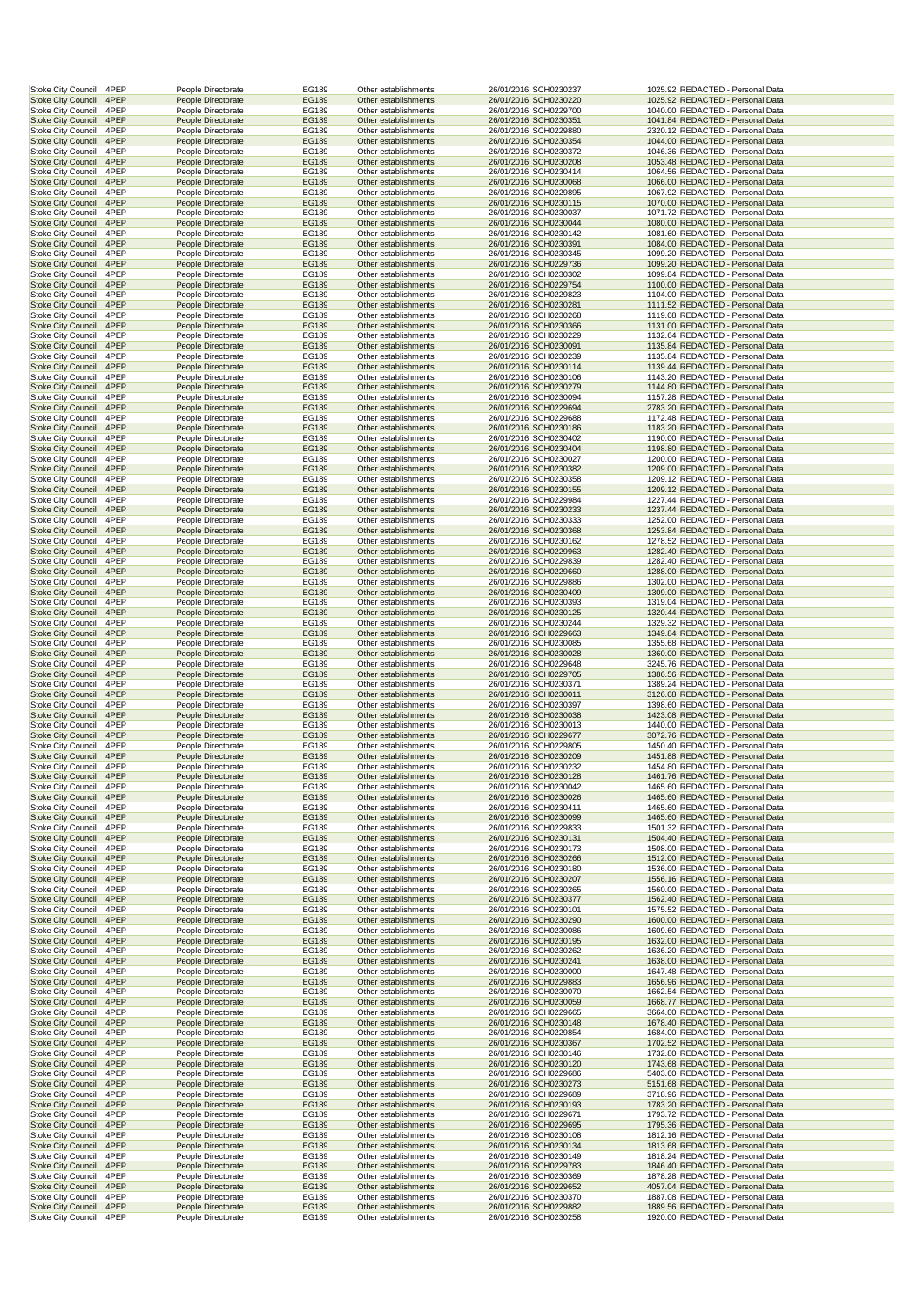| Stoke City Council                                     | 4PEP         | People Directorate                       | EG189                 | Other establishments                         | 26/01/2016 SCH0230237                          | 1025.92 REDACTED - Personal Data                                     |  |
|--------------------------------------------------------|--------------|------------------------------------------|-----------------------|----------------------------------------------|------------------------------------------------|----------------------------------------------------------------------|--|
| <b>Stoke City Council</b>                              | 4PEP         | People Directorate                       | EG189                 | Other establishments                         | 26/01/2016 SCH0230220                          | 1025.92 REDACTED - Personal Data                                     |  |
| Stoke City Council                                     | 4PEP         | People Directorate                       | EG189                 | Other establishments                         | 26/01/2016 SCH0229700                          | 1040.00 REDACTED - Personal Data                                     |  |
| <b>Stoke City Council</b>                              | 4PEP         | People Directorate                       | EG189                 | Other establishments                         | 26/01/2016 SCH0230351                          | 1041.84 REDACTED - Personal Data                                     |  |
| <b>Stoke City Council</b>                              | 4PEP         | People Directorate                       | EG189                 | Other establishments                         | 26/01/2016 SCH0229880                          | 2320.12 REDACTED - Personal Data                                     |  |
| <b>Stoke City Council</b>                              | 4PEP<br>4PEP | People Directorate<br>People Directorate | EG189<br>EG189        | Other establishments<br>Other establishments | 26/01/2016 SCH0230354<br>26/01/2016 SCH0230372 | 1044.00 REDACTED - Personal Data<br>1046.36 REDACTED - Personal Data |  |
| Stoke City Council<br><b>Stoke City Council</b>        | 4PEP         | People Directorate                       | EG189                 | Other establishments                         | 26/01/2016 SCH0230208                          | 1053.48 REDACTED - Personal Data                                     |  |
| <b>Stoke City Council</b>                              | 4PEP         | People Directorate                       | EG189                 | Other establishments                         | 26/01/2016 SCH0230414                          | 1064.56 REDACTED - Personal Data                                     |  |
| <b>Stoke City Council</b>                              | 4PEP         | People Directorate                       | <b>EG189</b>          | Other establishments                         | 26/01/2016 SCH0230068                          | 1066.00 REDACTED - Personal Data                                     |  |
| <b>Stoke City Council</b>                              | 4PEP         | People Directorate                       | EG189                 | Other establishments                         | 26/01/2016 SCH0229895                          | 1067.92 REDACTED - Personal Data                                     |  |
| <b>Stoke City Council</b>                              | 4PEP         | People Directorate                       | EG189                 | Other establishments                         | 26/01/2016 SCH0230115                          | 1070.00 REDACTED - Personal Data                                     |  |
| <b>Stoke City Council</b>                              | 4PEP         | People Directorate                       | EG189                 | Other establishments                         | 26/01/2016 SCH0230037                          | 1071.72 REDACTED - Personal Data                                     |  |
| <b>Stoke City Council</b>                              | 4PEP         | People Directorate                       | EG189                 | Other establishments                         | 26/01/2016 SCH0230044                          | 1080.00 REDACTED - Personal Data                                     |  |
| <b>Stoke City Council</b>                              | 4PEP         | People Directorate                       | EG189                 | Other establishments                         | 26/01/2016 SCH0230142                          | 1081.60 REDACTED - Personal Data                                     |  |
| <b>Stoke City Council</b><br>Stoke City Council        | 4PEP<br>4PEP | People Directorate<br>People Directorate | EG189<br>EG189        | Other establishments<br>Other establishments | 26/01/2016 SCH0230391<br>26/01/2016 SCH0230345 | 1084.00 REDACTED - Personal Data<br>1099.20 REDACTED - Personal Data |  |
| <b>Stoke City Council</b>                              | 4PEP         | People Directorate                       | EG189                 | Other establishments                         | 26/01/2016 SCH0229736                          | 1099.20 REDACTED - Personal Data                                     |  |
| <b>Stoke City Council</b>                              | 4PEP         | People Directorate                       | EG189                 | Other establishments                         | 26/01/2016 SCH0230302                          | 1099.84 REDACTED - Personal Data                                     |  |
| <b>Stoke City Council</b>                              | 4PEP         | People Directorate                       | <b>EG189</b>          | Other establishments                         | 26/01/2016 SCH0229754                          | 1100.00 REDACTED - Personal Data                                     |  |
| <b>Stoke City Council</b>                              | 4PEP         | People Directorate                       | EG189                 | Other establishments                         | 26/01/2016 SCH0229823                          | 1104.00 REDACTED - Personal Data                                     |  |
| <b>Stoke City Council</b>                              | 4PEP         | People Directorate                       | EG189                 | Other establishments                         | 26/01/2016 SCH0230281                          | 1111.52 REDACTED - Personal Data                                     |  |
| Stoke City Council                                     | 4PEP         | People Directorate                       | EG189                 | Other establishments                         | 26/01/2016 SCH0230268                          | 1119.08 REDACTED - Personal Data                                     |  |
| <b>Stoke City Council</b>                              | 4PEP         | People Directorate                       | EG189                 | Other establishments                         | 26/01/2016 SCH0230366                          | 1131.00 REDACTED - Personal Data                                     |  |
| <b>Stoke City Council</b><br><b>Stoke City Council</b> | 4PEP<br>4PEP | People Directorate<br>People Directorate | EG189<br>EG189        | Other establishments<br>Other establishments | 26/01/2016 SCH0230229<br>26/01/2016 SCH0230091 | 1132.64 REDACTED - Personal Data<br>1135.84 REDACTED - Personal Data |  |
| Stoke City Council                                     | 4PEP         | People Directorate                       | EG189                 | Other establishments                         | 26/01/2016 SCH0230239                          | 1135.84 REDACTED - Personal Data                                     |  |
| <b>Stoke City Council</b>                              | 4PEP         | People Directorate                       | EG189                 | Other establishments                         | 26/01/2016 SCH0230114                          | 1139.44 REDACTED - Personal Data                                     |  |
| <b>Stoke City Council</b>                              | 4PEP         | People Directorate                       | EG189                 | Other establishments                         | 26/01/2016 SCH0230106                          | 1143.20 REDACTED - Personal Data                                     |  |
| <b>Stoke City Council</b>                              | 4PEP         | People Directorate                       | EG189                 | Other establishments                         | 26/01/2016 SCH0230279                          | 1144.80 REDACTED - Personal Data                                     |  |
| <b>Stoke City Council</b>                              | 4PEP         | People Directorate                       | EG189                 | Other establishments                         | 26/01/2016 SCH0230094                          | 1157.28 REDACTED - Personal Data                                     |  |
| <b>Stoke City Council</b>                              | 4PEP         | People Directorate                       | EG189                 | Other establishments                         | 26/01/2016 SCH0229694                          | 2783.20 REDACTED - Personal Data                                     |  |
| <b>Stoke City Council</b>                              | 4PEP         | People Directorate                       | EG189                 | Other establishments                         | 26/01/2016 SCH0229688                          | 1172.48 REDACTED - Personal Data                                     |  |
| <b>Stoke City Council</b>                              | 4PEP         | People Directorate                       | EG189                 | Other establishments                         | 26/01/2016 SCH0230186                          | 1183.20 REDACTED - Personal Data<br>1190.00 REDACTED - Personal Data |  |
| <b>Stoke City Council</b><br><b>Stoke City Council</b> | 4PEP<br>4PEP | People Directorate<br>People Directorate | EG189<br>EG189        | Other establishments<br>Other establishments | 26/01/2016 SCH0230402<br>26/01/2016 SCH0230404 | 1198.80 REDACTED - Personal Data                                     |  |
| Stoke City Council                                     | 4PEP         | People Directorate                       | EG189                 | Other establishments                         | 26/01/2016 SCH0230027                          | 1200.00 REDACTED - Personal Data                                     |  |
| <b>Stoke City Council</b>                              | 4PEP         | People Directorate                       | EG189                 | Other establishments                         | 26/01/2016 SCH0230382                          | 1209.00 REDACTED - Personal Data                                     |  |
| <b>Stoke City Council</b>                              | 4PEP         | People Directorate                       | EG189                 | Other establishments                         | 26/01/2016 SCH0230358                          | 1209.12 REDACTED - Personal Data                                     |  |
| <b>Stoke City Council</b>                              | 4PEP         | People Directorate                       | <b>EG189</b>          | Other establishments                         | 26/01/2016 SCH0230155                          | 1209.12 REDACTED - Personal Data                                     |  |
| <b>Stoke City Council</b>                              | 4PEP         | People Directorate                       | EG189                 | Other establishments                         | 26/01/2016 SCH0229984                          | 1227.44 REDACTED - Personal Data                                     |  |
| <b>Stoke City Council</b>                              | 4PEP         | People Directorate                       | EG189                 | Other establishments                         | 26/01/2016 SCH0230233                          | 1237.44 REDACTED - Personal Data                                     |  |
| Stoke City Council                                     | 4PEP         | People Directorate                       | EG189                 | Other establishments                         | 26/01/2016 SCH0230333                          | 1252.00 REDACTED - Personal Data                                     |  |
| <b>Stoke City Council</b>                              | 4PEP         | People Directorate                       | EG189                 | Other establishments                         | 26/01/2016 SCH0230368                          | 1253.84 REDACTED - Personal Data                                     |  |
| <b>Stoke City Council</b>                              | 4PEP         | People Directorate                       | EG189                 | Other establishments                         | 26/01/2016 SCH0230162                          | 1278.52 REDACTED - Personal Data                                     |  |
| <b>Stoke City Council</b><br>Stoke City Council        | 4PEP<br>4PEP | People Directorate<br>People Directorate | EG189<br>EG189        | Other establishments<br>Other establishments | 26/01/2016 SCH0229963<br>26/01/2016 SCH0229839 | 1282.40 REDACTED - Personal Data<br>1282.40 REDACTED - Personal Data |  |
| <b>Stoke City Council</b>                              | 4PEP         | People Directorate                       | EG189                 | Other establishments                         | 26/01/2016 SCH0229660                          | 1288.00 REDACTED - Personal Data                                     |  |
| <b>Stoke City Council</b>                              | 4PEP         | People Directorate                       | EG189                 | Other establishments                         | 26/01/2016 SCH0229886                          | 1302.00 REDACTED - Personal Data                                     |  |
| <b>Stoke City Council</b>                              | 4PEP         | People Directorate                       | EG189                 | Other establishments                         | 26/01/2016 SCH0230409                          | 1309.00 REDACTED - Personal Data                                     |  |
| Stoke City Council                                     | 4PEP         | People Directorate                       | EG189                 | Other establishments                         | 26/01/2016 SCH0230393                          | 1319.04 REDACTED - Personal Data                                     |  |
| <b>Stoke City Council</b>                              | 4PEP         | People Directorate                       | EG189                 | Other establishments                         | 26/01/2016 SCH0230125                          | 1320.44 REDACTED - Personal Data                                     |  |
| <b>Stoke City Council</b>                              | 4PEP         | People Directorate                       | EG189                 | Other establishments                         | 26/01/2016 SCH0230244                          | 1329.32 REDACTED - Personal Data                                     |  |
| <b>Stoke City Council</b>                              | 4PEP         | People Directorate                       | EG189                 | Other establishments                         | 26/01/2016 SCH0229663                          | 1349.84 REDACTED - Personal Data                                     |  |
| Stoke City Council                                     | 4PEP         | People Directorate                       | EG189                 | Other establishments                         | 26/01/2016 SCH0230085                          | 1355.68 REDACTED - Personal Data                                     |  |
| <b>Stoke City Council</b>                              | 4PEP         | People Directorate                       | EG189                 | Other establishments                         | 26/01/2016 SCH0230028                          | 1360.00 REDACTED - Personal Data                                     |  |
| <b>Stoke City Council</b><br><b>Stoke City Council</b> | 4PEP<br>4PEP | People Directorate<br>People Directorate | EG189<br>EG189        | Other establishments<br>Other establishments | 26/01/2016 SCH0229648<br>26/01/2016 SCH0229705 | 3245.76 REDACTED - Personal Data<br>1386.56 REDACTED - Personal Data |  |
| Stoke City Council                                     | 4PEP         | People Directorate                       | EG189                 | Other establishments                         | 26/01/2016 SCH0230371                          | 1389.24 REDACTED - Personal Data                                     |  |
| <b>Stoke City Council</b>                              | 4PEP         | People Directorate                       | EG189                 | Other establishments                         | 26/01/2016 SCH0230011                          | 3126.08 REDACTED - Personal Data                                     |  |
| Stoke City Council                                     | 4PEP         | People Directorate                       | EG189                 | Other establishments                         | 26/01/2016 SCH0230397                          | 1398.60 REDACTED - Personal Data                                     |  |
| <b>Stoke City Council</b>                              | 4PEP         | People Directorate                       | EG189                 | Other establishments                         | 26/01/2016 SCH0230038                          | 1423.08 REDACTED - Personal Data                                     |  |
| <b>Stoke City Council</b>                              | 4PEP         | People Directorate                       | EG189                 | Other establishments                         | 26/01/2016 SCH0230013                          | 1440.00 REDACTED - Personal Data                                     |  |
| <b>Stoke City Council</b>                              | 4PEP         | People Directorate                       | EG189                 | Other establishments                         | 26/01/2016 SCH0229677                          | 3072.76 REDACTED - Personal Data                                     |  |
| Stoke City Council                                     | 4PEP         | People Directorate                       | EG189                 | Other establishments                         | 26/01/2016 SCH0229805                          | 1450.40 REDACTED - Personal Data                                     |  |
| <b>Stoke City Council</b>                              | 4PEP         | People Directorate                       | EG189                 | Other establishments                         | 26/01/2016 SCH0230209                          | 1451.88 REDACTED - Personal Data                                     |  |
| <b>Stoke City Council</b>                              | 4PEP         | People Directorate                       | EG189                 | Other establishments                         | 26/01/2016 SCH0230232                          | 1454.80 REDACTED - Personal Data                                     |  |
| <b>Stoke City Council</b><br>Stoke City Council        | 4PEP<br>4PEP | People Directorate<br>People Directorate | EG189<br>EG189        | Other establishments<br>Other establishments | 26/01/2016 SCH0230128<br>26/01/2016 SCH0230042 | 1461.76 REDACTED - Personal Data<br>1465.60 REDACTED - Personal Data |  |
| <b>Stoke City Council</b>                              | 4PEP         | People Directorate                       | EG189                 | Other establishments                         |                                                | 1465.60 REDACTED - Personal Data                                     |  |
| Stoke City Council                                     | 4PEP         | People Directorate                       |                       |                                              |                                                |                                                                      |  |
| <b>Stoke City Council</b>                              | 4PEP         |                                          |                       |                                              | 26/01/2016 SCH0230026                          |                                                                      |  |
| Stoke City Council                                     |              | People Directorate                       | EG189<br>EG189        | Other establishments<br>Other establishments | 26/01/2016 SCH0230411<br>26/01/2016 SCH0230099 | 1465.60 REDACTED - Personal Data<br>1465.60 REDACTED - Personal Data |  |
|                                                        | 4PEP         | People Directorate                       | EG189                 | Other establishments                         | 26/01/2016 SCH0229833                          | 1501.32 REDACTED - Personal Data                                     |  |
| <b>Stoke City Council</b>                              | 4PEP         | People Directorate                       | EG189                 | Other establishments                         | 26/01/2016 SCH0230131                          | 1504.40 REDACTED - Personal Data                                     |  |
| <b>Stoke City Council</b>                              | 4PEP         | People Directorate                       | EG189                 | Other establishments                         | 26/01/2016 SCH0230173                          | 1508.00 REDACTED - Personal Data                                     |  |
| <b>Stoke City Council</b>                              | 4PEP         | People Directorate                       | EG189                 | Other establishments                         | 26/01/2016 SCH0230266                          | 1512.00 REDACTED - Personal Data                                     |  |
| Stoke City Council                                     | 4PEP         | People Directorate                       | EG189                 | Other establishments                         | 26/01/2016 SCH0230180                          | 1536.00 REDACTED - Personal Data                                     |  |
| <b>Stoke City Council</b>                              | 4PEP         | People Directorate                       | EG189                 | Other establishments                         | 26/01/2016 SCH0230207                          | 1556.16 REDACTED - Personal Data                                     |  |
| Stoke City Council                                     | 4PEP<br>4PEP | People Directorate                       | EG189                 | Other establishments                         | 26/01/2016 SCH0230265                          | 1560.00 REDACTED - Personal Data<br>1562.40 REDACTED - Personal Data |  |
| <b>Stoke City Council</b><br><b>Stoke City Council</b> | 4PEP         | People Directorate<br>People Directorate | <b>EG189</b><br>EG189 | Other establishments<br>Other establishments | 26/01/2016 SCH0230377<br>26/01/2016 SCH0230101 | 1575.52 REDACTED - Personal Data                                     |  |
| <b>Stoke City Council</b>                              | 4PEP         | People Directorate                       | EG189                 | Other establishments                         | 26/01/2016 SCH0230290                          | 1600.00 REDACTED - Personal Data                                     |  |
| Stoke City Council                                     | 4PEP         | People Directorate                       | EG189                 | Other establishments                         | 26/01/2016 SCH0230086                          | 1609.60 REDACTED - Personal Data                                     |  |
| <b>Stoke City Council</b>                              | 4PEP         | People Directorate                       | EG189                 | Other establishments                         | 26/01/2016 SCH0230195                          | 1632.00 REDACTED - Personal Data                                     |  |
| <b>Stoke City Council</b>                              | 4PEP         | People Directorate                       | EG189                 | Other establishments                         | 26/01/2016 SCH0230262                          | 1636.20 REDACTED - Personal Data                                     |  |
| <b>Stoke City Council</b>                              | 4PEP         | People Directorate                       | EG189                 | Other establishments                         | 26/01/2016 SCH0230241                          | 1638.00 REDACTED - Personal Data                                     |  |
| Stoke City Council                                     | 4PEP         | People Directorate                       | EG189                 | Other establishments                         | 26/01/2016 SCH0230000                          | 1647.48 REDACTED - Personal Data                                     |  |
| <b>Stoke City Council</b><br><b>Stoke City Council</b> | 4PEP<br>4PEP | People Directorate<br>People Directorate | EG189<br>EG189        | Other establishments<br>Other establishments | 26/01/2016 SCH0229883<br>26/01/2016 SCH0230070 | 1656.96 REDACTED - Personal Data<br>1662.54 REDACTED - Personal Data |  |
| <b>Stoke City Council</b>                              | 4PEP         | People Directorate                       | EG189                 | Other establishments                         | 26/01/2016 SCH0230059                          | 1668.77 REDACTED - Personal Data                                     |  |
| <b>Stoke City Council</b>                              | 4PEP         | People Directorate                       | EG189                 | Other establishments                         | 26/01/2016 SCH0229665                          | 3664.00 REDACTED - Personal Data                                     |  |
| <b>Stoke City Council</b>                              | 4PEP         | People Directorate                       | EG189                 | Other establishments                         | 26/01/2016 SCH0230148                          | 1678.40 REDACTED - Personal Data                                     |  |
| Stoke City Council                                     | 4PEP         | People Directorate                       | EG189                 | Other establishments                         | 26/01/2016 SCH0229854                          | 1684.00 REDACTED - Personal Data                                     |  |
| <b>Stoke City Council</b>                              | 4PEP         | People Directorate                       | EG189                 | Other establishments                         | 26/01/2016 SCH0230367                          | 1702.52 REDACTED - Personal Data                                     |  |
| Stoke City Council                                     | 4PEP         | People Directorate                       | EG189                 | Other establishments                         | 26/01/2016 SCH0230146                          | 1732.80 REDACTED - Personal Data                                     |  |
| <b>Stoke City Council</b>                              | 4PEP         | People Directorate                       | EG189                 | Other establishments                         | 26/01/2016 SCH0230120                          | 1743.68 REDACTED - Personal Data                                     |  |
| <b>Stoke City Council</b>                              | 4PEP<br>4PEP | People Directorate<br>People Directorate | EG189<br>EG189        | Other establishments<br>Other establishments | 26/01/2016 SCH0229686                          | 5403.60 REDACTED - Personal Data<br>5151.68 REDACTED - Personal Data |  |
| <b>Stoke City Council</b><br>Stoke City Council        | 4PEP         | People Directorate                       | EG189                 | Other establishments                         | 26/01/2016 SCH0230273<br>26/01/2016 SCH0229689 | 3718.96 REDACTED - Personal Data                                     |  |
| <b>Stoke City Council</b>                              | 4PEP         | People Directorate                       | EG189                 | Other establishments                         | 26/01/2016 SCH0230193                          | 1783.20 REDACTED - Personal Data                                     |  |
| Stoke City Council                                     | 4PEP         | People Directorate                       | EG189                 | Other establishments                         | 26/01/2016 SCH0229671                          | 1793.72 REDACTED - Personal Data                                     |  |
| <b>Stoke City Council</b>                              | 4PEP         | People Directorate                       | EG189                 | Other establishments                         | 26/01/2016 SCH0229695                          | 1795.36 REDACTED - Personal Data                                     |  |
| Stoke City Council                                     | 4PEP         | People Directorate                       | EG189                 | Other establishments                         | 26/01/2016 SCH0230108                          | 1812.16 REDACTED - Personal Data                                     |  |
| <b>Stoke City Council</b>                              | 4PEP         | People Directorate                       | EG189                 | Other establishments                         | 26/01/2016 SCH0230134                          | 1813.68 REDACTED - Personal Data                                     |  |
| Stoke City Council                                     | 4PEP         | People Directorate                       | EG189                 | Other establishments                         | 26/01/2016 SCH0230149                          | 1818.24 REDACTED - Personal Data                                     |  |
| <b>Stoke City Council</b><br>Stoke City Council        | 4PEP<br>4PEP | People Directorate<br>People Directorate | EG189<br>EG189        | Other establishments<br>Other establishments | 26/01/2016 SCH0229783<br>26/01/2016 SCH0230369 | 1846.40 REDACTED - Personal Data<br>1878.28 REDACTED - Personal Data |  |
| <b>Stoke City Council</b>                              | 4PEP         | People Directorate                       | EG189                 | Other establishments                         | 26/01/2016 SCH0229652                          | 4057.04 REDACTED - Personal Data                                     |  |
| <b>Stoke City Council</b>                              | 4PEP         | People Directorate                       | EG189                 | Other establishments                         | 26/01/2016 SCH0230370                          | 1887.08 REDACTED - Personal Data                                     |  |
| <b>Stoke City Council</b><br>Stoke City Council        | 4PEP<br>4PEP | People Directorate<br>People Directorate | EG189<br>EG189        | Other establishments<br>Other establishments | 26/01/2016 SCH0229882<br>26/01/2016 SCH0230258 | 1889.56 REDACTED - Personal Data<br>1920.00 REDACTED - Personal Data |  |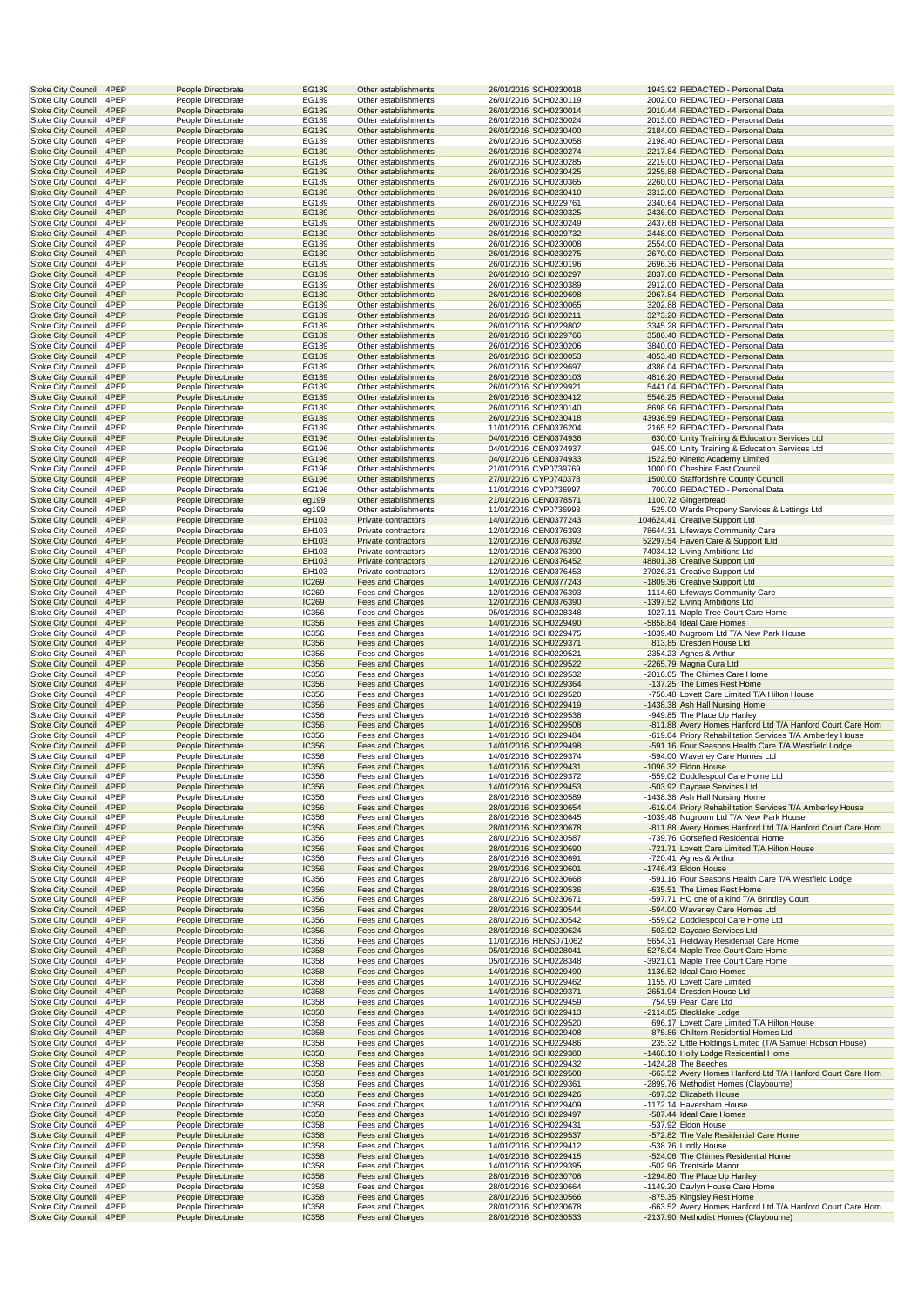|                                                                        | People Directorate                       | EG189                 | Other establishments                         | 26/01/2016 SCH0230018                          | 1943.92 REDACTED - Personal Data                                                                 |
|------------------------------------------------------------------------|------------------------------------------|-----------------------|----------------------------------------------|------------------------------------------------|--------------------------------------------------------------------------------------------------|
| <b>Stoke City Council</b><br>4PEP                                      | People Directorate                       | EG189                 | Other establishments                         | 26/01/2016 SCH0230119                          | 2002.00 REDACTED - Personal Data                                                                 |
| <b>Stoke City Council</b><br>4PEP<br>Stoke City Council<br>4PEP        | People Directorate<br>People Directorate | EG189<br>EG189        | Other establishments<br>Other establishments | 26/01/2016 SCH0230014<br>26/01/2016 SCH0230024 | 2010.44 REDACTED - Personal Data<br>2013.00 REDACTED - Personal Data                             |
| <b>Stoke City Council</b><br>4PEP                                      | People Directorate                       | EG189                 | Other establishments                         | 26/01/2016 SCH0230400                          | 2184.00 REDACTED - Personal Data                                                                 |
| <b>Stoke City Council</b><br>4PEP                                      | People Directorate                       | EG189                 | Other establishments                         | 26/01/2016 SCH0230058                          | 2198.40 REDACTED - Personal Data                                                                 |
| <b>Stoke City Council</b><br>4PEP                                      | People Directorate                       | EG189                 | Other establishments                         | 26/01/2016 SCH0230274                          | 2217.84 REDACTED - Personal Data                                                                 |
| 4PEP<br><b>Stoke City Council</b>                                      | People Directorate                       | EG189                 | Other establishments                         | 26/01/2016 SCH0230285                          | 2219.00 REDACTED - Personal Data                                                                 |
| <b>Stoke City Council</b><br>4PEP<br>4PEP<br><b>Stoke City Council</b> | People Directorate<br>People Directorate | EG189<br>EG189        | Other establishments<br>Other establishments | 26/01/2016 SCH0230425<br>26/01/2016 SCH0230365 | 2255.88 REDACTED - Personal Data<br>2260.00 REDACTED - Personal Data                             |
| <b>Stoke City Council</b><br>4PEP                                      | People Directorate                       | EG189                 | Other establishments                         | 26/01/2016 SCH0230410                          | 2312.00 REDACTED - Personal Data                                                                 |
| Stoke City Council<br>4PEP                                             | People Directorate                       | EG189                 | Other establishments                         | 26/01/2016 SCH0229761                          | 2340.64 REDACTED - Personal Data                                                                 |
| 4PEP<br><b>Stoke City Council</b>                                      | People Directorate                       | EG189                 | Other establishments                         | 26/01/2016 SCH0230325                          | 2436.00 REDACTED - Personal Data                                                                 |
| <b>Stoke City Council</b><br>4PEP                                      | People Directorate                       | EG189                 | Other establishments                         | 26/01/2016 SCH0230249                          | 2437.68 REDACTED - Personal Data                                                                 |
| <b>Stoke City Council</b><br>4PEP                                      | People Directorate                       | EG189                 | Other establishments                         | 26/01/2016 SCH0229732                          | 2448.00 REDACTED - Personal Data                                                                 |
| <b>Stoke City Council</b><br>4PEP                                      | People Directorate                       | EG189                 | Other establishments                         | 26/01/2016 SCH0230008                          | 2554.00 REDACTED - Personal Data                                                                 |
| <b>Stoke City Council</b><br>4PEP<br>4PEP                              | People Directorate<br>People Directorate | EG189                 | Other establishments                         | 26/01/2016 SCH0230275                          | 2670.00 REDACTED - Personal Data<br>2696.36 REDACTED - Personal Data                             |
| <b>Stoke City Council</b><br><b>Stoke City Council</b><br>4PEP         | People Directorate                       | EG189<br>EG189        | Other establishments<br>Other establishments | 26/01/2016 SCH0230196<br>26/01/2016 SCH0230297 | 2837.68 REDACTED - Personal Data                                                                 |
| 4PEP<br><b>Stoke City Council</b>                                      | People Directorate                       | EG189                 | Other establishments                         | 26/01/2016 SCH0230389                          | 2912.00 REDACTED - Personal Data                                                                 |
| <b>Stoke City Council</b><br>4PEP                                      | People Directorate                       | EG189                 | Other establishments                         | 26/01/2016 SCH0229698                          | 2967.84 REDACTED - Personal Data                                                                 |
| Stoke City Council<br>4PEP                                             | People Directorate                       | EG189                 | Other establishments                         | 26/01/2016 SCH0230065                          | 3202.88 REDACTED - Personal Data                                                                 |
| <b>Stoke City Council</b><br>4PEP                                      | People Directorate                       | EG189                 | Other establishments                         | 26/01/2016 SCH0230211                          | 3273.20 REDACTED - Personal Data                                                                 |
| <b>Stoke City Council</b><br>4PEP                                      | People Directorate                       | EG189                 | Other establishments                         | 26/01/2016 SCH0229802                          | 3345.28 REDACTED - Personal Data                                                                 |
| 4PEP<br><b>Stoke City Council</b>                                      | People Directorate                       | EG189                 | Other establishments                         | 26/01/2016 SCH0229766                          | 3586.40 REDACTED - Personal Data                                                                 |
| <b>Stoke City Council</b><br>4PEP<br><b>Stoke City Council</b><br>4PEP | People Directorate<br>People Directorate | EG189<br>EG189        | Other establishments<br>Other establishments | 26/01/2016 SCH0230206<br>26/01/2016 SCH0230053 | 3840.00 REDACTED - Personal Data<br>4053.48 REDACTED - Personal Data                             |
| 4PEP<br><b>Stoke City Council</b>                                      | People Directorate                       | EG189                 | Other establishments                         | 26/01/2016 SCH0229697                          | 4386.04 REDACTED - Personal Data                                                                 |
| <b>Stoke City Council</b><br>4PEP                                      | People Directorate                       | EG189                 | Other establishments                         | 26/01/2016 SCH0230103                          | 4816.20 REDACTED - Personal Data                                                                 |
| 4PEP<br><b>Stoke City Council</b>                                      | People Directorate                       | EG189                 | Other establishments                         | 26/01/2016 SCH0229921                          | 5441.04 REDACTED - Personal Data                                                                 |
| <b>Stoke City Council</b><br>4PEP                                      | People Directorate                       | EG189                 | Other establishments                         | 26/01/2016 SCH0230412                          | 5546.25 REDACTED - Personal Data                                                                 |
| Stoke City Council<br>4PEP                                             | People Directorate                       | EG189                 | Other establishments                         | 26/01/2016 SCH0230140                          | 8698.96 REDACTED - Personal Data                                                                 |
| 4PEP<br><b>Stoke City Council</b>                                      | People Directorate                       | EG189                 | Other establishments                         | 26/01/2016 SCH0230418                          | 43936.59 REDACTED - Personal Data                                                                |
| <b>Stoke City Council</b><br>4PEP                                      | People Directorate                       | EG189                 | Other establishments                         | 11/01/2016 CEN0376204                          | 2165.52 REDACTED - Personal Data                                                                 |
| 4PEP<br><b>Stoke City Council</b><br><b>Stoke City Council</b><br>4PEP | People Directorate<br>People Directorate | EG196<br>EG196        | Other establishments<br>Other establishments | 04/01/2016 CEN0374936<br>04/01/2016 CEN0374937 | 630.00 Unity Training & Education Services Ltd<br>945.00 Unity Training & Education Services Ltd |
| <b>Stoke City Council</b><br>4PEP                                      | People Directorate                       | EG196                 | Other establishments                         | 04/01/2016 CEN0374933                          | 1522.50 Kinetic Academy Limited                                                                  |
| 4PEP<br><b>Stoke City Council</b>                                      | People Directorate                       | EG196                 | Other establishments                         | 21/01/2016 CYP0739769                          | 1000.00 Cheshire East Council                                                                    |
| <b>Stoke City Council</b><br>4PEP                                      | People Directorate                       | EG196                 | Other establishments                         | 27/01/2016 CYP0740378                          | 1500.00 Staffordshire County Council                                                             |
| 4PEP<br><b>Stoke City Council</b>                                      | People Directorate                       | EG196                 | Other establishments                         | 11/01/2016 CYP0736997                          | 700.00 REDACTED - Personal Data                                                                  |
| <b>Stoke City Council</b><br>4PEP                                      | People Directorate                       | eg199                 | Other establishments                         | 21/01/2016 CEN0378571                          | 1100.72 Gingerbread                                                                              |
| Stoke City Council<br>4PEP                                             | People Directorate                       | eg199                 | Other establishments                         | 11/01/2016 CYP0736993                          | 525.00 Wards Property Services & Lettings Ltd                                                    |
| 4PEP<br><b>Stoke City Council</b>                                      | People Directorate                       | EH103                 | Private contractors                          | 14/01/2016 CEN0377243                          | 104624.41 Creative Support Ltd                                                                   |
| <b>Stoke City Council</b><br>4PEP                                      | People Directorate                       | EH103                 | Private contractors                          | 12/01/2016 CEN0376393                          | 78644.31 Lifewavs Community Care                                                                 |
| 4PEP<br><b>Stoke City Council</b><br><b>Stoke City Council</b><br>4PEP | People Directorate<br>People Directorate | EH103<br>EH103        | Private contractors<br>Private contractors   | 12/01/2016 CEN0376392<br>12/01/2016 CEN0376390 | 52297.54 Haven Care & Support ILtd<br>74034.12 Living Ambitions Ltd                              |
| <b>Stoke City Council</b><br>4PEP                                      | People Directorate                       | EH103                 | Private contractors                          | 12/01/2016 CEN0376452                          | 48801.38 Creative Support Ltd                                                                    |
| 4PEP<br><b>Stoke City Council</b>                                      | People Directorate                       | EH103                 | Private contractors                          | 12/01/2016 CEN0376453                          | 27026.31 Creative Support Ltd                                                                    |
| <b>Stoke City Council</b><br>4PEP                                      | People Directorate                       | <b>IC269</b>          | Fees and Charges                             | 14/01/2016 CEN0377243                          | -1809.36 Creative Support Ltd                                                                    |
| 4PEP<br>Stoke City Council                                             | People Directorate                       | IC269                 | Fees and Charges                             | 12/01/2016 CEN0376393                          | -1114.60 Lifeways Community Care                                                                 |
| <b>Stoke City Council</b><br>4PEP                                      | People Directorate                       | <b>IC269</b>          | Fees and Charges                             | 12/01/2016 CEN0376390                          | -1397.52 Living Ambitions Ltd                                                                    |
| <b>Stoke City Council</b><br>4PEP                                      | People Directorate                       | IC356                 | Fees and Charges                             | 05/01/2016 SCH0228348                          | -1027.11 Maple Tree Court Care Home                                                              |
| 4PEP<br><b>Stoke City Council</b>                                      | People Directorate                       | <b>IC356</b>          | Fees and Charges                             | 14/01/2016 SCH0229490                          | -5858.84 Ideal Care Homes                                                                        |
| <b>Stoke City Council</b><br>4PEP<br>4PEP<br><b>Stoke City Council</b> | People Directorate<br>People Directorate | IC356<br>IC356        | Fees and Charges<br>Fees and Charges         | 14/01/2016 SCH0229475<br>14/01/2016 SCH0229371 | -1039.48 Nugroom Ltd T/A New Park House<br>813.85 Dresden House Ltd                              |
| <b>Stoke City Council</b><br>4PEP                                      | People Directorate                       | IC356                 | Fees and Charges                             | 14/01/2016 SCH0229521                          | -2354.23 Agnes & Arthur                                                                          |
| <b>Stoke City Council</b><br>4PEP                                      | People Directorate                       | <b>IC356</b>          | Fees and Charges                             | 14/01/2016 SCH0229522                          | -2265.79 Magna Cura Ltd                                                                          |
| 4PEP<br><b>Stoke City Council</b>                                      | People Directorate                       | IC356                 | Fees and Charges                             | 14/01/2016 SCH0229532                          | -2016.65 The Chimes Care Home                                                                    |
| <b>Stoke City Council</b><br>4PEP                                      | People Directorate                       | <b>IC356</b>          | Fees and Charges                             | 14/01/2016 SCH0229364                          | -137.25 The Limes Rest Home                                                                      |
|                                                                        |                                          | IC356                 | Fees and Charges                             | 14/01/2016 SCH0229520                          | -756.48 Lovett Care Limited T/A Hilton House                                                     |
| 4PEP<br>Stoke City Council                                             | People Directorate                       |                       |                                              |                                                |                                                                                                  |
| <b>Stoke City Council</b><br>4PEP                                      | People Directorate                       | <b>IC356</b>          | Fees and Charges                             | 14/01/2016 SCH0229419                          | -1438.38 Ash Hall Nursing Home                                                                   |
| <b>Stoke City Council</b><br>4PEP                                      | People Directorate                       | IC356                 | Fees and Charges                             | 14/01/2016 SCH0229538                          | -949.85 The Place Up Hanley                                                                      |
| <b>Stoke City Council</b><br>4PEP                                      | People Directorate                       | <b>IC356</b>          | Fees and Charges                             | 14/01/2016 SCH0229508                          | -811.88 Avery Homes Hanford Ltd T/A Hanford Court Care Hom                                       |
| <b>Stoke City Council</b><br>4PEP                                      | People Directorate                       | IC356                 | Fees and Charges                             | 14/01/2016 SCH0229484                          | -619.04 Priory Rehabilitation Services T/A Amberley House                                        |
| <b>Stoke City Council</b><br>4PEP                                      | People Directorate                       | IC356                 | Fees and Charges                             | 14/01/2016 SCH0229498                          | -591.16 Four Seasons Health Care T/A Westfield Lodge                                             |
| <b>Stoke City Council</b><br>4PEP<br><b>Stoke City Council</b><br>4PEP | People Directorate<br>People Directorate | IC356<br>IC356        | Fees and Charges<br>Fees and Charges         | 14/01/2016 SCH0229374<br>14/01/2016 SCH0229431 | -594.00 Waverley Care Homes Ltd<br>-1096.32 Eldon House                                          |
| 4PEP<br><b>Stoke City Council</b>                                      | People Directorate                       | IC356                 | Fees and Charges                             | 14/01/2016 SCH0229372                          | -559.02 Doddlespool Care Home Ltd                                                                |
| <b>Stoke City Council</b><br>4PEP                                      | People Directorate                       | IC356                 | Fees and Charges                             | 14/01/2016 SCH0229453                          | -503.92 Daycare Services Ltd                                                                     |
| <b>Stoke City Council</b><br>4PEP                                      | People Directorate                       | IC356                 | Fees and Charges                             | 28/01/2016 SCH0230589                          | -1438.38 Ash Hall Nursing Home                                                                   |
| <b>Stoke City Council</b><br>4PEP                                      | People Directorate                       | <b>IC356</b>          | Fees and Charges                             | 28/01/2016 SCH0230654                          | -619.04 Priory Rehabilitation Services T/A Amberley House                                        |
| Stoke City Council<br>4PEP                                             | People Directorate                       | IC356                 | Fees and Charges                             | 28/01/2016 SCH0230645                          | -1039.48 Nugroom Ltd T/A New Park House                                                          |
| <b>Stoke City Council</b><br>4PEP                                      | People Directorate                       | <b>IC356</b>          | Fees and Charges                             | 28/01/2016 SCH0230678                          | -811.88 Avery Homes Hanford Ltd T/A Hanford Court Care Hom                                       |
| Stoke City Council<br>4PEP                                             | People Directorate                       | IC356                 | Fees and Charges                             | 28/01/2016 SCH0230587                          | -739.76 Gorsefield Residential Home                                                              |
| <b>Stoke City Council</b><br>4PEP<br><b>Stoke City Council</b><br>4PEP | People Directorate<br>People Directorate | IC356<br>IC356        | Fees and Charges<br>Fees and Charges         | 28/01/2016 SCH0230690<br>28/01/2016 SCH0230691 | -721.71 Lovett Care Limited T/A Hilton House<br>-720.41 Agnes & Arthur                           |
| <b>Stoke City Council</b><br>4PEP                                      | People Directorate                       | IC356                 | Fees and Charges                             | 28/01/2016 SCH0230601                          | -1746.43 Eldon House                                                                             |
| 4PEP<br><b>Stoke City Council</b>                                      | People Directorate                       | IC356                 | Fees and Charges                             | 28/01/2016 SCH0230668                          | -591.16 Four Seasons Health Care T/A Westfield Lodge                                             |
| <b>Stoke City Council</b><br>4PEP                                      | People Directorate                       | IC356                 | Fees and Charges                             | 28/01/2016 SCH0230536                          | -635.51 The Limes Rest Home                                                                      |
| Stoke City Council<br>4PEP                                             | People Directorate                       | IC356                 | Fees and Charges                             | 28/01/2016 SCH0230671                          | -597.71 HC one of a kind T/A Brindley Court                                                      |
| <b>Stoke City Council</b><br>4PEP                                      | People Directorate                       | <b>IC356</b>          | Fees and Charges                             | 28/01/2016 SCH0230544                          | -594.00 Waverley Care Homes Ltd                                                                  |
| Stoke City Council<br>4PEP<br><b>Stoke City Council</b><br>4PEP        | People Directorate                       | IC356                 | Fees and Charges                             | 28/01/2016 SCH0230542                          | -559.02 Doddlespool Care Home Ltd                                                                |
| <b>Stoke City Council</b><br>4PEP                                      | People Directorate<br>People Directorate | <b>IC356</b><br>IC356 | Fees and Charges<br>Fees and Charges         | 28/01/2016 SCH0230624<br>11/01/2016 HENS071062 | -503.92 Daycare Services Ltd<br>5654.31 Fieldway Residential Care Home                           |
| <b>Stoke City Council</b><br>4PEP                                      | People Directorate                       | <b>IC358</b>          | Fees and Charges                             | 05/01/2016 SCH0228041                          | -5278.04 Maple Tree Court Care Home                                                              |
| <b>Stoke City Council</b><br>4PEP                                      | People Directorate                       | IC358                 | Fees and Charges                             | 05/01/2016 SCH0228348                          | -3921.01 Maple Tree Court Care Home                                                              |
| <b>Stoke City Council</b><br>4PEP                                      | People Directorate                       | <b>IC358</b>          | Fees and Charges                             | 14/01/2016 SCH0229490                          | -1136.52 Ideal Care Homes                                                                        |
| <b>Stoke City Council</b><br>4PEP                                      | People Directorate                       | IC358                 | Fees and Charges                             | 14/01/2016 SCH0229462                          | 1155.70 Lovett Care Limited                                                                      |
| <b>Stoke City Council</b><br>4PEP                                      | People Directorate                       | <b>IC358</b>          | Fees and Charges                             | 14/01/2016 SCH0229371                          | -2651.94 Dresden House Ltd                                                                       |
| Stoke City Council<br>4PEP                                             | People Directorate                       | IC358                 | Fees and Charges                             | 14/01/2016 SCH0229459                          | 754.99 Pearl Care Ltd                                                                            |
| <b>Stoke City Council</b><br>4PEP<br>Stoke City Council<br>4PEP        | People Directorate<br>People Directorate | <b>IC358</b><br>IC358 | Fees and Charges<br>Fees and Charges         | 14/01/2016 SCH0229413<br>14/01/2016 SCH0229520 | -2114.85 Blacklake Lodge<br>696.17 Lovett Care Limited T/A Hilton House                          |
| <b>Stoke City Council</b><br>4PEP                                      | People Directorate                       | <b>IC358</b>          | Fees and Charges                             | 14/01/2016 SCH0229408                          | 875.86 Chiltern Residential Homes Ltd                                                            |
| <b>Stoke City Council</b><br>4PEP                                      | People Directorate                       | IC358                 | Fees and Charges                             | 14/01/2016 SCH0229486                          | 235.32 Little Holdings Limited (T/A Samuel Hobson House)                                         |
| 4PEP<br><b>Stoke City Council</b>                                      | People Directorate                       | <b>IC358</b>          | Fees and Charges                             | 14/01/2016 SCH0229380                          | -1468.10 Holly Lodge Residential Home                                                            |
| <b>Stoke City Council</b><br>4PEP                                      | People Directorate                       | IC358                 | Fees and Charges                             | 14/01/2016 SCH0229432                          | -1424.28 The Beeches                                                                             |
| <b>Stoke City Council</b><br>4PEP                                      | People Directorate                       | <b>IC358</b>          | Fees and Charges                             | 14/01/2016 SCH0229508                          | -663.52 Avery Homes Hanford Ltd T/A Hanford Court Care Hom                                       |
| <b>Stoke City Council</b><br>4PEP                                      | People Directorate                       | IC358                 | Fees and Charges                             | 14/01/2016 SCH0229361                          | -2899.76 Methodist Homes (Claybourne)                                                            |
| <b>Stoke City Council</b><br>4PEP                                      | People Directorate                       | <b>IC358</b>          | Fees and Charges                             | 14/01/2016 SCH0229426                          | -697.32 Elizabeth House                                                                          |
| 4PEP<br><b>Stoke City Council</b>                                      | People Directorate                       | IC358                 | Fees and Charges                             | 14/01/2016 SCH0229409                          | -1172.14 Haversham House                                                                         |
| <b>Stoke City Council</b><br>4PEP<br>Stoke City Council<br>4PEP        | People Directorate<br>People Directorate | <b>IC358</b><br>IC358 | Fees and Charges<br>Fees and Charges         | 14/01/2016 SCH0229497<br>14/01/2016 SCH0229431 | -587.44 Ideal Care Homes<br>-537.92 Eldon House                                                  |
| <b>Stoke City Council</b><br>4PEP                                      | People Directorate                       | <b>IC358</b>          | Fees and Charges                             | 14/01/2016 SCH0229537                          | -572.82 The Vale Residential Care Home                                                           |
| <b>Stoke City Council</b><br>4PEP                                      | People Directorate                       | IC358                 | Fees and Charges                             | 14/01/2016 SCH0229412                          | -538.76 Lindly House                                                                             |
| 4PEP<br><b>Stoke City Council</b>                                      | People Directorate                       | <b>IC358</b>          | Fees and Charges                             | 14/01/2016 SCH0229415                          | -524.06 The Chimes Residential Home                                                              |
| <b>Stoke City Council</b><br>4PEP                                      | People Directorate                       | IC358                 | Fees and Charges                             | 14/01/2016 SCH0229395                          | -502.96 Trentside Manor                                                                          |
| <b>Stoke City Council</b><br>4PEP                                      | People Directorate                       | <b>IC358</b>          | Fees and Charges                             | 28/01/2016 SCH0230708                          | -1294.80 The Place Up Hanley                                                                     |
| <b>Stoke City Council</b><br>4PEP                                      | People Directorate                       | IC358                 | Fees and Charges                             | 28/01/2016 SCH0230664                          | -1149.20 Davlyn House Care Home                                                                  |
| <b>Stoke City Council</b><br>4PEP<br>4PEP<br><b>Stoke City Council</b> | People Directorate<br>People Directorate | <b>IC358</b><br>IC358 | Fees and Charges<br>Fees and Charges         | 28/01/2016 SCH0230566<br>28/01/2016 SCH0230678 | -875.35 Kingsley Rest Home<br>-663.52 Avery Homes Hanford Ltd T/A Hanford Court Care Hom         |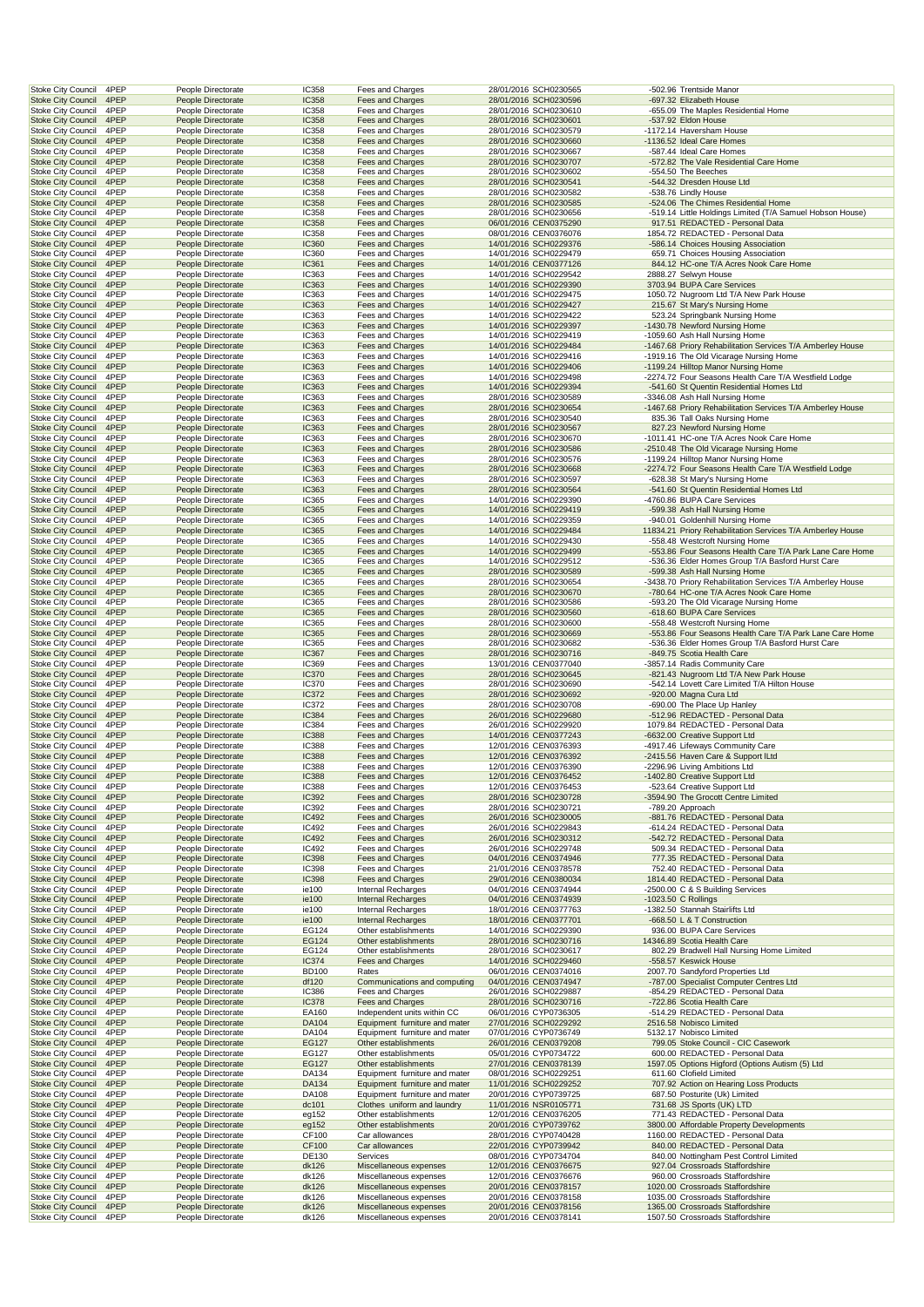|                                                        | 4PEP         | People Directorate                       | IC358                 | Fees and Charges                                 | 28/01/2016 SCH0230565                          |  | -502.96 Trentside Manor                                                     |
|--------------------------------------------------------|--------------|------------------------------------------|-----------------------|--------------------------------------------------|------------------------------------------------|--|-----------------------------------------------------------------------------|
| <b>Stoke City Council</b>                              | 4PEP         | People Directorate                       | <b>IC358</b>          | Fees and Charges                                 | 28/01/2016 SCH0230596                          |  | -697.32 Elizabeth House                                                     |
| <b>Stoke City Council</b>                              | 4PEP         | People Directorate                       | IC358                 | Fees and Charges                                 | 28/01/2016 SCH0230610                          |  | -655.09 The Maples Residential Home                                         |
| <b>Stoke City Council</b>                              | 4PEP         | People Directorate                       | <b>IC358</b>          | Fees and Charges                                 | 28/01/2016 SCH0230601                          |  | -537.92 Eldon House                                                         |
| <b>Stoke City Council</b>                              | 4PEP         | People Directorate                       | IC358                 | Fees and Charges                                 | 28/01/2016 SCH0230579                          |  | -1172.14 Haversham House                                                    |
| <b>Stoke City Council</b>                              | 4PEP         | People Directorate                       | <b>IC358</b>          | Fees and Charges                                 | 28/01/2016 SCH0230660                          |  | -1136.52 Ideal Care Homes                                                   |
| Stoke City Council                                     | 4PEP         | People Directorate                       | IC358                 | Fees and Charges                                 | 28/01/2016 SCH0230667                          |  | -587.44 Ideal Care Homes                                                    |
| <b>Stoke City Council</b>                              | 4PEP         | People Directorate                       | <b>IC358</b>          | Fees and Charges                                 | 28/01/2016 SCH0230707                          |  | -572.82 The Vale Residential Care Home                                      |
| <b>Stoke City Council</b>                              | 4PEP         | People Directorate                       | IC358                 | Fees and Charges                                 | 28/01/2016 SCH0230602                          |  | -554.50 The Beeches                                                         |
| <b>Stoke City Council</b>                              | 4PEP         | People Directorate                       | <b>IC358</b>          | Fees and Charges                                 | 28/01/2016 SCH0230541                          |  | -544.32 Dresden House Ltd                                                   |
| <b>Stoke City Council</b>                              | 4PEP         | People Directorate                       | IC358                 | Fees and Charges                                 | 28/01/2016 SCH0230582                          |  | -538.76 Lindly House                                                        |
| <b>Stoke City Council</b>                              | 4PEP         | People Directorate                       | <b>IC358</b>          | Fees and Charges                                 | 28/01/2016 SCH0230585                          |  | -524.06 The Chimes Residential Home                                         |
| <b>Stoke City Council</b>                              | 4PEP         | People Directorate                       | IC358                 | Fees and Charges                                 | 28/01/2016 SCH0230656                          |  | -519.14 Little Holdings Limited (T/A Samuel Hobson House)                   |
| <b>Stoke City Council</b>                              | 4PEP         | People Directorate                       | <b>IC358</b>          | Fees and Charges                                 | 06/01/2016 CEN0375290                          |  | 917.51 REDACTED - Personal Data                                             |
| <b>Stoke City Council</b>                              | 4PEP         | People Directorate                       | IC358                 | Fees and Charges                                 | 08/01/2016 CEN0376076                          |  | 1854.72 REDACTED - Personal Data                                            |
| <b>Stoke City Council</b>                              | 4PEP         | People Directorate                       | <b>IC360</b>          | Fees and Charges                                 | 14/01/2016 SCH0229376                          |  | -586.14 Choices Housing Association                                         |
| Stoke City Council                                     | 4PEP         | People Directorate                       | IC360                 | Fees and Charges                                 | 14/01/2016 SCH0229479                          |  | 659.71 Choices Housing Association                                          |
| <b>Stoke City Council</b>                              | 4PEP         | People Directorate                       | IC361                 | Fees and Charges                                 | 14/01/2016 CEN0377126                          |  | 844.12 HC-one T/A Acres Nook Care Home                                      |
| <b>Stoke City Council</b>                              | 4PEP         | People Directorate                       | IC363                 | Fees and Charges                                 | 14/01/2016 SCH0229542                          |  | 2888.27 Selwyn House                                                        |
| <b>Stoke City Council</b>                              | 4PEP         | People Directorate                       | IC363                 | Fees and Charges                                 | 14/01/2016 SCH0229390                          |  | 3703.94 BUPA Care Services                                                  |
| <b>Stoke City Council</b>                              | 4PEP         | People Directorate                       | IC363                 | Fees and Charges                                 | 14/01/2016 SCH0229475                          |  | 1050.72 Nugroom Ltd T/A New Park House                                      |
| <b>Stoke City Council</b>                              | 4PEP         | People Directorate                       | <b>IC363</b>          | Fees and Charges                                 | 14/01/2016 SCH0229427                          |  | 215.67 St Mary's Nursing Home                                               |
| <b>Stoke City Council</b>                              | 4PEP         | People Directorate                       | IC363                 | Fees and Charges                                 | 14/01/2016 SCH0229422                          |  | 523.24 Springbank Nursing Home                                              |
| <b>Stoke City Council</b>                              | 4PEP         | People Directorate                       | <b>IC363</b>          | Fees and Charges                                 | 14/01/2016 SCH0229397                          |  | -1430.78 Newford Nursing Home                                               |
| <b>Stoke City Council</b>                              | 4PEP         | People Directorate                       | IC363                 | Fees and Charges                                 | 14/01/2016 SCH0229419                          |  | -1059.60 Ash Hall Nursing Home                                              |
| <b>Stoke City Council</b>                              | 4PEP         | People Directorate                       | IC363                 | Fees and Charges                                 | 14/01/2016 SCH0229484                          |  | -1467.68 Priory Rehabilitation Services T/A Amberley House                  |
| Stoke City Council                                     | 4PEP         | People Directorate                       | IC363                 | Fees and Charges                                 | 14/01/2016 SCH0229416                          |  | -1919.16 The Old Vicarage Nursing Home                                      |
| <b>Stoke City Council</b>                              | 4PEP         | People Directorate                       | <b>IC363</b>          | Fees and Charges                                 | 14/01/2016 SCH0229406                          |  | -1199.24 Hilltop Manor Nursing Home                                         |
| <b>Stoke City Council</b>                              | 4PEP         | People Directorate                       | IC363                 | Fees and Charges                                 | 14/01/2016 SCH0229498                          |  | -2274.72 Four Seasons Health Care T/A Westfield Lodge                       |
| <b>Stoke City Council</b>                              | 4PEP         | People Directorate                       | IC363                 | Fees and Charges                                 | 14/01/2016 SCH0229394                          |  | -541.60 St Quentin Residential Homes Ltd                                    |
| <b>Stoke City Council</b>                              | 4PEP         | People Directorate                       | IC363                 | Fees and Charges                                 | 28/01/2016 SCH0230589                          |  | -3346.08 Ash Hall Nursing Home                                              |
| <b>Stoke City Council</b>                              | 4PEP         | People Directorate                       | <b>IC363</b>          | Fees and Charges                                 | 28/01/2016 SCH0230654                          |  | -1467.68 Priory Rehabilitation Services T/A Amberley House                  |
| <b>Stoke City Council</b>                              | 4PEP         | People Directorate                       | IC363                 | Fees and Charges                                 | 28/01/2016 SCH0230540                          |  | 835.36 Tall Oaks Nursing Home                                               |
| <b>Stoke City Council</b>                              | 4PEP         | People Directorate                       | <b>IC363</b>          | Fees and Charges                                 | 28/01/2016 SCH0230567                          |  | 827.23 Newford Nursing Home                                                 |
| <b>Stoke City Council</b>                              | 4PEP         | People Directorate                       | IC363                 | Fees and Charges                                 | 28/01/2016 SCH0230670                          |  | -1011.41 HC-one T/A Acres Nook Care Home                                    |
| <b>Stoke City Council</b>                              | 4PEP         | People Directorate                       | IC363                 | Fees and Charges                                 | 28/01/2016 SCH0230586                          |  | -2510.48 The Old Vicarage Nursing Home                                      |
| Stoke City Council                                     | 4PEP         | People Directorate                       | IC363                 | Fees and Charges                                 | 28/01/2016 SCH0230576                          |  | -1199.24 Hilltop Manor Nursing Home                                         |
| <b>Stoke City Council</b>                              | 4PEP         | People Directorate                       | <b>IC363</b>          | Fees and Charges                                 | 28/01/2016 SCH0230668                          |  | -2274.72 Four Seasons Health Care T/A Westfield Lodge                       |
| <b>Stoke City Council</b>                              | 4PEP         | People Directorate                       | IC363                 | Fees and Charges                                 | 28/01/2016 SCH0230597                          |  | -628.38 St Mary's Nursing Home                                              |
| <b>Stoke City Council</b>                              | 4PEP         | People Directorate                       | IC363                 | Fees and Charges                                 | 28/01/2016 SCH0230564                          |  | -541.60 St Quentin Residential Homes Ltd                                    |
| <b>Stoke City Council</b>                              | 4PEP         | People Directorate                       | IC365                 | Fees and Charges                                 | 14/01/2016 SCH0229390                          |  | -4760.86 BUPA Care Services                                                 |
| <b>Stoke City Council</b>                              | 4PEP         | People Directorate                       | <b>IC365</b>          | Fees and Charges                                 | 14/01/2016 SCH0229419                          |  | -599.38 Ash Hall Nursing Home                                               |
| <b>Stoke City Council</b>                              | 4PEP         | People Directorate                       | IC365                 | Fees and Charges                                 | 14/01/2016 SCH0229359                          |  | -940.01 Goldenhill Nursing Home                                             |
| <b>Stoke City Council</b>                              | 4PEP         | People Directorate                       | <b>IC365</b>          | Fees and Charges                                 | 14/01/2016 SCH0229484                          |  | 11834.21 Priory Rehabilitation Services T/A Amberley House                  |
| <b>Stoke City Council</b>                              | 4PEP         | People Directorate                       | IC365                 | Fees and Charges                                 | 14/01/2016 SCH0229430                          |  | -558.48 Westcroft Nursing Home                                              |
| <b>Stoke City Council</b>                              | 4PEP         | People Directorate                       | IC365                 | Fees and Charges                                 | 14/01/2016 SCH0229499                          |  | -553.86 Four Seasons Health Care T/A Park Lane Care Home                    |
| Stoke City Council                                     | 4PEP         | People Directorate                       | IC365                 | Fees and Charges                                 | 14/01/2016 SCH0229512                          |  | -536.36 Elder Homes Group T/A Basford Hurst Care                            |
| <b>Stoke City Council</b>                              | 4PEP         | People Directorate                       | <b>IC365</b>          | Fees and Charges                                 | 28/01/2016 SCH0230589                          |  | -599.38 Ash Hall Nursing Home                                               |
| <b>Stoke City Council</b>                              | 4PEP         | People Directorate                       | IC365                 | Fees and Charges                                 | 28/01/2016 SCH0230654                          |  | -3438.70 Priory Rehabilitation Services T/A Amberley House                  |
| <b>Stoke City Council</b>                              | 4PEP         | People Directorate                       | <b>IC365</b>          | Fees and Charges                                 | 28/01/2016 SCH0230670                          |  | -780.64 HC-one T/A Acres Nook Care Home                                     |
| <b>Stoke City Council</b>                              | 4PEP         | People Directorate                       | IC365                 | Fees and Charges                                 | 28/01/2016 SCH0230586                          |  | -593.20 The Old Vicarage Nursing Home                                       |
| <b>Stoke City Council</b>                              | 4PEP         | People Directorate                       | <b>IC365</b>          | Fees and Charges                                 | 28/01/2016 SCH0230560                          |  | -618.60 BUPA Care Services                                                  |
| <b>Stoke City Council</b>                              | 4PEP         | People Directorate                       | IC365                 | Fees and Charges                                 | 28/01/2016 SCH0230600                          |  | -558.48 Westcroft Nursing Home                                              |
| <b>Stoke City Council</b>                              | 4PEP         | People Directorate                       | <b>IC365</b>          | Fees and Charges                                 | 28/01/2016 SCH0230669                          |  | -553.86 Four Seasons Health Care T/A Park Lane Care Home                    |
| Stoke City Council                                     | 4PEP         | People Directorate                       | IC365                 | Fees and Charges                                 | 28/01/2016 SCH0230682                          |  | -536.36 Elder Homes Group T/A Basford Hurst Care                            |
| <b>Stoke City Council</b>                              | 4PEP         | People Directorate                       | IC367                 | Fees and Charges                                 | 28/01/2016 SCH0230716                          |  | -849.75 Scotia Health Care                                                  |
| <b>Stoke City Council</b>                              | 4PEP         | People Directorate                       | IC369                 | Fees and Charges                                 | 13/01/2016 CEN0377040                          |  | -3857.14 Radis Community Care                                               |
| <b>Stoke City Council</b>                              | 4PEP         | People Directorate                       | <b>IC370</b>          | Fees and Charges                                 | 28/01/2016 SCH0230645                          |  | -821.43 Nugroom Ltd T/A New Park House                                      |
| <b>Stoke City Council</b>                              | 4PEP         | People Directorate                       | <b>IC370</b>          | Fees and Charges                                 | 28/01/2016 SCH0230690                          |  | -542.14 Lovett Care Limited T/A Hilton House                                |
| <b>Stoke City Council</b>                              | 4PEP         | People Directorate                       | <b>IC372</b>          | Fees and Charges                                 | 28/01/2016 SCH0230692                          |  | -920.00 Magna Cura Ltd                                                      |
| <b>Stoke City Council</b>                              | 4PEP         | People Directorate                       | IC372                 | Fees and Charges                                 | 28/01/2016 SCH0230708                          |  | -690.00 The Place Up Hanley                                                 |
| <b>Stoke City Council</b>                              | 4PEP         | People Directorate                       | <b>IC384</b>          | Fees and Charges                                 | 26/01/2016 SCH0229680                          |  | -512.96 REDACTED - Personal Data                                            |
| <b>Stoke City Council</b>                              | 4PEP         | People Directorate                       | IC384                 | Fees and Charges                                 | 26/01/2016 SCH0229920                          |  | 1079.84 REDACTED - Personal Data                                            |
| <b>Stoke City Council</b>                              | 4PEP         | People Directorate                       | <b>IC388</b>          | Fees and Charges                                 | 14/01/2016 CEN0377243                          |  | -6632.00 Creative Support Ltd                                               |
| Stoke City Council                                     | 4PEP         | People Directorate                       | <b>IC388</b>          | Fees and Charges                                 | 12/01/2016 CEN0376393                          |  | -4917.46 Lifeways Community Care                                            |
| <b>Stoke City Council</b>                              | 4PEP         | People Directorate                       | <b>IC388</b>          | Fees and Charges                                 | 12/01/2016 CEN0376392                          |  | -2415.56 Haven Care & Support ILtd                                          |
| <b>Stoke City Council</b>                              | 4PEP         | People Directorate                       | <b>IC388</b>          | Fees and Charges                                 | 12/01/2016 CEN0376390                          |  | -2296.96 Living Ambitions Ltd                                               |
| <b>Stoke City Council</b>                              | 4PEP         | People Directorate                       | <b>IC388</b>          | Fees and Charges                                 | 12/01/2016 CEN0376452                          |  | -1402.80 Creative Support Ltd                                               |
| <b>Stoke City Council</b>                              | 4PEP         | People Directorate                       | <b>IC388</b>          | Fees and Charges                                 | 12/01/2016 CEN0376453                          |  | -523.64 Creative Support Ltd                                                |
| <b>Stoke City Council</b>                              | 4PEP         | People Directorate                       | <b>IC392</b><br>IC392 | Fees and Charges                                 |                                                |  |                                                                             |
| <b>Stoke City Council</b>                              | 4PEP         | People Directorate                       |                       |                                                  | 28/01/2016 SCH0230728                          |  | -3594.90 The Grocott Centre Limited                                         |
| <b>Stoke City Council</b>                              | 4PEP         |                                          |                       | Fees and Charges                                 | 28/01/2016 SCH0230721                          |  | -789.20 Approach                                                            |
| <b>Stoke City Council</b>                              | 4PEP<br>4PEP | People Directorate                       | <b>IC492</b>          | Fees and Charges                                 | 26/01/2016 SCH0230005                          |  | -881.76 REDACTED - Personal Data                                            |
| <b>Stoke City Council</b>                              |              | People Directorate                       | IC492                 | Fees and Charges                                 | 26/01/2016 SCH0229843                          |  | -614.24 REDACTED - Personal Data                                            |
|                                                        |              | People Directorate                       | <b>IC492</b>          | Fees and Charges                                 | 26/01/2016 SCH0230312                          |  | -542.72 REDACTED - Personal Data                                            |
| <b>Stoke City Council</b>                              | 4PEP         | People Directorate                       | IC492                 | Fees and Charges                                 | 26/01/2016 SCH0229748                          |  | 509.34 REDACTED - Personal Data                                             |
| <b>Stoke City Council</b>                              | 4PEP         | People Directorate                       | <b>IC398</b>          | Fees and Charges                                 | 04/01/2016 CEN0374946                          |  | 777.35 REDACTED - Personal Data                                             |
| <b>Stoke City Council</b>                              | 4PEP         | People Directorate                       | <b>IC398</b>          | Fees and Charges                                 | 21/01/2016 CEN0378578                          |  | 752.40 REDACTED - Personal Data                                             |
| <b>Stoke City Council</b>                              | 4PEP         | People Directorate                       | <b>IC398</b>          | Fees and Charges                                 | 29/01/2016 CEN0380034                          |  | 1814.40 REDACTED - Personal Data                                            |
| <b>Stoke City Council</b>                              | 4PEP         | People Directorate                       | ie100                 | <b>Internal Recharges</b>                        | 04/01/2016 CEN0374944                          |  | -2500.00 C & S Building Services                                            |
| <b>Stoke City Council</b>                              | 4PEP         | People Directorate                       | ie100                 | Internal Recharges                               | 04/01/2016 CEN0374939                          |  | -1023.50 C Rollings                                                         |
| <b>Stoke City Council</b>                              | 4PEP         | People Directorate                       | ie100                 | Internal Recharges                               | 18/01/2016 CEN0377763                          |  | -1382.50 Stannah Stairlifts Ltd                                             |
| <b>Stoke City Council</b>                              | 4PEP         | People Directorate                       | ie100                 | Internal Recharges                               | 18/01/2016 CEN0377701<br>14/01/2016 SCH0229390 |  | -668.50 L & T Construction                                                  |
| <b>Stoke City Council</b><br><b>Stoke City Council</b> | 4PEP<br>4PEP | People Directorate<br>People Directorate | EG124<br>EG124        | Other establishments<br>Other establishments     |                                                |  | 936.00 BUPA Care Services<br>14346.89 Scotia Health Care                    |
|                                                        | 4PEP         | People Directorate                       | EG124                 | Other establishments                             | 28/01/2016 SCH0230716                          |  |                                                                             |
| <b>Stoke City Council</b><br><b>Stoke City Council</b> | 4PEP         | People Directorate                       | <b>IC374</b>          | Fees and Charges                                 | 28/01/2016 SCH0230617<br>14/01/2016 SCH0229460 |  | 802.29 Bradwell Hall Nursing Home Limited<br>-558.57 Keswick House          |
|                                                        |              |                                          |                       | Rates                                            |                                                |  |                                                                             |
| Stoke City Council                                     | 4PEP<br>4PEP | People Directorate                       | <b>BD100</b><br>df120 | Communications and computing                     | 06/01/2016 CEN0374016<br>04/01/2016 CEN0374947 |  | 2007.70 Sandyford Properties Ltd                                            |
| <b>Stoke City Council</b><br>Stoke City Council        | 4PEP         | People Directorate<br>People Directorate | <b>IC386</b>          | Fees and Charges                                 | 26/01/2016 SCH0229887                          |  | -787.00 Specialist Computer Centres Ltd<br>-854.29 REDACTED - Personal Data |
| <b>Stoke City Council</b>                              | 4PEP         | People Directorate                       | <b>IC378</b>          | Fees and Charges                                 | 28/01/2016 SCH0230716                          |  | -722.86 Scotia Health Care                                                  |
| <b>Stoke City Council</b>                              | 4PEP         | People Directorate                       | EA160                 | Independent units within CC                      | 06/01/2016 CYP0736305                          |  | -514.29 REDACTED - Personal Data                                            |
| <b>Stoke City Council</b>                              | 4PEP         | People Directorate                       | DA104                 | Equipment furniture and mater                    | 27/01/2016 SCH0229292                          |  | 2516.58 Nobisco Limited                                                     |
| Stoke City Council                                     | 4PEP         | People Directorate                       | DA104                 | Equipment furniture and mater                    | 07/01/2016 CYP0736749                          |  | 5132.17 Nobisco Limited                                                     |
| <b>Stoke City Council</b>                              | 4PEP         | People Directorate                       | EG127                 | Other establishments                             | 26/01/2016 CEN0379208                          |  | 799.05 Stoke Council - CIC Casework                                         |
| Stoke City Council                                     | 4PEP         | People Directorate                       | EG127                 | Other establishments                             | 05/01/2016 CYP0734722                          |  | 600.00 REDACTED - Personal Data                                             |
| <b>Stoke City Council</b>                              | 4PEP         | People Directorate                       | EG127                 | Other establishments                             | 27/01/2016 CEN0378139                          |  | 1597.05 Options Higford (Options Autism (5) Ltd                             |
| Stoke City Council                                     | 4PEP         | People Directorate                       | DA134                 | Equipment furniture and mater                    | 08/01/2016 SCH0229251                          |  | 611.60 Clofield Limited                                                     |
| <b>Stoke City Council</b>                              | 4PEP         | People Directorate                       | DA134                 | Equipment furniture and mater                    | 11/01/2016 SCH0229252                          |  | 707.92 Action on Hearing Loss Products                                      |
| <b>Stoke City Council</b>                              | 4PEP         | People Directorate                       | DA108                 | Equipment furniture and mater                    | 20/01/2016 CYP0739725                          |  | 687.50 Posturite (Uk) Limited                                               |
| <b>Stoke City Council</b>                              | 4PEP         | People Directorate                       | dc101                 | Clothes uniform and laundry                      | 11/01/2016 NSR0105771                          |  | 731.68 JS Sports (UK) LTD                                                   |
| <b>Stoke City Council</b>                              | 4PEP         | People Directorate                       | eg152                 | Other establishments                             | 12/01/2016 CEN0376205                          |  | 771.43 REDACTED - Personal Data                                             |
| <b>Stoke City Council</b>                              | 4PEP         | People Directorate                       | eg152                 | Other establishments                             | 20/01/2016 CYP0739762                          |  | 3800.00 Affordable Property Developments                                    |
| Stoke City Council                                     | 4PEP         | People Directorate                       | CF100                 | Car allowances                                   | 28/01/2016 CYP0740428                          |  | 1160.00 REDACTED - Personal Data                                            |
| <b>Stoke City Council</b>                              | 4PEP         | People Directorate                       | CF100                 | Car allowances                                   | 22/01/2016 CYP0739942                          |  | 840.00 REDACTED - Personal Data                                             |
| Stoke City Council                                     | 4PEP         | People Directorate                       | DE130                 | Services                                         | 08/01/2016 CYP0734704                          |  | 840.00 Nottingham Pest Control Limited                                      |
| <b>Stoke City Council</b>                              | 4PEP         | People Directorate                       | dk126                 | Miscellaneous expenses                           | 12/01/2016 CEN0376675                          |  | 927.04 Crossroads Staffordshire                                             |
| <b>Stoke City Council</b>                              | 4PEP         | People Directorate                       | dk126                 | Miscellaneous expenses                           | 12/01/2016 CEN0376676                          |  | 960.00 Crossroads Staffordshire                                             |
| <b>Stoke City Council</b>                              | 4PEP         | People Directorate                       | dk126                 | Miscellaneous expenses                           | 20/01/2016 CEN0378157                          |  | 1020.00 Crossroads Staffordshire                                            |
| <b>Stoke City Council</b>                              | 4PEP         | People Directorate                       | dk126                 | Miscellaneous expenses                           | 20/01/2016 CEN0378158                          |  | 1035.00 Crossroads Staffordshire                                            |
| <b>Stoke City Council</b><br>Stoke City Council        | 4PEP<br>4PEP | People Directorate<br>People Directorate | dk126<br>dk126        | Miscellaneous expenses<br>Miscellaneous expenses | 20/01/2016 CEN0378156<br>20/01/2016 CEN0378141 |  | 1365.00 Crossroads Staffordshire<br>1507.50 Crossroads Staffordshire        |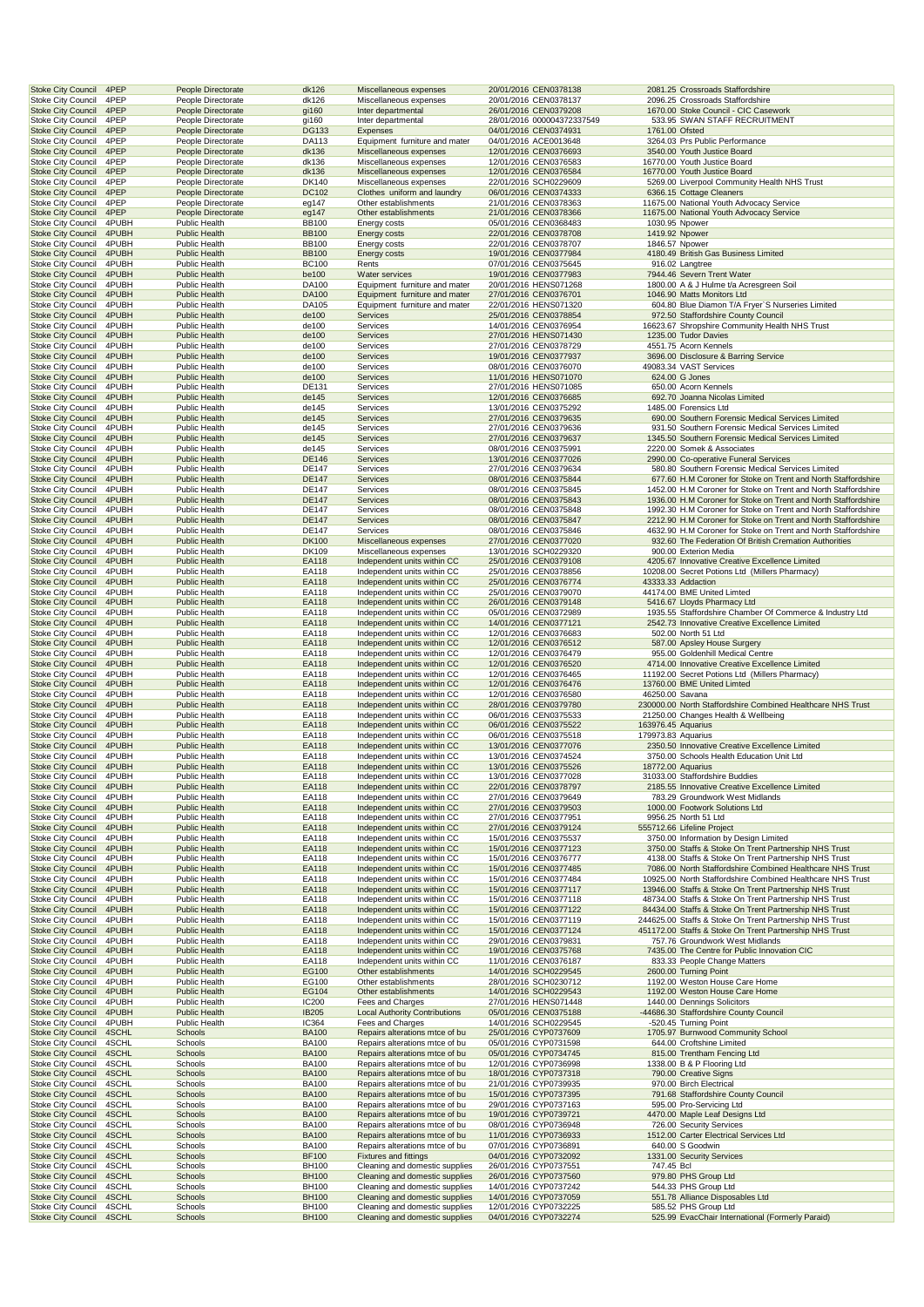| <b>Stoke City Council</b><br><b>Stoke City Council</b> | 4PEP<br>4PEP   |                                              | People Directorate<br>People Directorate | dk126<br>dk126               | Miscellaneous expenses<br>Miscellaneous expenses                 | 20/01/2016 CEN0378138<br>20/01/2016 CEN0378137 |                          | 2081.25 Crossroads Staffordshire<br>2096.25 Crossroads Staffordshire                                                             |
|--------------------------------------------------------|----------------|----------------------------------------------|------------------------------------------|------------------------------|------------------------------------------------------------------|------------------------------------------------|--------------------------|----------------------------------------------------------------------------------------------------------------------------------|
| <b>Stoke City Council</b>                              | 4PEP           |                                              | People Directorate                       | gi160                        | Inter departmental                                               | 26/01/2016 CEN0379208                          |                          | 1670.00 Stoke Council - CIC Casework                                                                                             |
| <b>Stoke City Council</b>                              | 4PEP           |                                              | People Directorate                       | gi160                        | Inter departmental<br><b>Expenses</b>                            | 28/01/2016 000004372337549                     |                          | 533.95 SWAN STAFF RECRUITMENT                                                                                                    |
| <b>Stoke City Council</b><br><b>Stoke City Council</b> | 4PEP<br>4PEP   |                                              | People Directorate<br>People Directorate | <b>DG133</b><br>DA113        | Equipment furniture and mater                                    | 04/01/2016 CEN0374931<br>04/01/2016 ACE0013648 | 1761.00 Ofsted           | 3264.03 Prs Public Performance                                                                                                   |
| <b>Stoke City Council</b>                              | 4PEP           |                                              | People Directorate                       | dk136                        | Miscellaneous expenses                                           | 12/01/2016 CEN0376693                          |                          | 3540.00 Youth Justice Board                                                                                                      |
| <b>Stoke City Council</b><br><b>Stoke City Council</b> | 4PEP<br>4PEP   |                                              | People Directorate<br>People Directorate | dk136<br>dk136               | Miscellaneous expenses<br>Miscellaneous expenses                 | 12/01/2016 CEN0376583<br>12/01/2016 CEN0376584 |                          | 16770.00 Youth Justice Board<br>16770.00 Youth Justice Board                                                                     |
| <b>Stoke City Council</b>                              | 4PEP           |                                              | People Directorate                       | DK140                        | Miscellaneous expenses                                           | 22/01/2016 SCH0229609                          |                          | 5269.00 Liverpool Community Health NHS Trust                                                                                     |
| <b>Stoke City Council</b><br><b>Stoke City Council</b> | 4PEP<br>4PEP   |                                              | People Directorate<br>People Directorate | DC102<br>eg147               | Clothes uniform and laundry<br>Other establishments              | 06/01/2016 CEN0374333<br>21/01/2016 CEN0378363 |                          | 6366.15 Cottage Cleaners<br>11675.00 National Youth Advocacy Service                                                             |
| <b>Stoke City Council</b>                              | 4PEP           |                                              | People Directorate                       | eg147                        | Other establishments                                             | 21/01/2016 CEN0378366                          |                          | 11675.00 National Youth Advocacy Service                                                                                         |
| <b>Stoke City Council</b>                              | 4PUBH<br>4PUBH | Public Health<br><b>Public Health</b>        |                                          | <b>BB100</b><br><b>BB100</b> | Energy costs                                                     | 05/01/2016 CEN0368483                          | 1419.92 Npower           | 1030.95 Npower                                                                                                                   |
| <b>Stoke City Council</b><br><b>Stoke City Council</b> | 4PUBH          | <b>Public Health</b>                         |                                          | <b>BB100</b>                 | <b>Energy costs</b><br>Energy costs                              | 22/01/2016 CEN0378708<br>22/01/2016 CEN0378707 | 1846.57 Npower           |                                                                                                                                  |
| <b>Stoke City Council</b>                              | 4PUBH          | <b>Public Health</b>                         |                                          | <b>BB100</b>                 | Energy costs                                                     | 19/01/2016 CEN0377984                          |                          | 4180.49 British Gas Business Limited                                                                                             |
| <b>Stoke City Council</b><br><b>Stoke City Council</b> | 4PUBH<br>4PUBH | Public Health<br><b>Public Health</b>        |                                          | <b>BC100</b><br>be100        | Rents<br>Water services                                          | 07/01/2016 CEN0375645<br>19/01/2016 CEN0377983 |                          | 916.02 Langtree<br>7944.46 Severn Trent Water                                                                                    |
| <b>Stoke City Council</b>                              | 4PUBH          | <b>Public Health</b>                         |                                          | DA100                        | Equipment furniture and mater                                    | 20/01/2016 HENS071268                          |                          | 1800.00 A & J Hulme t/a Acresgreen Soil                                                                                          |
| <b>Stoke City Council</b><br><b>Stoke City Council</b> | 4PUBH<br>4PUBH | <b>Public Health</b><br>Public Health        |                                          | DA100<br>DA105               | Equipment furniture and mater<br>Equipment furniture and mater   | 27/01/2016 CEN0376701<br>22/01/2016 HENS071320 |                          | 1046.90 Matts Monitors Ltd<br>604.80 Blue Diamon T/A Fryer'S Nurseries Limited                                                   |
| <b>Stoke City Council</b>                              | 4PUBH          | <b>Public Health</b>                         |                                          | de100                        | Services                                                         | 25/01/2016 CEN0378854                          |                          | 972.50 Staffordshire County Council                                                                                              |
| <b>Stoke City Council</b>                              | 4PUBH          | Public Health                                |                                          | de100                        | Services                                                         | 14/01/2016 CEN0376954                          |                          | 16623.67 Shropshire Community Health NHS Trust                                                                                   |
| <b>Stoke City Council</b><br><b>Stoke City Council</b> | 4PUBH<br>4PUBH | <b>Public Health</b><br><b>Public Health</b> |                                          | de100<br>de100               | Services<br>Services                                             | 27/01/2016 HENS071430<br>27/01/2016 CEN0378729 |                          | 1235.00 Tudor Davies<br>4551.75 Acorn Kennels                                                                                    |
| <b>Stoke City Council</b>                              | 4PUBH          | <b>Public Health</b>                         |                                          | de100                        | Services                                                         | 19/01/2016 CEN0377937                          |                          | 3696.00 Disclosure & Barring Service                                                                                             |
| <b>Stoke City Council</b><br><b>Stoke City Council</b> | 4PUBH<br>4PUBH | Public Health<br><b>Public Health</b>        |                                          | de100<br>de100               | Services<br>Services                                             | 08/01/2016 CEN0376070<br>11/01/2016 HENS071070 |                          | 49083.34 VAST Services<br>624.00 G Jones                                                                                         |
| <b>Stoke City Council</b>                              | 4PUBH          | <b>Public Health</b>                         |                                          | DE131                        | Services                                                         | 27/01/2016 HENS071085                          |                          | 650.00 Acorn Kennels                                                                                                             |
| <b>Stoke City Council</b><br><b>Stoke City Council</b> | 4PUBH<br>4PUBH | <b>Public Health</b><br>Public Health        |                                          | de145<br>de145               | Services<br>Services                                             | 12/01/2016 CEN0376685<br>13/01/2016 CEN0375292 |                          | 692.70 Joanna Nicolas Limited<br>1485.00 Forensics Ltd                                                                           |
| <b>Stoke City Council</b>                              | 4PUBH          | <b>Public Health</b>                         |                                          | de145                        | Services                                                         | 27/01/2016 CEN0379635                          |                          | 690.00 Southern Forensic Medical Services Limited                                                                                |
| <b>Stoke City Council</b>                              | 4PUBH          | Public Health                                |                                          | de145                        | Services                                                         | 27/01/2016 CEN0379636                          |                          | 931.50 Southern Forensic Medical Services Limited                                                                                |
| <b>Stoke City Council</b><br><b>Stoke City Council</b> | 4PUBH<br>4PUBH | <b>Public Health</b><br><b>Public Health</b> |                                          | de145<br>de145               | Services<br>Services                                             | 27/01/2016 CEN0379637<br>08/01/2016 CEN0375991 |                          | 1345.50 Southern Forensic Medical Services Limited<br>2220.00 Somek & Associates                                                 |
| <b>Stoke City Council</b>                              | 4PUBH          | <b>Public Health</b>                         |                                          | DE146                        | Services                                                         | 13/01/2016 CEN0377026                          |                          | 2990.00 Co-operative Funeral Services                                                                                            |
| <b>Stoke City Council</b><br><b>Stoke City Council</b> | 4PUBH<br>4PUBH | Public Health<br><b>Public Health</b>        |                                          | DE147<br><b>DE147</b>        | Services<br>Services                                             | 27/01/2016 CEN0379634<br>08/01/2016 CEN0375844 |                          | 580.80 Southern Forensic Medical Services Limited<br>677.60 H.M Coroner for Stoke on Trent and North Staffordshire               |
| <b>Stoke City Council</b>                              | 4PUBH          | <b>Public Health</b>                         |                                          | DE147                        | Services                                                         | 08/01/2016 CEN0375845                          |                          | 1452.00 H.M Coroner for Stoke on Trent and North Staffordshire                                                                   |
| <b>Stoke City Council</b>                              | 4PUBH          | <b>Public Health</b>                         |                                          | <b>DE147</b>                 | Services                                                         | 08/01/2016 CEN0375843                          |                          | 1936.00 H.M Coroner for Stoke on Trent and North Staffordshire<br>1992.30 H.M Coroner for Stoke on Trent and North Staffordshire |
| <b>Stoke City Council</b><br><b>Stoke City Council</b> | 4PUBH<br>4PUBH | <b>Public Health</b><br><b>Public Health</b> |                                          | DE147<br><b>DE147</b>        | Services<br>Services                                             | 08/01/2016 CEN0375848<br>08/01/2016 CEN0375847 |                          | 2212.90 H.M Coroner for Stoke on Trent and North Staffordshire                                                                   |
| <b>Stoke City Council</b>                              | 4PUBH          | Public Health                                |                                          | DE147                        | Services                                                         | 08/01/2016 CEN0375846                          |                          | 4632.90 H.M Coroner for Stoke on Trent and North Staffordshire                                                                   |
| <b>Stoke City Council</b><br><b>Stoke City Council</b> | 4PUBH<br>4PUBH | <b>Public Health</b><br><b>Public Health</b> |                                          | <b>DK100</b><br>DK109        | Miscellaneous expenses<br>Miscellaneous expenses                 | 27/01/2016 CEN0377020<br>13/01/2016 SCH0229320 |                          | 932.60 The Federation Of British Cremation Authorities<br>900.00 Exterion Media                                                  |
| <b>Stoke City Council</b>                              | 4PUBH          | <b>Public Health</b>                         |                                          | EA118                        | Independent units within CC                                      | 25/01/2016 CEN0379108                          |                          | 4205.67 Innovative Creative Excellence Limited                                                                                   |
| <b>Stoke City Council</b>                              | 4PUBH<br>4PUBH | Public Health                                |                                          | EA118                        | Independent units within CC                                      | 25/01/2016 CEN0378856                          |                          | 10208.00 Secret Potions Ltd (Millers Pharmacy)                                                                                   |
| <b>Stoke City Council</b><br>Stoke City Council        | 4PUBH          | <b>Public Health</b><br><b>Public Health</b> |                                          | EA118<br>EA118               | Independent units within CC<br>Independent units within CC       | 25/01/2016 CEN0376774<br>25/01/2016 CEN0379070 |                          | 43333.33 Addaction<br>44174.00 BME United Limted                                                                                 |
| <b>Stoke City Council</b>                              | 4PUBH          | <b>Public Health</b>                         |                                          | EA118                        | Independent units within CC                                      | 26/01/2016 CEN0379148                          |                          | 5416.67 Lloyds Pharmacy Ltd                                                                                                      |
| <b>Stoke City Council</b><br><b>Stoke City Council</b> | 4PUBH<br>4PUBH | Public Health<br><b>Public Health</b>        |                                          | EA118<br>EA118               | Independent units within CC<br>Independent units within CC       | 05/01/2016 CEN0372989<br>14/01/2016 CEN0377121 |                          | 1935.55 Staffordshire Chamber Of Commerce & Industry Ltd<br>2542.73 Innovative Creative Excellence Limited                       |
| <b>Stoke City Council</b>                              | 4PUBH          | Public Health                                |                                          | EA118                        | Independent units within CC                                      | 12/01/2016 CEN0376683                          |                          | 502.00 North 51 Ltd                                                                                                              |
| <b>Stoke City Council</b><br><b>Stoke City Council</b> | 4PUBH<br>4PUBH | <b>Public Health</b><br><b>Public Health</b> |                                          | EA118<br>EA118               | Independent units within CC<br>Independent units within CC       | 12/01/2016 CEN0376512<br>12/01/2016 CEN0376479 |                          | 587.00 Apsley House Surgery<br>955.00 Goldenhill Medical Centre                                                                  |
| <b>Stoke City Council</b>                              | 4PUBH          | <b>Public Health</b>                         |                                          | EA118                        | Independent units within CC                                      | 12/01/2016 CEN0376520                          |                          | 4714.00 Innovative Creative Excellence Limited                                                                                   |
| <b>Stoke City Council</b>                              | 4PUBH          | Public Health                                |                                          | EA118                        | Independent units within CC                                      | 12/01/2016 CEN0376465                          |                          | 11192.00 Secret Potions Ltd (Millers Pharmacy)                                                                                   |
| <b>Stoke City Council</b><br>Stoke City Council        | 4PUBH<br>4PUBH | <b>Public Health</b><br><b>Public Health</b> |                                          | EA118<br>EA118               | Independent units within CC<br>Independent units within CC       | 12/01/2016 CEN0376476<br>12/01/2016 CEN0376580 | 46250.00 Savana          | 13760.00 BME United Limted                                                                                                       |
| <b>Stoke City Council</b>                              | 4PUBH          | <b>Public Health</b>                         |                                          | EA118                        | Independent units within CC                                      | 28/01/2016 CEN0379780                          |                          | 230000.00 North Staffordshire Combined Healthcare NHS Trust                                                                      |
| <b>Stoke City Council</b><br><b>Stoke City Council</b> | 4PUBH<br>4PUBH | <b>Public Health</b><br><b>Public Health</b> |                                          | EA118<br>EA118               | Independent units within CC<br>Independent units within CC       | 06/01/2016 CEN0375533<br>06/01/2016 CEN0375522 | 163976.45 Aquarius       | 21250.00 Changes Health & Wellbeing                                                                                              |
| <b>Stoke City Council</b>                              | 4PUBH          | Public Health                                |                                          | EA118                        | Independent units within CC                                      | 06/01/2016 CEN0375518                          | 179973.83 Aquarius       |                                                                                                                                  |
| <b>Stoke City Council</b>                              | 4PUBH          | <b>Public Health</b>                         |                                          | <b>EA118</b>                 | Independent units within CC                                      | 13/01/2016 CEN0377076                          |                          | 2350.50 Innovative Creative Excellence Limited                                                                                   |
| <b>Stoke City Council</b><br><b>Stoke City Council</b> | 4PUBH<br>4PUBH | <b>Public Health</b><br><b>Public Health</b> |                                          | EA118<br>EA118               | Independent units within CC<br>Independent units within CC       | 13/01/2016 CEN0374524<br>13/01/2016 CEN0375526 | <b>18772.00 Aquarius</b> | 3750.00 Schools Health Education Unit Ltd                                                                                        |
| <b>Stoke City Council</b>                              | 4PUBH          | Public Health                                |                                          | EA118                        | Independent units within CC                                      | 13/01/2016 CEN0377028                          |                          | 31033.00 Staffordshire Buddies                                                                                                   |
| <b>Stoke City Council</b><br><b>Stoke City Council</b> | 4PUBH<br>4PUBH | Public Health<br>Public Health               |                                          | EA118<br>EA118               | Independent units within CC<br>Independent units within CC       | 22/01/2016 CEN0378797<br>27/01/2016 CEN0379649 |                          | 2185.55 Innovative Creative Excellence Limited<br>783.29 Groundwork West Midlands                                                |
| <b>Stoke City Council</b>                              | 4PUBH          | <b>Public Health</b>                         |                                          | EA118                        | Independent units within CC                                      | 27/01/2016 CEN0379503                          |                          | 1000.00 Footwork Solutions Ltd                                                                                                   |
| <b>Stoke City Council</b>                              | 4PUBH          | Public Health                                |                                          | EA118                        | Independent units within CC                                      | 27/01/2016 CEN0377951                          |                          | 9956.25 North 51 Ltd                                                                                                             |
| <b>Stoke City Council</b><br><b>Stoke City Council</b> | 4PUBH<br>4PUBH | <b>Public Health</b><br>Public Health        |                                          | EA118<br>EA118               | Independent units within CC<br>Independent units within CC       | 27/01/2016 CEN0379124<br>15/01/2016 CEN0375537 |                          | 555712.66 Lifeline Project<br>3750.00 Information by Design Limited                                                              |
| <b>Stoke City Council</b>                              | 4PUBH          | Public Health                                |                                          | EA118                        | Independent units within CC                                      | 15/01/2016 CEN0377123                          |                          | 3750.00 Staffs & Stoke On Trent Partnership NHS Trust                                                                            |
| <b>Stoke City Council</b><br><b>Stoke City Council</b> | 4PUBH<br>4PUBH | Public Health<br>Public Health               |                                          | EA118<br>EA118               | Independent units within CC<br>Independent units within CC       | 15/01/2016 CEN0376777<br>15/01/2016 CEN0377485 |                          | 4138.00 Staffs & Stoke On Trent Partnership NHS Trust<br>7086.00 North Staffordshire Combined Healthcare NHS Trust               |
| <b>Stoke City Council</b>                              | 4PUBH          | Public Health                                |                                          | EA118                        | Independent units within CC                                      | 15/01/2016 CEN0377484                          |                          | 10925.00 North Staffordshire Combined Healthcare NHS Trust                                                                       |
| <b>Stoke City Council</b>                              | 4PUBH<br>4PUBH | Public Health                                |                                          | EA118<br>EA118               | Independent units within CC<br>Independent units within CC       | 15/01/2016 CEN0377117                          |                          | 13946.00 Staffs & Stoke On Trent Partnership NHS Trust<br>48734.00 Staffs & Stoke On Trent Partnership NHS Trust                 |
| Stoke City Council<br><b>Stoke City Council</b>        | 4PUBH          | Public Health<br>Public Health               |                                          | EA118                        | Independent units within CC                                      | 15/01/2016 CEN0377118<br>15/01/2016 CEN0377122 |                          | 84434.00 Staffs & Stoke On Trent Partnership NHS Trust                                                                           |
| <b>Stoke City Council</b>                              | 4PUBH          | <b>Public Health</b>                         |                                          | EA118                        | Independent units within CC                                      | 15/01/2016 CEN0377119                          |                          | 244625.00 Staffs & Stoke On Trent Partnership NHS Trust                                                                          |
| <b>Stoke City Council</b><br><b>Stoke City Council</b> | 4PUBH<br>4PUBH | <b>Public Health</b><br>Public Health        |                                          | EA118<br>EA118               | Independent units within CC<br>Independent units within CC       | 15/01/2016 CEN0377124<br>29/01/2016 CEN0379831 |                          | 451172.00 Staffs & Stoke On Trent Partnership NHS Trust<br>757.76 Groundwork West Midlands                                       |
| <b>Stoke City Council</b>                              | 4PUBH          | Public Health                                |                                          | EA118                        | Independent units within CC                                      | 19/01/2016 CEN0375768                          |                          | 7435.00 The Centre for Public Innovation CIC                                                                                     |
| <b>Stoke City Council</b><br><b>Stoke City Council</b> | 4PUBH<br>4PUBH | Public Health<br><b>Public Health</b>        |                                          | EA118<br>EG100               | Independent units within CC<br>Other establishments              | 11/01/2016 CEN0376187<br>14/01/2016 SCH0229545 |                          | 833.33 People Change Matters<br>2600.00 Turning Point                                                                            |
| Stoke City Council                                     | 4PUBH          | Public Health                                |                                          | EG100                        | Other establishments                                             | 28/01/2016 SCH0230712                          |                          | 1192.00 Weston House Care Home                                                                                                   |
| <b>Stoke City Council</b>                              | 4PUBH          | Public Health                                |                                          | EG104                        | Other establishments                                             | 14/01/2016 SCH0229543                          |                          | 1192.00 Weston House Care Home                                                                                                   |
| <b>Stoke City Council</b><br><b>Stoke City Council</b> | 4PUBH<br>4PUBH | Public Health<br><b>Public Health</b>        |                                          | IC200<br><b>IB205</b>        | Fees and Charges<br><b>Local Authority Contributions</b>         | 27/01/2016 HENS071448<br>05/01/2016 CEN0375188 |                          | 1440.00 Dennings Solicitors<br>-44686.30 Staffordshire County Council                                                            |
| <b>Stoke City Council</b>                              | 4PUBH          | <b>Public Health</b>                         |                                          | IC364                        | Fees and Charges                                                 | 14/01/2016 SCH0229545                          |                          | -520.45 Turning Point                                                                                                            |
| <b>Stoke City Council</b><br><b>Stoke City Council</b> | 4SCHL<br>4SCHL | Schools<br>Schools                           |                                          | <b>BA100</b><br><b>BA100</b> | Repairs alterations mtce of bu<br>Repairs alterations mtce of bu | 25/01/2016 CYP0737609<br>05/01/2016 CYP0731598 |                          | 1705.97 Burnwood Community School<br>644.00 Croftshine Limited                                                                   |
| <b>Stoke City Council</b>                              | 4SCHL          | Schools                                      |                                          | <b>BA100</b>                 | Repairs alterations mtce of bu                                   | 05/01/2016 CYP0734745                          |                          | 815.00 Trentham Fencing Ltd                                                                                                      |
| <b>Stoke City Council</b>                              | 4SCHL          | Schools                                      |                                          | <b>BA100</b>                 | Repairs alterations mtce of bu                                   | 12/01/2016 CYP0736998                          |                          | 1338.00 B & P Flooring Ltd                                                                                                       |
| <b>Stoke City Council</b><br>Stoke City Council        | 4SCHL<br>4SCHL | Schools<br>Schools                           |                                          | <b>BA100</b><br><b>BA100</b> | Repairs alterations mtce of bu<br>Repairs alterations mtce of bu | 18/01/2016 CYP0737318<br>21/01/2016 CYP0739935 |                          | 790.00 Creative Signs<br>970.00 Birch Electrical                                                                                 |
| <b>Stoke City Council</b>                              | 4SCHL          | Schools                                      |                                          | <b>BA100</b>                 | Repairs alterations mtce of bu                                   | 15/01/2016 CYP0737395                          |                          | 791.68 Staffordshire County Council                                                                                              |
| Stoke City Council<br><b>Stoke City Council</b>        | 4SCHL<br>4SCHL | Schools<br>Schools                           |                                          | <b>BA100</b><br><b>BA100</b> | Repairs alterations mtce of bu<br>Repairs alterations mtce of bu | 29/01/2016 CYP0737163<br>19/01/2016 CYP0739721 |                          | 595.00 Pro-Servicing Ltd<br>4470.00 Maple Leaf Designs Ltd                                                                       |
| <b>Stoke City Council</b>                              | 4SCHL          | Schools                                      |                                          | <b>BA100</b>                 | Repairs alterations mtce of bu                                   | 08/01/2016 CYP0736948                          |                          | 726.00 Security Services                                                                                                         |
| <b>Stoke City Council</b>                              | 4SCHL          | Schools                                      |                                          | <b>BA100</b>                 | Repairs alterations mtce of bu                                   | 11/01/2016 CYP0736933                          |                          | 1512.00 Carter Electrical Services Ltd                                                                                           |
| <b>Stoke City Council</b><br><b>Stoke City Council</b> | 4SCHL<br>4SCHL | Schools<br>Schools                           |                                          | <b>BA100</b><br><b>BF100</b> | Repairs alterations mtce of bu<br>Fixtures and fittings          | 07/01/2016 CYP0736891<br>04/01/2016 CYP0732092 |                          | 640.00 S Goodwin<br>1331.00 Security Services                                                                                    |
| <b>Stoke City Council</b>                              | 4SCHL          | Schools                                      |                                          | <b>BH100</b>                 | Cleaning and domestic supplies                                   | 26/01/2016 CYP0737551                          | 747.45 Bcl               |                                                                                                                                  |
| <b>Stoke City Council</b><br>Stoke City Council        | 4SCHL<br>4SCHL | Schools<br>Schools                           |                                          | <b>BH100</b><br><b>BH100</b> | Cleaning and domestic supplies<br>Cleaning and domestic supplies | 26/01/2016 CYP0737560<br>14/01/2016 CYP0737242 |                          | 979.80 PHS Group Ltd<br>544.33 PHS Group Ltd                                                                                     |
| <b>Stoke City Council</b>                              | 4SCHL          | Schools                                      |                                          | <b>BH100</b>                 | Cleaning and domestic supplies                                   | 14/01/2016 CYP0737059                          |                          | 551.78 Alliance Disposables Ltd                                                                                                  |
| <b>Stoke City Council</b><br><b>Stoke City Council</b> | 4SCHL<br>4SCHL | Schools<br>Schools                           |                                          | <b>BH100</b><br><b>BH100</b> | Cleaning and domestic supplies<br>Cleaning and domestic supplies | 12/01/2016 CYP0732225<br>04/01/2016 CYP0732274 |                          | 585.52 PHS Group Ltd<br>525.99 EvacChair International (Formerly Paraid)                                                         |
|                                                        |                |                                              |                                          |                              |                                                                  |                                                |                          |                                                                                                                                  |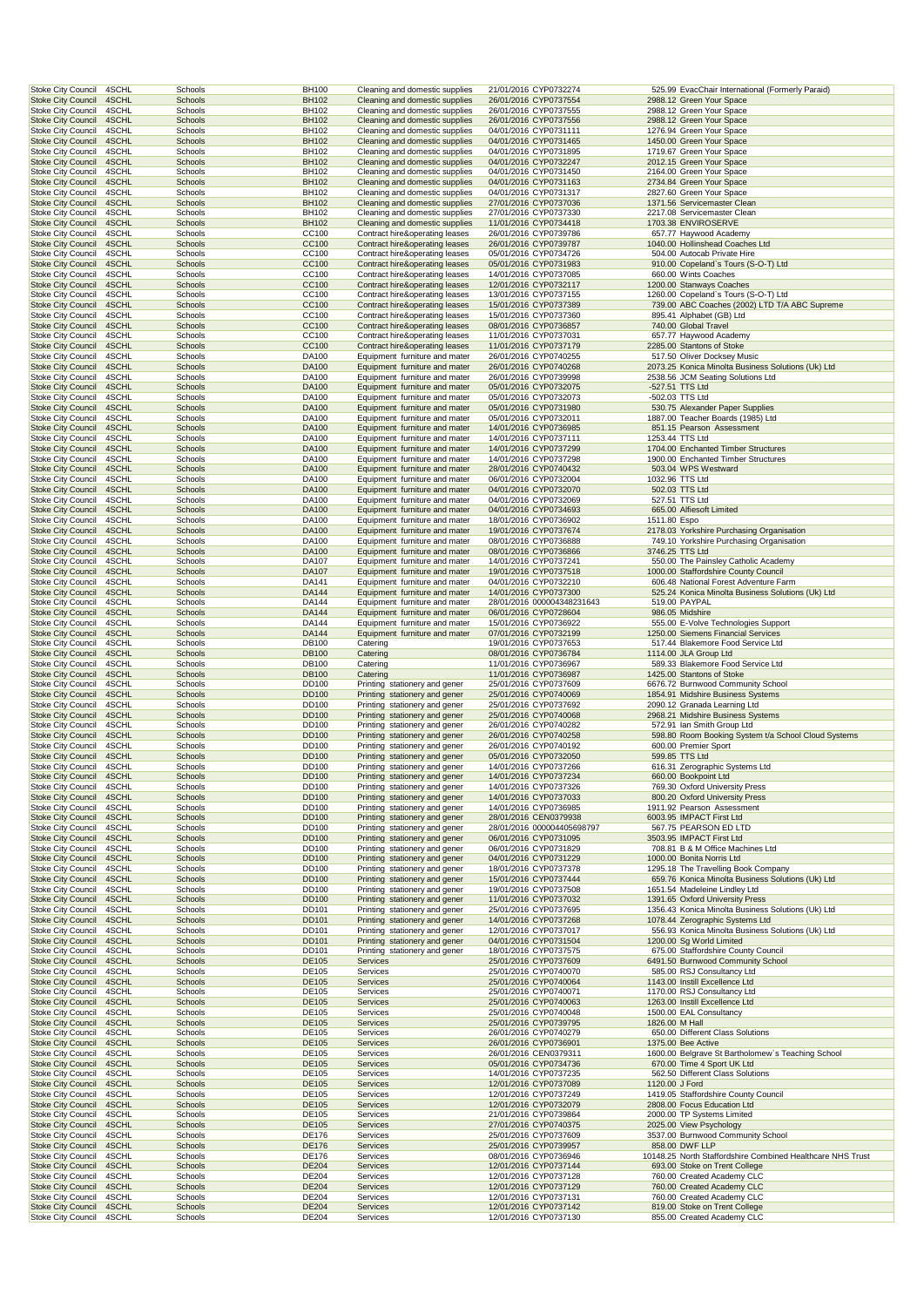| Stoke City Council                                     | 4SCHL          | Schools            | <b>BH100</b>          | Cleaning and domestic supplies                                   | 21/01/2016 CYP0732274                               |                | 525.99 EvacChair International (Formerly Paraid)                                           |
|--------------------------------------------------------|----------------|--------------------|-----------------------|------------------------------------------------------------------|-----------------------------------------------------|----------------|--------------------------------------------------------------------------------------------|
| <b>Stoke City Council</b>                              | 4SCHL          | Schools            | <b>BH102</b>          | Cleaning and domestic supplies                                   | 26/01/2016 CYP0737554                               |                | 2988.12 Green Your Space                                                                   |
| <b>Stoke City Council</b>                              | 4SCHL          | Schools            | BH102                 | Cleaning and domestic supplies                                   | 26/01/2016 CYP0737555                               |                | 2988.12 Green Your Space                                                                   |
| <b>Stoke City Council</b><br><b>Stoke City Council</b> | 4SCHL<br>4SCHL | Schools<br>Schools | <b>BH102</b><br>BH102 | Cleaning and domestic supplies<br>Cleaning and domestic supplies | 26/01/2016 CYP0737556<br>04/01/2016 CYP0731111      |                | 2988.12 Green Your Space<br>1276.94 Green Your Space                                       |
| <b>Stoke City Council</b>                              | 4SCHL          | Schools            | <b>BH102</b>          | Cleaning and domestic supplies                                   | 04/01/2016 CYP0731465                               |                | 1450.00 Green Your Space                                                                   |
| <b>Stoke City Council</b>                              | 4SCHL          | Schools            | BH102                 | Cleaning and domestic supplies                                   | 04/01/2016 CYP0731895                               |                | 1719.67 Green Your Space                                                                   |
| <b>Stoke City Council</b>                              | 4SCHL          | Schools            | <b>BH102</b>          | Cleaning and domestic supplies                                   | 04/01/2016 CYP0732247                               |                | 2012.15 Green Your Space                                                                   |
| <b>Stoke City Council</b>                              | 4SCHL          | Schools            | BH102                 | Cleaning and domestic supplies                                   | 04/01/2016 CYP0731450                               |                | 2164.00 Green Your Space                                                                   |
| <b>Stoke City Council</b>                              | 4SCHL          | Schools            | <b>BH102</b>          | Cleaning and domestic supplies                                   | 04/01/2016 CYP0731163                               |                | 2734.84 Green Your Space                                                                   |
| <b>Stoke City Council</b><br><b>Stoke City Council</b> | 4SCHL<br>4SCHL | Schools<br>Schools | BH102<br><b>BH102</b> | Cleaning and domestic supplies<br>Cleaning and domestic supplies | 04/01/2016 CYP0731317<br>27/01/2016 CYP0737036      |                | 2827.60 Green Your Space<br>1371.56 Servicemaster Clean                                    |
| <b>Stoke City Council</b>                              | 4SCHL          | Schools            | BH102                 | Cleaning and domestic supplies                                   | 27/01/2016 CYP0737330                               |                | 2217.08 Servicemaster Clean                                                                |
| <b>Stoke City Council</b>                              | 4SCHL          | Schools            | <b>BH102</b>          | Cleaning and domestic supplies                                   | 11/01/2016 CYP0734418                               |                | 1703.38 ENVIROSERVE                                                                        |
| <b>Stoke City Council</b>                              | 4SCHL          | Schools            | CC100                 | Contract hire&operating leases                                   | 26/01/2016 CYP0739786                               |                | 657.77 Haywood Academy                                                                     |
| <b>Stoke City Council</b>                              | 4SCHL          | Schools            | CC100                 | Contract hire&operating leases                                   | 26/01/2016 CYP0739787                               |                | 1040.00 Hollinshead Coaches Ltd                                                            |
| <b>Stoke City Council</b>                              | 4SCHL          | Schools            | CC100                 | Contract hire&operating leases                                   | 05/01/2016 CYP0734726                               |                | 504.00 Autocab Private Hire                                                                |
| <b>Stoke City Council</b>                              | 4SCHL          | Schools            | CC100                 | Contract hire&operating leases                                   | 05/01/2016 CYP0731983                               |                | 910.00 Copeland's Tours (S-O-T) Ltd                                                        |
| <b>Stoke City Council</b><br><b>Stoke City Council</b> | 4SCHL<br>4SCHL | Schools<br>Schools | CC100<br>CC100        | Contract hire&operating leases<br>Contract hire&operating leases | 14/01/2016 CYP0737085<br>12/01/2016 CYP0732117      |                | 660.00 Wints Coaches<br>1200.00 Stanways Coaches                                           |
| Stoke City Council                                     | 4SCHL          | Schools            | CC100                 | Contract hire&operating leases                                   | 13/01/2016 CYP0737155                               |                | 1260.00 Copeland's Tours (S-O-T) Ltd                                                       |
| <b>Stoke City Council</b>                              | 4SCHL          | Schools            | CC100                 | Contract hire&operating leases                                   | 15/01/2016 CYP0737389                               |                | 739.00 ABC Coaches (2002) LTD T/A ABC Supreme                                              |
| <b>Stoke City Council</b>                              | 4SCHL          | Schools            | CC100                 | Contract hire&operating leases                                   | 15/01/2016 CYP0737360                               |                | 895.41 Alphabet (GB) Ltd                                                                   |
| <b>Stoke City Council</b>                              | 4SCHL          | Schools            | CC100                 | Contract hire&operating leases                                   | 08/01/2016 CYP0736857                               |                | 740.00 Global Travel                                                                       |
| <b>Stoke City Council</b>                              | 4SCHL          | Schools            | CC100                 | Contract hire&operating leases                                   | 11/01/2016 CYP0737031                               |                | 657.77 Haywood Academy                                                                     |
| <b>Stoke City Council</b><br><b>Stoke City Council</b> | 4SCHL<br>4SCHL | Schools<br>Schools | CC100<br>DA100        | Contract hire&operating leases<br>Equipment furniture and mater  | 11/01/2016 CYP0737179<br>26/01/2016 CYP0740255      |                | 2285.00 Stantons of Stoke<br>517.50 Oliver Docksey Music                                   |
| <b>Stoke City Council</b>                              | 4SCHL          | Schools            | DA100                 | Equipment furniture and mater                                    | 26/01/2016 CYP0740268                               |                | 2073.25 Konica Minolta Business Solutions (Uk) Ltd                                         |
| <b>Stoke City Council</b>                              | 4SCHL          | Schools            | DA100                 | Equipment furniture and mater                                    | 26/01/2016 CYP0739998                               |                | 2538.56 JCM Seating Solutions Ltd                                                          |
| <b>Stoke City Council</b>                              | 4SCHL          | Schools            | DA100                 | Equipment furniture and mater                                    | 05/01/2016 CYP0732075                               |                | -527.51 TTS Ltd                                                                            |
| <b>Stoke City Council</b>                              | 4SCHL          | Schools            | DA100                 | Equipment furniture and mater                                    | 05/01/2016 CYP0732073                               |                | -502.03 TTS Ltd                                                                            |
| <b>Stoke City Council</b>                              | 4SCHL          | Schools            | DA100                 | Equipment furniture and mater                                    | 05/01/2016 CYP0731980                               |                | 530.75 Alexander Paper Supplies                                                            |
| <b>Stoke City Council</b>                              | 4SCHL          | Schools            | DA100                 | Equipment furniture and mater                                    | 05/01/2016 CYP0732011                               |                | 1887.00 Teacher Boards (1985) Ltd                                                          |
| <b>Stoke City Council</b><br><b>Stoke City Council</b> | 4SCHL<br>4SCHL | Schools<br>Schools | DA100<br>DA100        | Equipment furniture and mater<br>Equipment furniture and mater   | 14/01/2016 CYP0736985<br>14/01/2016 CYP0737111      |                | 851.15 Pearson Assessment<br>1253.44 TTS Ltd                                               |
| <b>Stoke City Council</b>                              | 4SCHL          | Schools            | DA100                 | Equipment furniture and mater                                    | 14/01/2016 CYP0737299                               |                | 1704.00 Enchanted Timber Structures                                                        |
| <b>Stoke City Council</b>                              | 4SCHL          | Schools            | DA100                 | Equipment furniture and mater                                    | 14/01/2016 CYP0737298                               |                | 1900.00 Enchanted Timber Structures                                                        |
| <b>Stoke City Council</b>                              | 4SCHL          | Schools            | DA100                 | Equipment furniture and mater                                    | 28/01/2016 CYP0740432                               |                | 503.04 WPS Westward                                                                        |
| <b>Stoke City Council</b>                              | 4SCHL          | Schools            | DA100                 | Equipment furniture and mater                                    | 06/01/2016 CYP0732004                               |                | 1032.96 TTS Ltd                                                                            |
| <b>Stoke City Council</b>                              | 4SCHL          | Schools            | DA100                 | Equipment furniture and mater                                    | 04/01/2016 CYP0732070                               |                | 502.03 TTS Ltd                                                                             |
| Stoke City Council<br><b>Stoke City Council</b>        | 4SCHL<br>4SCHL | Schools<br>Schools | DA100<br>DA100        | Equipment furniture and mater<br>Equipment furniture and mater   | 04/01/2016 CYP0732069<br>04/01/2016 CYP0734693      |                | 527.51 TTS Ltd<br>665.00 Alfiesoft Limited                                                 |
| <b>Stoke City Council</b>                              | 4SCHL          | Schools            | DA100                 | Equipment furniture and mater                                    | 18/01/2016 CYP0736902                               | 1511.80 Espo   |                                                                                            |
| <b>Stoke City Council</b>                              | 4SCHL          | Schools            | DA100                 | Equipment furniture and mater                                    | 19/01/2016 CYP0737674                               |                | 2178.03 Yorkshire Purchasing Organisation                                                  |
| <b>Stoke City Council</b>                              | 4SCHL          | Schools            | DA100                 | Equipment furniture and mater                                    | 08/01/2016 CYP0736888                               |                | 749.10 Yorkshire Purchasing Organisation                                                   |
| <b>Stoke City Council</b>                              | 4SCHL          | Schools            | DA100                 | Equipment furniture and mater                                    | 08/01/2016 CYP0736866                               |                | 3746.25 TTS Ltd                                                                            |
| <b>Stoke City Council</b>                              | 4SCHL          | Schools            | DA107                 | Equipment furniture and mater                                    | 14/01/2016 CYP0737241                               |                | 550.00 The Painsley Catholic Academy                                                       |
| <b>Stoke City Council</b>                              | 4SCHL          | Schools            | DA107                 | Equipment furniture and mater                                    | 19/01/2016 CYP0737518                               |                | 1000.00 Staffordshire County Council                                                       |
| <b>Stoke City Council</b><br><b>Stoke City Council</b> | 4SCHL<br>4SCHL | Schools<br>Schools | DA141<br>DA144        | Equipment furniture and mater<br>Equipment furniture and mater   | 04/01/2016 CYP0732210<br>14/01/2016 CYP0737300      |                | 606.48 National Forest Adventure Farm<br>525.24 Konica Minolta Business Solutions (Uk) Ltd |
| Stoke City Council                                     | 4SCHL          | Schools            | DA144                 | Equipment furniture and mater                                    | 28/01/2016 000004348231643                          |                | 519.00 PAYPAL                                                                              |
| <b>Stoke City Council</b>                              | 4SCHL          | Schools            | DA144                 | Equipment furniture and mater                                    | 06/01/2016 CYP0728604                               |                | 986.05 Midshire                                                                            |
| <b>Stoke City Council</b>                              | 4SCHL          | Schools            | DA144                 | Equipment furniture and mater                                    | 15/01/2016 CYP0736922                               |                | 555.00 E-Volve Technologies Support                                                        |
| <b>Stoke City Council</b>                              | 4SCHL          | Schools            | DA144                 | Equipment furniture and mater                                    | 07/01/2016 CYP0732199                               |                | 1250.00 Siemens Financial Services                                                         |
| Stoke City Council                                     | 4SCHL          | Schools            | DB100                 | Catering                                                         | 19/01/2016 CYP0737653                               |                | 517.44 Blakemore Food Service Ltd                                                          |
| <b>Stoke City Council</b><br><b>Stoke City Council</b> | 4SCHL<br>4SCHL | Schools            | <b>DB100</b><br>DB100 | Catering<br>Catering                                             | 08/01/2016 CYP0736784                               |                | 1114.00 JLA Group Ltd<br>589.33 Blakemore Food Service Ltd                                 |
| <b>Stoke City Council</b>                              | 4SCHL          | Schools<br>Schools | <b>DB100</b>          | Catering                                                         | 11/01/2016 CYP0736967<br>11/01/2016 CYP0736987      |                | 1425.00 Stantons of Stoke                                                                  |
| <b>Stoke City Council</b>                              | 4SCHL          | Schools            | DD100                 | Printing stationery and gener                                    | 25/01/2016 CYP0737609                               |                | 6676.72 Burnwood Community School                                                          |
| <b>Stoke City Council</b>                              | 4SCHL          | Schools            | DD100                 | Printing stationery and gener                                    | 25/01/2016 CYP0740069                               |                | 1854.91 Midshire Business Systems                                                          |
| Stoke City Council                                     | 4SCHL          | Schools            | DD <sub>100</sub>     | Printing stationery and gener                                    | 25/01/2016 CYP0737692                               |                | 2090.12 Granada Learning Ltd                                                               |
| <b>Stoke City Council</b>                              | 4SCHL          | Schools            | <b>DD100</b>          | Printing stationery and gener                                    | 25/01/2016 CYP0740068                               |                | 2968.21 Midshire Business Systems                                                          |
| <b>Stoke City Council</b>                              | 4SCHL          | Schools            | DD100                 | Printing stationery and gener                                    | 26/01/2016 CYP0740282                               |                | 572.91 Ian Smith Group Ltd                                                                 |
| <b>Stoke City Council</b><br>Stoke City Council        | 4SCHL<br>4SCHL | Schools<br>Schools | DD100<br>DD100        | Printing stationery and gener<br>Printing stationery and gener   | 26/01/2016 CYP0740258<br>26/01/2016 CYP0740192      |                | 598.80 Room Booking System t/a School Cloud Systems<br>600.00 Premier Sport                |
| <b>Stoke City Council</b>                              | 4SCHL          | Schools            | <b>DD100</b>          | Printing stationery and gener                                    | 05/01/2016 CYP0732050                               |                | 599.85 TTS Ltd                                                                             |
| <b>Stoke City Council</b>                              | 4SCHL          | Schools            | DD100                 | Printing stationery and gener                                    | 14/01/2016 CYP0737266                               |                | 616.31 Zerographic Systems Ltd                                                             |
| <b>Stoke City Council</b>                              | 4SCHL          | Schools            | <b>DD100</b>          | Printing stationery and gener                                    | 14/01/2016 CYP0737234                               |                | 660.00 Bookpoint Ltd                                                                       |
| Stoke City Council                                     | 4SCHL          | Schools            | DD100                 | Printing stationery and gener                                    | 14/01/2016 CYP0737326                               |                | 769.30 Oxford University Press                                                             |
| <b>Stoke City Council</b>                              | 4SCHL          | Schools            |                       | Printing stationery and gener                                    |                                                     |                |                                                                                            |
| <b>Stoke City Council</b><br><b>Stoke City Council</b> | 4SCHL          |                    | DD100                 |                                                                  | 14/01/2016 CYP0737033                               |                | 800.20 Oxford University Press                                                             |
| Stoke City Council                                     |                | Schools            | DD100                 | Printing stationery and gener                                    | 14/01/2016 CYP0736985                               |                | 1911.92 Pearson Assessment                                                                 |
|                                                        | 4SCHL          | <b>Schools</b>     | DD100                 | Printing stationery and gener                                    | 28/01/2016 CEN0379938                               |                | 6003.95 IMPACT First Ltd                                                                   |
| <b>Stoke City Council</b>                              | 4SCHL<br>4SCHL | Schools<br>Schools | DD100<br>DD100        | Printing stationery and gener<br>Printing stationery and gener   | 28/01/2016 000004405698797<br>06/01/2016 CYP0731095 |                | 567.75 PEARSON ED LTD<br>3503.95 IMPACT First Ltd                                          |
| Stoke City Council                                     | 4SCHL          | Schools            | DD100                 | Printing stationery and gener                                    | 06/01/2016 CYP0731829                               |                | 708.81 B & M Office Machines Ltd                                                           |
| <b>Stoke City Council</b>                              | 4SCHL          | Schools            | <b>DD100</b>          | Printing stationery and gener                                    | 04/01/2016 CYP0731229                               |                | 1000.00 Bonita Norris Ltd                                                                  |
| <b>Stoke City Council</b>                              | 4SCHL          | Schools            | DD100                 | Printing stationery and gener                                    | 18/01/2016 CYP0737378                               |                | 1295.18 The Travelling Book Company                                                        |
| <b>Stoke City Council</b>                              | 4SCHL          | Schools            | DD100                 | Printing stationery and gener                                    | 15/01/2016 CYP0737444                               |                | 659.76 Konica Minolta Business Solutions (Uk) Ltd                                          |
| <b>Stoke City Council</b>                              | 4SCHL          | Schools            | DD100                 | Printing stationery and gener                                    | 19/01/2016 CYP0737508                               |                | 1651.54 Madeleine Lindley Ltd                                                              |
| <b>Stoke City Council</b><br><b>Stoke City Council</b> | 4SCHL<br>4SCHL | Schools<br>Schools | <b>DD100</b><br>DD101 | Printing stationery and gener<br>Printing stationery and gener   | 11/01/2016 CYP0737032<br>25/01/2016 CYP0737695      |                | 1391.65 Oxford University Press<br>1356.43 Konica Minolta Business Solutions (Uk) Ltd      |
| <b>Stoke City Council</b>                              | 4SCHL          | <b>Schools</b>     | DD101                 | Printing stationery and gener                                    | 14/01/2016 CYP0737268                               |                | 1078.44 Zerographic Systems Ltd                                                            |
| Stoke City Council                                     | 4SCHL          | Schools            | DD101                 | Printing stationery and gener                                    | 12/01/2016 CYP0737017                               |                | 556.93 Konica Minolta Business Solutions (Uk) Ltd                                          |
| <b>Stoke City Council</b>                              | 4SCHL          | Schools            | DD101                 | Printing stationery and gener                                    | 04/01/2016 CYP0731504                               |                | 1200.00 Sg World Limited                                                                   |
| Stoke City Council                                     | 4SCHL          | Schools            | DD101                 | Printing stationery and gener                                    | 18/01/2016 CYP0737575                               |                | 675.00 Staffordshire County Council                                                        |
| <b>Stoke City Council</b><br><b>Stoke City Council</b> | 4SCHL<br>4SCHL | Schools<br>Schools | DE105<br>DE105        | Services<br>Services                                             | 25/01/2016 CYP0737609<br>25/01/2016 CYP0740070      |                | 6491.50 Burnwood Community School<br>585.00 RSJ Consultancy Ltd                            |
| <b>Stoke City Council</b>                              | 4SCHL          | Schools            | DE105                 | Services                                                         | 25/01/2016 CYP0740064                               |                | 1143.00 Instill Excellence Ltd                                                             |
| <b>Stoke City Council</b>                              | 4SCHL          | Schools            | DE105                 | Services                                                         | 25/01/2016 CYP0740071                               |                | 1170.00 RSJ Consultancy Ltd                                                                |
| <b>Stoke City Council</b>                              | 4SCHL          | Schools            | DE105                 | Services                                                         | 25/01/2016 CYP0740063                               |                | 1263.00 Instill Excellence Ltd                                                             |
| Stoke City Council                                     | 4SCHL          | Schools            | DE105                 | Services                                                         | 25/01/2016 CYP0740048                               |                | 1500.00 EAL Consultancy                                                                    |
| <b>Stoke City Council</b>                              | 4SCHL          | <b>Schools</b>     | DE105                 | Services                                                         | 25/01/2016 CYP0739795                               | 1826.00 M Hall |                                                                                            |
| Stoke City Council<br><b>Stoke City Council</b>        | 4SCHL<br>4SCHL | Schools<br>Schools | DE105<br>DE105        | Services<br>Services                                             | 26/01/2016 CYP0740279<br>26/01/2016 CYP0736901      |                | 650.00 Different Class Solutions<br>1375.00 Bee Active                                     |
| <b>Stoke City Council</b>                              | 4SCHL          | Schools            | DE105                 | Services                                                         | 26/01/2016 CEN0379311                               |                | 1600.00 Belgrave St Bartholomew's Teaching School                                          |
| <b>Stoke City Council</b>                              | 4SCHL          | Schools            | <b>DE105</b>          | Services                                                         | 05/01/2016 CYP0734736                               |                | 670.00 Time 4 Sport UK Ltd                                                                 |
| <b>Stoke City Council</b>                              | 4SCHL          | Schools            | DE105                 | Services                                                         | 14/01/2016 CYP0737235                               |                | 562.50 Different Class Solutions                                                           |
| <b>Stoke City Council</b>                              | 4SCHL          | Schools            | DE105                 | Services                                                         | 12/01/2016 CYP0737089                               | 1120.00 J Ford |                                                                                            |
| <b>Stoke City Council</b>                              | 4SCHL          | Schools            | DE105                 | Services                                                         | 12/01/2016 CYP0737249                               |                | 1419.05 Staffordshire County Council                                                       |
| <b>Stoke City Council</b>                              | 4SCHL<br>4SCHL | Schools<br>Schools | DE105<br>DE105        | Services<br>Services                                             | 12/01/2016 CYP0732079<br>21/01/2016 CYP0739864      |                | 2808.00 Focus Education Ltd<br>2000.00 TP Systems Limited                                  |
| <b>Stoke City Council</b><br><b>Stoke City Council</b> | 4SCHL          | Schools            | DE105                 | Services                                                         | 27/01/2016 CYP0740375                               |                | 2025.00 View Psychology                                                                    |
| Stoke City Council                                     | 4SCHL          | Schools            | DE176                 | Services                                                         | 25/01/2016 CYP0737609                               |                | 3537.00 Burnwood Community School                                                          |
| <b>Stoke City Council</b>                              | 4SCHL          | Schools            | <b>DE176</b>          | Services                                                         | 25/01/2016 CYP0739957                               |                | 858.00 DWF LLP                                                                             |
| <b>Stoke City Council</b>                              | 4SCHL          | Schools            | DE176                 | Services                                                         | 08/01/2016 CYP0736946                               |                | 10148.25 North Staffordshire Combined Healthcare NHS Trust                                 |
| <b>Stoke City Council</b>                              | 4SCHL          | Schools            | DE204                 | Services                                                         | 12/01/2016 CYP0737144                               |                | 693.00 Stoke on Trent College                                                              |
| <b>Stoke City Council</b>                              | 4SCHL<br>4SCHL | Schools            | DE204<br>DE204        | Services                                                         | 12/01/2016 CYP0737128                               |                | 760.00 Created Academy CLC                                                                 |
| <b>Stoke City Council</b><br><b>Stoke City Council</b> | 4SCHL          | Schools<br>Schools | DE204                 | Services<br>Services                                             | 12/01/2016 CYP0737129<br>12/01/2016 CYP0737131      |                | 760.00 Created Academy CLC<br>760.00 Created Academy CLC                                   |
| <b>Stoke City Council</b><br>Stoke City Council        | 4SCHL<br>4SCHL | Schools<br>Schools | DE204<br>DE204        | Services<br>Services                                             | 12/01/2016 CYP0737142<br>12/01/2016 CYP0737130      |                | 819.00 Stoke on Trent College<br>855.00 Created Academy CLC                                |